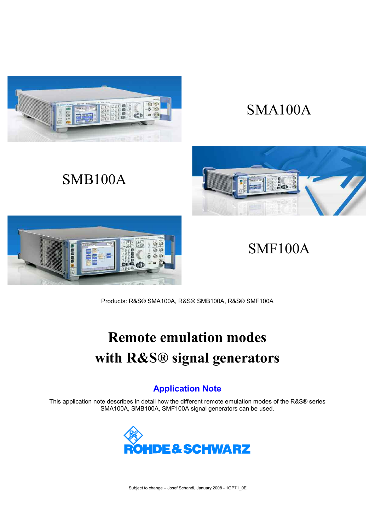

SMB100A

# SMA100A



# SMF100A

Products: R&S® SMA100A, R&S® SMB100A, R&S® SMF100A

# **Remote emulation modes with R&S® signal generators**

# **Application Note**

This application note describes in detail how the different remote emulation modes of the R&S® series SMA100A, SMB100A, SMF100A signal generators can be used.

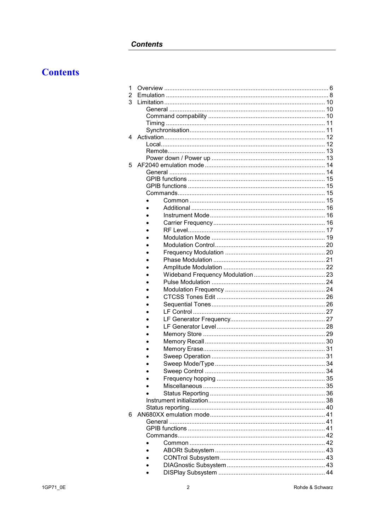## **Contents**

# **Contents**

| 1 |    |
|---|----|
| 2 |    |
| 3 |    |
|   |    |
|   |    |
|   | 11 |
|   |    |
| 4 | 12 |
|   |    |
|   |    |
|   |    |
| 5 |    |
|   |    |
|   |    |
|   |    |
|   |    |
|   |    |
|   |    |
|   |    |
|   |    |
|   |    |
|   |    |
|   |    |
|   |    |
|   |    |
|   |    |
|   |    |
|   |    |
|   |    |
|   |    |
|   |    |
|   |    |
|   |    |
|   |    |
|   |    |
|   |    |
|   |    |
|   |    |
|   |    |
|   |    |
|   |    |
|   |    |
|   |    |
|   |    |
|   |    |
|   |    |
|   |    |
| 6 |    |
|   |    |
|   |    |
|   |    |
|   |    |
|   |    |
|   |    |
|   |    |
|   |    |
|   |    |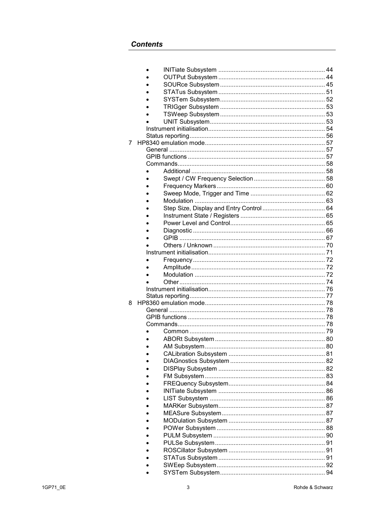| 7 |               |    |
|---|---------------|----|
|   |               |    |
|   |               |    |
|   |               |    |
|   |               |    |
|   |               |    |
|   |               |    |
|   |               |    |
|   |               |    |
|   |               |    |
|   |               |    |
|   |               |    |
|   |               |    |
|   |               |    |
|   |               |    |
|   |               |    |
|   |               |    |
|   |               |    |
|   |               |    |
|   |               |    |
|   |               |    |
|   |               |    |
|   |               |    |
| 8 |               |    |
|   |               |    |
|   |               |    |
|   |               |    |
|   |               |    |
|   |               |    |
|   | AM Subsystem. | 80 |
|   |               |    |
|   |               |    |
|   |               |    |
|   |               |    |
|   |               | 84 |
|   |               | 86 |
|   |               | 86 |
|   |               | 87 |
|   |               | 87 |
|   |               |    |
|   |               |    |
|   |               |    |
|   |               |    |
|   |               |    |
|   |               |    |
|   |               |    |
|   |               |    |
|   |               |    |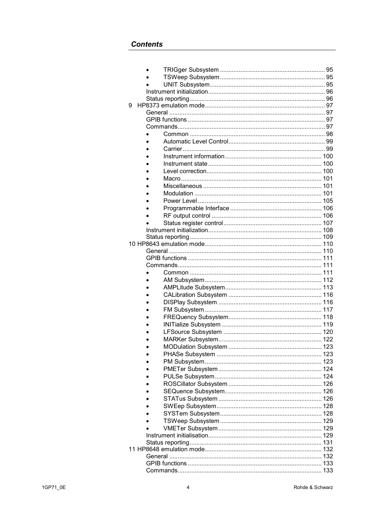| 9 |  |  |
|---|--|--|
|   |  |  |
|   |  |  |
|   |  |  |
|   |  |  |
|   |  |  |
|   |  |  |
|   |  |  |
|   |  |  |
|   |  |  |
|   |  |  |
|   |  |  |
|   |  |  |
|   |  |  |
|   |  |  |
|   |  |  |
|   |  |  |
|   |  |  |
|   |  |  |
|   |  |  |
|   |  |  |
|   |  |  |
|   |  |  |
|   |  |  |
|   |  |  |
|   |  |  |
|   |  |  |
|   |  |  |
|   |  |  |
|   |  |  |
|   |  |  |
|   |  |  |
|   |  |  |
|   |  |  |
|   |  |  |
|   |  |  |
|   |  |  |
|   |  |  |
|   |  |  |
|   |  |  |
|   |  |  |
|   |  |  |
|   |  |  |
|   |  |  |
|   |  |  |
|   |  |  |
|   |  |  |
|   |  |  |
|   |  |  |
|   |  |  |
|   |  |  |
|   |  |  |
|   |  |  |
|   |  |  |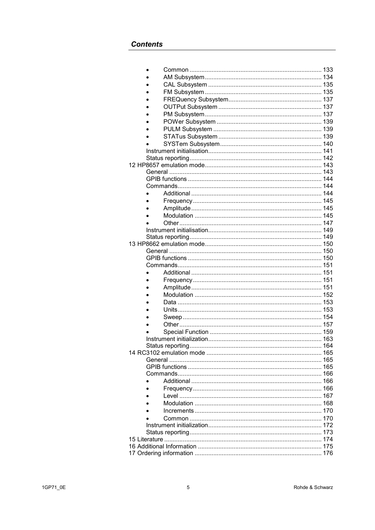| Status reporting |  |
|------------------|--|
|                  |  |
|                  |  |
|                  |  |
|                  |  |
|                  |  |
|                  |  |
|                  |  |
|                  |  |
|                  |  |
|                  |  |
|                  |  |
|                  |  |
|                  |  |
|                  |  |
|                  |  |
|                  |  |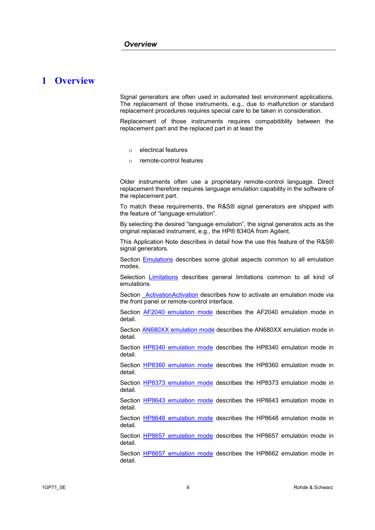## **1 Overview**

Signal generators are often used in automated test environment applications. The replacement of those instruments, e.g., due to malfunction or standard replacement procedures requires special care to be taken in consideration.

Replacement of those instruments requires compabitiblity between the replacement part and the replaced part in at least the

- o electrical features
- o remote-control features

Older instruments often use a proprietary remote-control language. Direct replacement therefore requires language emulation capability in the software of the replacement part.

To match these requirements, the R&S® signal generators are shipped with the feature of "language emulation".

By selecting the desired "language emulation", the signal generatos acts as the original replaced instrument, e.g., the HP® 8340A from Agilent.

This Application Note describes in detail how the use this feature of the R&S® signal generators.

Section Emulations describes some global aspects common to all emulation modes.

Selection Limitations describes general limitations common to all kind of emulations.

Section **ActivationActivation describes how to activate an emulation mode via** the front panel or remote-control interface.

Section **AF2040** emulation mode describes the AF2040 emulation mode in detail.

Section AN680XX emulation mode describes the AN680XX emulation mode in detail.

Section HP8340 emulation mode describes the HP8340 emulation mode in detail.

Section HP8360 emulation mode describes the HP8360 emulation mode in detail.

Section HP8373 emulation mode describes the HP8373 emulation mode in detail.

Section HP8643 emulation mode describes the HP8643 emulation mode in detail.

Section HP8648 emulation mode describes the HP8648 emulation mode in detail.

Section HP8657 emulation mode describes the HP8657 emulation mode in detail.

Section HP8657 emulation mode describes the HP8662 emulation mode in detail.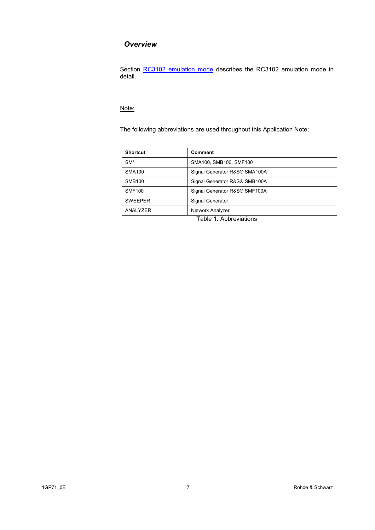#### *Overview*

Section RC3102 emulation mode describes the RC3102 emulation mode in detail.

#### Note:

The following abbreviations are used throughout this Application Note:

| <b>Shortcut</b>                 | <b>Comment</b>                |
|---------------------------------|-------------------------------|
| $SM*$<br>SMA100, SMB100, SMF100 |                               |
| <b>SMA100</b>                   | Signal Generator R&S® SMA100A |
| <b>SMB100</b>                   | Signal Generator R&S® SMB100A |
| <b>SMF100</b>                   | Signal Generator R&S® SMF100A |
| <b>SWEEPER</b>                  | Signal Generator              |
| ANALYZER                        | Network Analyzer              |

Table 1: Abbreviations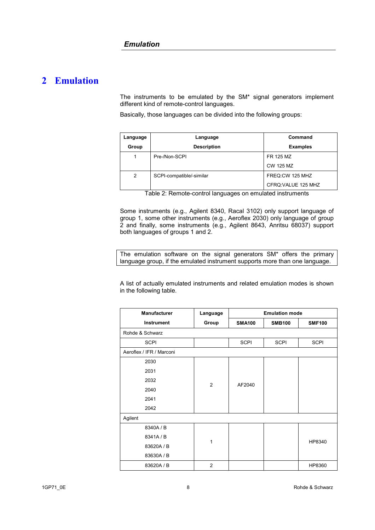## **2 Emulation**

The instruments to be emulated by the SM\* signal generators implement different kind of remote-control languages.

Basically, those languages can be divided into the following groups:

| Language | Language                 | Command             |  |  |
|----------|--------------------------|---------------------|--|--|
| Group    | <b>Description</b>       | <b>Examples</b>     |  |  |
|          | Pre-/Non-SCPI            | FR 125 MZ           |  |  |
|          |                          | CW 125 MZ           |  |  |
| 2        | SCPI-compatible/-similar | FREQ:CW 125 MHZ     |  |  |
|          |                          | CFRQ: VALUE 125 MHZ |  |  |

Table 2: Remote-control languages on emulated instruments

Some instruments (e.g., Agilent 8340, Racal 3102) only support language of group 1, some other instruments (e.g., Aeroflex 2030) only language of group 2 and finally, some instruments (e.g., Agilent 8643, Anritsu 68037) support both languages of groups 1 and 2.

The emulation software on the signal generators SM\* offers the primary language group, if the emulated instrument supports more than one language.

A list of actually emulated instruments and related emulation modes is shown in the following table.

| <b>Manufacturer</b>      | Language       | <b>Emulation mode</b> |               |               |  |
|--------------------------|----------------|-----------------------|---------------|---------------|--|
| Instrument               | Group          | <b>SMA100</b>         | <b>SMB100</b> | <b>SMF100</b> |  |
| Rohde & Schwarz          |                |                       |               |               |  |
| <b>SCPI</b>              |                | <b>SCPI</b>           | <b>SCPI</b>   | <b>SCPI</b>   |  |
| Aeroflex / IFR / Marconi |                |                       |               |               |  |
| 2030                     |                |                       |               |               |  |
| 2031                     | $\overline{2}$ |                       |               |               |  |
| 2032                     |                | AF2040                |               |               |  |
| 2040                     |                |                       |               |               |  |
| 2041                     |                |                       |               |               |  |
| 2042                     |                |                       |               |               |  |
| Agilent                  |                |                       |               |               |  |
| 8340A / B                |                |                       |               |               |  |
| 8341A / B                | 1              |                       |               | HP8340        |  |
| 83620A / B               |                |                       |               |               |  |
| 83630A / B               |                |                       |               |               |  |
| 83620A / B               | $\overline{2}$ |                       |               | HP8360        |  |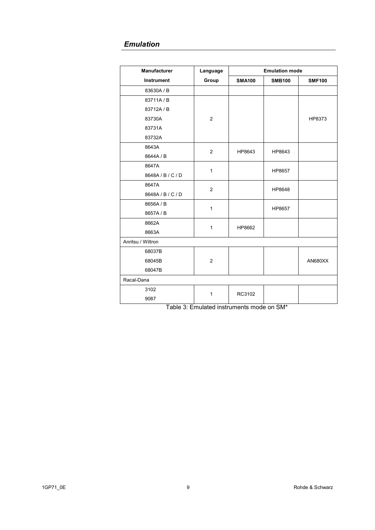## *Emulation*

| <b>Manufacturer</b> | Language       |               | <b>Emulation mode</b> |               |
|---------------------|----------------|---------------|-----------------------|---------------|
| <b>Instrument</b>   | Group          | <b>SMA100</b> | <b>SMB100</b>         | <b>SMF100</b> |
| 83630A / B          |                |               |                       |               |
| 83711A/B            |                |               |                       |               |
| 83712A / B          |                |               |                       |               |
| 83730A              | $\overline{c}$ |               |                       | HP8373        |
| 83731A              |                |               |                       |               |
| 83732A              |                |               |                       |               |
| 8643A               |                |               |                       |               |
| 8644A / B           | $\mathbf{2}$   | HP8643        | HP8643                |               |
| 8647A               | $\mathbf{1}$   |               |                       |               |
| 8648A/B/C/D         |                |               | HP8657                |               |
| 8647A               | $\mathbf{2}$   |               | HP8648                |               |
| 8648A / B / C / D   |                |               |                       |               |
| 8656A / B           | $\mathbf{1}$   |               | HP8657                |               |
| 8657A / B           |                |               |                       |               |
| 8662A               | $\mathbf{1}$   | HP8662        |                       |               |
| 8663A               |                |               |                       |               |
| Anritsu / Wiltron   |                |               |                       |               |
| 68037B              |                |               |                       |               |
| 68045B              | $\overline{2}$ |               |                       | AN680XX       |
| 68047B              |                |               |                       |               |
| Racal-Dana          |                |               |                       |               |
| 3102                | 1              |               |                       |               |
| 9087                |                | RC3102        |                       |               |

Table 3: Emulated instruments mode on SM\*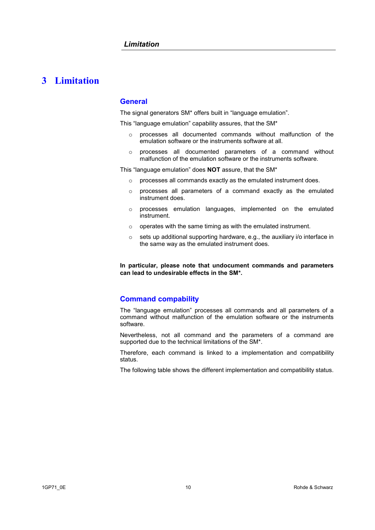## **3 Limitation**

#### **General**

The signal generators SM\* offers built in "language emulation".

This "language emulation" capability assures, that the SM\*

- o processes all documented commands without malfunction of the emulation software or the instruments software at all.
- o processes all documented parameters of a command without malfunction of the emulation software or the instruments software.

This "language emulation" does **NOT** assure, that the SM\*

- o processes all commands exactly as the emulated instrument does.
- o processes all parameters of a command exactly as the emulated instrument does.
- o processes emulation languages, implemented on the emulated instrument.
- $\circ$  operates with the same timing as with the emulated instrument.
- o sets up additional supporting hardware, e.g., the auxiliary i/o interface in the same way as the emulated instrument does.

**In particular, please note that undocument commands and parameters can lead to undesirable effects in the SM\*.** 

#### **Command compability**

The "language emulation" processes all commands and all parameters of a command without malfunction of the emulation software or the instruments software.

Nevertheless, not all command and the parameters of a command are supported due to the technical limitations of the SM\*.

Therefore, each command is linked to a implementation and compatibility status.

The following table shows the different implementation and compatibility status.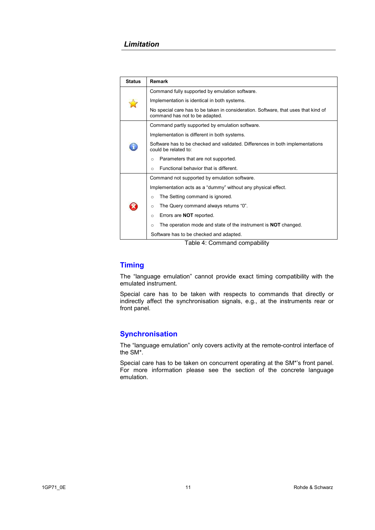#### *Limitation*

| <b>Status</b> | <b>Remark</b>                                                                                                        |  |  |  |  |
|---------------|----------------------------------------------------------------------------------------------------------------------|--|--|--|--|
|               | Command fully supported by emulation software.                                                                       |  |  |  |  |
|               | Implementation is identical in both systems.                                                                         |  |  |  |  |
|               | No special care has to be taken in consideration. Software, that uses that kind of<br>command has not to be adapted. |  |  |  |  |
|               | Command partly supported by emulation software.                                                                      |  |  |  |  |
|               | Implementation is different in both systems.                                                                         |  |  |  |  |
|               | Software has to be checked and validated. Differences in both implementations<br>could be related to:                |  |  |  |  |
|               | Parameters that are not supported.<br>$\circ$                                                                        |  |  |  |  |
|               | Functional behavior that is different.<br>$\circ$                                                                    |  |  |  |  |
|               | Command not supported by emulation software.                                                                         |  |  |  |  |
|               | Implementation acts as a "dummy" without any physical effect.                                                        |  |  |  |  |
|               | The Setting command is ignored.<br>$\circ$                                                                           |  |  |  |  |
|               | The Query command always returns "0".<br>$\circ$                                                                     |  |  |  |  |
|               | Errors are <b>NOT</b> reported.<br>$\circ$                                                                           |  |  |  |  |
|               | The operation mode and state of the instrument is <b>NOT</b> changed.<br>$\circ$                                     |  |  |  |  |
|               | Software has to be checked and adapted.                                                                              |  |  |  |  |

Table 4: Command compability

#### **Timing**

The "language emulation" cannot provide exact timing compatibility with the emulated instrument.

Special care has to be taken with respects to commands that directly or indirectly affect the synchronisation signals, e.g., at the instruments rear or front panel.

#### **Synchronisation**

The "language emulation" only covers activity at the remote-control interface of the SM\*.

Special care has to be taken on concurrent operating at the SM\*'s front panel. For more information please see the section of the concrete language emulation.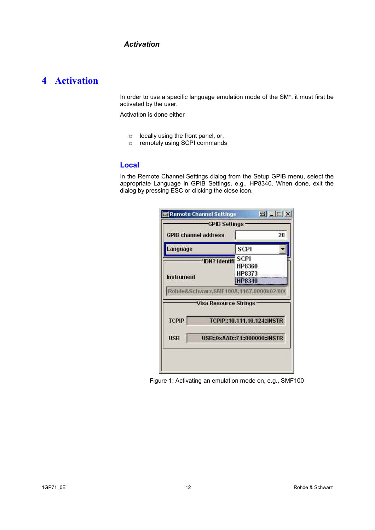# **4 Activation**

In order to use a specific language emulation mode of the SM\*, it must first be activated by the user.

Activation is done either

- o locally using the front panel, or,
- o remotely using SCPI commands

#### **Local**

In the Remote Channel Settings dialog from the Setup GPIB menu, select the appropriate Language in GPIB Settings, e.g., HP8340. When done, exit the dialog by pressing ESC or clicking the close icon.

|              | <b>GPIB channel address</b>                                    |                               | 28 |
|--------------|----------------------------------------------------------------|-------------------------------|----|
| Language     |                                                                | <b>SCPI</b>                   |    |
|              | -'IDN? Identifi                                                | <b>SCPI</b>                   |    |
|              |                                                                | HP8360                        |    |
| Instrument   |                                                                | HP8373                        |    |
|              |                                                                | HP8340                        |    |
|              | Rohde&Schwarz,SMF100A,1167.0000k02/00<br>Visa Resource Strings |                               |    |
| <b>TCPIP</b> |                                                                | TCPIP::10.111.10.124::INSTR   |    |
| <b>USB</b>   |                                                                | USB::0xAAD::71::000000::INSTR |    |

Figure 1: Activating an emulation mode on, e.g., SMF100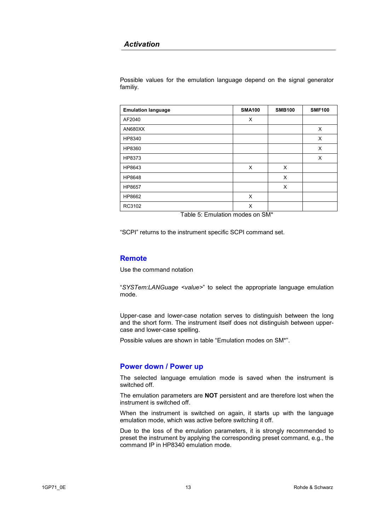#### *Activation*

Possible values for the emulation language depend on the signal generator familiy.

| <b>Emulation language</b> | <b>SMA100</b> | <b>SMB100</b> | <b>SMF100</b> |
|---------------------------|---------------|---------------|---------------|
| AF2040                    | X             |               |               |
| AN680XX                   |               |               | X             |
| HP8340                    |               |               | X             |
| HP8360                    |               |               | X             |
| HP8373                    |               |               | X             |
| HP8643                    | X             | X             |               |
| HP8648                    |               | X             |               |
| HP8657                    |               | X             |               |
| HP8662                    | X             |               |               |
| RC3102                    | X             |               |               |

Table 5: Emulation modes on SM\*

"SCPI" returns to the instrument specific SCPI command set.

#### **Remote**

Use the command notation

"*SYSTem:LANGuage <value>*" to select the appropriate language emulation mode.

Upper-case and lower-case notation serves to distinguish between the long and the short form. The instrument itself does not distinguish between uppercase and lower-case spelling.

Possible values are shown in table "Emulation modes on SM\*".

#### **Power down / Power up**

The selected language emulation mode is saved when the instrument is switched off.

The emulation parameters are **NOT** persistent and are therefore lost when the instrument is switched off.

When the instrument is switched on again, it starts up with the language emulation mode, which was active before switching it off.

Due to the loss of the emulation parameters, it is strongly recommended to preset the instrument by applying the corresponding preset command, e.g., the command IP in HP8340 emulation mode.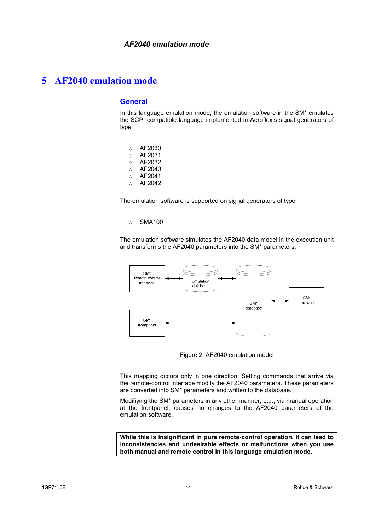#### **General**

In this language emulation mode, the emulation software in the SM\* emulates the SCPI compatible language implemented in Aeroflex's signal generators of type

- o AF2030
- o AF2031
- o AF2032
- o AF2040
- o AF2041
- o AF2042

The emulation software is supported on signal generators of type

o SMA100

The emulation software simulates the AF2040 data model in the execution unit and transforms the AF2040 parameters into the SM\* parameters.



Figure 2: AF2040 emulation model

This mapping occurs only in one direction: Setting commands that arrive via the remote-control interface modify the AF2040 parameters. These parameters are converted into SM\* parameters and written to the database.

Modifiying the SM\* parameters in any other manner, e.g., via manual operation at the frontpanel, causes no changes to the AF2040 parameters of the emulation software.

**While this is insignificant in pure remote-control operation, it can lead to inconsistencies and undesirable effects or malfunctions when you use both manual and remote control in this language emulation mode.**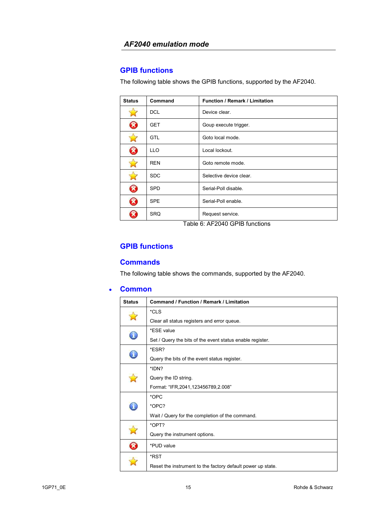## **GPIB functions**

The following table shows the GPIB functions, supported by the AF2040.

| <b>Status</b> | Command    | <b>Function / Remark / Limitation</b>                             |
|---------------|------------|-------------------------------------------------------------------|
|               | <b>DCL</b> | Device clear.                                                     |
| B             | <b>GET</b> | Goup execute trigger.                                             |
|               | <b>GTL</b> | Goto local mode.                                                  |
| Ø             | <b>LLO</b> | Local lockout.                                                    |
|               | <b>REN</b> | Goto remote mode.                                                 |
|               | <b>SDC</b> | Selective device clear.                                           |
| B             | <b>SPD</b> | Serial-Poll disable.                                              |
| Ø             | <b>SPE</b> | Serial-Poll enable.                                               |
| ×             | <b>SRQ</b> | Request service.<br>_ _ . _ _ . _ _ _ _ .<br>$\sim$ $\sim$ $\sim$ |

Table 6: AF2040 GPIB functions

## **GPIB functions**

### **Commands**

The following table shows the commands, supported by the AF2040.

#### • **Common**

| <b>Status</b> | <b>Command / Function / Remark / Limitation</b>             |
|---------------|-------------------------------------------------------------|
|               | *CLS                                                        |
|               | Clear all status registers and error queue.                 |
| T             | *ESE value                                                  |
|               | Set / Query the bits of the event status enable register.   |
| T             | *ESR?                                                       |
|               | Query the bits of the event status register.                |
|               | *IDN?                                                       |
|               | Query the ID string.                                        |
|               | Format: "IFR, 2041, 123456789, 2.008"                       |
|               | *OPC                                                        |
|               | *OPC?                                                       |
|               | Wait / Query for the completion of the command.             |
|               | *OPT?                                                       |
|               | Query the instrument options.                               |
| B             | *PUD value                                                  |
|               | *RST                                                        |
|               | Reset the instrument to the factory default power up state. |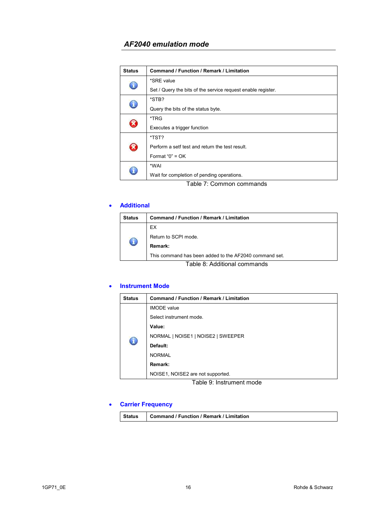| <b>Status</b>          | <b>Command / Function / Remark / Limitation</b>              |
|------------------------|--------------------------------------------------------------|
| T                      | *SRE value                                                   |
|                        | Set / Query the bits of the service request enable register. |
| T                      | *STB?                                                        |
|                        | Query the bits of the status byte.                           |
| $\mathbf{\widehat{x}}$ | *TRG                                                         |
|                        | Executes a trigger function                                  |
| B                      | *TST?                                                        |
|                        | Perform a setf test and return the test result.              |
|                        | Format " $0$ " = OK                                          |
|                        | *WAI                                                         |
|                        | Wait for completion of pending operations.                   |

Table 7: Common commands

#### • **Additional**

| Status                       | <b>Command / Function / Remark / Limitation</b>        |
|------------------------------|--------------------------------------------------------|
|                              | EX.                                                    |
|                              | Return to SCPI mode.                                   |
|                              | Remark:                                                |
|                              | This command has been added to the AF2040 command set. |
| Table 8: Additional commands |                                                        |

#### • **Instrument Mode**

| <b>Status</b> | <b>Command / Function / Remark / Limitation</b> |
|---------------|-------------------------------------------------|
|               | <b>IMODE</b> value                              |
|               | Select instrument mode.                         |
|               | Value:                                          |
|               | NORMAL   NOISE1   NOISE2   SWEEPER              |
| $\bigodot$    | Default:                                        |
|               | <b>NORMAL</b>                                   |
|               | Remark:                                         |
|               | NOISE1, NOISE2 are not supported.               |

Table 9: Instrument mode

## • **Carrier Frequency**

|  | Status   Command / Function / Remark / Limitation |  |
|--|---------------------------------------------------|--|
|--|---------------------------------------------------|--|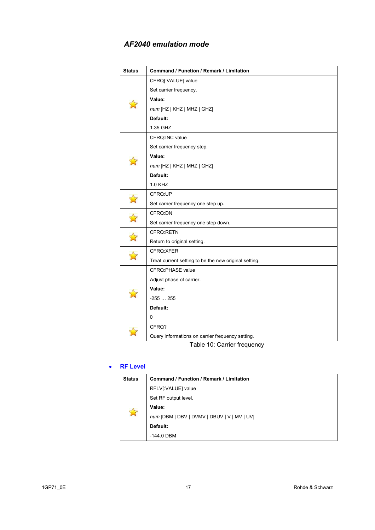| <b>Status</b>                   | Command / Function / Remark / Limitation              |
|---------------------------------|-------------------------------------------------------|
|                                 | CFRQ[:VALUE] value                                    |
|                                 | Set carrier frequency.                                |
|                                 | Value:                                                |
|                                 | num [HZ   KHZ   MHZ   GHZ]                            |
|                                 | Default:                                              |
|                                 | 1.35 GHZ                                              |
|                                 | CFRQ:INC value                                        |
|                                 | Set carrier frequency step.                           |
|                                 | Value:                                                |
|                                 | num [HZ   KHZ   MHZ   GHZ]                            |
|                                 | Default:                                              |
|                                 | 1.0 KHZ                                               |
| $\boldsymbol{\hat{\mathsf{K}}}$ | CFRQ:UP                                               |
|                                 | Set carrier frequency one step up.                    |
| $\boldsymbol{\hat{\mathsf{z}}}$ | CFRQ:DN                                               |
|                                 | Set carrier frequency one step down.                  |
|                                 | CFRQ:RETN                                             |
|                                 | Return to original setting.                           |
|                                 | CFRQ:XFER                                             |
|                                 | Treat current setting to be the new original setting. |
|                                 | CFRQ:PHASE value                                      |
|                                 | Adjust phase of carrier.                              |
|                                 | Value:                                                |
|                                 | $-255255$                                             |
|                                 | Default:                                              |
|                                 | 0                                                     |
|                                 | CFRQ?                                                 |
|                                 | Query informations on carrier frequency setting.      |

Table 10: Carrier frequency

#### • **RF Level**

| <b>Status</b> | Command / Function / Remark / Limitation    |
|---------------|---------------------------------------------|
| $\Delta$      | RFLV[:VALUE] value                          |
|               | Set RF output level.                        |
|               | Value:                                      |
|               | num [DBM   DBV   DVMV   DBUV   V   MV   UV] |
|               | Default:                                    |
|               | -144.0 DBM                                  |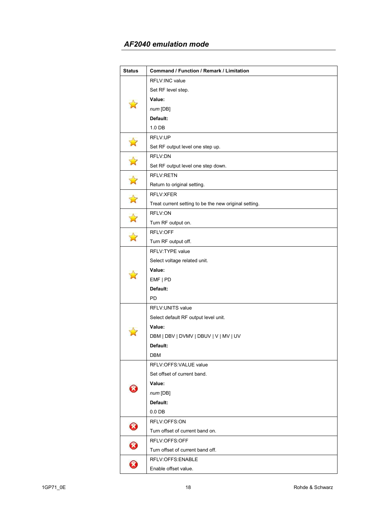| <b>Status</b>              | Command / Function / Remark / Limitation              |
|----------------------------|-------------------------------------------------------|
|                            | <b>RFLV:INC value</b>                                 |
|                            | Set RF level step.                                    |
|                            | Value:                                                |
|                            | num [DB]                                              |
|                            | Default:                                              |
|                            | 1.0 DB                                                |
|                            | RFLV:UP                                               |
|                            | Set RF output level one step up.                      |
|                            | RFLV:DN                                               |
|                            | Set RF output level one step down.                    |
|                            | <b>RFLV:RETN</b>                                      |
|                            | Return to original setting.                           |
|                            | RFLV:XFER                                             |
|                            | Treat current setting to be the new original setting. |
|                            | RFLV:ON                                               |
|                            | Turn RF output on.                                    |
|                            | RFLV:OFF                                              |
|                            | Turn RF output off.                                   |
|                            | RFLV:TYPE value                                       |
|                            | Select voltage related unit.                          |
|                            | Value:                                                |
|                            | EMF   PD                                              |
|                            | Default:                                              |
|                            | PD                                                    |
|                            | RFLV: UNITS value                                     |
|                            | Select default RF output level unit.                  |
|                            | Value:                                                |
|                            | DBM   DBV   DVMV   DBUV   V   MV   UV                 |
|                            | Default:                                              |
|                            | DBM                                                   |
|                            | RFLV:OFFS:VALUE value                                 |
|                            | Set offset of current band.                           |
|                            | Value:                                                |
|                            | num[DB]                                               |
|                            | Default:                                              |
|                            | $0.0$ DB                                              |
| $\bm{\bm{G}}$              | RFLV:OFFS:ON                                          |
|                            | Turn offset of current band on.                       |
| $\boldsymbol{\mathcal{B}}$ | RFLV:OFFS:OFF                                         |
|                            | Turn offset of current band off.                      |
| 0                          | RFLV:OFFS:ENABLE                                      |
|                            | Enable offset value.                                  |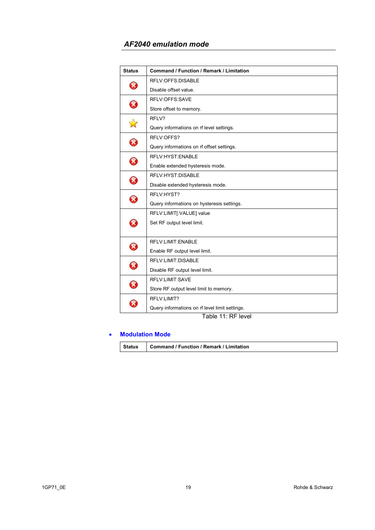| <b>Status</b>              | <b>Command / Function / Remark / Limitation</b> |
|----------------------------|-------------------------------------------------|
| X                          | RFLV:OFFS:DISABLE                               |
|                            | Disable offset value.                           |
| $\bm{\Omega}$              | RFLV:OFFS:SAVE                                  |
|                            | Store offset to memory.                         |
|                            | RFLV?                                           |
|                            | Query informations on rf level settings.        |
|                            | RFLV:OFFS?                                      |
| $\boldsymbol{\Omega}$      | Query informations on rf offset settings.       |
|                            | RFLV: HYST: ENABLE                              |
| $\boldsymbol{\mathcal{R}}$ | Enable extended hysteresis mode.                |
| B                          | RFLV: HYST: DISABLE                             |
|                            | Disable extended hysteresis mode.               |
| $\mathbf{\widehat{x}}$     | RFLV:HYST?                                      |
|                            | Query informations on hysteresis settings.      |
|                            | RFLV:LIMIT[:VALUE] value                        |
| X                          | Set RF output level limit.                      |
|                            |                                                 |
| $\boldsymbol{\mathcal{R}}$ | RFLV:LIMIT:ENABLE                               |
|                            | Enable RF output level limit.                   |
|                            | RFLV:LIMIT:DISABLE                              |
| $\boldsymbol{\mathcal{R}}$ | Disable RF output level limit.                  |
| $\Omega$                   | RFLV:LIMIT:SAVE                                 |
|                            | Store RF output level limit to memory.          |
|                            | RFLV:LIMIT?                                     |
|                            | Query informations on rf level limit settings.  |

Table 11: RF level

#### • **Modulation Mode**

| Status | <b>Command / Function / Remark / Limitation</b> |
|--------|-------------------------------------------------|
|--------|-------------------------------------------------|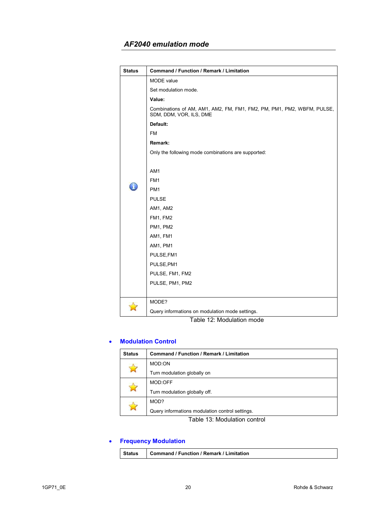| <b>Status</b> | Command / Function / Remark / Limitation                                                          |
|---------------|---------------------------------------------------------------------------------------------------|
|               | <b>MODE</b> value                                                                                 |
|               | Set modulation mode.                                                                              |
|               | Value:                                                                                            |
|               | Combinations of AM, AM1, AM2, FM, FM1, FM2, PM, PM1, PM2, WBFM, PULSE,<br>SDM, DDM, VOR, ILS, DME |
|               | Default:                                                                                          |
|               | <b>FM</b>                                                                                         |
|               | Remark:                                                                                           |
|               | Only the following mode combinations are supported:                                               |
|               | AM1<br>FM <sub>1</sub><br>PM <sub>1</sub>                                                         |
|               | <b>PULSE</b>                                                                                      |
|               | AM1, AM2                                                                                          |
|               | FM1, FM2                                                                                          |
|               | PM1, PM2                                                                                          |
|               | AM1, FM1                                                                                          |
|               | AM1, PM1                                                                                          |
|               | PULSE, FM1                                                                                        |
|               | PULSE, PM1                                                                                        |
|               | PULSE, FM1, FM2                                                                                   |
|               | PULSE, PM1, PM2                                                                                   |
|               |                                                                                                   |
|               | MODE?                                                                                             |
|               | Query informations on modulation mode settings.                                                   |

Table 12: Modulation mode

#### • **Modulation Control**

| <b>Status</b> | Command / Function / Remark / Limitation        |
|---------------|-------------------------------------------------|
|               | MOD:ON                                          |
|               | Turn modulation globally on                     |
|               | MOD:OFF                                         |
|               | Turn modulation globally off.                   |
|               | MOD?                                            |
|               | Query informations modulation control settings. |

Table 13: Modulation control

## • **Frequency Modulation**

| Status | Command / Function / Remark / Limitation |
|--------|------------------------------------------|
|--------|------------------------------------------|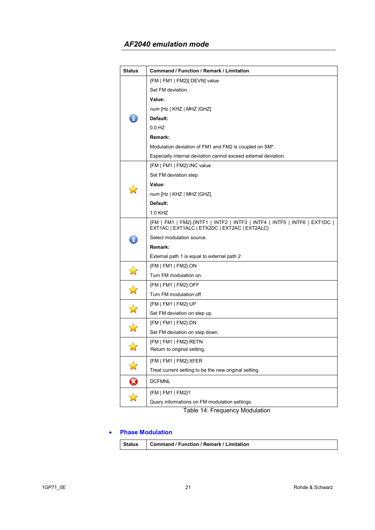| <b>Status</b>         | Command / Function / Remark / Limitation                                                                                     |
|-----------------------|------------------------------------------------------------------------------------------------------------------------------|
|                       | {FM   FM1   FM2}[:DEVN] value                                                                                                |
|                       | Set FM deviation.                                                                                                            |
|                       | Value:                                                                                                                       |
|                       | num [Hz   KHZ   MHZ   GHZ]                                                                                                   |
|                       | Default:                                                                                                                     |
|                       | 0.0 HZ                                                                                                                       |
|                       | Remark:                                                                                                                      |
|                       | Modulation deviation of FM1 and FM2 is coupled on SM <sup>*</sup> .                                                          |
|                       | Especially internal deviation cannot exceed external deviation.                                                              |
|                       | {FM   FM1   FM2}:INC value                                                                                                   |
|                       | Set FM deviation step.                                                                                                       |
|                       | Value:                                                                                                                       |
|                       | num [Hz   KHZ   MHZ   GHZ]                                                                                                   |
|                       | Default:                                                                                                                     |
|                       | 1.0 KHZ                                                                                                                      |
|                       | {FM   FM1   FM2}: {INTF1   INTF2   INTF3   INTF4   INTF5   INTF6   EXT1DC  <br>EXT1AC   EXT1ALC   ETX2DC   EXT2AC   EXT2ALC} |
|                       | Select modulation source.                                                                                                    |
|                       | Remark:                                                                                                                      |
|                       | External path 1 is equal to external path 2                                                                                  |
|                       | ${FM   FM1   FM2}.ON$                                                                                                        |
|                       | Turn FM modulation on.                                                                                                       |
|                       | {FM   FM1   FM2}:OFF                                                                                                         |
|                       | Turn FM modulation off.                                                                                                      |
|                       | {FM   FM1   FM2}:UP                                                                                                          |
|                       | Set FM deviation on step up.                                                                                                 |
|                       | {FM   FM1   FM2}:DN                                                                                                          |
|                       | Set FM deviation on step down.                                                                                               |
|                       | {FM   FM1   FM2}:RETN                                                                                                        |
|                       | Return to original setting.                                                                                                  |
|                       | {FM   FM1   FM2}:XFER                                                                                                        |
| $\mathbb{Z}$          | Treat current setting to be the new original setting.                                                                        |
| $\boldsymbol{\Omega}$ | <b>DCFMNL</b>                                                                                                                |
| ✿                     | {FM   FM1   FM2}?                                                                                                            |
|                       | Query informations on FM modulation settings.                                                                                |

Table 14: Frequency Modulation

#### • **Phase Modulation**

| <b>Status</b> | Command / Function / Remark / Limitation |
|---------------|------------------------------------------|
|---------------|------------------------------------------|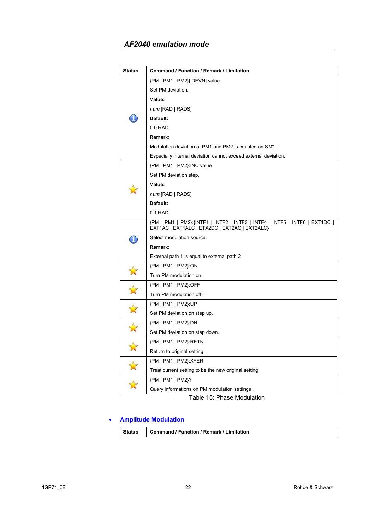| <b>Status</b>         | Command / Function / Remark / Limitation                                                                                     |
|-----------------------|------------------------------------------------------------------------------------------------------------------------------|
|                       | {PM   PM1   PM2}[:DEVN] value                                                                                                |
|                       | Set PM deviation.                                                                                                            |
|                       | Value:                                                                                                                       |
|                       | num [RAD   RADS]                                                                                                             |
|                       | Default:                                                                                                                     |
|                       | $0.0$ RAD                                                                                                                    |
|                       | Remark:                                                                                                                      |
|                       | Modulation deviation of PM1 and PM2 is coupled on SM <sup>*</sup> .                                                          |
|                       | Especially internal deviation cannot exceed external deviation.                                                              |
|                       | {PM   PM1   PM2}:INC value                                                                                                   |
|                       | Set PM deviation step.                                                                                                       |
|                       | Value:                                                                                                                       |
|                       | $num$ [RAD   RADS]                                                                                                           |
|                       | Default:                                                                                                                     |
|                       | 0.1 RAD                                                                                                                      |
|                       | {PM   PM1   PM2}: {INTF1   INTF2   INTF3   INTF4   INTF5   INTF6   EXT1DC  <br>EXT1AC   EXT1ALC   ETX2DC   EXT2AC   EXT2ALC} |
| ñ.                    | Select modulation source.                                                                                                    |
|                       | Remark:                                                                                                                      |
|                       | External path 1 is equal to external path 2                                                                                  |
|                       | {PM   PM1   PM2}:ON                                                                                                          |
| 富                     | Turn PM modulation on.                                                                                                       |
|                       | {PM   PM1   PM2}:OFF                                                                                                         |
| $\mathbb{A}$          | Turn PM modulation off.                                                                                                      |
|                       | {PM   PM1   PM2}:UP                                                                                                          |
| $\vec{\bm{\lambda}}$  | Set PM deviation on step up.                                                                                                 |
|                       | {PM   PM1   PM2}:DN                                                                                                          |
|                       | Set PM deviation on step down.                                                                                               |
|                       | {PM   PM1   PM2}:RETN                                                                                                        |
| $\mathbf{r}$          | Return to original setting.                                                                                                  |
|                       | {PM   PM1   PM2}:XFER                                                                                                        |
| $\tilde{\mathcal{M}}$ | Treat current setting to be the new original setting.                                                                        |
|                       | {PM   PM1   PM2}?                                                                                                            |
|                       | Query informations on PM modulation settings.                                                                                |

Table 15: Phase Modulation

# • **Amplitude Modulation**

|  | Status   Command / Function / Remark / Limitation |  |
|--|---------------------------------------------------|--|
|--|---------------------------------------------------|--|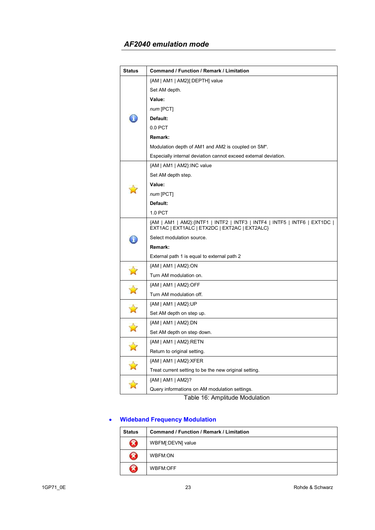| Status               | Command / Function / Remark / Limitation                                                                                     |
|----------------------|------------------------------------------------------------------------------------------------------------------------------|
|                      | {AM   AM1   AM2}[:DEPTH] value                                                                                               |
|                      | Set AM depth.                                                                                                                |
|                      | Value:                                                                                                                       |
|                      | num [PCT]                                                                                                                    |
|                      | Default:                                                                                                                     |
|                      | 0.0 PCT                                                                                                                      |
|                      | Remark:                                                                                                                      |
|                      | Modulation depth of AM1 and AM2 is coupled on SM*.                                                                           |
|                      | Especially internal deviation cannot exceed external deviation.                                                              |
|                      | {AM   AM1   AM2}:INC value                                                                                                   |
|                      | Set AM depth step.                                                                                                           |
|                      | Value:                                                                                                                       |
|                      | num [PCT]                                                                                                                    |
|                      | Default:                                                                                                                     |
|                      | 1.0 PCT                                                                                                                      |
|                      | {AM   AM1   AM2}: {INTF1   INTF2   INTF3   INTF4   INTF5   INTF6   EXT1DC  <br>EXT1AC   EXT1ALC   ETX2DC   EXT2AC   EXT2ALC} |
| ã.                   | Select modulation source.                                                                                                    |
|                      | Remark:                                                                                                                      |
|                      | External path 1 is equal to external path 2                                                                                  |
|                      | {AM   AM1   AM2}:ON                                                                                                          |
| $\vec{\bm{\lambda}}$ | Turn AM modulation on.                                                                                                       |
| $\mathbf{\hat{z}}$   | {AM   AM1   AM2}:OFF                                                                                                         |
|                      | Turn AM modulation off.                                                                                                      |
|                      | ${AM   AM1   AM2}$ :UP                                                                                                       |
| $\mathbf{\hat{z}}$   | Set AM depth on step up.                                                                                                     |
|                      | ${AM   AM1   AM2}.DN$                                                                                                        |
|                      | Set AM depth on step down.                                                                                                   |
| $\mathbf{r}$         | {AM   AM1   AM2}:RETN                                                                                                        |
|                      | Return to original setting.                                                                                                  |
|                      | {AM   AM1   AM2}:XFER                                                                                                        |
| $\sum_{i=1}^{n}$     | Treat current setting to be the new original setting.                                                                        |
| $\overrightarrow{a}$ | {AM   AM1   AM2}?                                                                                                            |
|                      | Query informations on AM modulation settings.                                                                                |

Table 16: Amplitude Modulation

## • **Wideband Frequency Modulation**

| <b>Status</b> | Command / Function / Remark / Limitation |
|---------------|------------------------------------------|
| X             | WBFM[:DEVN] value                        |
| X             | WBFM:ON                                  |
| X             | WBFM:OFF                                 |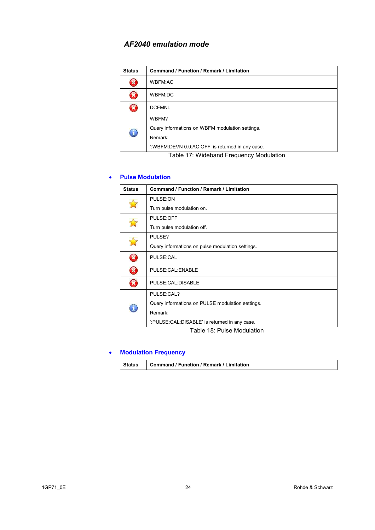| <b>Status</b> | Command / Function / Remark / Limitation         |
|---------------|--------------------------------------------------|
|               | <b>WBFM:AC</b>                                   |
|               | WBFM:DC                                          |
|               | <b>DCFMNL</b>                                    |
| $\bigcirc$    | WBFM?                                            |
|               | Query informations on WBFM modulation settings.  |
|               | Remark:                                          |
|               | ":WBFM:DEVN 0.0;AC;OFF' is returned in any case. |

Table 17: Wideband Frequency Modulation

#### • **Pulse Modulation**

| <b>Status</b> | Command / Function / Remark / Limitation               |
|---------------|--------------------------------------------------------|
|               | PULSE:ON                                               |
|               | Turn pulse modulation on.                              |
|               | PULSE:OFF                                              |
|               | Turn pulse modulation off.                             |
|               | PULSE?                                                 |
|               | Query informations on pulse modulation settings.       |
| B             | PULSE:CAL                                              |
| B             | PULSE:CAL:ENABLE                                       |
| B             | PULSE:CAL:DISABLE                                      |
|               | PULSE:CAL?                                             |
|               | Query informations on PULSE modulation settings.       |
|               | Remark:                                                |
|               | ':PULSE:CAL;DISABLE' is returned in any case.<br>_  _. |

Table 18: Pulse Modulation

#### • **Modulation Frequency**

| <b>Command / Function / Remark / Limitation</b><br><b>Status</b> |
|------------------------------------------------------------------|
|------------------------------------------------------------------|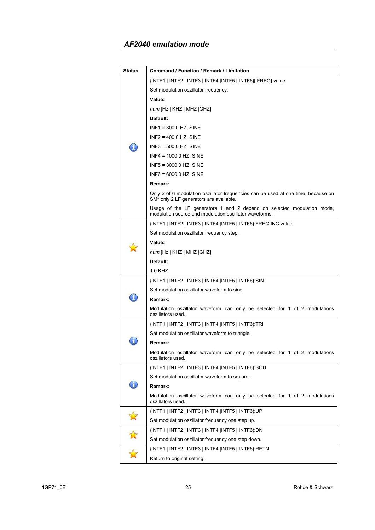| <b>Status</b> | Command / Function / Remark / Limitation                                                                                         |
|---------------|----------------------------------------------------------------------------------------------------------------------------------|
|               | {INTF1   INTF2   INTF3   INTF4  INTF5   INTF6}[:FREQ] value                                                                      |
|               | Set modulation oszillator frequency.                                                                                             |
|               | Value:                                                                                                                           |
|               | num [Hz   KHZ   MHZ   GHZ]                                                                                                       |
|               | Default:                                                                                                                         |
|               | $INF1 = 300.0$ HZ, SINE                                                                                                          |
|               | $INF2 = 400.0$ HZ, SINE                                                                                                          |
|               | $INF3 = 500.0$ HZ, SINE                                                                                                          |
|               | $INF4 = 1000.0$ HZ, SINE                                                                                                         |
|               | $INF5 = 3000.0$ HZ, SINE                                                                                                         |
|               | $INFG = 6000.0 HZ, SINE$                                                                                                         |
|               | Remark:                                                                                                                          |
|               | Only 2 of 6 modulation oszillator frequencies can be used at one time, because on<br>SM* only 2 LF generators are available.     |
|               | Usage of the LF generators 1 and 2 depend on selected modulation mode,<br>modulation source and modulation oscillator waveforms. |
|               | {INTF1   INTF2   INTF3   INTF4  INTF5   INTF6}:FREQ:INC value                                                                    |
|               | Set modulation oszillator frequency step.                                                                                        |
|               | Value:                                                                                                                           |
|               | num [Hz   KHZ   MHZ   GHZ]                                                                                                       |
|               | Default:                                                                                                                         |
|               | 1.0 KHZ                                                                                                                          |
|               | {INTF1   INTF2   INTF3   INTF4  INTF5   INTF6}:SIN                                                                               |
|               | Set modulation oszillator waveform to sine.                                                                                      |
|               | Remark:                                                                                                                          |
|               | Modulation oszillator waveform can only be selected for 1 of 2 modulations<br>oszillators used.                                  |
|               | {INTF1   INTF2   INTF3   INTF4  INTF5   INTF6}:TRI                                                                               |
|               | Set modulation oszillator waveform to triangle.                                                                                  |
|               | <b>Remark:</b>                                                                                                                   |
|               | Modulation oszillator waveform can only be selected for 1 of 2 modulations<br>oszillators used.                                  |
|               | {INTF1   INTF2   INTF3   INTF4  INTF5   INTF6}:SQU                                                                               |
|               | Set modulation oscillator waveform to square.                                                                                    |
|               | Remark:                                                                                                                          |
|               | Modulation oscillator waveform can only be selected for 1 of 2 modulations<br>oszillators used.                                  |
|               | {INTF1   INTF2   INTF3   INTF4  INTF5   INTF6}:UP                                                                                |
| $\mathbf{N}$  | Set modulation oszillator frequency one step up.                                                                                 |
|               | {INTF1   INTF2   INTF3   INTF4  INTF5   INTF6}:DN                                                                                |
| $\Delta$      | Set modulation oszillator frequency one step down.                                                                               |
|               | {INTF1   INTF2   INTF3   INTF4  INTF5   INTF6}:RETN                                                                              |
|               | Return to original setting.                                                                                                      |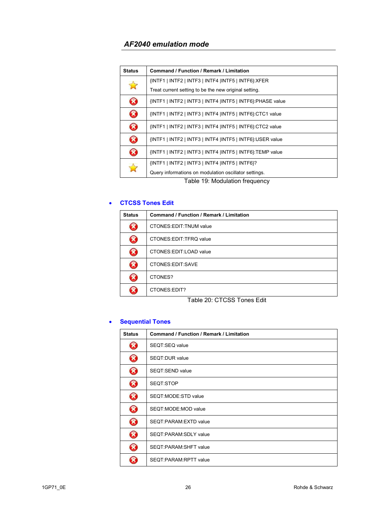| <b>Status</b>                  | Command / Function / Remark / Limitation                     |
|--------------------------------|--------------------------------------------------------------|
| $\sum$                         | {INTF1   INTF2   INTF3   INTF4  INTF5   INTF6}: XFER         |
|                                | Treat current setting to be the new original setting.        |
| $\boldsymbol{\mathcal{R}}$     | {INTF1   INTF2   INTF3   INTF4   INTF5   INTF6}: PHASE value |
| Ø                              | {INTF1   INTF2   INTF3   INTF4  INTF5   INTF6}:CTC1 value    |
| Ø                              | {INTF1   INTF2   INTF3   INTF4  INTF5   INTF6}:CTC2 value    |
| $\boldsymbol{\Omega}$          | {INTF1   INTF2   INTF3   INTF4  INTF5   INTF6}: USER value   |
| $\boldsymbol{\Omega}$          | {INTF1   INTF2   INTF3   INTF4  INTF5   INTF6}:TEMP value    |
| $\leftrightarrow$              | {INTF1   INTF2   INTF3   INTF4  INTF5   INTF6}?              |
|                                | Query informations on modulation oscillator settings.        |
| Table 19: Modulation frequency |                                                              |

#### • **CTCSS Tones Edit**

| <b>Status</b> | Command / Function / Remark / Limitation |
|---------------|------------------------------------------|
|               | <b>CTONES:EDIT:TNUM value</b>            |
| $\mathbf x$   | CTONES: EDIT: TFRQ value                 |
| X             | CTONES:EDIT:LOAD value                   |
| X             | CTONES:EDIT:SAVE                         |
| ×             | CTONES?                                  |
|               | CTONES:EDIT?                             |

Table 20: CTCSS Tones Edit

#### • **Sequential Tones**

| <b>Status</b> | Command / Function / Remark / Limitation |
|---------------|------------------------------------------|
| B             | SEQT:SEQ value                           |
| Ø             | SEQT:DUR value                           |
| $\bm{\Omega}$ | SEQT:SEND value                          |
| B             | SEQT:STOP                                |
| Ø             | SEQT:MODE:STD value                      |
| Ø             | SEQT:MODE:MOD value                      |
| Ø             | SEQT:PARAM:EXTD value                    |
| Ø             | SEQT:PARAM:SDLY value                    |
| Ø             | SEQT:PARAM:SHFT value                    |
|               | SEQT:PARAM:RPTT value                    |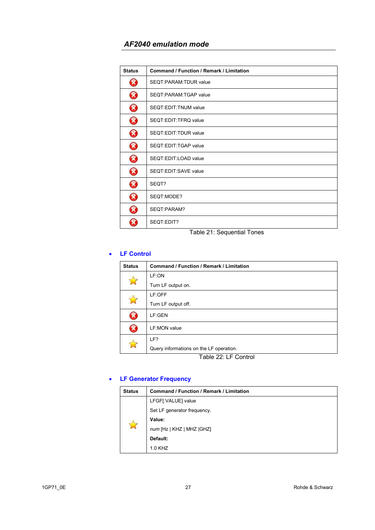| <b>Status</b>         | Command / Function / Remark / Limitation |
|-----------------------|------------------------------------------|
| $\boldsymbol{\Omega}$ | SEOT:PARAM:TDUR value                    |
| $\bm{\Omega}$         | SEOT:PARAM:TGAP value                    |
| B                     | SEQT:EDIT:TNUM value                     |
| $\boldsymbol{\Omega}$ | SEQT:EDIT:TFRQ value                     |
| Ø                     | SEQT:EDIT:TDUR value                     |
| Ø                     | SEQT:EDIT:TGAP value                     |
| $\boldsymbol{\Omega}$ | SEQT:EDIT:LOAD value                     |
| B                     | SEQT:EDIT:SAVE value                     |
| Ø                     | SEQT?                                    |
| Ø                     | SEQT:MODE?                               |
| $\boldsymbol{\Omega}$ | SEOT:PARAM?                              |
|                       | SEQT:EDIT?                               |

Table 21: Sequential Tones

### • **LF Control**

| <b>Status</b>              | <b>Command / Function / Remark / Limitation</b> |
|----------------------------|-------------------------------------------------|
|                            | LF:ON                                           |
|                            | Turn LF output on.                              |
|                            | LF:OFF                                          |
|                            | Turn LF output off.                             |
| X                          | LF:GEN                                          |
| $\boldsymbol{\mathcal{R}}$ | LF:MON value                                    |
|                            | LF?                                             |
|                            | Query informations on the LF operation.         |
| Table 22: LF Control       |                                                 |

## • **LF Generator Frequency**

| <b>Status</b>    | Command / Function / Remark / Limitation |
|------------------|------------------------------------------|
| $\sum_{i=1}^{n}$ | LFGF[:VALUE] value                       |
|                  | Set LF generator frequency.              |
|                  | Value:                                   |
|                  | num [Hz   KHZ   MHZ   GHZ]               |
|                  | Default:                                 |
|                  | 1.0 KHZ                                  |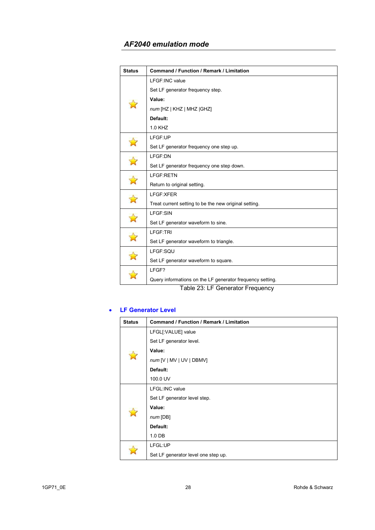| <b>Status</b>      | <b>Command / Function / Remark / Limitation</b>           |
|--------------------|-----------------------------------------------------------|
|                    | LFGF:INC value                                            |
|                    | Set LF generator frequency step.                          |
|                    | Value:                                                    |
|                    | num [HZ   KHZ   MHZ   GHZ]                                |
|                    | Default:                                                  |
|                    | 1.0 KHZ                                                   |
|                    | LFGF:UP                                                   |
|                    | Set LF generator frequency one step up.                   |
|                    | LFGF:DN                                                   |
|                    | Set LF generator frequency one step down.                 |
| $\mathbf{z}$       | LFGF:RETN                                                 |
|                    | Return to original setting.                               |
| $\mathbf{r}$       | LFGF:XFER                                                 |
|                    | Treat current setting to be the new original setting.     |
|                    | LFGF:SIN                                                  |
|                    | Set LF generator waveform to sine.                        |
| $\mathbf{\hat{z}}$ | LFGF:TRI                                                  |
|                    | Set LF generator waveform to triangle.                    |
|                    | LFGF:SQU                                                  |
|                    | Set LF generator waveform to square.                      |
|                    | LFGF?                                                     |
|                    | Query informations on the LF generator frequency setting. |

Table 23: LF Generator Frequency

#### • **LF Generator Level**

| <b>Status</b> | Command / Function / Remark / Limitation |
|---------------|------------------------------------------|
|               | LFGL[:VALUE] value                       |
|               | Set LF generator level.                  |
| $\rightarrow$ | Value:                                   |
|               | $num$ [V   MV   UV   DBMV]               |
|               | Default:                                 |
|               | 100.0 UV                                 |
|               | LFGL:INC value                           |
|               | Set LF generator level step.             |
| Ŕ             | Value:                                   |
|               | num[DB]                                  |
|               | Default:                                 |
|               | 1.0 <sub>DB</sub>                        |
|               | LFGL:UP                                  |
|               | Set LF generator level one step up.      |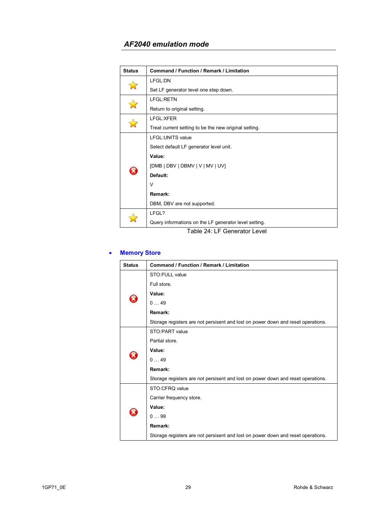| <b>Status</b> | <b>Command / Function / Remark / Limitation</b>       |
|---------------|-------------------------------------------------------|
|               | LFGL:DN                                               |
|               | Set LF generator level one step down.                 |
|               | <b>LFGL:RETN</b>                                      |
|               | Return to original setting.                           |
|               | LFGL:XFER                                             |
|               | Treat current setting to be the new original setting. |
|               | LFGL: UNITS value                                     |
|               | Select default LF generator level unit.               |
|               | Value:                                                |
| X             | [DMB   DBV   DBMV   V   MV   UV]                      |
|               | Default:                                              |
|               | $\vee$                                                |
|               | Remark:                                               |
|               | DBM, DBV are not supported.                           |
|               | LFGL?                                                 |
|               | Query informations on the LF generator level setting. |
|               | Table 24: LF Generator Level                          |

#### • **Memory Store**

| <b>Status</b> | <b>Command / Function / Remark / Limitation</b>                                  |
|---------------|----------------------------------------------------------------------------------|
|               | STO:FULL value                                                                   |
|               | Full store.                                                                      |
|               | Value:                                                                           |
|               | 049                                                                              |
|               | Remark:                                                                          |
|               | Storage registers are not persisent and lost on power down and reset operations. |
|               | STO: PART value                                                                  |
|               | Partial store.                                                                   |
|               | Value:                                                                           |
|               | 049                                                                              |
|               | Remark:                                                                          |
|               | Storage registers are not persisent and lost on power down and reset operations. |
|               | STO:CFRQ value                                                                   |
|               | Carrier frequency store.                                                         |
|               | Value:                                                                           |
|               | 099                                                                              |
|               | Remark:                                                                          |
|               | Storage registers are not persisent and lost on power down and reset operations. |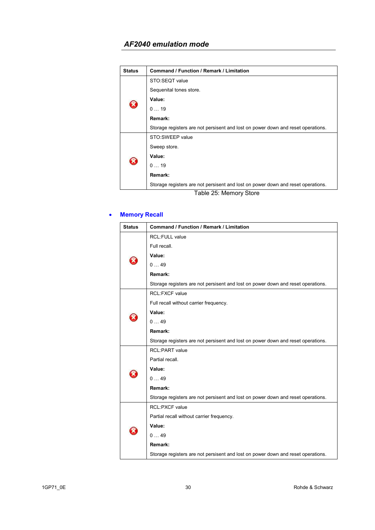| <b>Status</b> | <b>Command / Function / Remark / Limitation</b>                                  |
|---------------|----------------------------------------------------------------------------------|
|               | STO:SEQT value                                                                   |
|               | Sequenital tones store.                                                          |
|               | Value:                                                                           |
|               | 019                                                                              |
|               | Remark:                                                                          |
|               | Storage registers are not persisent and lost on power down and reset operations. |
|               | STO:SWEEP value                                                                  |
| X             | Sweep store.                                                                     |
|               | Value:                                                                           |
|               | 019                                                                              |
|               | Remark:                                                                          |
|               | Storage registers are not persisent and lost on power down and reset operations. |

#### Table 25: Memory Store

## • **Memory Recall**

| <b>Status</b> | <b>Command / Function / Remark / Limitation</b>                                  |
|---------------|----------------------------------------------------------------------------------|
|               | <b>RCL:FULL value</b>                                                            |
|               | Full recall.                                                                     |
|               | Value:                                                                           |
|               | 049                                                                              |
|               | Remark:                                                                          |
|               | Storage registers are not persisent and lost on power down and reset operations. |
|               | <b>RCL:FXCF value</b>                                                            |
|               | Full recall without carrier frequency.                                           |
|               | Value:                                                                           |
|               | 049                                                                              |
|               | Remark:                                                                          |
|               | Storage registers are not persisent and lost on power down and reset operations. |
|               | <b>RCL:PART</b> value                                                            |
|               | Partial recall.                                                                  |
|               | Value:                                                                           |
|               | 049                                                                              |
|               | Remark:                                                                          |
|               | Storage registers are not persisent and lost on power down and reset operations. |
|               | <b>RCL:PXCF value</b>                                                            |
|               | Partial recall without carrier frequency.                                        |
|               | Value:                                                                           |
|               | 049                                                                              |
|               | Remark:                                                                          |
|               | Storage registers are not persisent and lost on power down and reset operations. |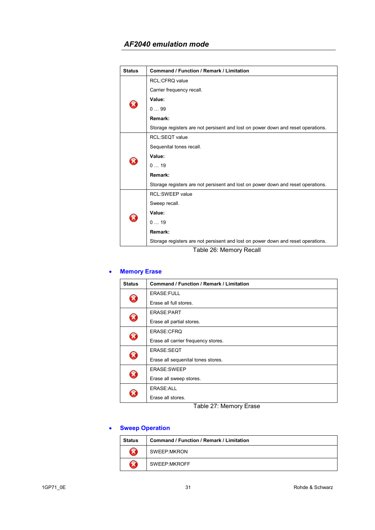| <b>Status</b> | <b>Command / Function / Remark / Limitation</b>                                  |
|---------------|----------------------------------------------------------------------------------|
|               | <b>RCL:CFRQ value</b>                                                            |
|               | Carrier frequency recall.                                                        |
|               | Value:                                                                           |
|               | 099                                                                              |
|               | Remark:                                                                          |
|               | Storage registers are not persisent and lost on power down and reset operations. |
|               | <b>RCL:SEQT value</b>                                                            |
|               | Sequenital tones recall.                                                         |
|               | Value:                                                                           |
|               | 019                                                                              |
|               | Remark:                                                                          |
|               | Storage registers are not persisent and lost on power down and reset operations. |
|               | <b>RCL:SWEEP value</b>                                                           |
|               | Sweep recall.                                                                    |
|               | Value:                                                                           |
|               | 019                                                                              |
|               | Remark:                                                                          |
|               | Storage registers are not persisent and lost on power down and reset operations. |

Table 26: Memory Recall

## • **Memory Erase**

| <b>Status</b>              | Command / Function / Remark / Limitation |
|----------------------------|------------------------------------------|
| X                          | <b>ERASE:FULL</b>                        |
|                            | Erase all full stores.                   |
|                            | ERASE:PART                               |
| X                          | Erase all partial stores.                |
| $\tilde{\mathbf{x}}$       | ERASE:CFRQ                               |
|                            | Erase all carrier frequency stores.      |
| $\boldsymbol{\mathcal{R}}$ | ERASE:SEQT                               |
|                            | Erase all sequenital tones stores.       |
| X                          | ERASE:SWEEP                              |
|                            | Erase all sweep stores.                  |
|                            | ERASE:ALL                                |
|                            | Erase all stores.                        |

Table 27: Memory Erase

## • **Sweep Operation**

| <b>Status</b> | <b>Command / Function / Remark / Limitation</b> |
|---------------|-------------------------------------------------|
|               | SWEEP:MKRON                                     |
|               | SWEEP:MKROFF                                    |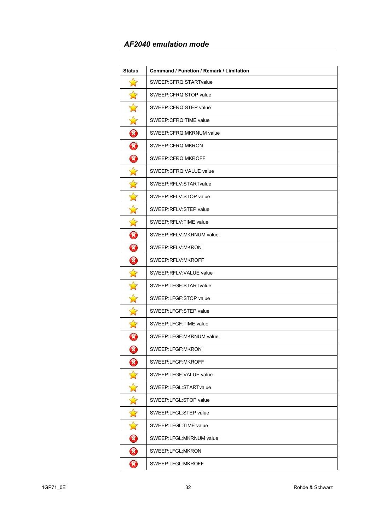| Status                     | Command / Function / Remark / Limitation |
|----------------------------|------------------------------------------|
| $\mathbf{z}$               | SWEEP:CFRQ:STARTvalue                    |
| $\mathbf{\hat{z}}$         | SWEEP:CFRQ:STOP value                    |
| $\mathbf{\hat{z}}$         | SWEEP:CFRQ:STEP value                    |
| $\mathbf{\hat{z}}$         | SWEEP:CFRQ:TIME value                    |
| 0                          | SWEEP:CFRQ:MKRNUM value                  |
| ❸                          | SWEEP:CFRQ:MKRON                         |
| 0                          | SWEEP:CFRQ:MKROFF                        |
| $\mathbf{\hat{z}}$         | SWEEP:CFRQ:VALUE value                   |
| $\mathbf{\hat{z}}$         | SWEEP:RFLV:STARTvalue                    |
| $\mathbf{\hat{z}}$         | SWEEP:RFLV:STOP value                    |
| $\mathbf{\hat{z}}$         | SWEEP:RFLV:STEP value                    |
| $\mathbf{\hat{z}}$         | SWEEP:RFLV:TIME value                    |
| 0                          | SWEEP:RFLV:MKRNUM value                  |
| $\bm{\omega}$              | SWEEP:RFLV:MKRON                         |
| 0                          | SWEEP:RFLV:MKROFF                        |
| $\Delta$                   | SWEEP:RFLV:VALUE value                   |
| $\mathbf{r}$               | SWEEP:LFGF:STARTvalue                    |
| $\mathbf{\hat{z}}$         | SWEEP:LFGF:STOP value                    |
| $\Delta$                   | SWEEP:LFGF:STEP value                    |
| $\mathbf{\hat{z}}$         | SWEEP:LFGF:TIME value                    |
| $\boldsymbol{\mathcal{S}}$ | SWEEP:LFGF:MKRNUM value                  |
| 0                          | SWEEP:LFGF:MKRON                         |
| 3                          | SWEEP:LFGF:MKROFF                        |
| $\mathbf{\hat{z}}$         | SWEEP:LFGF:VALUE value                   |
| $\Delta$                   | SWEEP:LFGL:STARTvalue                    |
| $\mathbf{r}$               | SWEEP:LFGL:STOP value                    |
| $\overrightarrow{a}$       | SWEEP:LFGL:STEP value                    |
| $\sum_{i=1}^{n}$           | SWEEP:LFGL:TIME value                    |
| 0                          | SWEEP:LFGL:MKRNUM value                  |
| $\bm{\Omega}$              | SWEEP:LFGL:MKRON                         |
| Ø                          | SWEEP:LFGL:MKROFF                        |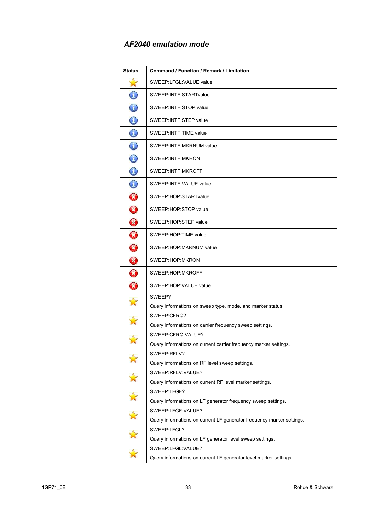| <b>Status</b>         | <b>Command / Function / Remark / Limitation</b>                       |
|-----------------------|-----------------------------------------------------------------------|
| $\mathbf{N}$          | SWEEP:LFGL:VALUE value                                                |
| $\mathbb{C}$          | SWEEP:INTF:STARTvalue                                                 |
| $\mathbb{O}$          | SWEEP: INTF: STOP value                                               |
| $\bigcirc$            | SWEEP: INTF: STEP value                                               |
| $\bigcirc$            | SWEEP: INTF: TIME value                                               |
| $\bigodot$            | SWEEP: INTF: MKRNUM value                                             |
| $\mathbb O$           | SWEEP: INTF: MKRON                                                    |
| $\bigcirc$            | SWEEP: INTF: MKROFF                                                   |
| $\bf \mathbb{O}$      | SWEEP: INTF: VALUE value                                              |
| $\bm{\Omega}$         | SWEEP: HOP: STARTvalue                                                |
| $\boldsymbol{\Omega}$ | SWEEP:HOP:STOP value                                                  |
| 0                     | SWEEP:HOP:STEP value                                                  |
| 0                     | SWEEP:HOP:TIME value                                                  |
| ❸                     | SWEEP:HOP:MKRNUM value                                                |
| 0                     | SWEEP:HOP:MKRON                                                       |
| 0                     | SWEEP:HOP:MKROFF                                                      |
| Ø                     | SWEEP:HOP:VALUE value                                                 |
| Ŵ                     | SWEEP?                                                                |
|                       | Query informations on sweep type, mode, and marker status.            |
|                       | SWEEP:CFRQ?                                                           |
|                       | Query informations on carrier frequency sweep settings.               |
|                       | SWEEP:CFRQ:VALUE?                                                     |
|                       | Query informations on current carrier frequency marker settings.      |
|                       | SWEEP:RFLV?                                                           |
|                       | Query informations on RF level sweep settings.                        |
|                       | SWEEP:RFLV:VALUE?                                                     |
|                       | Query informations on current RF level marker settings.               |
|                       | SWEEP:LFGF?                                                           |
|                       | Query informations on LF generator frequency sweep settings.          |
|                       | SWEEP:LFGF:VALUE?                                                     |
| $\overrightarrow{M}$  | Query informations on current LF generator frequency marker settings. |
|                       | SWEEP:LFGL?                                                           |
| $\mathbb{Z}$          | Query informations on LF generator level sweep settings.              |
|                       | SWEEP:LFGL:VALUE?                                                     |
|                       | Query informations on current LF generator level marker settings.     |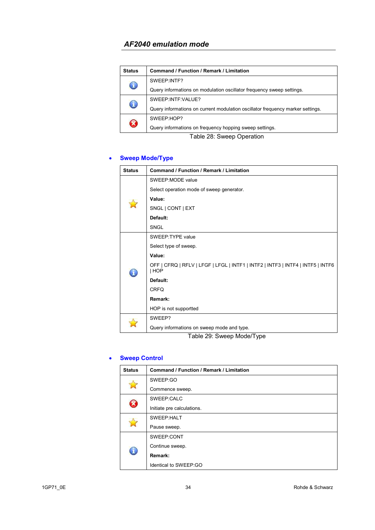| <b>Status</b>              | Command / Function / Remark / Limitation                                       |
|----------------------------|--------------------------------------------------------------------------------|
| J,                         | SWEEP:INTF?                                                                    |
|                            | Query informations on modulation oscillator frequency sweep settings.          |
| $\mathbf{J}$               | SWEEP:INTF:VALUE?                                                              |
|                            | Query informations on current modulation oscillator frequency marker settings. |
| $\boldsymbol{\mathcal{R}}$ | SWEEP:HOP?                                                                     |
|                            | Query informations on frequency hopping sweep settings.                        |

Table 28: Sweep Operation

## • **Sweep Mode/Type**

| <b>Status</b> | Command / Function / Remark / Limitation                                                 |
|---------------|------------------------------------------------------------------------------------------|
|               | SWEEP:MODE value                                                                         |
|               | Select operation mode of sweep generator.                                                |
|               | Value:                                                                                   |
|               | SNGL   CONT   EXT                                                                        |
|               | Default:                                                                                 |
|               | SNGL                                                                                     |
|               | SWEEP: TYPE value                                                                        |
|               | Select type of sweep.                                                                    |
|               | Value:                                                                                   |
|               | OFF   CFRQ   RFLV   LFGF   LFGL   INTF1   INTF2   INTF3   INTF4   INTF5   INTF6<br>  HOP |
|               | Default:                                                                                 |
|               | <b>CRFQ</b>                                                                              |
|               | Remark:                                                                                  |
|               | HOP is not supportted                                                                    |
|               | SWEEP?                                                                                   |
|               | Query informations on sweep mode and type.                                               |

Table 29: Sweep Mode/Type

#### • **Sweep Control**

| <b>Status</b> | <b>Command / Function / Remark / Limitation</b> |
|---------------|-------------------------------------------------|
|               | SWEEP:GO                                        |
|               | Commence sweep.                                 |
|               | SWEEP:CALC                                      |
| B             | Initiate pre calculations.                      |
|               | SWEEP:HALT                                      |
|               | Pause sweep.                                    |
| C             | SWEEP:CONT                                      |
|               | Continue sweep.                                 |
|               | Remark:                                         |
|               | Identical to SWEEP:GO                           |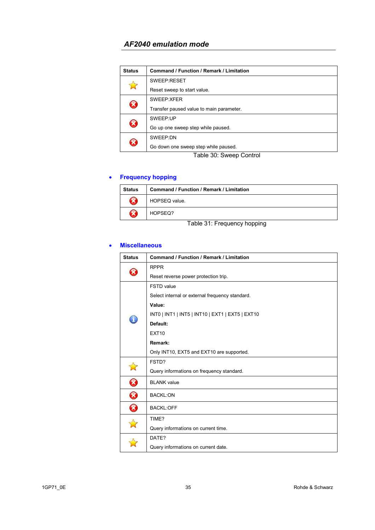| <b>Status</b> | Command / Function / Remark / Limitation |
|---------------|------------------------------------------|
|               | SWEEP:RESET                              |
|               | Reset sweep to start value.              |
| Ø             | SWEEP:XFER                               |
|               | Transfer paused value to main parameter. |
| $\Omega$      | SWEEP:UP                                 |
|               | Go up one sweep step while paused.       |
| $\mathbf{Z}$  | SWEEP:DN                                 |
|               | Go down one sweep step while paused.     |

Table 30: Sweep Control

## • **Frequency hopping**

| <b>Status</b>                | <b>Command / Function / Remark / Limitation</b> |
|------------------------------|-------------------------------------------------|
| X                            | HOPSEQ value.                                   |
| X                            | HOPSEQ?                                         |
| Teble 04: Frequence benefice |                                                 |

Table 31: Frequency hopping

#### • **Miscellaneous**

| <b>Status</b>              | <b>Command / Function / Remark / Limitation</b>  |
|----------------------------|--------------------------------------------------|
|                            | <b>RPPR</b>                                      |
|                            | Reset reverse power protection trip.             |
|                            | <b>FSTD</b> value                                |
|                            | Select internal or external frequency standard.  |
|                            | Value:                                           |
|                            | INT0   INT1   INT5   INT10   EXT1   EXT5   EXT10 |
|                            | Default:                                         |
|                            | <b>EXT10</b>                                     |
|                            | Remark:                                          |
|                            | Only INT10, EXT5 and EXT10 are supported.        |
|                            | FSTD?                                            |
|                            | Query informations on frequency standard.        |
| Ø                          | <b>BLANK</b> value                               |
| $\boldsymbol{\mathcal{S}}$ | <b>BACKL:ON</b>                                  |
| 8                          | <b>BACKL:OFF</b>                                 |
|                            | TIME?                                            |
|                            | Query informations on current time.              |
|                            | DATE?                                            |
|                            | Query informations on current date.              |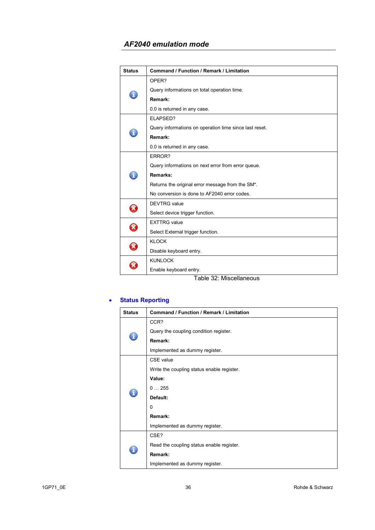| <b>Status</b>         | <b>Command / Function / Remark / Limitation</b>                            |
|-----------------------|----------------------------------------------------------------------------|
|                       | OPER?                                                                      |
|                       | Query informations on total operation time.                                |
|                       | Remark:                                                                    |
|                       | 0.0 is returned in any case.                                               |
|                       | ELAPSED?                                                                   |
|                       | Query informations on operation time since last reset.                     |
|                       | Remark:                                                                    |
|                       | 0.0 is returned in any case.                                               |
|                       | ERROR?                                                                     |
|                       | Query informations on next error from error queue.                         |
|                       | Remarks:                                                                   |
|                       | Returns the original error message from the SM*.                           |
|                       | No conversion is done to AF2040 error codes.                               |
|                       | <b>DEVTRG</b> value                                                        |
|                       | Select device trigger function.                                            |
| $\boldsymbol{\Omega}$ | <b>EXTTRG</b> value                                                        |
|                       | Select External trigger function.                                          |
| $\Omega$              | <b>KLOCK</b>                                                               |
|                       | Disable keyboard entry.                                                    |
|                       | <b>KUNLOCK</b>                                                             |
|                       | Enable keyboard entry.<br>$T$ , i.e. $\alpha \alpha$ , i.e. $\beta$ , i.e. |

Table 32: Miscellaneous

### • **Status Reporting**

| <b>Status</b> | <b>Command / Function / Remark / Limitation</b> |
|---------------|-------------------------------------------------|
| Ĩ,            | CCR?                                            |
|               | Query the coupling condition register.          |
|               | Remark:                                         |
|               | Implemented as dummy register.                  |
|               | CSE value                                       |
|               | Write the coupling status enable register.      |
|               | Value:                                          |
|               | 0255                                            |
|               | Default:                                        |
|               | 0                                               |
|               | Remark:                                         |
|               | Implemented as dummy register.                  |
|               | CSE?                                            |
| ī.            | Read the coupling status enable register.       |
|               | Remark:                                         |
|               | Implemented as dummy register.                  |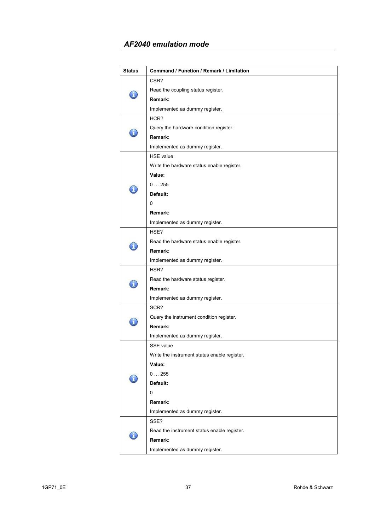## *AF2040 emulation mode*

| <b>Status</b> | Command / Function / Remark / Limitation     |
|---------------|----------------------------------------------|
|               | CSR?                                         |
|               | Read the coupling status register.           |
|               | Remark:                                      |
|               | Implemented as dummy register.               |
|               | HCR?                                         |
|               | Query the hardware condition register.       |
|               | Remark:                                      |
|               | Implemented as dummy register.               |
|               | <b>HSE</b> value                             |
|               | Write the hardware status enable register.   |
|               | Value:                                       |
|               | 0255                                         |
|               | Default:                                     |
|               | 0                                            |
|               | Remark:                                      |
|               | Implemented as dummy register.               |
|               | HSE?                                         |
|               | Read the hardware status enable register.    |
|               | Remark:                                      |
|               | Implemented as dummy register.               |
|               | HSR?                                         |
|               | Read the hardware status register.           |
|               | Remark:                                      |
|               | Implemented as dummy register.               |
|               | SCR?                                         |
|               | Query the instrument condition register.     |
|               | Remark:                                      |
|               | Implemented as dummy register.               |
|               | SSE value                                    |
|               | Write the instrument status enable register. |
|               | Value:                                       |
|               | 0255                                         |
|               | Default:                                     |
|               | 0                                            |
|               | Remark:                                      |
|               | Implemented as dummy register.               |
|               | SSE?                                         |
|               | Read the instrument status enable register.  |
|               | Remark:                                      |
|               | Implemented as dummy register.               |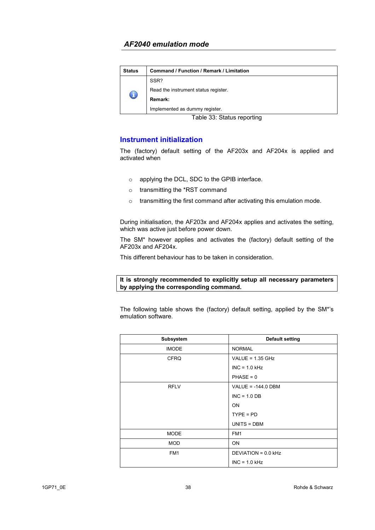| <b>Status</b> | <b>Command / Function / Remark / Limitation</b> |
|---------------|-------------------------------------------------|
|               | SSR?                                            |
|               | Read the instrument status register.            |
|               | Remark:                                         |
|               | Implemented as dummy register.                  |

Table 33: Status reporting

### **Instrument initialization**

The (factory) default setting of the AF203x and AF204x is applied and activated when

- o applying the DCL, SDC to the GPIB interface.
- o transmitting the \*RST command
- o transmitting the first command after activating this emulation mode.

During initialisation, the AF203x and AF204x applies and activates the setting, which was active just before power down.

The SM\* however applies and activates the (factory) default setting of the AF203x and AF204x.

This different behaviour has to be taken in consideration.

#### **It is strongly recommended to explicitly setup all necessary parameters by applying the corresponding command.**

The following table shows the (factory) default setting, applied by the SM\*'s emulation software.

| Subsystem       | <b>Default setting</b> |
|-----------------|------------------------|
| <b>IMODE</b>    | <b>NORMAL</b>          |
| <b>CFRQ</b>     | VALUE = $1.35$ GHz     |
|                 | $INC = 1.0$ kHz        |
|                 | $PHASE = 0$            |
| <b>RFLV</b>     | VALUE = $-144.0$ DBM   |
|                 | $INC = 1.0 DB$         |
|                 | <b>ON</b>              |
|                 | $TYPE = PD$            |
|                 | UNITS = DBM            |
| <b>MODE</b>     | FM <sub>1</sub>        |
| <b>MOD</b>      | <b>ON</b>              |
| FM <sub>1</sub> | DEVIATION = 0.0 kHz    |
|                 | $INC = 1.0 kHz$        |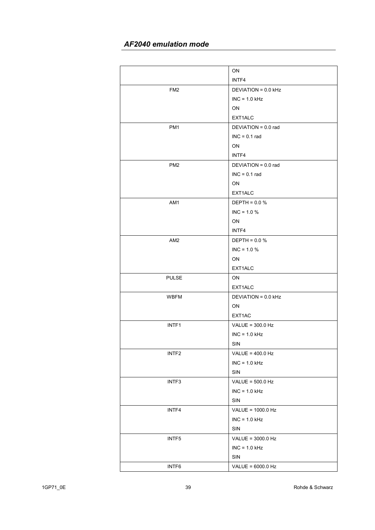# *AF2040 emulation mode*

|                   | ON                    |
|-------------------|-----------------------|
|                   | INTF4                 |
| FM2               | $DEVIATION = 0.0 kHz$ |
|                   | $INC = 1.0 kHz$       |
|                   | ON                    |
|                   | EXT1ALC               |
| PM <sub>1</sub>   | DEVIATION = 0.0 rad   |
|                   | $INC = 0.1$ rad       |
|                   | ON                    |
|                   | INTF4                 |
| PM <sub>2</sub>   | DEVIATION = 0.0 rad   |
|                   | $INC = 0.1$ rad       |
|                   | ON                    |
|                   | EXT1ALC               |
| AM1               | $DEFTH = 0.0 %$       |
|                   | $INC = 1.0 %$         |
|                   | ON                    |
|                   | INTF4                 |
| AM <sub>2</sub>   | $DEFTH = 0.0 %$       |
|                   | $INC = 1.0 %$         |
|                   | ON                    |
|                   | EXT1ALC               |
| <b>PULSE</b>      | ON                    |
|                   | EXT1ALC               |
| <b>WBFM</b>       | DEVIATION = 0.0 kHz   |
|                   | ON                    |
|                   | EXT1AC                |
| INTF <sub>1</sub> | VALUE = $300.0$ Hz    |
|                   | $INC = 1.0 kHz$       |
|                   | SIN                   |
| INTF2             | VALUE = $400.0$ Hz    |
|                   | $INC = 1.0$ kHz       |
|                   | SIN                   |
| INTF3             | VALUE = $500.0$ Hz    |
|                   | $INC = 1.0 kHz$       |
|                   | SIN                   |
| INTF4             | VALUE = 1000.0 Hz     |
|                   | $INC = 1.0 kHz$       |
|                   | <b>SIN</b>            |
| INTF5             | VALUE = 3000.0 Hz     |
|                   | $INC = 1.0 kHz$       |
|                   | SIN                   |
| INTF6             | VALUE = 6000.0 Hz     |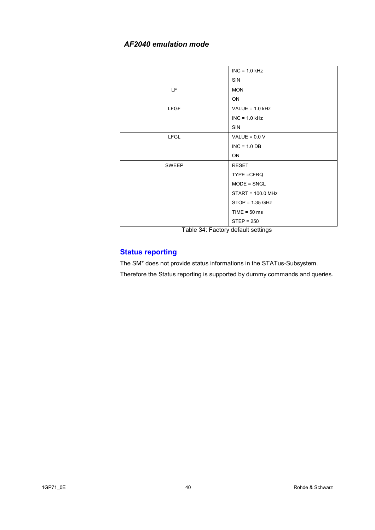## *AF2040 emulation mode*

|              | $INC = 1.0 kHz$   |
|--------------|-------------------|
|              | <b>SIN</b>        |
| LF.          | <b>MON</b>        |
|              | ON                |
| <b>LFGF</b>  | VALUE = $1.0$ kHz |
|              | $INC = 1.0 kHz$   |
|              | <b>SIN</b>        |
| <b>LFGL</b>  | VALUE = $0.0 V$   |
|              | $INC = 1.0 DB$    |
|              | <b>ON</b>         |
| <b>SWEEP</b> | RESET             |
|              | TYPE = CFRQ       |
|              | $MODE = SNGL$     |
|              | START = 100.0 MHz |
|              | $STOP = 1.35 GHz$ |
|              | $TIME = 50$ ms    |
|              | $STEP = 250$      |

Table 34: Factory default settings

# **Status reporting**

The SM\* does not provide status informations in the STATus-Subsystem. Therefore the Status reporting is supported by dummy commands and queries.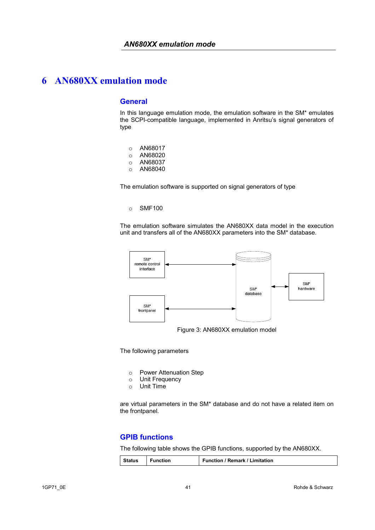#### **General**

In this language emulation mode, the emulation software in the SM\* emulates the SCPI-compatible language, implemented in Anritsu's signal generators of type

- o AN68017
- o AN68020
- o AN68037
- o AN68040

The emulation software is supported on signal generators of type

#### o SMF100

The emulation software simulates the AN680XX data model in the execution unit and transfers all of the AN680XX parameters into the SM\* database.



The following parameters

- o Power Attenuation Step
- o Unit Frequency
- o Unit Time

are virtual parameters in the SM\* database and do not have a related item on the frontpanel.

### **GPIB functions**

The following table shows the GPIB functions, supported by the AN680XX.

| <b>Function</b><br><b>Status</b> | <b>Function / Remark / Limitation</b> |
|----------------------------------|---------------------------------------|
|----------------------------------|---------------------------------------|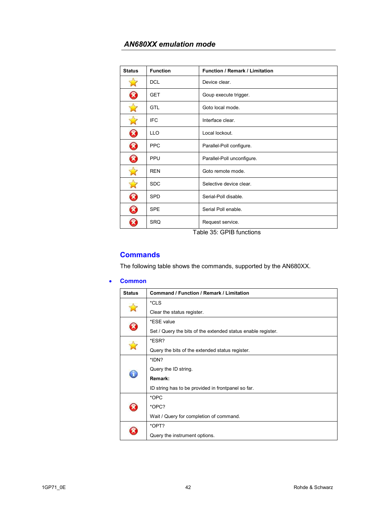| <b>Status</b> | <b>Function</b> | <b>Function / Remark / Limitation</b> |
|---------------|-----------------|---------------------------------------|
|               | <b>DCL</b>      | Device clear.                         |
| B             | <b>GET</b>      | Goup execute trigger.                 |
|               | <b>GTL</b>      | Goto local mode.                      |
|               | <b>IFC</b>      | Interface clear.                      |
| X             | <b>LLO</b>      | Local lockout.                        |
| B             | <b>PPC</b>      | Parallel-Poll configure.              |
| X             | PPU             | Parallel-Poll unconfigure.            |
|               | <b>REN</b>      | Goto remote mode.                     |
|               | <b>SDC</b>      | Selective device clear.               |
| X             | <b>SPD</b>      | Serial-Poll disable.                  |
| B             | <b>SPE</b>      | Serial Poll enable.                   |
|               | <b>SRQ</b>      | Request service.                      |

Table 35: GPIB functions

### **Commands**

The following table shows the commands, supported by the AN680XX.

#### • **Common**

| <b>Status</b> | <b>Command / Function / Remark / Limitation</b>              |
|---------------|--------------------------------------------------------------|
|               | *CLS                                                         |
|               | Clear the status register.                                   |
|               | *ESE value                                                   |
|               | Set / Query the bits of the extended status enable register. |
|               | *ESR?                                                        |
|               | Query the bits of the extended status register.              |
|               | *IDN?                                                        |
|               | Query the ID string.                                         |
|               | Remark:                                                      |
|               | ID string has to be provided in frontpanel so far.           |
|               | *OPC                                                         |
|               | *OPC?                                                        |
|               | Wait / Query for completion of command.                      |
|               | *OPT?                                                        |
|               | Query the instrument options.                                |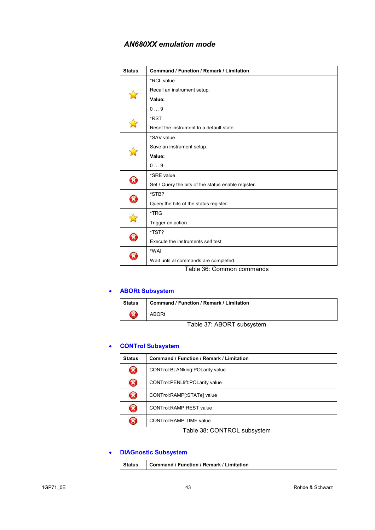| <b>Status</b>         | <b>Command / Function / Remark / Limitation</b>     |
|-----------------------|-----------------------------------------------------|
|                       | *RCL value                                          |
|                       | Recall an instrument setup.                         |
|                       | Value:                                              |
|                       | 09                                                  |
|                       | *RST                                                |
|                       | Reset the instrument to a default state.            |
|                       | *SAV value                                          |
|                       | Save an instrument setup.                           |
|                       | Value:                                              |
|                       | 09                                                  |
| $\boldsymbol{\Omega}$ | *SRE value                                          |
|                       | Set / Query the bits of the status enable register. |
| <b>R</b>              | *STB?                                               |
|                       | Query the bits of the status register.              |
|                       | *TRG                                                |
|                       | Trigger an action.                                  |
| B                     | *TST?                                               |
|                       | Execute the instruments self test                   |
| X                     | *WAI                                                |
|                       | Wait until al commands are completed.               |
|                       | Table 36: Common commands                           |

## • **ABORt Subsystem**

| Status | <b>Command / Function / Remark / Limitation</b> |
|--------|-------------------------------------------------|
|        | <b>ABORt</b>                                    |

Table 37: ABORT subsystem

## • **CONTrol Subsystem**

| <b>Status</b>              | Command / Function / Remark / Limitation |
|----------------------------|------------------------------------------|
| X                          | CONTrol: BLANking: POLarity value        |
| $\boldsymbol{\mathcal{R}}$ | CONTrol: PENLIift: POLarity value        |
| B                          | CONTrol:RAMP[:STATe] value               |
| X                          | CONTrol:RAMP:REST value                  |
| X                          | <b>CONTrol:RAMP:TIME value</b>           |

Table 38: CONTROL subsystem

## • **DIAGnostic Subsystem**

| Status | Command / Function / Remark / Limitation |
|--------|------------------------------------------|
|        |                                          |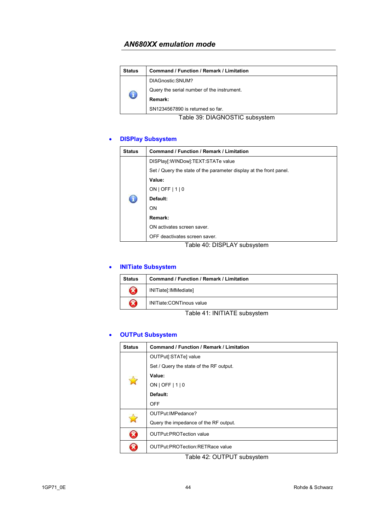| <b>Status</b> | Command / Function / Remark / Limitation   |
|---------------|--------------------------------------------|
| C             | DIAGnostic: SNUM?                          |
|               | Query the serial number of the instrument. |
|               | Remark:                                    |
|               | SN1234567890 is returned so far.           |

Table 39: DIAGNOSTIC subsystem

### • **DISPlay Subsystem**

| <b>Status</b> | <b>Command / Function / Remark / Limitation</b>                    |
|---------------|--------------------------------------------------------------------|
|               | DISPlay[:WINDow]:TEXT:STATe value                                  |
|               | Set / Query the state of the parameter display at the front panel. |
|               | Value:                                                             |
|               | $ON$   OFF   1   0                                                 |
|               | Default:                                                           |
|               | ON                                                                 |
|               | Remark:                                                            |
|               | ON activates screen saver.                                         |
|               | OFF deactivates screen saver.                                      |

Table 40: DISPLAY subsystem

#### • **INITiate Subsystem**

| <b>Status</b>              | Command / Function / Remark / Limitation |
|----------------------------|------------------------------------------|
| $\boldsymbol{\Omega}$      | INITiate[:IMMediate]                     |
| $\boldsymbol{\mathcal{R}}$ | INITiate:CONTinous value                 |
|                            |                                          |

Table 41: INITIATE subsystem

### • **OUTPut Subsystem**

| <b>Status</b> | Command / Function / Remark / Limitation |
|---------------|------------------------------------------|
| $\Delta$      | OUTPut[:STATe] value                     |
|               | Set / Query the state of the RF output.  |
|               | Value:                                   |
|               | ON   OFF   1   0                         |
|               | Default:                                 |
|               | <b>OFF</b>                               |
|               | OUTPut: IMPedance?                       |
|               | Query the impedance of the RF output.    |
| ×             | <b>OUTPut:PROTection value</b>           |
|               | <b>OUTPut:PROTection:RETRace value</b>   |

Table 42: OUTPUT subsystem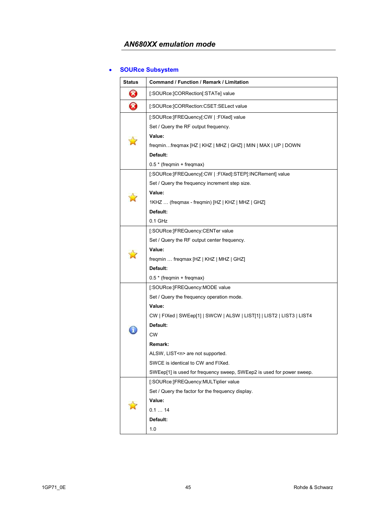## • **SOURce Subsystem**

| <b>Status</b>         | Command / Function / Remark / Limitation                              |
|-----------------------|-----------------------------------------------------------------------|
| Ø                     | [:SOURce:]CORRection[:STATe] value                                    |
| $\boldsymbol{\Omega}$ | [:SOURce:]CORRection:CSET:SELect value                                |
|                       | [:SOURce:]FREQuency[:CW   :FIXed] value                               |
|                       | Set / Query the RF output frequency.                                  |
|                       | Value:                                                                |
|                       | freqminfreqmax [HZ   KHZ   MHZ   GHZ]   MIN   MAX   UP   DOWN         |
|                       | Default:                                                              |
|                       | 0.5 * (freqmin + freqmax)                                             |
|                       | [:SOURce:]FREQuency[:CW   :FIXed]:STEP[:INCRement] value              |
|                       | Set / Query the frequency increment step size.                        |
|                       | Value:                                                                |
|                       | 1KHZ  (freqmax - freqmin) [HZ   KHZ   MHZ   GHZ]                      |
|                       | Default:                                                              |
|                       | $0.1$ GHz                                                             |
|                       | [:SOURce:]FREQuency:CENTer value                                      |
|                       | Set / Query the RF output center frequency.                           |
|                       | Value:                                                                |
|                       | freqmin  freqmax [HZ   KHZ   MHZ   GHZ]                               |
|                       | Default:                                                              |
|                       | 0.5 * (freqmin + freqmax)                                             |
|                       | [:SOURce:]FREQuency:MODE value                                        |
|                       | Set / Query the frequency operation mode.                             |
|                       | Value:                                                                |
|                       | CW   FIXed   SWEep[1]   SWCW   ALSW   LIST[1]   LIST2   LIST3   LIST4 |
|                       | Default:                                                              |
|                       | <b>CW</b>                                                             |
|                       | Remark:                                                               |
|                       | ALSW, LIST <n> are not supported.</n>                                 |
|                       | SWCE is identical to CW and FIXed.                                    |
|                       | SWEep[1] is used for frequency sweep, SWEep2 is used for power sweep. |
|                       | [:SOURce:]FREQuency:MULTiplier value                                  |
|                       | Set / Query the factor for the frequency display.                     |
|                       | Value:                                                                |
|                       | 0.114                                                                 |
|                       | Default:                                                              |
|                       | 1.0                                                                   |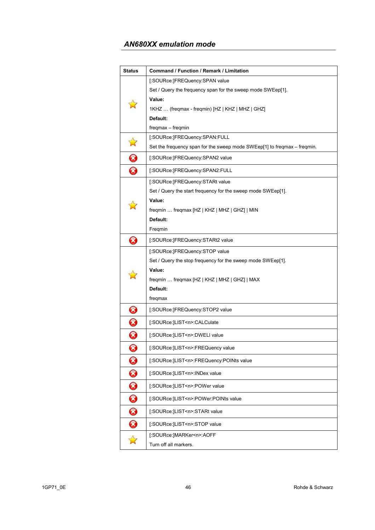| <b>Status</b>              | Command / Function / Remark / Limitation                                 |
|----------------------------|--------------------------------------------------------------------------|
|                            | [:SOURce:]FREQuency:SPAN value                                           |
|                            | Set / Query the frequency span for the sweep mode SWEep[1].              |
|                            | Value:                                                                   |
|                            | 1KHZ  (freqmax - freqmin) [HZ   KHZ   MHZ   GHZ]                         |
|                            | Default:                                                                 |
|                            | freqmax - freqmin                                                        |
| $\sum_{i=1}^{n}$           | [:SOURce:]FREQuency:SPAN:FULL                                            |
|                            | Set the frequency span for the sweep mode SWEep[1] to freqmax – freqmin. |
| $\bf \bm{\bm{\omega}}$     | [:SOURce:]FREQuency:SPAN2 value                                          |
| 3                          | [:SOURce:]FREQuency:SPAN2:FULL                                           |
|                            | [:SOURce:]FREQuency:STARt value                                          |
|                            | Set / Query the start frequency for the sweep mode SWEep[1].             |
|                            | Value:                                                                   |
|                            | freqmin  freqmax [HZ   KHZ   MHZ   GHZ]   MIN                            |
|                            | Default:                                                                 |
|                            | Freqmin                                                                  |
| Ø                          | [:SOURce:]FREQuency:STARt2 value                                         |
|                            | [:SOURce:]FREQuency:STOP value                                           |
|                            | Set / Query the stop frequency for the sweep mode SWEep[1].              |
|                            | Value:                                                                   |
|                            | freqmin  freqmax [HZ   KHZ   MHZ   GHZ]   MAX<br>Default:                |
|                            | freqmax                                                                  |
|                            | [:SOURce:]FREQuency:STOP2 value                                          |
| $\bm{\Omega}$              |                                                                          |
| 0                          | [:SOURce:]LIST <n>:CALCulate</n>                                         |
| $\boldsymbol{\mathcal{S}}$ | [:SOURce: ]LIST <n>:DWELI value</n>                                      |
| Ø                          | [:SOURce:]LIST <n>:FREQuency value</n>                                   |
| 3                          | [:SOURce:]LIST <n>:FREQuency:POINts value</n>                            |
| 0                          | [:SOURce:]LIST <n>:INDex value</n>                                       |
| $\bm{\omega}$              | [:SOURce:]LIST <n>:POWer value</n>                                       |
| 0                          | [:SOURce:]LIST <n>:POWer:POINts value</n>                                |
| 0                          | [:SOURce:]LIST <n>:STARt value</n>                                       |
| $\bm{\omega}$              | [:SOURce:]LIST <n>:STOP value</n>                                        |
| $\mathbf{\hat{x}}$         | [:SOURce:]MARKer <n>:AOFF</n>                                            |
|                            | Turn off all markers.                                                    |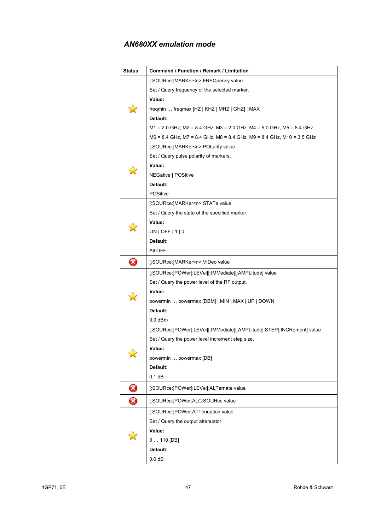| <b>Status</b> | Command / Function / Remark / Limitation                               |
|---------------|------------------------------------------------------------------------|
|               | [:SOURce:]MARKer <n>:FREQuency value</n>                               |
|               | Set / Query frequency of the selected marker.                          |
|               | Value:                                                                 |
|               | freqmin  freqmax [HZ   KHZ   MHZ   GHZ]   MAX                          |
|               | Default:                                                               |
|               | M1 = 2.0 GHz, M2 = 8.4 GHz, M3 = 2.0 GHz, M4 = 5.0 GHz, M5 = 8.4 GHz   |
|               | M6 = 8.4 GHz, M7 = 8.4 GHz, M8 = 8.4 GHz, M9 = 8.4 GHz, M10 = 3.5 GHz  |
|               | [:SOURce:]MARKer <n>:POLarity value</n>                                |
|               | Set / Query pulse polarity of markers.                                 |
|               | Value:                                                                 |
|               | NEGative   POSitive                                                    |
|               | Default:                                                               |
|               | <b>POSitive</b>                                                        |
|               | [:SOURce:]MARKer <n>:STATe value</n>                                   |
|               | Set / Query the state of the specified marker.                         |
|               | Value:                                                                 |
|               | $ON$   OFF   1   0                                                     |
|               | Default:                                                               |
|               | All OFF                                                                |
| Ø             | [:SOURce:]MARKer <n>:VIDeo value</n>                                   |
|               | [:SOURce:]POWer[:LEVel][:IMMediate][:AMPLitude] value                  |
|               | Set / Query the power level of the RF output.                          |
|               | Value:                                                                 |
|               | powermin  powermax [DBM]   MIN   MAX   UP   DOWN                       |
|               | Default:                                                               |
|               | $0.0$ dBm                                                              |
|               | [:SOURce:]POWer[:LEVel][:IMMediate][:AMPLitude]:STEP[:INCRement] value |
|               | Set / Query the power level increment step size.                       |
|               | Value:                                                                 |
|               | powermin  powermax [DB]                                                |
|               | Default:                                                               |
|               | 0.1 dB                                                                 |
| Ø             | [:SOURce:]POWer[:LEVel]:ALTernate value                                |
| Ø             | [:SOURce:]POWer:ALC:SOURce value                                       |
|               | [:SOURce:]POWer:ATTenuation value                                      |
|               | Set / Query the output attenuator                                      |
|               | Value:                                                                 |
|               | $0110$ [DB]                                                            |
|               | Default:                                                               |
|               | 0.0 dB                                                                 |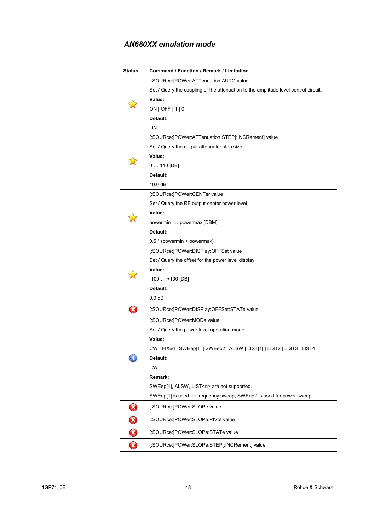| <b>Status</b>         | Command / Function / Remark / Limitation                                            |
|-----------------------|-------------------------------------------------------------------------------------|
|                       | [:SOURce:]POWer:ATTenuation:AUTO value                                              |
|                       | Set / Query the coupling of the attenuation to the amplitude level control circuit. |
|                       | Value:                                                                              |
|                       | ON   OFF   $1$   0                                                                  |
|                       | Default:                                                                            |
|                       | <b>ON</b>                                                                           |
|                       | [:SOURce:]POWer:ATTenuation:STEP[:INCRement] value                                  |
|                       | Set / Query the output attenuator step size                                         |
|                       | Value:                                                                              |
|                       | $0110$ [DB]                                                                         |
|                       | Default:                                                                            |
|                       | 10.0 dB                                                                             |
|                       | [:SOURce:]POWer:CENTer value                                                        |
|                       | Set / Query the RF output center power level                                        |
|                       | Value:                                                                              |
|                       | powermin  powermax [DBM]                                                            |
|                       | Default:                                                                            |
|                       | 0.5 * (powermin + powermax)                                                         |
|                       | [:SOURce:]POWer:DISPlay:OFFSet value                                                |
|                       | Set / Query the offset for the power level display.                                 |
|                       | Value:                                                                              |
|                       | $-100$ $+100$ [DB]                                                                  |
|                       | Default:                                                                            |
|                       | 0.0 <sub>d</sub> B                                                                  |
| $\boldsymbol{\Omega}$ | [:SOURce:]POWer:DISPlay:OFFSet:STATe value                                          |
|                       | [:SOURce:]POWer:MODe value                                                          |
|                       | Set / Query the power level operation mode.                                         |
|                       | Value:                                                                              |
|                       | CW   FIXed   SWEep[1]   SWEep2   ALSW   LIST[1]   LIST2   LIST3   LIST4             |
|                       | Default:                                                                            |
|                       | <b>CW</b>                                                                           |
|                       | Remark:                                                                             |
|                       | SWEep[1], ALSW, LIST <n> are not supported.</n>                                     |
|                       | SWEep[1] is used for frequency sweep, SWEep2 is used for power sweep.               |
| 0                     | [:SOURce:]POWer:SLOPe value                                                         |
| 0                     | [:SOURce:]POWer:SLOPe:PIVot value                                                   |
| 0                     | [:SOURce:]POWer:SLOPe:STATe value                                                   |
| ❸                     | [:SOURce:]POWer:SLOPe:STEP[:INCRement] value                                        |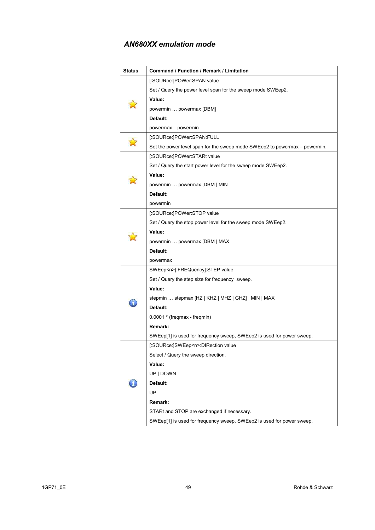| Status | Command / Function / Remark / Limitation                                   |
|--------|----------------------------------------------------------------------------|
|        | [:SOURce:]POWer:SPAN value                                                 |
|        | Set / Query the power level span for the sweep mode SWEep2.                |
|        | Value:                                                                     |
|        | powermin  powermax [DBM]                                                   |
|        | Default:                                                                   |
|        | powermax - powermin                                                        |
|        | [:SOURce:]POWer:SPAN:FULL                                                  |
|        | Set the power level span for the sweep mode SWEep2 to powermax – powermin. |
|        | [:SOURce:]POWer:STARt value                                                |
|        | Set / Query the start power level for the sweep mode SWEep2.               |
|        | Value:                                                                     |
|        | powermin  powermax [DBM   MIN                                              |
|        | Default:                                                                   |
|        | powermin                                                                   |
|        | [:SOURce:]POWer:STOP value                                                 |
|        | Set / Query the stop power level for the sweep mode SWEep2.                |
|        | Value:                                                                     |
|        | powermin  powermax [DBM   MAX                                              |
|        | Default:                                                                   |
|        | powermax                                                                   |
|        | SWEep <n>[:FREQuency]:STEP value</n>                                       |
|        | Set / Query the step size for frequency sweep.                             |
|        | Value:                                                                     |
|        | stepmin  stepmax [HZ   KHZ   MHZ   GHZ]   MIN   MAX                        |
|        | Default:                                                                   |
|        | 0.0001 * (freqmax - freqmin)                                               |
|        | Remark:                                                                    |
|        | SWEep[1] is used for frequency sweep, SWEep2 is used for power sweep.      |
|        | [:SOURce:]SWEep <n>:DIRection value</n>                                    |
|        | Select / Query the sweep direction.                                        |
|        | Value:                                                                     |
|        | UP   DOWN                                                                  |
|        | Default:                                                                   |
|        | UP                                                                         |
|        | Remark:                                                                    |
|        | STARt and STOP are exchanged if necessary.                                 |
|        | SWEep[1] is used for frequency sweep, SWEep2 is used for power sweep.      |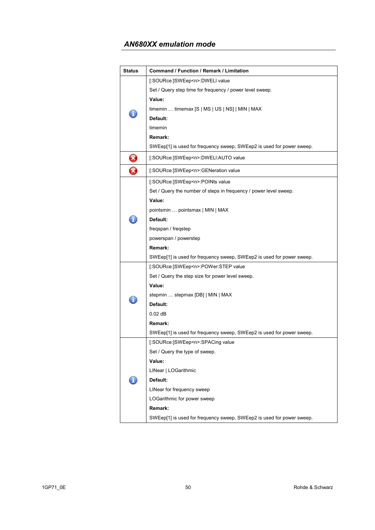| <b>Status</b>              | Command / Function / Remark / Limitation                              |
|----------------------------|-----------------------------------------------------------------------|
|                            | [:SOURce:]SWEep <n>:DWELI value</n>                                   |
|                            | Set / Query step time for frequency / power level sweep.              |
|                            | Value:                                                                |
|                            | timemin  timemax $[S \mid MS \mid US \mid NS] \mid MIN \mid MAX$      |
|                            | Default:                                                              |
|                            | timemin                                                               |
|                            | Remark:                                                               |
|                            | SWEep[1] is used for frequency sweep, SWEep2 is used for power sweep. |
|                            | [:SOURce:]SWEep <n>:DWELI:AUTO value</n>                              |
| $\boldsymbol{\mathcal{S}}$ |                                                                       |
| Z)                         | [:SOURce:]SWEep <n>:GENeration value</n>                              |
|                            | [:SOURce:]SWEep <n>:POINts value</n>                                  |
|                            | Set / Query the number of steps in frequency / power level sweep.     |
|                            | Value:                                                                |
|                            | pointsmin  pointsmax   MIN   MAX                                      |
|                            | Default:                                                              |
|                            | freqspan / freqstep                                                   |
|                            | powerspan / powerstep                                                 |
|                            | Remark:                                                               |
|                            | SWEep[1] is used for frequency sweep, SWEep2 is used for power sweep. |
|                            | [:SOURce:]SWEep <n>:POWer:STEP value</n>                              |
|                            | Set / Query the step size for power level sweep.                      |
|                            | Value:                                                                |
|                            | stepmin  stepmax [DB]   MIN   MAX                                     |
|                            | Default:                                                              |
|                            | $0.02$ dB                                                             |
|                            | Remark:                                                               |
|                            | SWEep[1] is used for frequency sweep, SWEep2 is used for power sweep. |
|                            | [:SOURce:]SWEep <n>:SPACing value</n>                                 |
|                            | Set / Query the type of sweep.                                        |
|                            | Value:                                                                |
|                            | LINear   LOGarithmic                                                  |
|                            | Default:                                                              |
|                            | LINear for frequency sweep                                            |
|                            | LOGarithmic for power sweep                                           |
|                            | Remark:                                                               |
|                            | SWEep[1] is used for frequency sweep, SWEep2 is used for power sweep. |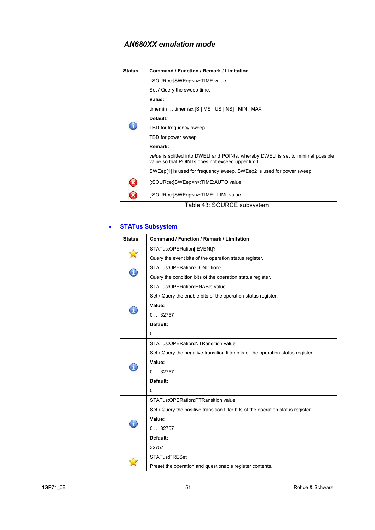| <b>Status</b> | Command / Function / Remark / Limitation                                                                                               |
|---------------|----------------------------------------------------------------------------------------------------------------------------------------|
|               | [:SOURce:]SWEep <n>:TIME value</n>                                                                                                     |
|               | Set / Query the sweep time.                                                                                                            |
|               | Value:                                                                                                                                 |
|               | timemin  timemax $[S \mid MS \mid US \mid NS]$   MIN   MAX                                                                             |
|               | Default:                                                                                                                               |
|               | TBD for frequency sweep.                                                                                                               |
|               | TBD for power sweep                                                                                                                    |
|               | Remark:                                                                                                                                |
|               | value is splitted into DWELI and POINts, whereby DWELI is set to minimal possible<br>value so that POINTs does not exceed upper limit. |
|               | SWEep[1] is used for frequency sweep, SWEep2 is used for power sweep.                                                                  |
|               | [:SOURce:]SWEep <n>:TIME:AUTO value</n>                                                                                                |
|               | [:SOURce:]SWEep <n>:TIME:LLIMit value</n>                                                                                              |

Table 43: SOURCE subsystem

## • **STATus Subsystem**

| <b>Status</b> | <b>Command / Function / Remark / Limitation</b>                                   |
|---------------|-----------------------------------------------------------------------------------|
|               | STATus:OPERation[:EVENt]?                                                         |
|               | Query the event bits of the operation status register.                            |
|               | STATus:OPERation:CONDition?                                                       |
|               | Query the condition bits of the operation status register.                        |
|               | STATus: OPERation: ENABle value                                                   |
|               | Set / Query the enable bits of the operation status register.                     |
|               | Value:                                                                            |
|               | 032757                                                                            |
|               | Default:                                                                          |
|               | 0                                                                                 |
|               | STATus: OPERation: NTRansition value                                              |
|               | Set / Query the negative transition filter bits of the operation status register. |
|               | Value:                                                                            |
|               | 032757                                                                            |
|               | Default:                                                                          |
|               | 0                                                                                 |
|               | STATus: OPERation: PTRansition value                                              |
|               | Set / Query the positive transition filter bits of the operation status register. |
|               | Value:                                                                            |
|               | 032757                                                                            |
|               | Default:                                                                          |
|               | 32757                                                                             |
|               | <b>STATus:PRESet</b>                                                              |
|               | Preset the operation and questionable register contents.                          |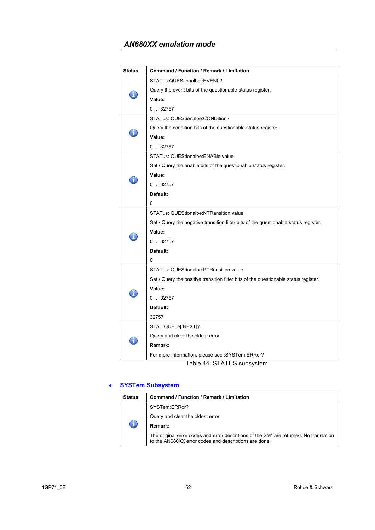| <b>Status</b> | Command / Function / Remark / Limitation                                             |  |  |
|---------------|--------------------------------------------------------------------------------------|--|--|
| Ã.            | STATus:QUEStionalbe[:EVENt]?                                                         |  |  |
|               | Query the event bits of the questionable status register.                            |  |  |
|               | Value:                                                                               |  |  |
|               | 032757                                                                               |  |  |
|               | STATus: QUEStionalbe: CONDition?                                                     |  |  |
|               | Query the condition bits of the questionable status register.                        |  |  |
|               | Value:                                                                               |  |  |
|               | 032757                                                                               |  |  |
|               | STATus: QUEStionalbe: ENABle value                                                   |  |  |
|               | Set / Query the enable bits of the questionable status register.                     |  |  |
|               | Value:                                                                               |  |  |
|               | 032757                                                                               |  |  |
|               | Default:                                                                             |  |  |
|               | 0                                                                                    |  |  |
|               | <b>STATus: QUEStionalbe:NTRansition value</b>                                        |  |  |
|               | Set / Query the negative transition filter bits of the questionable status register. |  |  |
|               | Value:                                                                               |  |  |
|               | 032757                                                                               |  |  |
|               | Default:                                                                             |  |  |
|               | 0                                                                                    |  |  |
|               | STATus: QUEStionalbe: PTRansition value                                              |  |  |
|               | Set / Query the positive transition filter bits of the questionable status register. |  |  |
|               | Value:                                                                               |  |  |
|               | 032757                                                                               |  |  |
|               | Default:                                                                             |  |  |
|               | 32757                                                                                |  |  |
|               | STAT:QUEue[:NEXT]?                                                                   |  |  |
|               | Query and clear the oldest error.                                                    |  |  |
|               | Remark:                                                                              |  |  |
|               | For more information, please see : SYSTem: ERRor?                                    |  |  |
|               | Toblo 11. CTATLIC cubovetom                                                          |  |  |

Table 44: STATUS subsystem

### • **SYSTem Subsystem**

| <b>Status</b> | Command / Function / Remark / Limitation                                                                                                        |  |  |
|---------------|-------------------------------------------------------------------------------------------------------------------------------------------------|--|--|
|               | SYSTem:ERRor?                                                                                                                                   |  |  |
|               | Query and clear the oldest error.                                                                                                               |  |  |
|               | Remark:                                                                                                                                         |  |  |
|               | The original error codes and error descritions of the SM* are returned. No translation<br>to the AN680XX error codes and descriptions are done. |  |  |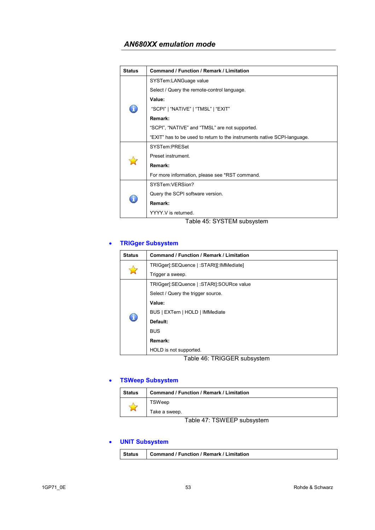| <b>Status</b> | <b>Command / Function / Remark / Limitation</b>                          |  |  |
|---------------|--------------------------------------------------------------------------|--|--|
|               | SYSTem:LANGuage value                                                    |  |  |
|               | Select / Query the remote-control language.                              |  |  |
|               | Value:                                                                   |  |  |
|               | "SCPI"   "NATIVE"   "TMSL"   "EXIT"                                      |  |  |
|               | Remark:                                                                  |  |  |
|               | "SCPI", "NATIVE" and "TMSL" are not supported.                           |  |  |
|               | "EXIT" has to be used to return to the instruments native SCPI-language. |  |  |
|               | SYSTem PRFSet                                                            |  |  |
|               | Preset instrument.                                                       |  |  |
|               | Remark:                                                                  |  |  |
|               | For more information, please see *RST command.                           |  |  |
|               | SYSTem VFRSion?                                                          |  |  |
|               | Query the SCPI software version.                                         |  |  |
|               | Remark:                                                                  |  |  |
|               | YYYY V is returned                                                       |  |  |

Table 45: SYSTEM subsystem

## • **TRIGger Subsystem**

| <b>Status</b> | <b>Command / Function / Remark / Limitation</b> |  |  |
|---------------|-------------------------------------------------|--|--|
|               | TRIGger[:SEQuence   :STARt][:IMMediate]         |  |  |
|               | Trigger a sweep.                                |  |  |
|               | TRIGger[:SEQuence   :STARt]:SOURce value        |  |  |
|               | Select / Query the trigger source.              |  |  |
|               | Value:                                          |  |  |
|               | BUS   EXTern   HOLD   IMMediate                 |  |  |
|               | Default:                                        |  |  |
|               | <b>BUS</b>                                      |  |  |
|               | Remark:                                         |  |  |
|               | HOLD is not supported.                          |  |  |
|               | $T - L = 40. T D I Q Q F D \dots L \dots L$     |  |  |

Table 46: TRIGGER subsystem

### • **TSWeep Subsystem**

| <b>Status</b> | <b>Command / Function / Remark / Limitation</b> |  |
|---------------|-------------------------------------------------|--|
| $\mathcal{L}$ | TSWeep                                          |  |
|               | Take a sweep.                                   |  |

Table 47: TSWEEP subsystem

### • **UNIT Subsystem**

|--|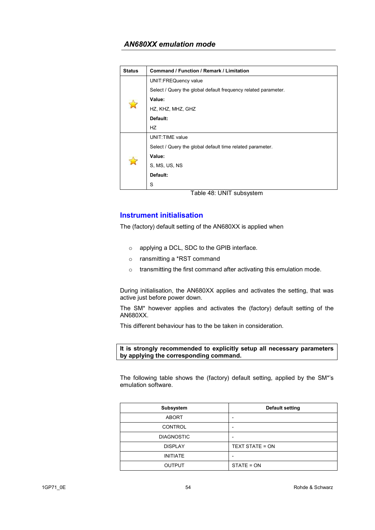| <b>Status</b> | <b>Command / Function / Remark / Limitation</b>                |  |  |
|---------------|----------------------------------------------------------------|--|--|
|               | <b>UNIT:FREQuency value</b>                                    |  |  |
|               | Select / Query the global default frequency related parameter. |  |  |
|               | Value:                                                         |  |  |
|               | HZ, KHZ, MHZ, GHZ                                              |  |  |
|               | Default:                                                       |  |  |
|               | HZ                                                             |  |  |
|               | <b>UNIT: TIME value</b>                                        |  |  |
|               | Select / Query the global default time related parameter.      |  |  |
|               | Value:                                                         |  |  |
|               | S, MS, US, NS                                                  |  |  |
|               | Default:                                                       |  |  |
|               | S                                                              |  |  |

Table 48: UNIT subsystem

### **Instrument initialisation**

The (factory) default setting of the AN680XX is applied when

- o applying a DCL, SDC to the GPIB interface.
- o ransmitting a \*RST command
- o transmitting the first command after activating this emulation mode.

During initialisation, the AN680XX applies and activates the setting, that was active just before power down.

The SM\* however applies and activates the (factory) default setting of the AN680XX.

This different behaviour has to the be taken in consideration.

#### **It is strongly recommended to explicitly setup all necessary parameters by applying the corresponding command.**

The following table shows the (factory) default setting, applied by the SM\*'s emulation software.

| Subsystem         | <b>Default setting</b>   |
|-------------------|--------------------------|
| <b>ABORT</b>      |                          |
| <b>CONTROL</b>    | $\overline{\phantom{0}}$ |
| <b>DIAGNOSTIC</b> | $\overline{\phantom{0}}$ |
| <b>DISPLAY</b>    | TEXT STATE = ON          |
| <b>INITIATE</b>   |                          |
| <b>OUTPUT</b>     | STATE = ON               |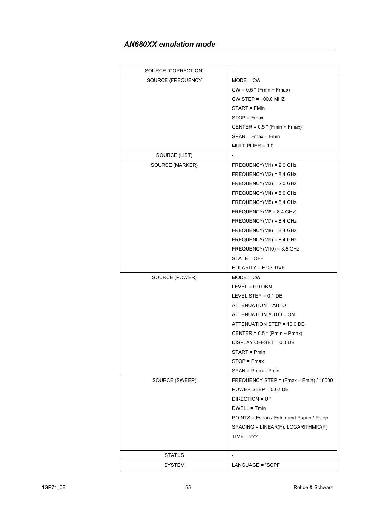| SOURCE (CORRECTION) |                                          |
|---------------------|------------------------------------------|
| SOURCE (FREQUENCY   | $MODE = CW$                              |
|                     | $CW = 0.5 * (Fmin + Fmax)$               |
|                     | $CW$ STEP = 100.0 MHZ                    |
|                     | START = FMin                             |
|                     | STOP = Fmax                              |
|                     | CENTER = $0.5*$ (Fmin + Fmax)            |
|                     | $SPAN = Fmax - Fmin$                     |
|                     | $MULTIPLIER = 1.0$                       |
| SOURCE (LIST)       | $\overline{\phantom{a}}$                 |
| SOURCE (MARKER)     | $FREQUENCY(M1) = 2.0 GHz$                |
|                     | $FREQUENCY(M2) = 8.4 GHz$                |
|                     | $FREQUENCY(M3) = 2.0 GHz$                |
|                     | $FREQUENCY(M4) = 5.0 GHz$                |
|                     | $FREQUENCY(M5) = 8.4 GHz$                |
|                     | FREQUENCY(M6 = $8.4$ GHz)                |
|                     | $FREQUENCY(M7) = 8.4 GHz$                |
|                     | $FREQUENCY(M8) = 8.4 GHz$                |
|                     | $FREQUENCY(M9) = 8.4 GHz$                |
|                     | $FREQUENCY(M10) = 3.5 GHz$               |
|                     | STATE = OFF                              |
|                     | POLARITY = POSITIVE                      |
| SOURCE (POWER)      | $MODE = CW$                              |
|                     | $LEVEL = 0.0 DBM$                        |
|                     | LEVEL STEP = $0.1$ DB                    |
|                     | ATTENUATION = AUTO                       |
|                     | ATTENUATION AUTO = ON                    |
|                     | ATTENUATION STEP = 10.0 DB               |
|                     | CENTER = $0.5*$ (Pmin + Pmax)            |
|                     | DISPLAY OFFSET = 0.0 DB                  |
|                     | START = Pmin                             |
|                     | STOP = Pmax                              |
|                     | $SPAN = Pmax - Pmin$                     |
| SOURCE (SWEEP)      | FREQUENCY STEP = (Fmax - Fmin) / 10000   |
|                     | POWER STEP = $0.02$ DB                   |
|                     | DIRECTION = UP                           |
|                     | DWELL = Tmin                             |
|                     | POINTS = Fspan / Fstep and Pspan / Pstep |
|                     | SPACING = LINEAR(F), LOGARITHMIC(P)      |
|                     | TIME = $222$                             |
|                     |                                          |
| <b>STATUS</b>       |                                          |
| SYSTEM              | LANGUAGE = "SCPI"                        |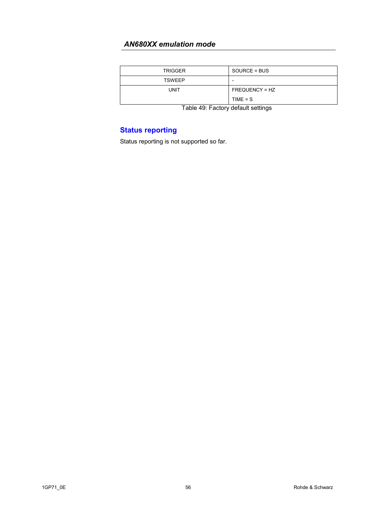| <b>TRIGGER</b> | SOURCE = BUS   |
|----------------|----------------|
| <b>TSWEEP</b>  |                |
| UNIT           | FREQUENCY = HZ |
|                | $TIME = S$     |

Table 49: Factory default settings

# **Status reporting**

Status reporting is not supported so far.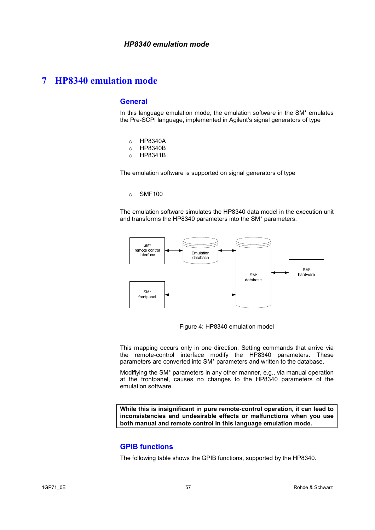#### **General**

In this language emulation mode, the emulation software in the SM\* emulates the Pre-SCPI language, implemented in Agilent's signal generators of type

- o HP8340A
- o HP8340B
- o HP8341B

The emulation software is supported on signal generators of type

#### o SMF100

The emulation software simulates the HP8340 data model in the execution unit and transforms the HP8340 parameters into the SM\* parameters.



Figure 4: HP8340 emulation model

This mapping occurs only in one direction: Setting commands that arrive via the remote-control interface modify the HP8340 parameters. These parameters are converted into SM\* parameters and written to the database.

Modifiying the SM\* parameters in any other manner, e.g., via manual operation at the frontpanel, causes no changes to the HP8340 parameters of the emulation software.

**While this is insignificant in pure remote-control operation, it can lead to inconsistencies and undesirable effects or malfunctions when you use both manual and remote control in this language emulation mode.** 

#### **GPIB functions**

The following table shows the GPIB functions, supported by the HP8340.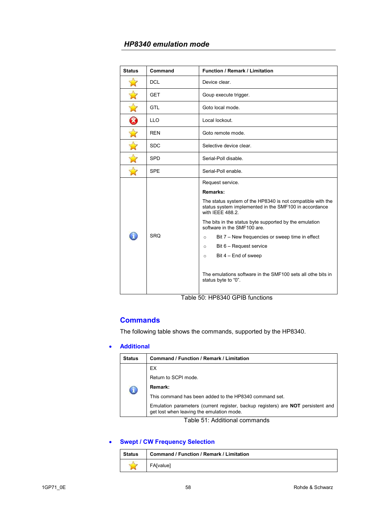| <b>Status</b>        | Command    | <b>Function / Remark / Limitation</b>                                                                                                   |
|----------------------|------------|-----------------------------------------------------------------------------------------------------------------------------------------|
|                      | <b>DCL</b> | Device clear.                                                                                                                           |
|                      | <b>GET</b> | Goup execute trigger.                                                                                                                   |
|                      | <b>GTL</b> | Goto local mode.                                                                                                                        |
| 0                    | <b>LLO</b> | Local lockout.                                                                                                                          |
| $\overrightarrow{M}$ | <b>REN</b> | Goto remote mode.                                                                                                                       |
| $\mathbf{r}$         | <b>SDC</b> | Selective device clear.                                                                                                                 |
| $\Delta$             | <b>SPD</b> | Serial-Poll disable.                                                                                                                    |
|                      | <b>SPE</b> | Serial-Poll enable.                                                                                                                     |
|                      | <b>SRO</b> | Request service.                                                                                                                        |
|                      |            | Remarks:                                                                                                                                |
|                      |            | The status system of the HP8340 is not compatible with the<br>status system implemented in the SMF100 in accordance<br>with IEEE 488.2. |
|                      |            | The bits in the status byte supported by the emulation<br>software in the SMF100 are.                                                   |
|                      |            | Bit 7 – New frequencies or sweep time in effect<br>$\circ$                                                                              |
|                      |            | Bit 6 – Request service<br>$\circ$                                                                                                      |
|                      |            | Bit $4$ – End of sweep<br>$\circ$                                                                                                       |
|                      |            | The emulations software in the SMF100 sets all othe bits in<br>status byte to "0".                                                      |

Table 50: HP8340 GPIB functions

## **Commands**

The following table shows the commands, supported by the HP8340.

### • **Additional**

| <b>Status</b> | Command / Function / Remark / Limitation                                                                                      |  |
|---------------|-------------------------------------------------------------------------------------------------------------------------------|--|
|               | EX.                                                                                                                           |  |
|               | Return to SCPI mode.                                                                                                          |  |
|               | Remark:                                                                                                                       |  |
|               | This command has been added to the HP8340 command set.                                                                        |  |
|               | Emulation parameters (current register, backup registers) are NOT persistent and<br>get lost when leaving the emulation mode. |  |

Table 51: Additional commands

## • **Swept / CW Frequency Selection**

| Status | <b>Command / Function / Remark / Limitation</b> |
|--------|-------------------------------------------------|
|        | <b>FA</b> [value]                               |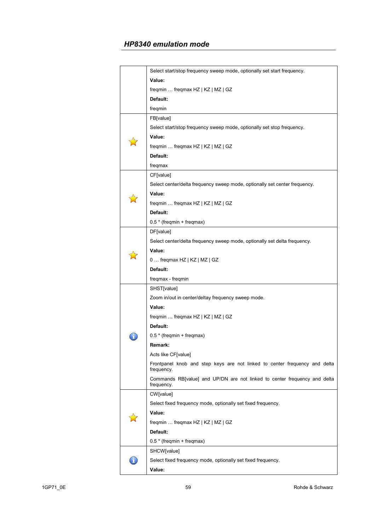|  | Select start/stop frequency sweep mode, optionally set start frequency.                  |
|--|------------------------------------------------------------------------------------------|
|  | Value:                                                                                   |
|  | freqmin  freqmax HZ   KZ   MZ   GZ                                                       |
|  | Default:                                                                                 |
|  | freqmin                                                                                  |
|  | FB[value]                                                                                |
|  | Select start/stop frequency sweep mode, optionally set stop frequency.                   |
|  | Value:                                                                                   |
|  | freqmin  freqmax HZ   KZ   MZ   GZ                                                       |
|  | Default:                                                                                 |
|  | freqmax                                                                                  |
|  | CF[value]                                                                                |
|  | Select center/delta frequency sweep mode, optionally set center frequency.               |
|  | Value:                                                                                   |
|  | freqmin  freqmax HZ   KZ   MZ   GZ                                                       |
|  | Default:                                                                                 |
|  | 0.5 * (freqmin + freqmax)                                                                |
|  | DF[value]                                                                                |
|  | Select center/delta frequency sweep mode, optionally set delta frequency.                |
|  | Value:                                                                                   |
|  | 0  freqmax HZ   KZ   MZ   GZ                                                             |
|  | Default:                                                                                 |
|  | freqmax - freqmin                                                                        |
|  | SHST[value]                                                                              |
|  | Zoom in/out in center/deltay frequency sweep mode.                                       |
|  | Value:                                                                                   |
|  | freqmin  freqmax HZ   KZ   MZ   GZ                                                       |
|  | Default:                                                                                 |
|  | 0.5 * (freqmin + freqmax)                                                                |
|  | Remark:                                                                                  |
|  | Acts like CF[value]                                                                      |
|  | Frontpanel knob and step keys are not linked to center frequency and delta<br>frequency. |
|  | Commands RB[value] and UP/DN are not linked to center frequency and delta<br>frequency.  |
|  | CW[value]                                                                                |
|  | Select fixed frequency mode, optionally set fixed frequency.                             |
|  | Value:                                                                                   |
|  | freqmin  freqmax HZ   KZ   MZ   GZ                                                       |
|  | Default:                                                                                 |
|  | 0.5 * (freqmin + freqmax)                                                                |
|  | SHCW[value]                                                                              |
|  | Select fixed frequency mode, optionally set fixed frequency.                             |
|  | Value:                                                                                   |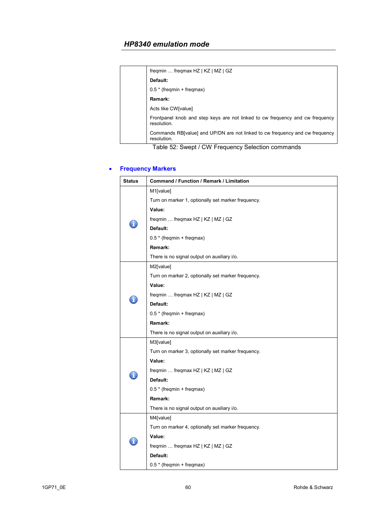| freqmin  freqmax HZ   KZ   MZ   GZ                                                           |
|----------------------------------------------------------------------------------------------|
| Default:                                                                                     |
| $0.5$ * (freqmin + freqmax)                                                                  |
| Remark:                                                                                      |
| Acts like CW[value]                                                                          |
| Frontpanel knob and step keys are not linked to cw frequency and cw frequency<br>resolution. |
| Commands RB[value] and UP/DN are not linked to cw frequency and cw frequency<br>resolution.  |

Table 52: Swept / CW Frequency Selection commands

## • **Frequency Markers**

| <b>Status</b> | Command / Function / Remark / Limitation           |
|---------------|----------------------------------------------------|
|               | M1[value]                                          |
|               | Turn on marker 1, optionally set marker frequency. |
|               | Value:                                             |
|               | freqmin  freqmax HZ   KZ   MZ   GZ                 |
|               | Default:                                           |
|               | 0.5 * (freqmin + freqmax)                          |
|               | Remark:                                            |
|               | There is no signal output on auxiliary i/o.        |
|               | M2[value]                                          |
|               | Turn on marker 2, optionally set marker frequency. |
|               | Value:                                             |
|               | freqmin  freqmax HZ   KZ   MZ   GZ                 |
|               | Default:                                           |
|               | 0.5 * (freqmin + freqmax)                          |
|               | Remark:                                            |
|               | There is no signal output on auxiliary i/o.        |
|               | M3[value]                                          |
|               | Turn on marker 3, optionally set marker frequency. |
|               | Value:                                             |
|               | freqmin  freqmax HZ   KZ   MZ   GZ                 |
|               | Default:                                           |
|               | 0.5 * (freqmin + freqmax)                          |
|               | Remark:                                            |
|               | There is no signal output on auxiliary i/o.        |
|               | M4[value]                                          |
|               | Turn on marker 4, optionally set marker frequency. |
|               | Value:                                             |
|               | freqmin  freqmax HZ   KZ   MZ   GZ                 |
|               | Default:                                           |
|               | 0.5 * (freqmin + freqmax)                          |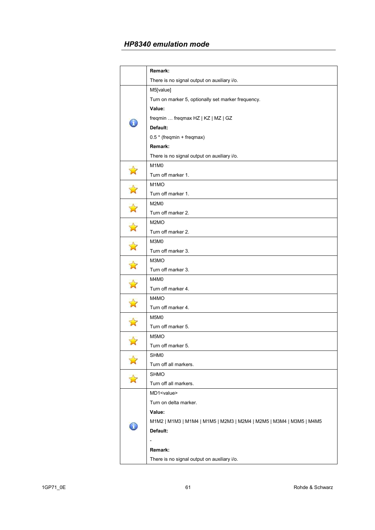|                                 | Remark:                                                             |
|---------------------------------|---------------------------------------------------------------------|
|                                 | There is no signal output on auxiliary i/o.                         |
|                                 | M5[value]                                                           |
|                                 | Turn on marker 5, optionally set marker frequency.                  |
|                                 | Value:                                                              |
|                                 | freqmin  freqmax HZ   KZ   MZ   GZ                                  |
| T                               | Default:                                                            |
|                                 | $0.5 * (freqmin + freqmax)$                                         |
|                                 | Remark:                                                             |
|                                 | There is no signal output on auxiliary i/o.                         |
|                                 | M <sub>1</sub> M <sub>0</sub>                                       |
| $\boldsymbol{\hat{\mathbf{X}}}$ | Turn off marker 1.                                                  |
| $\mathbf{\hat{z}}$              | M <sub>1</sub> MO                                                   |
|                                 | Turn off marker 1.                                                  |
|                                 | <b>M2M0</b>                                                         |
| $\mathbf{\hat{z}}$              | Turn off marker 2.                                                  |
|                                 | M <sub>2</sub> M <sub>O</sub>                                       |
| $\mathbf{z}$                    | Turn off marker 2.                                                  |
| $\mathbf{\hat{z}}$              | M3M0                                                                |
|                                 | Turn off marker 3.                                                  |
| $\overrightarrow{A}$            | M3MO                                                                |
|                                 | Turn off marker 3.                                                  |
|                                 | M4M0                                                                |
|                                 | Turn off marker 4.                                                  |
|                                 | M4MO                                                                |
|                                 | Turn off marker 4.                                                  |
|                                 | M5M0                                                                |
|                                 | Turn off marker 5.                                                  |
|                                 | M <sub>5</sub> MO                                                   |
|                                 | Turn off marker 5.                                                  |
|                                 | SHM0                                                                |
|                                 | Turn off all markers.                                               |
|                                 | <b>SHMO</b>                                                         |
|                                 | Turn off all markers.                                               |
|                                 | MD1 <value></value>                                                 |
|                                 | Turn on delta marker.                                               |
|                                 | Value:                                                              |
|                                 | M1M2   M1M3   M1M4   M1M5   M2M3   M2M4   M2M5   M3M4   M3M5   M4M5 |
|                                 | Default:                                                            |
|                                 |                                                                     |
|                                 | Remark:                                                             |
|                                 | There is no signal output on auxiliary i/o.                         |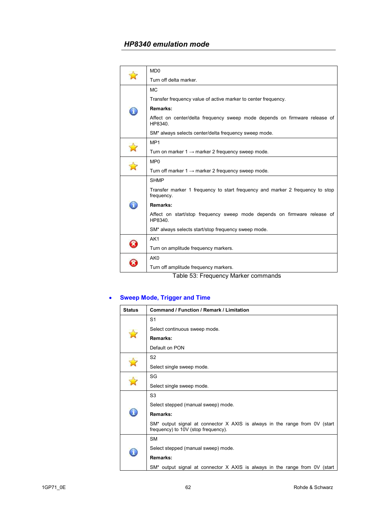|   | MD <sub>0</sub>                                                                             |
|---|---------------------------------------------------------------------------------------------|
|   | Turn off delta marker.                                                                      |
|   | <b>MC</b>                                                                                   |
|   | Transfer frequency value of active marker to center frequency.                              |
| ī | Remarks:                                                                                    |
|   | Affect on center/delta frequency sweep mode depends on firmware release of<br>HP8340.       |
|   | SM* always selects center/delta frequency sweep mode.                                       |
|   | MP <sub>1</sub>                                                                             |
|   | Turn on marker $1 \rightarrow$ marker 2 frequency sweep mode.                               |
|   | MP <sub>0</sub>                                                                             |
|   | Turn off marker $1 \rightarrow$ marker 2 frequency sweep mode.                              |
|   | <b>SHMP</b>                                                                                 |
|   | Transfer marker 1 frequency to start frequency and marker 2 frequency to stop<br>frequency. |
|   | Remarks:                                                                                    |
|   | Affect on start/stop frequency sweep mode depends on firmware release of<br>HP8340.         |
|   | SM* always selects start/stop frequency sweep mode.                                         |
|   | AK1                                                                                         |
|   | Turn on amplitude frequency markers.                                                        |
|   | AK <sub>0</sub>                                                                             |
|   | Turn off amplitude frequency markers.                                                       |
|   |                                                                                             |

Table 53: Frequency Marker commands

# • **Sweep Mode, Trigger and Time**

| <b>Status</b> | Command / Function / Remark / Limitation                                                                           |
|---------------|--------------------------------------------------------------------------------------------------------------------|
|               | S <sub>1</sub>                                                                                                     |
|               | Select continuous sweep mode.                                                                                      |
|               | Remarks:                                                                                                           |
|               | Default on PON                                                                                                     |
|               | S <sub>2</sub>                                                                                                     |
|               | Select single sweep mode.                                                                                          |
|               | SG                                                                                                                 |
|               | Select single sweep mode.                                                                                          |
|               | S <sub>3</sub>                                                                                                     |
|               | Select stepped (manual sweep) mode.                                                                                |
|               | Remarks:                                                                                                           |
|               | SM* output signal at connector X AXIS is always in the range from 0V (start<br>frequency) to 10V (stop frequency). |
|               | <b>SM</b>                                                                                                          |
|               | Select stepped (manual sweep) mode.                                                                                |
|               | Remarks:                                                                                                           |
|               | SM* output signal at connector X AXIS is always in the range from 0V (start                                        |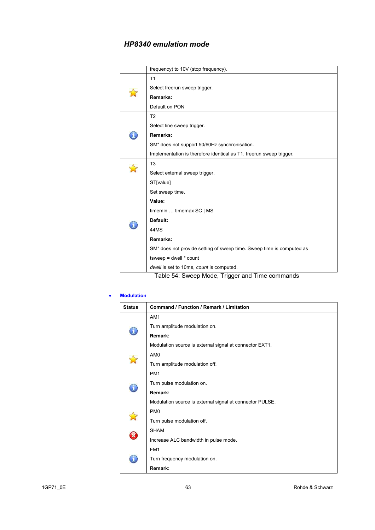|  | frequency) to 10V (stop frequency).                                   |
|--|-----------------------------------------------------------------------|
|  | T1                                                                    |
|  | Select freerun sweep trigger.                                         |
|  | Remarks:                                                              |
|  | Default on PON                                                        |
|  | T <sub>2</sub>                                                        |
|  | Select line sweep trigger.                                            |
|  | Remarks:                                                              |
|  | SM* does not support 50/60Hz synchronisation.                         |
|  | Implementation is therefore identical as T1, freerun sweep trigger.   |
|  | T <sub>3</sub>                                                        |
|  | Select external sweep trigger.                                        |
|  | ST[value]                                                             |
|  | Set sweep time.                                                       |
|  | Value:                                                                |
|  | timemin  timemax SC   MS                                              |
|  | Default:                                                              |
|  | 44MS                                                                  |
|  | Remarks:                                                              |
|  | SM* does not provide setting of sweep time. Sweep time is computed as |
|  | $t$ sweep = dwell $*$ count                                           |
|  | dwell is set to 10ms, count is computed.                              |
|  | Toble 54: Cureon Mode, Trigger and Time commander                     |

Table 54: Sweep Mode, Trigger and Time commands

#### • **Modulation**

| <b>Status</b> | <b>Command / Function / Remark / Limitation</b>          |
|---------------|----------------------------------------------------------|
| T             | AM <sub>1</sub>                                          |
|               | Turn amplitude modulation on.                            |
|               | Remark:                                                  |
|               | Modulation source is external signal at connector EXT1.  |
|               | AM <sub>0</sub>                                          |
|               | Turn amplitude modulation off.                           |
|               | PM <sub>1</sub>                                          |
| A)            | Turn pulse modulation on.                                |
|               | Remark:                                                  |
|               | Modulation source is external signal at connector PULSE. |
|               | PM <sub>0</sub>                                          |
|               | Turn pulse modulation off.                               |
|               | <b>SHAM</b>                                              |
|               | Increase ALC bandwidth in pulse mode.                    |
|               | FM <sub>1</sub>                                          |
|               | Turn frequency modulation on.                            |
|               | Remark:                                                  |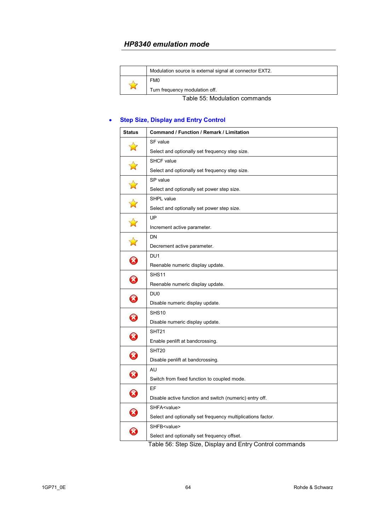|                               | Modulation source is external signal at connector EXT2. |
|-------------------------------|---------------------------------------------------------|
| 财                             | FM <sub>0</sub>                                         |
|                               | Turn frequency modulation off.                          |
| Table 55: Modulation commands |                                                         |

### • **Step Size, Display and Entry Control**

| <b>Status</b>         | Command / Function / Remark / Limitation                                                                       |
|-----------------------|----------------------------------------------------------------------------------------------------------------|
| $\mathbb{Z}$          | SF value                                                                                                       |
|                       | Select and optionally set frequency step size.                                                                 |
|                       | <b>SHCF</b> value                                                                                              |
| $\mathbf{\hat{z}}$    | Select and optionally set frequency step size.                                                                 |
| $\Delta$              | SP value                                                                                                       |
|                       | Select and optionally set power step size.                                                                     |
| $\Delta$              | SHPL value                                                                                                     |
|                       | Select and optionally set power step size.                                                                     |
| $\Delta$              | UP                                                                                                             |
|                       | Increment active parameter.                                                                                    |
| $\mathbb{Z}$          | DN                                                                                                             |
|                       | Decrement active parameter.                                                                                    |
| $\bm{\Omega}$         | DU1                                                                                                            |
|                       | Reenable numeric display update.                                                                               |
|                       | SHS <sub>11</sub>                                                                                              |
| $\boldsymbol{\Omega}$ | Reenable numeric display update.                                                                               |
| $\boldsymbol{\Omega}$ | DU <sub>0</sub>                                                                                                |
|                       | Disable numeric display update.                                                                                |
| 0                     | SHS <sub>10</sub>                                                                                              |
|                       | Disable numeric display update.                                                                                |
| 0                     | SHT <sub>21</sub>                                                                                              |
|                       | Enable penlift at bandcrossing.                                                                                |
| $\boldsymbol{\Omega}$ | SHT <sub>20</sub>                                                                                              |
|                       | Disable penlift at bandcrossing.                                                                               |
| $\boldsymbol{\Omega}$ | AU                                                                                                             |
|                       | Switch from fixed function to coupled mode.                                                                    |
| 0                     | EF                                                                                                             |
|                       | Disable active function and switch (numeric) entry off.                                                        |
| 3                     | SHFA <value></value>                                                                                           |
|                       | Select and optionally set frequency multiplications factor.                                                    |
| $\mathbf{z}$          | SHFB <value></value>                                                                                           |
|                       | Select and optionally set frequency offset.<br>Table FC: Chan Cine, Dianley and Entry Central common<br>د ام د |

Table 56: Step Size, Display and Entry Control commands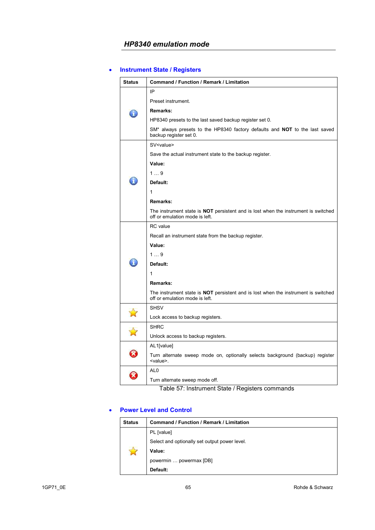### • **Instrument State / Registers**

| <b>Status</b> | Command / Function / Remark / Limitation                                                                                    |
|---------------|-----------------------------------------------------------------------------------------------------------------------------|
|               | ΙP                                                                                                                          |
| L             | Preset instrument.                                                                                                          |
|               | Remarks:                                                                                                                    |
|               | HP8340 presets to the last saved backup register set 0.                                                                     |
|               | SM* always presets to the HP8340 factory defaults and <b>NOT</b> to the last saved<br>backup register set 0.                |
|               | SV <value></value>                                                                                                          |
|               | Save the actual instrument state to the backup register.                                                                    |
|               | Value:                                                                                                                      |
|               | 19                                                                                                                          |
|               | Default:                                                                                                                    |
|               | 1                                                                                                                           |
|               | Remarks:                                                                                                                    |
|               | The instrument state is <b>NOT</b> persistent and is lost when the instrument is switched<br>off or emulation mode is left. |
|               | <b>RC</b> value                                                                                                             |
|               | Recall an instrument state from the backup register.                                                                        |
|               | Value:                                                                                                                      |
|               | 19                                                                                                                          |
|               | Default:                                                                                                                    |
|               | 1                                                                                                                           |
|               | Remarks:                                                                                                                    |
|               | The instrument state is <b>NOT</b> persistent and is lost when the instrument is switched<br>off or emulation mode is left. |
|               | <b>SHSV</b>                                                                                                                 |
|               | Lock access to backup registers.                                                                                            |
|               | <b>SHRC</b>                                                                                                                 |
|               | Unlock access to backup registers.                                                                                          |
|               | AL1[value]                                                                                                                  |
| <b>X</b>      | Turn alternate sweep mode on, optionally selects background (backup) register<br><value>.</value>                           |
|               | AL <sub>0</sub>                                                                                                             |
|               | Turn alternate sweep mode off.                                                                                              |

Table 57: Instrument State / Registers commands

### • **Power Level and Control**

| <b>Status</b> | Command / Function / Remark / Limitation      |
|---------------|-----------------------------------------------|
|               | PL [value]                                    |
|               | Select and optionally set output power level. |
|               | Value:                                        |
|               | powermin  powermax [DB]                       |
|               | Default:                                      |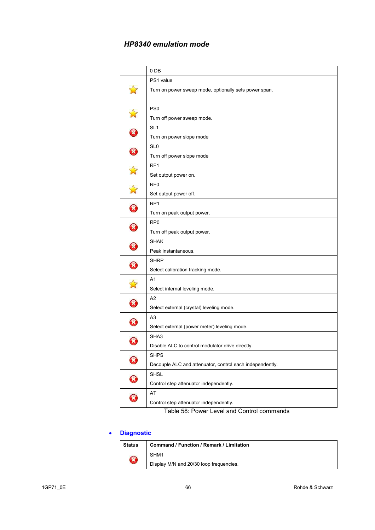|                                  | 0 DB                                                     |
|----------------------------------|----------------------------------------------------------|
|                                  | PS1 value                                                |
|                                  | Turn on power sweep mode, optionally sets power span.    |
| $\boldsymbol{\hat{\mathcal{A}}}$ | PS <sub>0</sub>                                          |
|                                  | Turn off power sweep mode.                               |
|                                  | SL <sub>1</sub>                                          |
| $\boldsymbol{\mathcal{B}}$       | Turn on power slope mode                                 |
| 0                                | SL <sub>0</sub>                                          |
|                                  | Turn off power slope mode                                |
| $\mathbf{\hat{z}}$               | RF <sub>1</sub>                                          |
|                                  | Set output power on.                                     |
| $\mathbf{r}$                     | RF <sub>0</sub>                                          |
|                                  | Set output power off.                                    |
| $\boldsymbol{\Omega}$            | RP <sub>1</sub>                                          |
|                                  | Turn on peak output power.                               |
| $\bm{\Omega}$                    | RP <sub>0</sub>                                          |
|                                  | Turn off peak output power.                              |
|                                  | <b>SHAK</b>                                              |
| 0                                | Peak instantaneous.                                      |
| $\bm{\Omega}$                    | <b>SHRP</b>                                              |
|                                  | Select calibration tracking mode.                        |
| $\mathbf{N}$                     | A <sub>1</sub>                                           |
|                                  | Select internal leveling mode.                           |
|                                  | A <sub>2</sub>                                           |
| $\boldsymbol{\Omega}$            | Select external (crystal) leveling mode.                 |
| $\boldsymbol{\Omega}$            | A <sub>3</sub>                                           |
|                                  | Select external (power meter) leveling mode.             |
| $\Omega$                         | SHA3                                                     |
|                                  | Disable ALC to control modulator drive directly.         |
| $\boldsymbol{\mathcal{R}}$       | <b>SHPS</b>                                              |
|                                  | Decouple ALC and attenuator, control each independently. |
| 0                                | <b>SHSL</b>                                              |
|                                  | Control step attenuator independently.                   |
| $\Omega$                         | AT                                                       |
|                                  | Control step attenuator independently.                   |

Table 58: Power Level and Control commands

## • **Diagnostic**

| <b>Status</b>              | <b>Command / Function / Remark / Limitation</b> |
|----------------------------|-------------------------------------------------|
| $\boldsymbol{\mathcal{S}}$ | SHM1                                            |
|                            | Display M/N and 20/30 loop frequencies.         |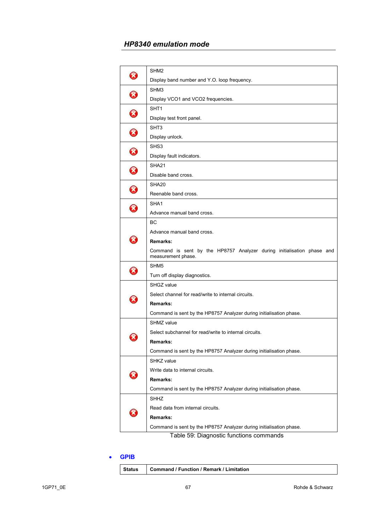| X)                         | SHM <sub>2</sub>                                                                             |
|----------------------------|----------------------------------------------------------------------------------------------|
|                            | Display band number and Y.O. loop frequency.                                                 |
| $\boldsymbol{\mathcal{R}}$ | SHM <sub>3</sub>                                                                             |
|                            | Display VCO1 and VCO2 frequencies.                                                           |
| ❸                          | SHT <sub>1</sub>                                                                             |
|                            | Display test front panel.                                                                    |
| $\Omega$                   | SHT <sub>3</sub>                                                                             |
|                            | Display unlock.                                                                              |
| 3                          | SHS3                                                                                         |
|                            | Display fault indicators.                                                                    |
| $\mathbf{\widehat{x}}$     | SHA <sub>21</sub>                                                                            |
|                            | Disable band cross.                                                                          |
| $\Omega$                   | SHA <sub>20</sub>                                                                            |
|                            | Reenable band cross.                                                                         |
| X,                         | SHA <sub>1</sub>                                                                             |
|                            | Advance manual band cross.                                                                   |
|                            | BС                                                                                           |
|                            | Advance manual band cross.                                                                   |
| ×                          | Remarks:                                                                                     |
|                            | Command is sent by the HP8757 Analyzer during initialisation phase and<br>measurement phase. |
| X)                         | SHM <sub>5</sub>                                                                             |
|                            | Turn off display diagnostics.                                                                |
|                            | SHGZ value                                                                                   |
|                            | Select channel for read/write to internal circuits.                                          |
|                            | Remarks:                                                                                     |
|                            | Command is sent by the HP8757 Analyzer during initialisation phase.                          |
|                            | SHMZ value                                                                                   |
|                            | Select subchannel for read/write to internal circuits.                                       |
|                            | Remarks:                                                                                     |
|                            | Command is sent by the HP8757 Analyzer during initialisation phase.                          |
|                            | SHKZ value                                                                                   |
|                            | Write data to internal circuits.                                                             |
|                            | Remarks:                                                                                     |
|                            | Command is sent by the HP8757 Analyzer during initialisation phase.                          |
|                            | SHHZ                                                                                         |
|                            | Read data from internal circuits.                                                            |
|                            | Remarks:                                                                                     |
|                            | Command is sent by the HP8757 Analyzer during initialisation phase.                          |
|                            |                                                                                              |

#### Table 59: Diagnostic functions commands

#### • **GPIB**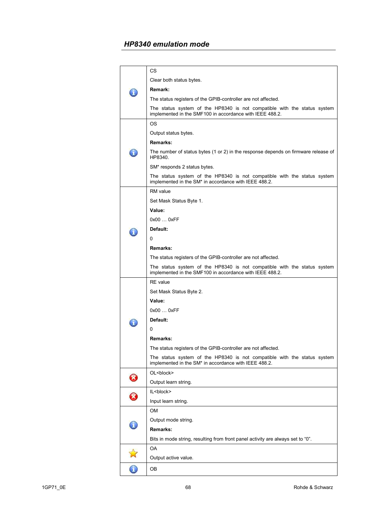|   | СS                                                                                                                                            |
|---|-----------------------------------------------------------------------------------------------------------------------------------------------|
|   | Clear both status bytes.                                                                                                                      |
|   | Remark:                                                                                                                                       |
|   | The status registers of the GPIB-controller are not affected.                                                                                 |
|   | The status system of the HP8340 is not compatible with the status system<br>implemented in the SMF100 in accordance with IEEE 488.2.          |
|   | ΟS                                                                                                                                            |
|   | Output status bytes.                                                                                                                          |
|   | Remarks:                                                                                                                                      |
|   | The number of status bytes (1 or 2) in the response depends on firmware release of<br>HP8340.                                                 |
|   | SM* responds 2 status bytes.                                                                                                                  |
|   | The status system of the HP8340 is not compatible with the status system<br>implemented in the SM <sup>*</sup> in accordance with IEEE 488.2. |
|   | RM value                                                                                                                                      |
|   | Set Mask Status Byte 1.                                                                                                                       |
|   | Value:                                                                                                                                        |
|   | 0x000xFF                                                                                                                                      |
|   | Default:                                                                                                                                      |
|   | 0                                                                                                                                             |
|   | Remarks:                                                                                                                                      |
|   | The status registers of the GPIB-controller are not affected.                                                                                 |
|   | The status system of the HP8340 is not compatible with the status system<br>implemented in the SMF100 in accordance with IEEE 488.2.          |
|   | <b>RE</b> value                                                                                                                               |
|   | Set Mask Status Byte 2.                                                                                                                       |
|   | Value:                                                                                                                                        |
|   | 0x000xFF                                                                                                                                      |
|   | Default:                                                                                                                                      |
|   | 0                                                                                                                                             |
|   | Remarks:                                                                                                                                      |
|   | The status registers of the GPIB-controller are not affected.                                                                                 |
|   | The status system of the HP8340 is not compatible with the status system<br>implemented in the SM* in accordance with IEEE 488.2.             |
|   | OL <block></block>                                                                                                                            |
| 0 | Output learn string.                                                                                                                          |
|   | IL<br>block>                                                                                                                                  |
| Ø | Input learn string.                                                                                                                           |
|   | OM                                                                                                                                            |
|   | Output mode string.                                                                                                                           |
| ï | Remarks:                                                                                                                                      |
|   | Bits in mode string, resulting from front panel activity are always set to "0".                                                               |
|   | OA                                                                                                                                            |
|   | Output active value.                                                                                                                          |
| 6 | OВ                                                                                                                                            |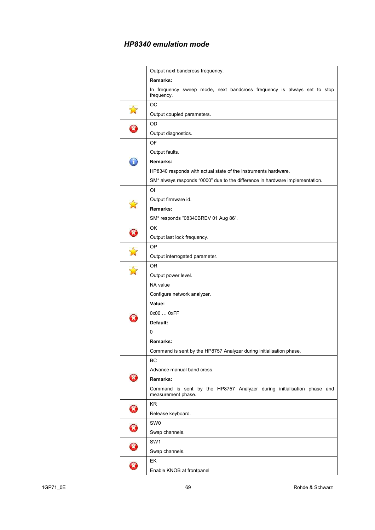|                            | Output next bandcross frequency.                                                             |  |  |  |
|----------------------------|----------------------------------------------------------------------------------------------|--|--|--|
|                            | Remarks:                                                                                     |  |  |  |
|                            | In frequency sweep mode, next bandcross frequency is always set to stop<br>frequency.        |  |  |  |
|                            | OС                                                                                           |  |  |  |
| $\mathbf{z}$               | Output coupled parameters.                                                                   |  |  |  |
|                            | OD                                                                                           |  |  |  |
| 0                          | Output diagnostics.                                                                          |  |  |  |
|                            | OF                                                                                           |  |  |  |
|                            | Output faults.                                                                               |  |  |  |
|                            | Remarks:                                                                                     |  |  |  |
|                            | HP8340 responds with actual state of the instruments hardware.                               |  |  |  |
|                            | SM* always responds "0000" due to the difference in hardware implementation.                 |  |  |  |
|                            | ΟI                                                                                           |  |  |  |
|                            | Output firmware id.                                                                          |  |  |  |
|                            | Remarks:                                                                                     |  |  |  |
|                            | SM* responds "08340BREV 01 Aug 86".                                                          |  |  |  |
|                            | OK                                                                                           |  |  |  |
| ❸                          | Output last lock frequency.                                                                  |  |  |  |
|                            | OΡ                                                                                           |  |  |  |
|                            | Output interrogated parameter.                                                               |  |  |  |
|                            | 0R                                                                                           |  |  |  |
|                            | Output power level.                                                                          |  |  |  |
|                            | NA value                                                                                     |  |  |  |
|                            | Configure network analyzer.                                                                  |  |  |  |
|                            | Value:                                                                                       |  |  |  |
|                            | 0x00  0xFF                                                                                   |  |  |  |
|                            | Default:                                                                                     |  |  |  |
|                            | 0                                                                                            |  |  |  |
|                            | Remarks:                                                                                     |  |  |  |
|                            | Command is sent by the HP8757 Analyzer during initialisation phase.                          |  |  |  |
|                            | ВC                                                                                           |  |  |  |
|                            | Advance manual band cross.                                                                   |  |  |  |
|                            | Remarks:                                                                                     |  |  |  |
|                            | Command is sent by the HP8757 Analyzer during initialisation phase and<br>measurement phase. |  |  |  |
| $\boldsymbol{\mathcal{S}}$ | ΚR                                                                                           |  |  |  |
|                            | Release keyboard.                                                                            |  |  |  |
| Ø                          | SW0                                                                                          |  |  |  |
|                            | Swap channels.                                                                               |  |  |  |
| $\boldsymbol{\mathcal{S}}$ | SW <sub>1</sub>                                                                              |  |  |  |
|                            | Swap channels.                                                                               |  |  |  |
|                            | EK                                                                                           |  |  |  |
| B                          | Enable KNOB at frontpanel                                                                    |  |  |  |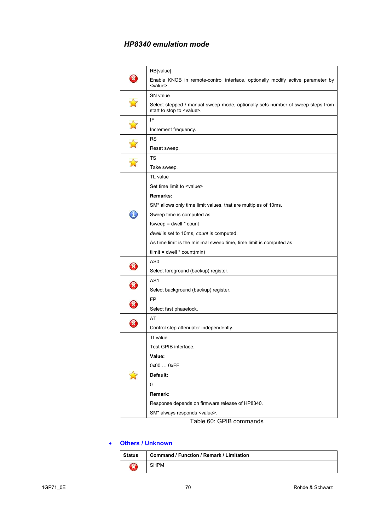|                            | RB[value]                                                                                                           |
|----------------------------|---------------------------------------------------------------------------------------------------------------------|
|                            | Enable KNOB in remote-control interface, optionally modify active parameter by<br><value>.</value>                  |
|                            | SN value                                                                                                            |
|                            | Select stepped / manual sweep mode, optionally sets number of sweep steps from<br>start to stop to <value>.</value> |
|                            | IF                                                                                                                  |
|                            | Increment frequency.                                                                                                |
|                            | <b>RS</b>                                                                                                           |
|                            | Reset sweep.                                                                                                        |
|                            | TS                                                                                                                  |
|                            | Take sweep.                                                                                                         |
|                            | TL value                                                                                                            |
|                            | Set time limit to <value></value>                                                                                   |
|                            | Remarks:                                                                                                            |
|                            | SM* allows only time limit values, that are multiples of 10ms.                                                      |
|                            | Sweep time is computed as                                                                                           |
|                            | $t$ sweep = dwell $*$ count                                                                                         |
|                            | dwell is set to 10ms, count is computed.                                                                            |
|                            | As time limit is the minimal sweep time, time limit is computed as                                                  |
|                            | $t$ limit = dwell $*$ count(min)                                                                                    |
| $\bm{O}$                   | AS0                                                                                                                 |
|                            | Select foreground (backup) register.                                                                                |
| $\boldsymbol{\mathcal{R}}$ | AS1                                                                                                                 |
|                            | Select background (backup) register.                                                                                |
| Ø                          | FP                                                                                                                  |
|                            | Select fast phaselock.                                                                                              |
| X)                         | AT                                                                                                                  |
|                            | Control step attenuator independently.                                                                              |
|                            | TI value                                                                                                            |
|                            | Test GPIB interface                                                                                                 |
|                            | Value:                                                                                                              |
|                            | 0x00  0xFF                                                                                                          |
|                            | Default:                                                                                                            |
|                            | 0                                                                                                                   |
|                            | Remark:                                                                                                             |
|                            | Response depends on firmware release of HP8340.                                                                     |
|                            | SM* always responds <value>.</value>                                                                                |

Table 60: GPIB commands

### • **Others / Unknown**

| Status             | <b>Command / Function / Remark / Limitation</b> |
|--------------------|-------------------------------------------------|
| $\mathbf{\hat{x}}$ | <b>SHPM</b>                                     |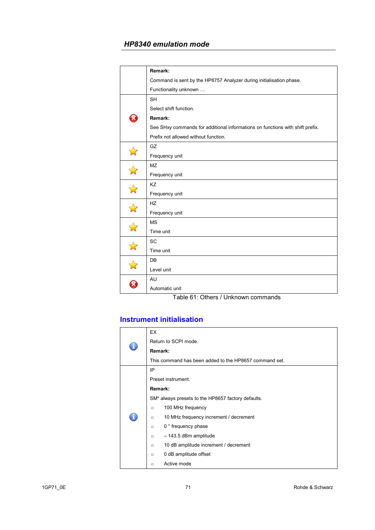|              | Remark:                                                                       |  |  |  |
|--------------|-------------------------------------------------------------------------------|--|--|--|
|              | Command is sent by the HP8757 Analyzer during initialisation phase.           |  |  |  |
|              | Functionality unknown                                                         |  |  |  |
|              | <b>SH</b>                                                                     |  |  |  |
|              | Select shift function.                                                        |  |  |  |
| X            | Remark:                                                                       |  |  |  |
|              | See SHxy commands for additional informations on functions with shift prefix. |  |  |  |
|              | Prefix not allowed without function.                                          |  |  |  |
|              | GZ                                                                            |  |  |  |
|              | Frequency unit                                                                |  |  |  |
| $\mathbf{r}$ | <b>MZ</b>                                                                     |  |  |  |
|              | Frequency unit                                                                |  |  |  |
|              | KZ                                                                            |  |  |  |
|              | Frequency unit                                                                |  |  |  |
|              | <b>HZ</b>                                                                     |  |  |  |
|              | Frequency unit                                                                |  |  |  |
| $\mathbf{N}$ | <b>MS</b>                                                                     |  |  |  |
|              | Time unit                                                                     |  |  |  |
|              | <b>SC</b>                                                                     |  |  |  |
|              | Time unit                                                                     |  |  |  |
|              | DB                                                                            |  |  |  |
|              | Level unit                                                                    |  |  |  |
|              | AU                                                                            |  |  |  |
|              | Automatic unit                                                                |  |  |  |

Table 61: Others / Unknown commands

# **Instrument initialisation**

|  | EX                                                     |  |  |
|--|--------------------------------------------------------|--|--|
|  | Return to SCPI mode.                                   |  |  |
|  | Remark:                                                |  |  |
|  | This command has been added to the HP8657 command set. |  |  |
|  | IP                                                     |  |  |
|  | Preset instrument.                                     |  |  |
|  | Remark:                                                |  |  |
|  | SM* always presets to the HP8657 factory defaults.     |  |  |
|  | 100 MHz frequency<br>$\circ$                           |  |  |
|  | 10 MHz frequency increment / decrement<br>$\circ$      |  |  |
|  | 0 ° frequency phase<br>$\circ$                         |  |  |
|  | - 143.5 dBm amplitude<br>$\circ$                       |  |  |
|  | 10 dB amplitude increment / decrement<br>$\circ$       |  |  |
|  | 0 dB amplitude offset<br>$\circ$                       |  |  |
|  | Active mode<br>$\circ$                                 |  |  |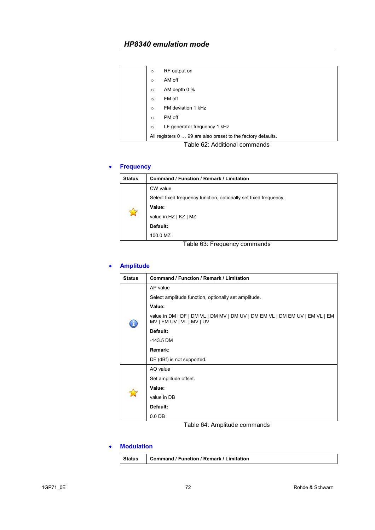|  | $\circ$ | RF output on                                                 |
|--|---------|--------------------------------------------------------------|
|  | $\circ$ | AM off                                                       |
|  | $\circ$ | AM depth 0 %                                                 |
|  | $\circ$ | FM off                                                       |
|  | $\circ$ | FM deviation 1 kHz                                           |
|  | $\circ$ | PM off                                                       |
|  | $\circ$ | LF generator frequency 1 kHz                                 |
|  |         | All registers 0  99 are also preset to the factory defaults. |
|  |         |                                                              |

Table 62: Additional commands

### • **Frequency**

| <b>Status</b> | Command / Function / Remark / Limitation                         |
|---------------|------------------------------------------------------------------|
|               | CW value                                                         |
|               | Select fixed frequency function, optionally set fixed frequency. |
|               | Value:                                                           |
|               | value in HZ   KZ   MZ                                            |
|               | Default:                                                         |
|               | 100.0 MZ                                                         |

#### Table 63: Frequency commands

### • **Amplitude**

| <b>Status</b> | <b>Command / Function / Remark / Limitation</b>                                                          |
|---------------|----------------------------------------------------------------------------------------------------------|
|               | AP value                                                                                                 |
|               | Select amplitude function, optionally set amplitude.                                                     |
|               | Value:                                                                                                   |
|               | value in DM   DF   DM VL   DM MV   DM UV   DM EM VL   DM EM UV   EM VL   EM<br>MV   EM UV   VL   MV   UV |
|               | Default:                                                                                                 |
|               | $-143.5$ DM                                                                                              |
|               | Remark:                                                                                                  |
|               | DF (dBf) is not supported.                                                                               |
|               | AO value                                                                                                 |
|               | Set amplitude offset.                                                                                    |
|               | Value:                                                                                                   |
|               | value in DB                                                                                              |
|               | Default:                                                                                                 |
|               | $0.0$ DB                                                                                                 |

### Table 64: Amplitude commands

#### • **Modulation**

|  | Status   Command / Function / Remark / Limitation |  |
|--|---------------------------------------------------|--|
|--|---------------------------------------------------|--|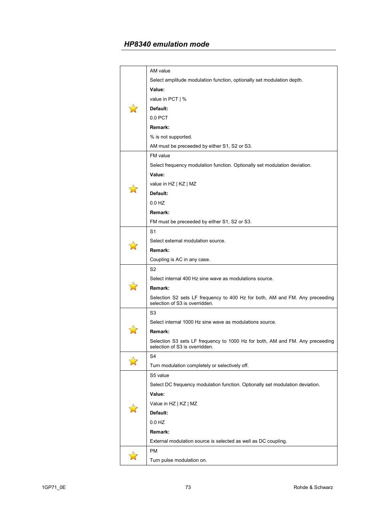|  | AM value                                                                                                       |
|--|----------------------------------------------------------------------------------------------------------------|
|  | Select amplitude modulation function, optionally set modulation depth.                                         |
|  | Value:                                                                                                         |
|  | value in PCT   %                                                                                               |
|  | Default:                                                                                                       |
|  | $0.0$ PCT                                                                                                      |
|  | Remark:                                                                                                        |
|  | % is not supported.                                                                                            |
|  | AM must be preceeded by either S1, S2 or S3.                                                                   |
|  | FM value                                                                                                       |
|  | Select frequency modulation function. Optionally set modulation deviation.                                     |
|  | Value:                                                                                                         |
|  | value in HZ   KZ   MZ                                                                                          |
|  | Default:                                                                                                       |
|  | 0.0 HZ                                                                                                         |
|  | Remark:                                                                                                        |
|  | FM must be preceeded by either S1, S2 or S3.                                                                   |
|  | S <sub>1</sub>                                                                                                 |
|  | Select external modulation source.                                                                             |
|  | Remark:                                                                                                        |
|  | Coupling is AC in any case.                                                                                    |
|  | S <sub>2</sub>                                                                                                 |
|  | Select internal 400 Hz sine wave as modulations source.                                                        |
|  | Remark:                                                                                                        |
|  | Selection S2 sets LF frequency to 400 Hz for both, AM and FM. Any preceeding<br>selection of S3 is overridden. |
|  | S3                                                                                                             |
|  | Select internal 1000 Hz sine wave as modulations source.                                                       |
|  | Remark:                                                                                                        |
|  | Selection S3 sets LF frequency to 1000 Hz for both, AM and FM. Any preceeding                                  |
|  | selection of S3 is overridden.                                                                                 |
|  | S4                                                                                                             |
|  | Turn modulation completely or selectively off.                                                                 |
|  | S5 value                                                                                                       |
|  | Select DC frequency modulation function. Optionally set modulation deviation.                                  |
|  | Value:                                                                                                         |
|  | Value in HZ   KZ   MZ                                                                                          |
|  | Default:                                                                                                       |
|  | 0.0 HZ                                                                                                         |
|  | Remark:                                                                                                        |
|  | External modulation source is selected as well as DC coupling.                                                 |
|  | PM                                                                                                             |
|  | Turn pulse modulation on.                                                                                      |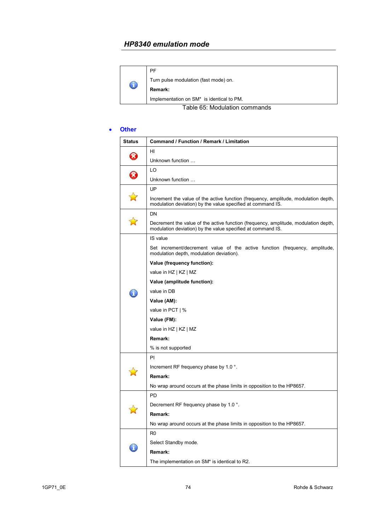| C                             | <b>PF</b>                                             |
|-------------------------------|-------------------------------------------------------|
|                               | Turn pulse modulation (fast mode) on.                 |
|                               | Remark:                                               |
|                               | Implementation on SM <sup>*</sup> is identical to PM. |
| Table 65: Modulation commands |                                                       |

#### • **Other**

| <b>Status</b> | Command / Function / Remark / Limitation                                                                                                           |
|---------------|----------------------------------------------------------------------------------------------------------------------------------------------------|
| B             | HI                                                                                                                                                 |
|               | Unknown function                                                                                                                                   |
| $\Omega$      | LO                                                                                                                                                 |
|               | Unknown function                                                                                                                                   |
|               | UP                                                                                                                                                 |
|               | Increment the value of the active function (frequency, amplitude, modulation depth,<br>modulation deviation) by the value specified at command IS. |
|               | DN                                                                                                                                                 |
|               | Decrement the value of the active function (frequency, amplitude, modulation depth,<br>modulation deviation) by the value specified at command IS. |
|               | IS value                                                                                                                                           |
|               | Set increment/decrement value of the active function (frequency, amplitude,<br>modulation depth, modulation deviation).                            |
|               | Value (frequency function):                                                                                                                        |
|               | value in HZ   KZ   MZ                                                                                                                              |
|               | Value (amplitude function):                                                                                                                        |
|               | value in DB                                                                                                                                        |
|               | Value (AM):                                                                                                                                        |
|               | value in PCT   %                                                                                                                                   |
|               | Value (FM):                                                                                                                                        |
|               | value in HZ   KZ   MZ                                                                                                                              |
|               | Remark:                                                                                                                                            |
|               | % is not supported                                                                                                                                 |
|               | PI                                                                                                                                                 |
|               | Increment RF frequency phase by 1.0 °.                                                                                                             |
|               | Remark:                                                                                                                                            |
|               | No wrap around occurs at the phase limits in opposition to the HP8657.                                                                             |
|               | PD                                                                                                                                                 |
|               | Decrement RF frequency phase by 1.0 °.                                                                                                             |
|               | Remark:                                                                                                                                            |
|               | No wrap around occurs at the phase limits in opposition to the HP8657.                                                                             |
|               | R0                                                                                                                                                 |
|               | Select Standby mode.                                                                                                                               |
|               | Remark:                                                                                                                                            |
|               | The implementation on SM* is identical to R2.                                                                                                      |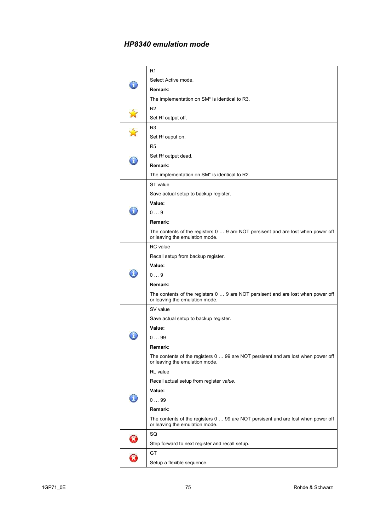|    | R1                                                                                                                  |
|----|---------------------------------------------------------------------------------------------------------------------|
| ĭ. | Select Active mode.                                                                                                 |
|    | Remark:                                                                                                             |
|    | The implementation on SM* is identical to R3.                                                                       |
|    | R <sub>2</sub>                                                                                                      |
|    | Set Rf output off.                                                                                                  |
|    | R <sub>3</sub>                                                                                                      |
|    | Set Rf ouput on.                                                                                                    |
|    | R <sub>5</sub>                                                                                                      |
| ī  | Set Rf output dead.                                                                                                 |
|    | Remark:                                                                                                             |
|    | The implementation on SM* is identical to R2.                                                                       |
|    | ST value                                                                                                            |
|    | Save actual setup to backup register.                                                                               |
|    | Value:                                                                                                              |
|    | $0 \ldots 9$                                                                                                        |
|    | Remark:                                                                                                             |
|    | The contents of the registers 0  9 are NOT persisent and are lost when power off<br>or leaving the emulation mode.  |
|    | RC value                                                                                                            |
|    | Recall setup from backup register.                                                                                  |
|    | Value:                                                                                                              |
|    | 09                                                                                                                  |
|    | Remark:                                                                                                             |
|    | The contents of the registers 0  9 are NOT persisent and are lost when power off<br>or leaving the emulation mode.  |
|    | SV value                                                                                                            |
|    | Save actual setup to backup register.                                                                               |
|    | Value:                                                                                                              |
|    | 099                                                                                                                 |
|    | Remark:                                                                                                             |
|    | The contents of the registers 0  99 are NOT persisent and are lost when power off<br>or leaving the emulation mode. |
|    | RL value                                                                                                            |
|    | Recall actual setup from register value.                                                                            |
| T  | Value:                                                                                                              |
|    | 099                                                                                                                 |
|    | Remark:                                                                                                             |
|    | The contents of the registers 0  99 are NOT persisent and are lost when power off<br>or leaving the emulation mode. |
|    | SQ                                                                                                                  |
|    | Step forward to next register and recall setup.                                                                     |
| X  | GT                                                                                                                  |
|    | Setup a flexible sequence.                                                                                          |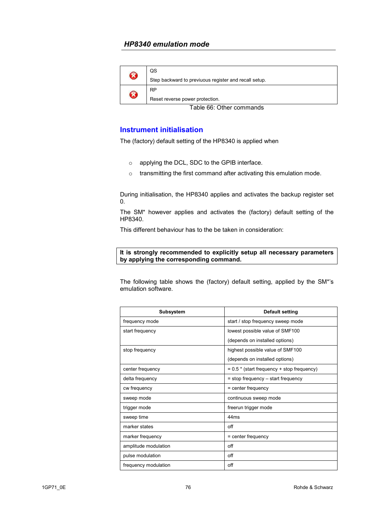| B                                | QS                                                    |
|----------------------------------|-------------------------------------------------------|
|                                  | Step backward to previuous register and recall setup. |
| B                                | <b>RP</b>                                             |
|                                  | Reset reverse power protection.                       |
| $T - L = 0$ . Other conservation |                                                       |

Table 66: Other commands

#### **Instrument initialisation**

The (factory) default setting of the HP8340 is applied when

- o applying the DCL, SDC to the GPIB interface.
- o transmitting the first command after activating this emulation mode.

During initialisation, the HP8340 applies and activates the backup register set 0.

The SM\* however applies and activates the (factory) default setting of the HP8340.

This different behaviour has to the be taken in consideration:

#### **It is strongly recommended to explicitly setup all necessary parameters by applying the corresponding command.**

The following table shows the (factory) default setting, applied by the SM\*'s emulation software.

| <b>Subsystem</b>     | <b>Default setting</b>                       |
|----------------------|----------------------------------------------|
| frequency mode       | start / stop frequency sweep mode            |
| start frequency      | lowest possible value of SMF100              |
|                      | (depends on installed options)               |
| stop frequency       | highest possible value of SMF100             |
|                      | (depends on installed options)               |
| center frequency     | $= 0.5$ * (start frequency + stop frequency) |
| delta frequency      | $=$ stop frequency $-$ start frequency       |
| cw frequency         | $=$ center frequency                         |
| sweep mode           | continuous sweep mode                        |
| trigger mode         | freerun trigger mode                         |
| sweep time           | 44ms                                         |
| marker states        | off                                          |
| marker frequency     | $=$ center frequency                         |
| amplitude modulation | off                                          |
| pulse modulation     | off                                          |
| frequency modulation | off                                          |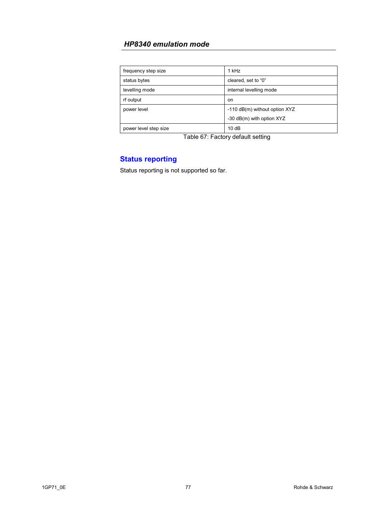| frequency step size   | 1 kHz                         |
|-----------------------|-------------------------------|
| status bytes          | cleared, set to "0"           |
| levelling mode        | internal levelling mode       |
| rf output             | on                            |
| power level           | -110 dB(m) without option XYZ |
|                       | -30 dB(m) with option XYZ     |
| power level step size | 10dB                          |

Table 67: Factory default setting

# **Status reporting**

Status reporting is not supported so far.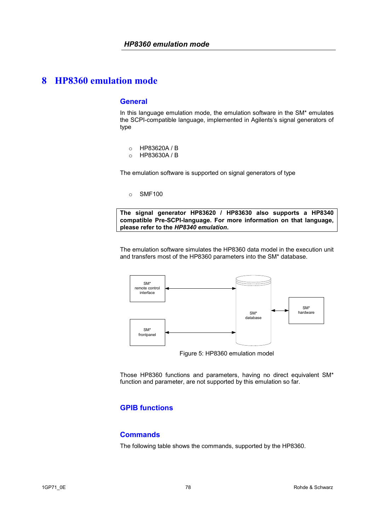#### **General**

In this language emulation mode, the emulation software in the SM\* emulates the SCPI-compatible language, implemented in Agilents's signal generators of type

- o HP83620A / B
- o HP83630A / B

The emulation software is supported on signal generators of type

o SMF100

**The signal generator HP83620 / HP83630 also supports a HP8340 compatible Pre-SCPI-language. For more information on that language, please refer to the** *HP8340 emulation***.**

The emulation software simulates the HP8360 data model in the execution unit and transfers most of the HP8360 parameters into the SM\* database.



Figure 5: HP8360 emulation model

Those HP8360 functions and parameters, having no direct equivalent SM\* function and parameter, are not supported by this emulation so far.

# **GPIB functions**

#### **Commands**

The following table shows the commands, supported by the HP8360.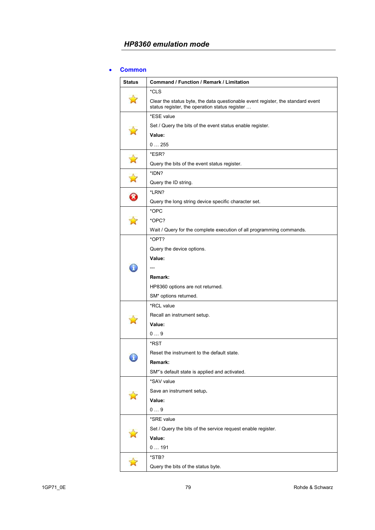#### • **Common**

| <b>Status</b>      | Command / Function / Remark / Limitation                                                                                          |
|--------------------|-----------------------------------------------------------------------------------------------------------------------------------|
|                    | *CLS                                                                                                                              |
|                    | Clear the status byte, the data questionable event register, the standard event<br>status register, the operation status register |
|                    | *ESE value                                                                                                                        |
|                    | Set / Query the bits of the event status enable register.                                                                         |
|                    | Value:                                                                                                                            |
|                    | 0255                                                                                                                              |
| $\mathbf{\hat{z}}$ | *ESR?                                                                                                                             |
|                    | Query the bits of the event status register.                                                                                      |
| $\mathbf{r}$       | *IDN?                                                                                                                             |
|                    | Query the ID string.                                                                                                              |
| $\Omega$           | *LRN?                                                                                                                             |
|                    | Query the long string device specific character set.                                                                              |
|                    | *OPC                                                                                                                              |
|                    | *OPC?                                                                                                                             |
|                    | Wait / Query for the complete execution of all programming commands.                                                              |
|                    | *OPT?                                                                                                                             |
|                    | Query the device options.                                                                                                         |
|                    | Value:                                                                                                                            |
|                    |                                                                                                                                   |
|                    | Remark:                                                                                                                           |
|                    | HP8360 options are not returned.                                                                                                  |
|                    | SM* options returned.                                                                                                             |
|                    | *RCL value                                                                                                                        |
|                    | Recall an instrument setup.                                                                                                       |
|                    | Value:                                                                                                                            |
|                    | 09                                                                                                                                |
|                    | *RST                                                                                                                              |
|                    | Reset the instrument to the default state.                                                                                        |
|                    | Remark:                                                                                                                           |
|                    | SM*'s default state is applied and activated.                                                                                     |
|                    | *SAV value                                                                                                                        |
|                    | Save an instrument setup.                                                                                                         |
|                    | Value:                                                                                                                            |
|                    | 09                                                                                                                                |
|                    | *SRE value                                                                                                                        |
|                    | Set / Query the bits of the service request enable register.                                                                      |
|                    | Value:                                                                                                                            |
|                    | 0191                                                                                                                              |
|                    | *STB?                                                                                                                             |
|                    | Query the bits of the status byte.                                                                                                |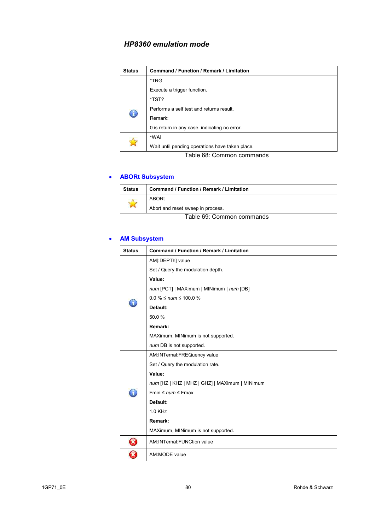| <b>Status</b> | Command / Function / Remark / Limitation        |
|---------------|-------------------------------------------------|
|               | *TRG                                            |
|               | Execute a trigger function.                     |
| $^\circledR$  | *TST?                                           |
|               | Performs a self test and returns result.        |
|               | Remark:                                         |
|               | 0 is return in any case, indicating no error.   |
|               | *WAI                                            |
|               | Wait until pending operations have taken place. |

Table 68: Common commands

# • **ABORt Subsystem**

| <b>Status</b>                             | <b>Command / Function / Remark / Limitation</b> |
|-------------------------------------------|-------------------------------------------------|
|                                           | ABORt                                           |
|                                           | Abort and reset sweep in process.               |
| $T - L = 0.0$ . Osmana surra surra sursha |                                                 |

Table 69: Common commands

#### • **AM Subsystem**

| <b>Status</b> | Command / Function / Remark / Limitation       |
|---------------|------------------------------------------------|
|               | AM[:DEPTh] value                               |
|               | Set / Query the modulation depth.              |
|               | Value:                                         |
|               | num [PCT]   MAXimum   MINimum   num [DB]       |
|               | $0.0 \% \leq num \leq 100.0 \%$                |
|               | Default:                                       |
|               | 50.0%                                          |
|               | Remark:                                        |
|               | MAXimum, MINimum is not supported.             |
|               | num DB is not supported.                       |
|               | AM:INTernal:FREQuency value                    |
|               | Set / Query the modulation rate.               |
|               | Value:                                         |
|               | num [HZ   KHZ   MHZ   GHZ]   MAXimum   MINimum |
|               | Fmin $\leq$ num $\leq$ Fmax                    |
|               | Default:                                       |
|               | 1.0 KHz                                        |
|               | Remark:                                        |
|               | MAXimum, MINimum is not supported.             |
| B             | AM: INTernal: FUNCtion value                   |
|               | AM:MODE value                                  |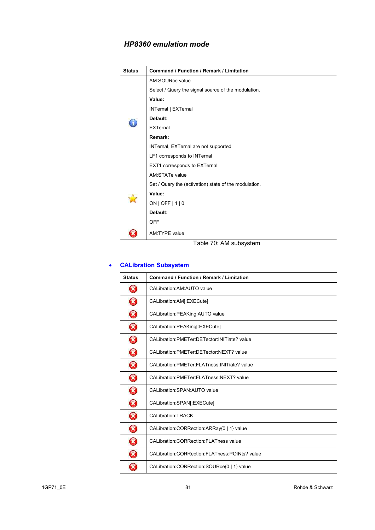| <b>Status</b> | <b>Command / Function / Remark / Limitation</b>       |
|---------------|-------------------------------------------------------|
|               | AM:SOURce value                                       |
|               | Select / Query the signal source of the modulation.   |
|               | Value:                                                |
|               | INTernal   EXTernal                                   |
|               | Default:                                              |
|               | <b>EXTernal</b>                                       |
|               | Remark:                                               |
|               | INTernal, EXTernal are not supported                  |
|               | LF1 corresponds to INTernal                           |
|               | EXT1 corresponds to EXTernal                          |
|               | AM:STATe value                                        |
|               | Set / Query the (activation) state of the modulation. |
|               | Value:                                                |
|               | ON   OFF   1   0                                      |
|               | Default:                                              |
|               | <b>OFF</b>                                            |
|               | AM:TYPE value                                         |

Table 70: AM subsystem

# • **CALibration Subsystem**

| <b>Status</b>              | <b>Command / Function / Remark / Limitation</b>  |
|----------------------------|--------------------------------------------------|
| B                          | CALibration: AM: AUTO value                      |
| B                          | CALibration:AM[:EXECute]                         |
| B                          | CALibration: PEAKing: AUTO value                 |
| B                          | CALibration:PEAKing[:EXECute]                    |
| B                          | CALibration:PMETer:DETector:INITiate? value      |
| B                          | CALibration: PMETer: DETector: NEXT? value       |
| B                          | CALibration:PMETer:FLATness:INITiate? value      |
| B                          | CALibration: PMETer: FLATness: NEXT? value       |
| B                          | CALibration: SPAN: AUTO value                    |
| B                          | CALibration:SPAN[:EXECute]                       |
| B                          | <b>CALibration:TRACK</b>                         |
| B                          | CALibration:CORRection:ARRay{0   1} value        |
| B                          | <b>CALibration:CORRection:FLATness value</b>     |
| $\boldsymbol{\mathcal{R}}$ | CALibration: CORRection: FLATness: POINts? value |
| X                          | CALibration:CORRection:SOURce{0   1} value       |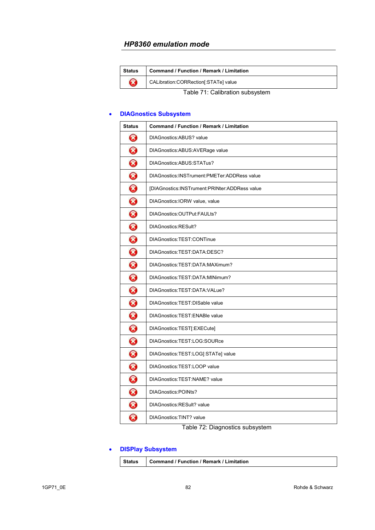| <b>Status</b>                   | <b>Command / Function / Remark / Limitation</b> |
|---------------------------------|-------------------------------------------------|
| B                               | CALibration:CORRection[:STATe] value            |
| Table 71: Calibration subsystem |                                                 |

#### • **DIAGnostics Subsystem**

| <b>Status</b>              | <b>Command / Function / Remark / Limitation</b> |
|----------------------------|-------------------------------------------------|
| 3                          | DIAGnostics:ABUS? value                         |
| 0                          | DIAGnostics: ABUS: AVERage value                |
| 0                          | DIAGnostics:ABUS:STATus?                        |
| $\bm{\Omega}$              | DIAGnostics: INSTrument: PMETer: ADDRess value  |
| $\bm{\Omega}$              | [DIAGnostics:INSTrument:PRINter:ADDRess value   |
| 0                          | DIAGnostics: IORW value, value                  |
| 0                          | DIAGnostics: OUTPut: FAULts?                    |
| $\boldsymbol{\Omega}$      | DIAGnostics:RESult?                             |
| 0                          | DIAGnostics:TEST:CONTinue                       |
| 0                          | DIAGnostics:TEST:DATA:DESC?                     |
| 0                          | DIAGnostics:TEST:DATA:MAXimum?                  |
| $\bm{\Omega}$              | DIAGnostics:TEST:DATA:MINimum?                  |
| $\bm{\Omega}$              | DIAGnostics:TEST:DATA:VALue?                    |
| 0                          | DIAGnostics: TEST: DISable value                |
| $\boldsymbol{\Omega}$      | DIAGnostics: TEST: ENABle value                 |
| $\bm{\Omega}$              | DIAGnostics:TEST[:EXECute]                      |
| 0                          | DIAGnostics:TEST:LOG:SOURce                     |
| 0                          | DIAGnostics:TEST:LOG[:STATe] value              |
| $\bm{\Omega}$              | DIAGnostics: TEST: LOOP value                   |
| $\bm{\Omega}$              | DIAGnostics: TEST: NAME? value                  |
| $\boldsymbol{\Omega}$      | DIAGnostics:POINts?                             |
| $\bm{\Omega}$              | DIAGnostics: RESult? value                      |
| $\boldsymbol{\mathcal{R}}$ | DIAGnostics: TINT? value                        |

Table 72: Diagnostics subsystem

# • **DISPlay Subsystem**

| <b>Status</b> | Command / Function / Remark / Limitation |
|---------------|------------------------------------------|
|---------------|------------------------------------------|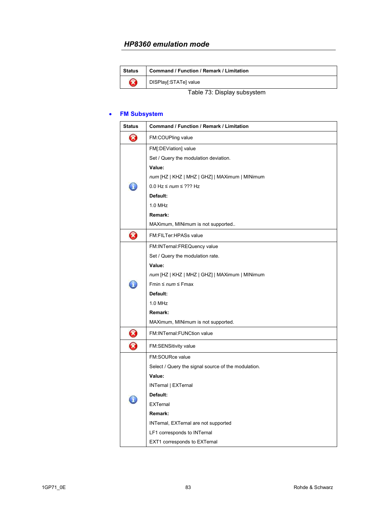| Status                      | <b>Command / Function / Remark / Limitation</b> |
|-----------------------------|-------------------------------------------------|
| Œ                           | DISPlay[:STATe] value                           |
| Table 73: Display subsystem |                                                 |

#### • **FM Subsystem**

| <b>Status</b>         | <b>Command / Function / Remark / Limitation</b>     |
|-----------------------|-----------------------------------------------------|
| $\boldsymbol{\Omega}$ | FM:COUPling value                                   |
|                       | FM[:DEViation] value                                |
|                       | Set / Query the modulation deviation.               |
|                       | Value:                                              |
|                       | num [HZ   KHZ   MHZ   GHZ]   MAXimum   MINimum      |
|                       | $0.0$ Hz $\leq$ num $\leq$ ??? Hz                   |
|                       | Default:                                            |
|                       | 1.0 MHz                                             |
|                       | Remark:                                             |
|                       | MAXimum, MINimum is not supported                   |
| Ø                     | FM:FILTer:HPASs value                               |
|                       | FM:INTernal:FREQuency value                         |
|                       | Set / Query the modulation rate.                    |
|                       | Value:                                              |
|                       | num [HZ   KHZ   MHZ   GHZ]   MAXimum   MINimum      |
|                       | Fmin $\leq$ num $\leq$ Fmax                         |
|                       | Default:                                            |
|                       | 1.0 MHz                                             |
|                       | Remark:                                             |
|                       | MAXimum, MINimum is not supported.                  |
| 3                     | FM:INTernal:FUNCtion value                          |
| $\Omega$              | <b>FM:SENSitivity value</b>                         |
|                       | FM:SOURce value                                     |
|                       | Select / Query the signal source of the modulation. |
|                       | Value:                                              |
|                       | INTernal   EXTernal                                 |
|                       | Default:                                            |
|                       | <b>EXTernal</b>                                     |
|                       | Remark:                                             |
|                       | INTernal, EXTernal are not supported                |
|                       | LF1 corresponds to INTernal                         |
|                       | EXT1 corresponds to EXTernal                        |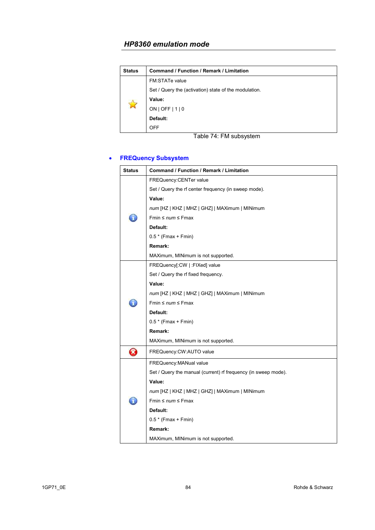| <b>Status</b>          | Command / Function / Remark / Limitation              |
|------------------------|-------------------------------------------------------|
| ☆                      | <b>FM:STATe value</b>                                 |
|                        | Set / Query the (activation) state of the modulation. |
|                        | Value:                                                |
|                        | ON   OFF   1   0                                      |
|                        | Default:                                              |
|                        | <b>OFF</b>                                            |
| Table 74: FM subsystem |                                                       |

# • **FREQuency Subsystem**

| <b>Status</b> | <b>Command / Function / Remark / Limitation</b>                |
|---------------|----------------------------------------------------------------|
|               | FREQuency: CENTer value                                        |
|               | Set / Query the rf center frequency (in sweep mode).           |
|               | Value:                                                         |
|               | num [HZ   KHZ   MHZ   GHZ]   MAXimum   MINimum                 |
|               | Fmin $\leq$ num $\leq$ Fmax                                    |
|               | Default:                                                       |
|               | $0.5*$ (Fmax + Fmin)                                           |
|               | Remark:                                                        |
|               | MAXimum, MINimum is not supported.                             |
|               | FREQuency[:CW   :FIXed] value                                  |
|               | Set / Query the rf fixed frequency.                            |
|               | Value:                                                         |
|               | num [HZ   KHZ   MHZ   GHZ]   MAXimum   MINimum                 |
| ĭ.            | Fmin $\leq$ num $\leq$ Fmax                                    |
|               | Default:                                                       |
|               | $0.5 * (Fmax + Fmin)$                                          |
|               | Remark:                                                        |
|               | MAXimum, MINimum is not supported.                             |
| B             | FREQuency: CW: AUTO value                                      |
|               | FREQuency: MANual value                                        |
|               | Set / Query the manual (current) rf frequency (in sweep mode). |
|               | Value:                                                         |
|               | num [HZ   KHZ   MHZ   GHZ]   MAXimum   MINimum                 |
|               | Fmin $\leq$ num $\leq$ Fmax                                    |
|               | Default:                                                       |
|               | $0.5*$ (Fmax + Fmin)                                           |
|               | Remark:                                                        |
|               | MAXimum, MINimum is not supported.                             |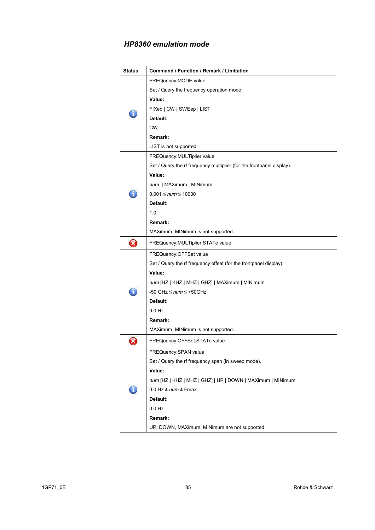| <b>Status</b> | Command / Function / Remark / Limitation                              |
|---------------|-----------------------------------------------------------------------|
|               | FREQuency: MODE value                                                 |
|               | Set / Query the frequency operation mode.                             |
|               | Value:                                                                |
|               | FIXed   CW   SWEep   LIST                                             |
|               | Default:                                                              |
|               | <b>CW</b>                                                             |
|               | Remark:                                                               |
|               | LIST is not supported                                                 |
|               | FREQuency: MULTiplier value                                           |
|               | Set / Query the rf frequency multiplier (for the frontpanel display). |
|               | Value:                                                                |
|               | num   MAXimum   MINimum                                               |
|               | $0.001 \leq num \leq 10000$                                           |
|               | Default:                                                              |
|               | 1.0                                                                   |
|               | Remark:                                                               |
|               | MAXimum, MINimum is not supported.                                    |
| Ø             | FREQuency: MULTiplier: STATe value                                    |
|               | FREQuency: OFFSet value                                               |
|               | Set / Query the rf frequency offset (for the frontpanel display).     |
|               | Value:                                                                |
|               | num [HZ   KHZ   MHZ   GHZ]   MAXimum   MINimum                        |
|               | -50 GHz $\leq$ num $\leq$ +50GHz                                      |
|               | Default:                                                              |
|               | $0.0$ Hz                                                              |
|               | Remark:                                                               |
|               | MAXimum, MINimum is not supported.                                    |
| X             | FREQuency: OFFSet: STATe value                                        |
|               | FREQuency: SPAN value                                                 |
|               | Set / Query the rf frequency span (in sweep mode).                    |
|               | Value:                                                                |
|               | num [HZ   KHZ   MHZ   GHZ]   UP   DOWN   MAXimum   MINimum            |
|               | 0.0 Hz $\leq$ num $\leq$ Fmax                                         |
|               | Default:                                                              |
|               | $0.0$ Hz                                                              |
|               | Remark:                                                               |
|               | UP, DOWN, MAXimum, MINimum are not supported.                         |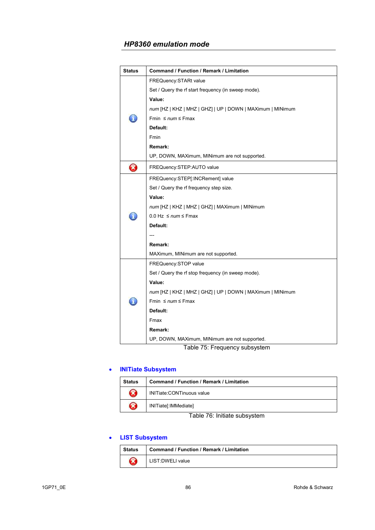| <b>Status</b> | Command / Function / Remark / Limitation                                          |
|---------------|-----------------------------------------------------------------------------------|
|               | FREQuency: STARt value                                                            |
|               | Set / Query the rf start frequency (in sweep mode).                               |
|               | Value:                                                                            |
|               | num [HZ   KHZ   MHZ   GHZ]   UP   DOWN   MAXimum   MINimum                        |
|               | Fmin $\leq$ num $\leq$ Fmax                                                       |
|               | Default:                                                                          |
|               | Fmin                                                                              |
|               | Remark:                                                                           |
|               | UP, DOWN, MAXimum, MINimum are not supported.                                     |
| B             | FREQuency:STEP:AUTO value                                                         |
|               | FREQuency:STEP[:INCRement] value                                                  |
|               | Set / Query the rf frequency step size.                                           |
|               | Value:                                                                            |
|               | num [HZ   KHZ   MHZ   GHZ]   MAXimum   MINimum                                    |
|               | $0.0$ Hz $\leq$ num $\leq$ Fmax                                                   |
|               | Default:                                                                          |
|               |                                                                                   |
|               | Remark:                                                                           |
|               | MAXimum, MINimum are not supported.                                               |
|               | FREQuency:STOP value                                                              |
|               | Set / Query the rf stop frequency (in sweep mode).                                |
|               | Value:                                                                            |
|               | num [HZ   KHZ   MHZ   GHZ]   UP   DOWN   MAXimum   MINimum                        |
|               | Fmin $\leq$ num $\leq$ Fmax                                                       |
|               | Default:                                                                          |
|               | Fmax                                                                              |
|               | Remark:                                                                           |
|               | UP, DOWN, MAXimum, MINimum are not supported.<br>Table 75: Francisco automobilità |

Table 75: Frequency subsystem

#### • **INITiate Subsystem**

| <b>Status</b> | <b>Command / Function / Remark / Limitation</b> |
|---------------|-------------------------------------------------|
| X             | INITiate:CONTinuous value                       |
| X             | INITiate[:IMMediate]                            |

Table 76: Initiate subsystem

# • **LIST Subsystem**

| <b>Status</b> | <b>Command / Function / Remark / Limitation</b> |
|---------------|-------------------------------------------------|
|               | LIST: DWELL value                               |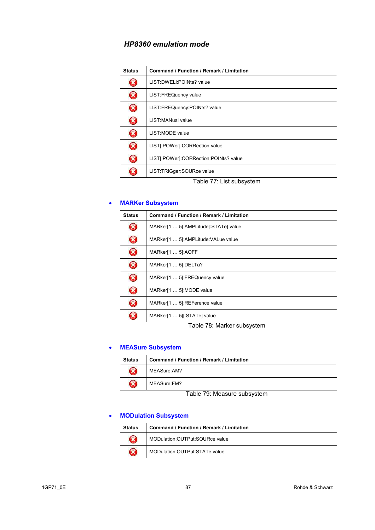| <b>Status</b>         | <b>Command / Function / Remark / Limitation</b> |
|-----------------------|-------------------------------------------------|
| X                     | LIST: DWELI: POINts? value                      |
| $\boldsymbol{\Omega}$ | LIST:FREQuency value                            |
| $\bm{\Omega}$         | LIST:FREQuency:POINts? value                    |
| B                     | LIST: MANual value                              |
| $\bf \Omega$          | LIST: MODE value                                |
| Ø                     | LIST[:POWer]:CORRection value                   |
| $\bf \Omega$          | LIST[:POWer]:CORRection:POINts? value           |
| X                     | LIST:TRIGger:SOURce value                       |

Table 77: List subsystem

#### • **MARKer Subsystem**

| <b>Status</b> | Command / Function / Remark / Limitation |
|---------------|------------------------------------------|
| B             | MARker[1  5]:AMPLitude[:STATe] value     |
| Ø             | MARker[1  5]:AMPLitude: VALue value      |
| Ø             | MARker[1  5]:AOFF                        |
| Ø             | MARker[1  5]:DELTa?                      |
| Ø             | MARker[1  5]:FREQuency value             |
| Ø             | MARker[1  5]:MODE value                  |
| B             | MARker[1  5]:REFerence value             |
|               | MARker[1  5][:STATe] value               |

Table 78: Marker subsystem

# • **MEASure Subsystem**

| <b>Status</b>         | <b>Command / Function / Remark / Limitation</b> |
|-----------------------|-------------------------------------------------|
| $\boldsymbol{\Omega}$ | MEASure:AM?                                     |
| Ø                     | MEASure:FM?                                     |

Table 79: Measure subsystem

#### • **MODulation Subsystem**

| <b>Status</b> | <b>Command / Function / Remark / Limitation</b> |
|---------------|-------------------------------------------------|
|               | MODulation: OUTPut: SOURce value                |
|               | MODulation: OUTPut: STATe value                 |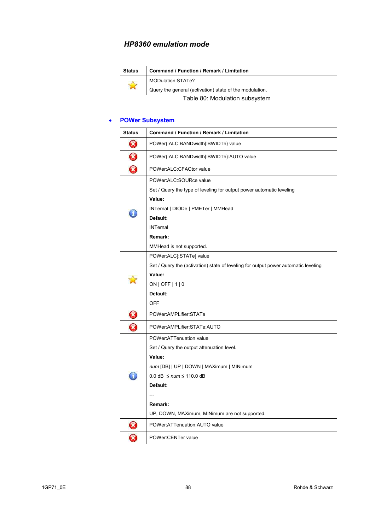| <b>Status</b>                  | <b>Command / Function / Remark / Limitation</b>         |
|--------------------------------|---------------------------------------------------------|
| $\mathbf{r}$                   | MODulation:STATe?                                       |
|                                | Query the general (activation) state of the modulation. |
| Table 80: Modulation subsystem |                                                         |

# • **POWer Subsystem**

| <b>Status</b>              | <b>Command / Function / Remark / Limitation</b>                                                                                                                                                                                           |
|----------------------------|-------------------------------------------------------------------------------------------------------------------------------------------------------------------------------------------------------------------------------------------|
| 3                          | POWer{:ALC:BANDwidth :BWIDTh} value                                                                                                                                                                                                       |
| 0                          | POWer{:ALC:BANDwidth :BWIDTh}:AUTO value                                                                                                                                                                                                  |
| 0                          | POWer:ALC:CFACtor value                                                                                                                                                                                                                   |
|                            | POWer:ALC:SOURce value<br>Set / Query the type of leveling for output power automatic leveling<br>Value:<br>INTernal   DIODe   PMETer   MMHead<br>Default:<br><b>INTernal</b><br>Remark:<br>MMHead is not supported.                      |
|                            | POWer:ALC[:STATe] value<br>Set / Query the (activation) state of leveling for output power automatic leveling<br>Value:<br>$ON$   OFF   1   0<br>Default:<br><b>OFF</b>                                                                   |
| $\boldsymbol{\mathcal{S}}$ | POWer:AMPLifier:STATe                                                                                                                                                                                                                     |
| 8                          | POWer:AMPLifier:STATe:AUTO                                                                                                                                                                                                                |
|                            | POWer:ATTenuation value<br>Set / Query the output attenuation level.<br>Value:<br>num [DB]   UP   DOWN   MAXimum   MINimum<br>$0.0$ dB $\leq$ num $\leq$ 110.0 dB<br>Default:<br>Remark:<br>UP, DOWN, MAXimum, MINimum are not supported. |
| X)                         | POWer:ATTenuation:AUTO value                                                                                                                                                                                                              |
| X                          | POWer:CENTer value                                                                                                                                                                                                                        |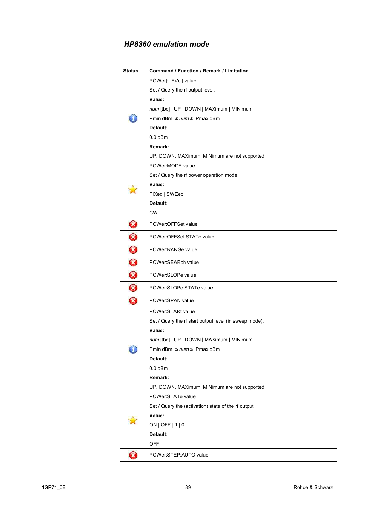| <b>Status</b> | Command / Function / Remark / Limitation               |
|---------------|--------------------------------------------------------|
|               | POWer[:LEVel] value                                    |
|               | Set / Query the rf output level.                       |
|               | Value:                                                 |
|               | num [tbd]   UP   DOWN   MAXimum   MINimum              |
|               | Pmin dBm $\leq$ num $\leq$ Pmax dBm                    |
|               | Default:                                               |
|               | $0.0$ dBm                                              |
|               | Remark:                                                |
|               | UP, DOWN, MAXimum, MINimum are not supported.          |
|               | POWer: MODE value                                      |
|               | Set / Query the rf power operation mode.               |
|               | Value:                                                 |
|               | FIXed   SWEep                                          |
|               | Default:                                               |
|               | <b>CW</b>                                              |
| Ø             | POWer:OFFSet value                                     |
| 0             | POWer:OFFSet:STATe value                               |
| 0             | POWer:RANGe value                                      |
| 0             | POWer:SEARch value                                     |
| 0             | POWer:SLOPe value                                      |
| ❸             | POWer:SLOPe:STATe value                                |
| Ø             | POWer:SPAN value                                       |
|               | POWer:STARt value                                      |
|               | Set / Query the rf start output level (in sweep mode). |
|               | Value:                                                 |
|               | num [tbd]   UP   DOWN   MAXimum   MINimum              |
| ı             | Pmin dBm $\leq$ num $\leq$ Pmax dBm                    |
|               | Default:                                               |
|               | $0.0$ dBm                                              |
|               | Remark:                                                |
|               | UP, DOWN, MAXimum, MINimum are not supported.          |
|               | POWer:STATe value                                      |
|               | Set / Query the (activation) state of the rf output    |
|               | Value:                                                 |
|               | $ON$   OFF   1   0                                     |
|               | Default:                                               |
|               | <b>OFF</b>                                             |
| Ø             | POWer:STEP:AUTO value                                  |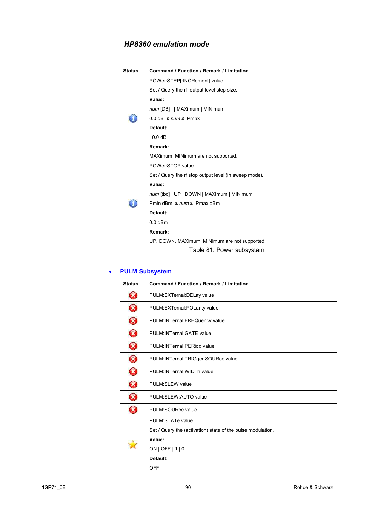| <b>Status</b> | <b>Command / Function / Remark / Limitation</b>       |
|---------------|-------------------------------------------------------|
|               | POWer:STEP[:INCRement] value                          |
|               | Set / Query the rf output level step size.            |
|               | Value:                                                |
|               | num [DB]     MAXimum   MINimum                        |
|               | $0.0$ dB $\leq$ num $\leq$ Pmax                       |
|               | Default:                                              |
|               | 10.0 dB                                               |
|               | Remark:                                               |
|               | MAXimum, MINimum are not supported.                   |
|               | POWer:STOP value                                      |
|               | Set / Query the rf stop output level (in sweep mode). |
|               | Value:                                                |
|               | num [tbd]   UP   DOWN   MAXimum   MINimum             |
| đ.            | Pmin dBm $\leq$ num $\leq$ Pmax dBm                   |
|               | Default:                                              |
|               | $0.0$ dBm                                             |
|               | Remark:                                               |
|               | UP, DOWN, MAXimum, MINimum are not supported.         |

Table 81: Power subsystem

# • **PULM Subsystem**

| <b>Status</b> | Command / Function / Remark / Limitation                    |
|---------------|-------------------------------------------------------------|
| Ø             | PULM:EXTernal:DELay value                                   |
| B             | PULM:EXTernal:POLarity value                                |
| B             | PULM: INTernal: FREQuency value                             |
| B             | PULM: INTernal: GATE value                                  |
| B             | PULM:INTernal:PERiod value                                  |
| B             | PULM:INTernal:TRIGger:SOURce value                          |
| B             | PULM: INTernal: WIDTh value                                 |
| B             | <b>PULM:SLEW value</b>                                      |
| X             | PULM:SLEW:AUTO value                                        |
| B             | PULM:SOURce value                                           |
|               | PULM:STATe value                                            |
|               | Set / Query the (activation) state of the pulse modulation. |
|               | Value:                                                      |
|               | ON   OFF   1   0                                            |
|               | Default:                                                    |
|               | <b>OFF</b>                                                  |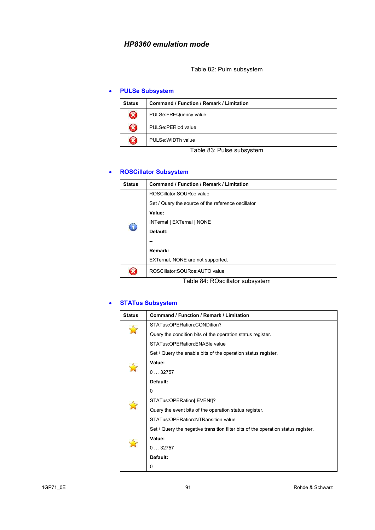Table 82: Pulm subsystem

### • **PULSe Subsystem**

| <b>Status</b>         | Command / Function / Remark / Limitation |
|-----------------------|------------------------------------------|
| $\boldsymbol{\Omega}$ | PULSe:FREQuency value                    |
| $\mathbf{\hat{x}}$    | PULSe: PERiod value                      |
| X                     | PULSe: WIDTh value                       |

Table 83: Pulse subsystem

# • **ROSCillator Subsystem**

| Status | Command / Function / Remark / Limitation           |
|--------|----------------------------------------------------|
|        | ROSCillator: SOURce value                          |
|        | Set / Query the source of the reference oscillator |
|        | Value:                                             |
|        | INTernal   EXTernal   NONE                         |
|        | Default:                                           |
|        |                                                    |
|        | Remark:                                            |
|        | EXTernal, NONE are not supported.                  |
|        | ROSCillator: SOURce: AUTO value                    |

Table 84: ROscillator subsystem

# • **STATus Subsystem**

| <b>Status</b> | <b>Command / Function / Remark / Limitation</b>                                   |
|---------------|-----------------------------------------------------------------------------------|
|               | STATus:OPERation:CONDition?                                                       |
|               | Query the condition bits of the operation status register.                        |
|               | STATus: OPERation: ENABle value                                                   |
|               | Set / Query the enable bits of the operation status register.                     |
|               | Value:                                                                            |
|               | 032757                                                                            |
|               | Default:                                                                          |
|               | 0                                                                                 |
|               | STATus:OPERation[:EVENt]?                                                         |
|               | Query the event bits of the operation status register.                            |
|               | STATus: OPERation: NTRansition value                                              |
|               | Set / Query the negative transition filter bits of the operation status register. |
|               | Value:                                                                            |
|               | 032757                                                                            |
|               | Default:                                                                          |
|               | 0                                                                                 |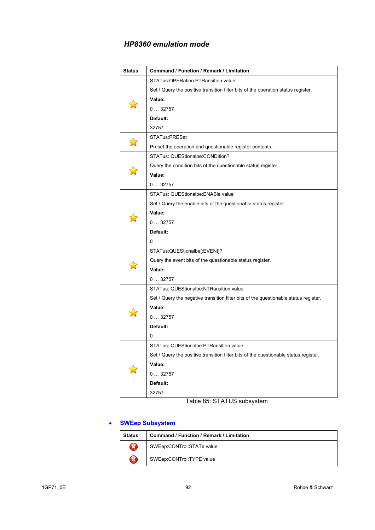| <b>Status</b> | Command / Function / Remark / Limitation                                             |
|---------------|--------------------------------------------------------------------------------------|
|               | STATus: OPERation: PTRansition value                                                 |
|               | Set / Query the positive transition filter bits of the operation status register.    |
|               | Value:                                                                               |
|               | 032757                                                                               |
|               | Default:                                                                             |
|               | 32757                                                                                |
|               | <b>STATus:PRESet</b>                                                                 |
|               | Preset the operation and questionable register contents.                             |
|               | STATus: QUEStionalbe: CONDition?                                                     |
|               | Query the condition bits of the questionable status register.                        |
|               | Value:                                                                               |
|               | 032757                                                                               |
|               | STATus: QUEStionalbe: ENABle value                                                   |
|               | Set / Query the enable bits of the questionable status register.                     |
|               | Value:                                                                               |
|               | 032757                                                                               |
|               | Default:                                                                             |
|               | 0                                                                                    |
|               | STATus:QUEStionalbe[:EVENt]?                                                         |
|               | Query the event bits of the questionable status register.                            |
|               | Value:                                                                               |
|               | 032757                                                                               |
|               | STATus: QUEStionalbe:NTRansition value                                               |
|               | Set / Query the negative transition filter bits of the questionable status register. |
|               | Value:                                                                               |
|               | 032757                                                                               |
|               | Default:                                                                             |
|               | 0                                                                                    |
|               | STATus: QUEStionalbe:PTRansition value                                               |
|               | Set / Query the positive transition filter bits of the questionable status register. |
|               | Value:                                                                               |
|               | 032757                                                                               |
|               | Default:                                                                             |
|               | 32757                                                                                |
|               |                                                                                      |

Table 85: STATUS subsystem

# • **SWEep Subsystem**

| <b>Status</b>          | <b>Command / Function / Remark / Limitation</b> |
|------------------------|-------------------------------------------------|
| R                      | SWEep:CONTrol:STATe value                       |
| $\widehat{\mathbf{x}}$ | SWEep:CONTrol:TYPE value                        |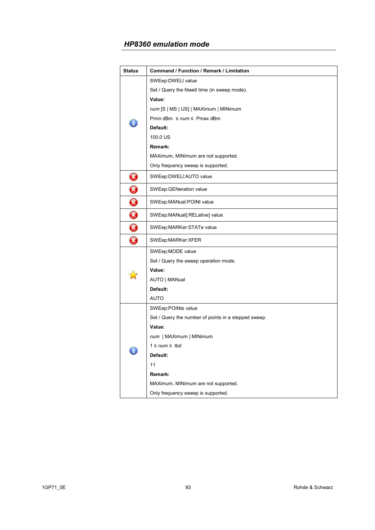| <b>Status</b> | Command / Function / Remark / Limitation             |
|---------------|------------------------------------------------------|
|               | SWEep:DWELI value                                    |
|               | Set / Query the fdwell time (in sweep mode).         |
|               | Value:                                               |
|               | num [S   MS   US]   MAXimum   MINimum                |
|               | Pmin dBm $\leq$ num $\leq$ Pmax dBm                  |
|               | Default:                                             |
|               | 100.0 US                                             |
|               | Remark:                                              |
|               | MAXimum, MINimum are not supported.                  |
|               | Only frequency sweep is supported.                   |
| $\bm{\Omega}$ | SWEep:DWELI:AUTO value                               |
| 0             | SWEep:GENeration value                               |
| $\bm{\Omega}$ | SWEep:MANual:POINt value                             |
| 0             | SWEep:MANual[:RELative] value                        |
| 8             | SWEep:MARKer:STATe value                             |
| Ø             | SWEep:MARKer:XFER                                    |
|               | SWEep:MODE value                                     |
|               | Set / Query the sweep operation mode.                |
|               | Value:                                               |
|               | AUTO   MANual                                        |
|               | Default:                                             |
|               | AUTO                                                 |
|               | SWEep:POINts value                                   |
|               | Set / Query the number of points in a stepped sweep. |
|               | Value:                                               |
|               | num   MAXimum   MINimum                              |
|               | $1 \leq num \leq tbd$                                |
|               | Default:                                             |
|               | 11                                                   |
|               | Remark:                                              |
|               | MAXimum, MINimum are not supported.                  |
|               | Only frequency sweep is supported.                   |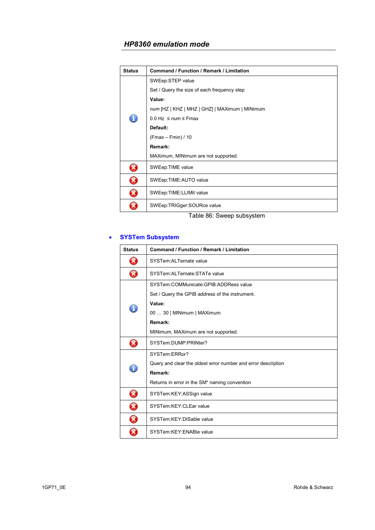| <b>Status</b> | <b>Command / Function / Remark / Limitation</b> |
|---------------|-------------------------------------------------|
|               | SWEep:STEP value                                |
|               | Set / Query the size of each frequency step     |
|               | Value:                                          |
|               | num [HZ   KHZ   MHZ   GHZ]   MAXimum   MINimum  |
|               | $0.0$ Hz $\leq$ num $\leq$ Fmax                 |
|               | Default:                                        |
|               | $(Fmax - Fmin) / 10$                            |
|               | Remark:                                         |
|               | MAXimum, MINimum are not supported.             |
| X             | SWEep: TIME value                               |
| X             | SWEep:TIME:AUTO value                           |
| ×             | SWEep:TIME:LLIMit value                         |
|               | SWEep:TRIGger:SOURce value                      |

Table 86: Sweep subsystem

#### • **SYSTem Subsystem**

| <b>Status</b> | <b>Command / Function / Remark / Limitation</b>               |
|---------------|---------------------------------------------------------------|
| B             | SYSTem:ALTernate value                                        |
| X             | SYSTem: ALTernate: STATe value                                |
|               | SYSTem:COMMunicate:GPIB:ADDRess value                         |
|               | Set / Query the GPIB address of the instrument.               |
|               | Value:                                                        |
| Ä.            | 00  30   MINimum   MAXimum                                    |
|               | Remark:                                                       |
|               | MINimum, MAXimum are not supported.                           |
| X             | SYSTem:DUMP:PRINter?                                          |
|               | SYSTem:ERRor?                                                 |
| I             | Query and clear the oldest error number and error description |
|               | Remark:                                                       |
|               | Returns in error in the SM* naming convention                 |
| X)            | SYSTem:KEY:ASSign value                                       |
| X)            | SYSTem:KEY:CLEar value                                        |
| X             | SYSTem:KEY:DISable value                                      |
|               | SYSTem:KEY:ENABle value                                       |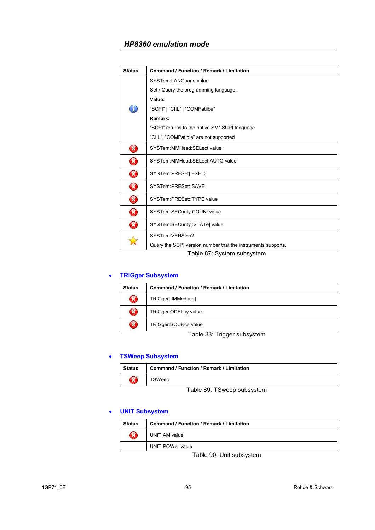| <b>Status</b>              | <b>Command / Function / Remark / Limitation</b>              |
|----------------------------|--------------------------------------------------------------|
|                            | SYSTem:LANGuage value                                        |
|                            | Set / Query the programming language.                        |
|                            | Value:                                                       |
| L                          | "SCPI"   "CIIL"   "COMPatilbe"                               |
|                            | Remark:                                                      |
|                            | "SCPI" returns to the native SM* SCPI language               |
|                            | "CIIL", "COMPatible" are not supported                       |
| B                          | SYSTem:MMHead:SELect value                                   |
| $\boldsymbol{\mathcal{B}}$ | SYSTem:MMHead:SELect:AUTO value                              |
| B                          | SYSTem:PRESet[:EXEC]                                         |
| ☎                          | SYSTem:PRESet::SAVE                                          |
| B                          | SYSTem:PRESet::TYPE value                                    |
| $\bf \Omega$               | SYSTem:SECurity:COUNt value                                  |
| B                          | SYSTem:SECurity[:STATe] value                                |
|                            | SYSTem:VERSion?                                              |
|                            | Query the SCPI version number that the instruments supports. |

Table 87: System subsystem

# • **TRIGger Subsystem**

| <b>Status</b>      | <b>Command / Function / Remark / Limitation</b> |
|--------------------|-------------------------------------------------|
| $\mathbf{\hat{x}}$ | TRIGger[:IMMediate]                             |
| $\mathbf{\hat{x}}$ | TRIGger:ODELay value                            |
| $\mathbf{\hat{x}}$ | TRIGger:SOURce value                            |

Table 88: Trigger subsystem

#### • **TSWeep Subsystem**

| Status | <b>Command / Function / Remark / Limitation</b> |
|--------|-------------------------------------------------|
|        | <b>FSWeep</b>                                   |

Table 89: TSweep subsystem

#### • **UNIT Subsystem**

| <b>Status</b> | <b>Command / Function / Remark / Limitation</b> |
|---------------|-------------------------------------------------|
|               | UNIT:AM value                                   |
|               | UNIT:POWer value                                |

Table 90: Unit subsystem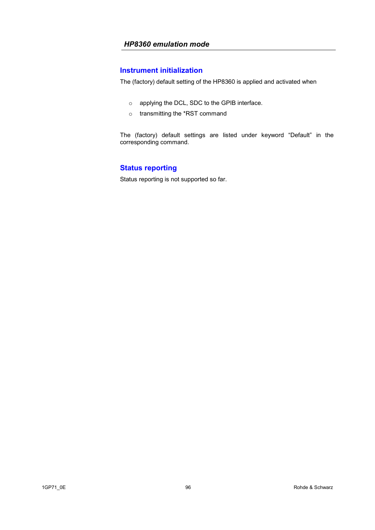# **Instrument initialization**

The (factory) default setting of the HP8360 is applied and activated when

- o applying the DCL, SDC to the GPIB interface.
- o transmitting the \*RST command

The (factory) default settings are listed under keyword "Default" in the corresponding command.

# **Status reporting**

Status reporting is not supported so far.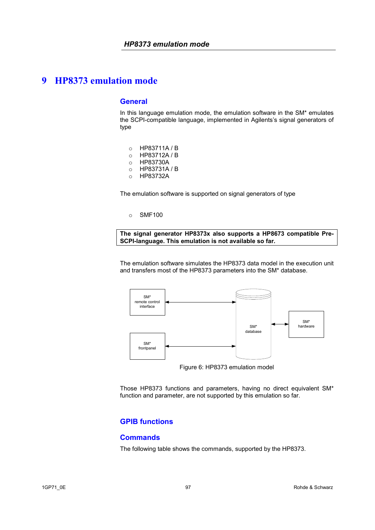#### **General**

In this language emulation mode, the emulation software in the SM\* emulates the SCPI-compatible language, implemented in Agilents's signal generators of type

- o HP83711A / B
- o HP83712A / B
- o HP83730A
- o HP83731A / B
- o HP83732A

The emulation software is supported on signal generators of type

o SMF100

**The signal generator HP8373x also supports a HP8673 compatible Pre-SCPI-language. This emulation is not available so far.** 

The emulation software simulates the HP8373 data model in the execution unit and transfers most of the HP8373 parameters into the SM\* database.



Figure 6: HP8373 emulation model

Those HP8373 functions and parameters, having no direct equivalent SM\* function and parameter, are not supported by this emulation so far.

# **GPIB functions**

### **Commands**

The following table shows the commands, supported by the HP8373.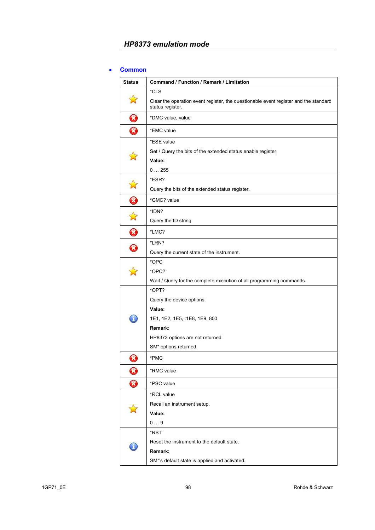#### • **Common**

| <b>Status</b> | Command / Function / Remark / Limitation                                                                 |
|---------------|----------------------------------------------------------------------------------------------------------|
|               | *CLS                                                                                                     |
|               | Clear the operation event register, the questionable event register and the standard<br>status register. |
| 0             | *DMC value, value                                                                                        |
| 0             | *EMC value                                                                                               |
|               | *ESE value                                                                                               |
|               | Set / Query the bits of the extended status enable register.                                             |
|               | Value:                                                                                                   |
|               | 0255                                                                                                     |
|               | *ESR?                                                                                                    |
| 囟             | Query the bits of the extended status register.                                                          |
| 0             | *GMC? value                                                                                              |
|               | *IDN?                                                                                                    |
| ☆             | Query the ID string.                                                                                     |
| 0             | *LMC?                                                                                                    |
|               | *LRN?                                                                                                    |
| 0             | Query the current state of the instrument.                                                               |
|               | *OPC                                                                                                     |
|               | *OPC?                                                                                                    |
|               | Wait / Query for the complete execution of all programming commands.                                     |
|               | *OPT?                                                                                                    |
|               | Query the device options.                                                                                |
|               | Value:                                                                                                   |
|               | 1E1, 1E2, 1E5, :1E8, 1E9, 800                                                                            |
|               | Remark:                                                                                                  |
|               | HP8373 options are not returned.                                                                         |
|               | SM* options returned.                                                                                    |
| 0             | *PMC                                                                                                     |
| Ø             | *RMC value                                                                                               |
| 0             | *PSC value                                                                                               |
|               | *RCL value                                                                                               |
|               | Recall an instrument setup.                                                                              |
|               | Value:                                                                                                   |
|               | 09                                                                                                       |
|               | *RST                                                                                                     |
|               | Reset the instrument to the default state.                                                               |
|               | Remark:                                                                                                  |
|               | SM*'s default state is applied and activated.                                                            |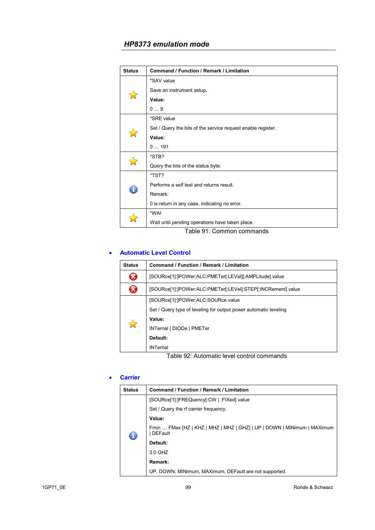| <b>Status</b> | <b>Command / Function / Remark / Limitation</b>              |
|---------------|--------------------------------------------------------------|
|               | *SAV value                                                   |
|               | Save an instrument setup.                                    |
|               | Value:                                                       |
|               | 09                                                           |
|               | *SRE value                                                   |
|               | Set / Query the bits of the service request enable register. |
|               | Value:                                                       |
|               | 0191                                                         |
|               | *STB?                                                        |
|               | Query the bits of the status byte.                           |
|               | *TST?                                                        |
| £             | Performs a self test and returns result.                     |
|               | Remark:                                                      |
|               | 0 is return in any case, indicating no error.                |
|               | *WAI                                                         |
|               | Wait until pending operations have taken place.              |
|               | Table 91: Common commands                                    |

### • **Automatic Level Control**

| <b>Status</b> | Command / Function / Remark / Limitation                         |
|---------------|------------------------------------------------------------------|
|               | [SOURce[1]:]POWer:ALC:PMETer[:LEVel][:AMPLitude] value           |
|               | [SOURce[1]:]POWer:ALC:PMETer[:LEVel]:STEP[:INCRement] value      |
|               | [SOURce[1]:]POWer:ALC:SOURce value                               |
|               | Set / Query type of leveling for output power automatic leveling |
|               | Value:                                                           |
|               | INTernal   DIODe   PMETer                                        |
|               | Default:                                                         |
|               | <b>INTernal</b>                                                  |

Table 92: Automatic level control commands

### • **Carrier**

| <b>Status</b> | Command / Function / Remark / Limitation                                                  |
|---------------|-------------------------------------------------------------------------------------------|
| 0             | [SOURce[1]:]FREQuency[:CW   :FIXed] value                                                 |
|               | Set / Query the rf carrier frequency.                                                     |
|               | Value:                                                                                    |
|               | Fmin  FMax [HZ   KHZ   MHZ   MHZ   GHZ]   UP   DOWN   MINimum   MAXimum<br><b>DEFault</b> |
|               | Default:                                                                                  |
|               | 3.0 GHZ                                                                                   |
|               | Remark:                                                                                   |
|               | UP, DOWN, MINimum, MAXimum, DEFault are not supported.                                    |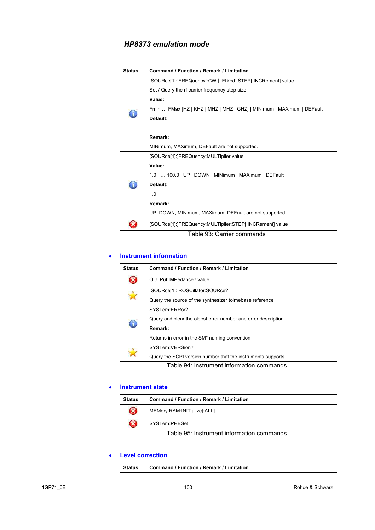| <b>Status</b>              | <b>Command / Function / Remark / Limitation</b>                       |  |
|----------------------------|-----------------------------------------------------------------------|--|
|                            | [SOURce[1]:]FREQuency[:CW   :FIXed]:STEP[:INCRement] value            |  |
|                            | Set / Query the rf carrier frequency step size.                       |  |
|                            | Value:                                                                |  |
|                            | Fmin  FMax [HZ   KHZ   MHZ   MHZ   GHZ]   MINimum   MAXimum   DEFault |  |
|                            | Default:                                                              |  |
|                            |                                                                       |  |
|                            | Remark:                                                               |  |
|                            | MINimum, MAXimum, DEFault are not supported.                          |  |
|                            | [SOURce[1]:]FREQuency:MULTiplier value                                |  |
|                            | Value:                                                                |  |
|                            | 1.0  100.0   UP   DOWN   MINimum   MAXimum   DEFault                  |  |
|                            | Default:                                                              |  |
|                            | 1.0                                                                   |  |
|                            | Remark:                                                               |  |
|                            | UP, DOWN, MINimum, MAXimum, DEFault are not supported.                |  |
|                            | [SOURce[1]:]FREQuency:MULTiplier:STEP[:INCRement] value               |  |
| Table 93: Carrier commands |                                                                       |  |

#### • **Instrument information**

| <b>Status</b>                             | <b>Command / Function / Remark / Limitation</b>               |
|-------------------------------------------|---------------------------------------------------------------|
|                                           | OUTPut: IMPedance? value                                      |
|                                           | [SOURce[1]: ]ROSCillator: SOURce?                             |
|                                           | Query the source of the synthesizer to mebase reference       |
| £                                         | SYSTem:ERRor?                                                 |
|                                           | Query and clear the oldest error number and error description |
|                                           | Remark:                                                       |
|                                           | Returns in error in the SM <sup>*</sup> naming convention     |
|                                           | SYSTem:VERSion?                                               |
|                                           | Query the SCPI version number that the instruments supports.  |
| Table 94: Instrument information commands |                                                               |

#### • **Instrument state**

| <b>Status</b> | Command / Function / Remark / Limitation |
|---------------|------------------------------------------|
| $\mathbf x$   | MEMory:RAM:INITialize[:ALL]              |
| X             | SYSTem:PRESet                            |

Table 95: Instrument information commands

# • **Level correction**

|  | Status Command / Function / Remark / Limitation |  |
|--|-------------------------------------------------|--|
|--|-------------------------------------------------|--|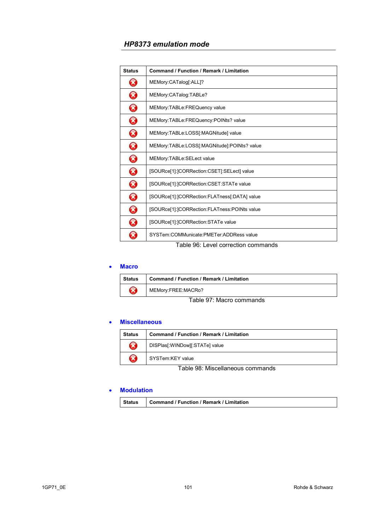| <b>Status</b>         | <b>Command / Function / Remark / Limitation</b> |
|-----------------------|-------------------------------------------------|
| B                     | MEMory:CATalog[:ALL]?                           |
| B                     | MEMory:CATalog:TABLe?                           |
| Ø                     | MEMory:TABLe:FREQuency value                    |
| $\boldsymbol{\Omega}$ | MEMory:TABLe:FREQuency:POINts? value            |
| Ø                     | MEMory:TABLe:LOSS[:MAGNitude] value             |
| Ø                     | MEMory:TABLe:LOSS[:MAGNitude]:POINts? value     |
| Ø                     | MEMory:TABLe:SELect value                       |
| Ø                     | [SOURce[1]:]CORRection:CSET[:SELect] value      |
| $\Omega$              | [SOURce[1]:]CORRection:CSET:STATe value         |
| Ø                     | [SOURce[1]:]CORRection:FLATness[:DATA] value    |
| B                     | [SOURce[1]:]CORRection:FLATness:POINts value    |
| Ø                     | [SOURce[1]: ]CORRection: STATe value            |
| X                     | SYSTem:COMMunicate:PMETer:ADDRess value         |
|                       | Table 96: Level correction commands             |

#### • **Macro**

| <b>Status</b> | <b>Command / Function / Remark / Limitation</b> |
|---------------|-------------------------------------------------|
| B             | MEMory:FREE:MACRo?                              |
|               | -- - -                                          |

Table 97: Macro commands

#### • **Miscellaneous**

| <b>Status</b>                    | <b>Command / Function / Remark / Limitation</b> |
|----------------------------------|-------------------------------------------------|
| $\boldsymbol{\Omega}$            | DISPlas[:WINDow][:STATe] value                  |
| B                                | SYSTem:KEY value                                |
| Table 98: Miscellaneous commands |                                                 |

#### • **Modulation**

| Status | <b>Command / Function / Remark / Limitation</b> |
|--------|-------------------------------------------------|
|--------|-------------------------------------------------|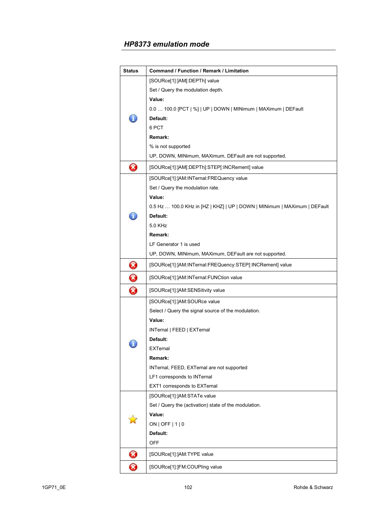| <b>Status</b>              | Command / Function / Remark / Limitation                                  |
|----------------------------|---------------------------------------------------------------------------|
|                            | [SOURce[1]:]AM[:DEPTh] value                                              |
|                            | Set / Query the modulation depth.                                         |
|                            | Value:                                                                    |
|                            | 0.0  100.0 [PCT   %]   UP   DOWN   MINimum   MAXimum   DEFault            |
|                            | Default:                                                                  |
|                            | 6 PCT                                                                     |
|                            | Remark:                                                                   |
|                            | % is not supported                                                        |
|                            | UP, DOWN, MINimum, MAXimum, DEFault are not supported.                    |
| B                          | [SOURce[1]:]AM[:DEPTh]:STEP[:INCRement] value                             |
|                            | [SOURce[1]:]AM:INTernal:FREQuency value                                   |
|                            | Set / Query the modulation rate.                                          |
|                            | Value:                                                                    |
|                            | 0.5 Hz  100.0 KHz in [HZ   KHZ]   UP   DOWN   MINimum   MAXimum   DEFault |
|                            | Default:                                                                  |
|                            | 5.0 KHz                                                                   |
|                            | Remark:                                                                   |
|                            | LF Generator 1 is used                                                    |
|                            | UP, DOWN, MINimum, MAXimum, DEFault are not supported.                    |
| $\bm{\Omega}$              | [SOURce[1]:]AM:INTernal:FREQuency:STEP[:INCRement] value                  |
| 0                          | [SOURce[1]:]AM:INTernal:FUNCtion value                                    |
| $\boldsymbol{\Omega}$      | [SOURce[1]:]AM:SENSitivity value                                          |
|                            | [SOURce[1]:]AM:SOURce value                                               |
|                            | Select / Query the signal source of the modulation.                       |
|                            | Value:                                                                    |
|                            | INTernal   FEED   EXTernal                                                |
|                            | Default:                                                                  |
|                            | <b>EXTernal</b>                                                           |
|                            | Remark:                                                                   |
|                            | INTernal, FEED, EXTernal are not supported                                |
|                            | LF1 corresponds to INTernal                                               |
|                            | EXT1 corresponds to EXTernal                                              |
|                            | [SOURce[1]:]AM:STATe value                                                |
|                            | Set / Query the (activation) state of the modulation.                     |
|                            | Value:                                                                    |
|                            | $ON$   OFF   1   0                                                        |
|                            | Default:                                                                  |
| $\boldsymbol{\mathcal{S}}$ | <b>OFF</b><br>[SOURce[1]:]AM:TYPE value                                   |
| B                          | [SOURce[1]: JFM: COUPling value                                           |
|                            |                                                                           |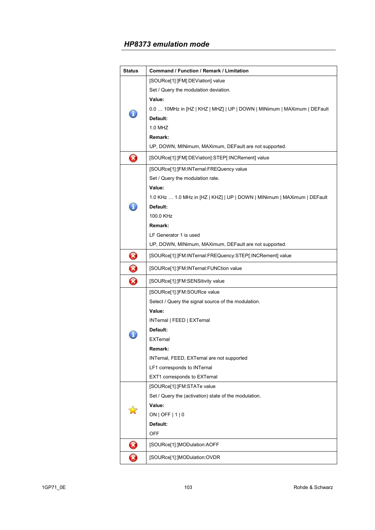| Status   | Command / Function / Remark / Limitation                                 |
|----------|--------------------------------------------------------------------------|
|          | [SOURce[1]:]FM[:DEViation] value                                         |
|          | Set / Query the modulation deviation.                                    |
|          | Value:                                                                   |
|          | 0.0  10MHz in [HZ   KHZ   MHZ]   UP   DOWN   MINimum   MAXimum   DEFault |
|          | Default:                                                                 |
|          | 1.0 MHZ                                                                  |
|          | Remark:                                                                  |
|          | UP, DOWN, MINimum, MAXimum, DEFault are not supported.                   |
| Ø        | [SOURce[1]:]FM[:DEViation]:STEP[:INCRement] value                        |
|          | [SOURce[1]:]FM:INTernal:FREQuency value                                  |
|          | Set / Query the modulation rate.                                         |
|          | Value:                                                                   |
|          | 1.0 KHz  1.0 MHz in [HZ   KHZ]   UP   DOWN   MINimum   MAXimum   DEFault |
|          | Default:                                                                 |
|          | 100.0 KHz                                                                |
|          | Remark:                                                                  |
|          | LF Generator 1 is used                                                   |
|          | UP, DOWN, MINimum, MAXimum, DEFault are not supported.                   |
| $\bm{O}$ | [SOURce[1]:]FM:INTernal:FREQuency:STEP[:INCRement] value                 |
| 0        | [SOURce[1]:]FM:INTernal:FUNCtion value                                   |
| ❸        | [SOURce[1]:]FM:SENSitivity value                                         |
|          | [SOURce[1]:]FM:SOURce value                                              |
|          | Select / Query the signal source of the modulation.                      |
|          | Value:                                                                   |
|          | INTernal   FEED   EXTernal                                               |
|          | Default:                                                                 |
|          | <b>EXTernal</b>                                                          |
|          | Remark:                                                                  |
|          | INTernal, FEED, EXTernal are not supported                               |
|          | LF1 corresponds to INTernal                                              |
|          | EXT1 corresponds to EXTernal                                             |
|          | [SOURce[1]: JFM:STATe value                                              |
|          | Set / Query the (activation) state of the modulation.                    |
|          | Value:                                                                   |
|          | ON   OFF   $1$   0                                                       |
|          | Default:                                                                 |
| $\bm{z}$ | OFF<br>[SOURce[1]:]MODulation:AOFF                                       |
|          |                                                                          |
| B        | [SOURce[1]:]MODulation:OVDR                                              |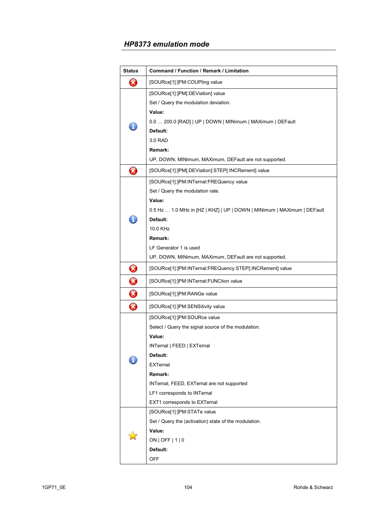| <b>Status</b>          | Command / Function / Remark / Limitation                                |
|------------------------|-------------------------------------------------------------------------|
| B                      | [SOURce[1]:]PM:COUPling value                                           |
|                        | [SOURce[1]:]PM[:DEViation] value                                        |
|                        | Set / Query the modulation deviation.                                   |
|                        | Value:                                                                  |
|                        | 0.0  200.0 [RAD]   UP   DOWN   MINimum   MAXimum   DEFault              |
|                        | Default:                                                                |
|                        | 3.0 RAD                                                                 |
|                        | Remark:                                                                 |
|                        | UP, DOWN, MINimum, MAXimum, DEFault are not supported.                  |
| ❸                      | [SOURce[1]:]PM[:DEViation]:STEP[:INCRement] value                       |
|                        | [SOURce[1]:]PM:INTernal:FREQuency value                                 |
|                        | Set / Query the modulation rate.                                        |
|                        | Value:                                                                  |
|                        | 0.5 Hz  1.0 MHz in [HZ   KHZ]   UP   DOWN   MINimum   MAXimum   DEFault |
|                        | Default:                                                                |
|                        | 10.0 KHz                                                                |
|                        | Remark:                                                                 |
|                        | LF Generator 1 is used                                                  |
|                        | UP, DOWN, MINimum, MAXimum, DEFault are not supported.                  |
| 0                      | [SOURce[1]:]PM:INTernal:FREQuency:STEP[:INCRement] value                |
| $\bf \bm{\bm{\omega}}$ | [SOURce[1]:]PM:INTernal:FUNCtion value                                  |
| 0                      | [SOURce[1]:]PM:RANGe value                                              |
| 8                      | [SOURce[1]: ]PM:SENSitivity value                                       |
|                        | [SOURce[1]:]PM:SOURce value                                             |
|                        | Select / Query the signal source of the modulation.                     |
|                        | Value:                                                                  |
|                        | INTernal   FEED   EXTernal                                              |
|                        | Default:                                                                |
|                        | <b>EXTernal</b>                                                         |
|                        | Remark:                                                                 |
|                        | INTernal, FEED, EXTernal are not supported                              |
|                        | LF1 corresponds to INTernal                                             |
|                        | EXT1 corresponds to EXTernal                                            |
|                        | [SOURce[1]:]PM:STATe value                                              |
|                        | Set / Query the (activation) state of the modulation.                   |
|                        | Value:                                                                  |
|                        | ON   OFF   $1$   0                                                      |
|                        | Default:                                                                |
|                        | <b>OFF</b>                                                              |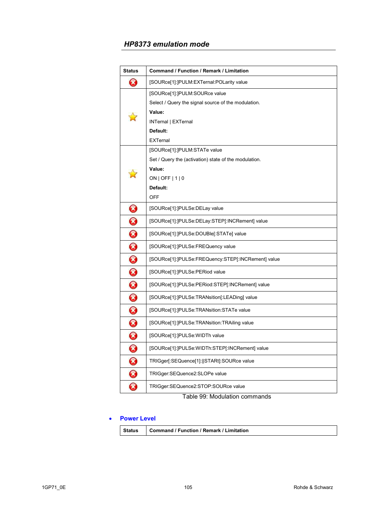| <b>Status</b> | Command / Function / Remark / Limitation              |
|---------------|-------------------------------------------------------|
| B             | [SOURce[1]: ]PULM: EXTernal: POLarity value           |
|               | [SOURce[1]:]PULM:SOURce value                         |
|               | Select / Query the signal source of the modulation.   |
|               | Value:                                                |
|               | INTernal   EXTernal                                   |
|               | Default:                                              |
|               | <b>EXTernal</b>                                       |
|               | [SOURce[1]:]PULM:STATe value                          |
|               | Set / Query the (activation) state of the modulation. |
|               | Value:                                                |
|               | $ON$   OFF   1   0                                    |
|               | Default:                                              |
|               | OFF                                                   |
| 0             | [SOURce[1]:]PULSe:DELay value                         |
| $\bm{\Omega}$ | [SOURce[1]:]PULSe:DELay:STEP[:INCRement] value        |
| 0             | [SOURce[1]:]PULSe:DOUBle[:STATe] value                |
| 0             | [SOURce[1]: ]PULSe: FREQuency value                   |
| 0             | [SOURce[1]:]PULSe:FREQuency:STEP[:INCRement] value    |
| 0             | [SOURce[1]:]PULSe:PERiod value                        |
| 0             | [SOURce[1]:]PULSe:PERiod:STEP[:INCRement] value       |
| $\bm{\Omega}$ | [SOURce[1]:]PULSe:TRANsition[:LEADing] value          |
| 0             | [SOURce[1]: ]PULSe: TRANsition: STATe value           |
| 0             | [SOURce[1]: ]PULSe: TRANsition: TRAiling value        |
| 0             | [SOURce[1]:]PULSe: WIDTh value                        |
| 0             | [SOURce[1]:]PULSe:WIDTh:STEP[:INCRement] value        |
| 0             | TRIGger[:SEQuence[1]:   STARt]:SOURce value           |
| 0             | TRIGger:SEQuence2:SLOPe value                         |
| ☎             | TRIGger:SEQuence2:STOP:SOURce value                   |

Table 99: Modulation commands

#### • **Power Level**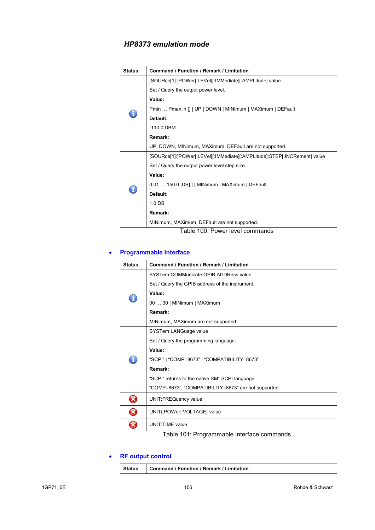| <b>Status</b> | <b>Command / Function / Remark / Limitation</b>                          |
|---------------|--------------------------------------------------------------------------|
|               | [SOURce[1]:]POWer[:LEVel][:IMMediate][:AMPLitude] value                  |
|               | Set / Query the output power level.                                      |
|               | Value:                                                                   |
|               | Pmin  Pmax in []   UP   DOWN   MINimum   MAXimum   DEFault               |
|               | Default:                                                                 |
|               | $-110.0$ DBM                                                             |
|               | Remark:                                                                  |
|               | UP, DOWN, MINimum, MAXimum, DEFault are not supported.                   |
|               | [SOURce[1]:]POWer[:LEVel][:IMMediate][:AMPLitude]:STEP[:INCRement] value |
|               | Set / Query the output power level step size.                            |
|               | Value:                                                                   |
|               | 0.01  150.0 [DB]     MINimum   MAXimum   DEFault                         |
|               | Default:                                                                 |
|               | 1.0 <sub>DB</sub>                                                        |
|               | Remark:                                                                  |
|               | MINimum, MAXimum, DEFault are not supported.                             |
|               | Table 100: Power level commands                                          |

# • **Programmable Interface**

| <b>Status</b> | <b>Command / Function / Remark / Limitation</b>     |
|---------------|-----------------------------------------------------|
|               | SYSTem:COMMunicate:GPIB:ADDRess value               |
|               | Set / Query the GPIB address of the instrument.     |
|               | Value:                                              |
|               | 00  30   MINimum   MAXimum                          |
|               | Remark:                                             |
|               | MINimum, MAXimum are not supported.                 |
|               | SYSTem:LANGuage value                               |
|               | Set / Query the programming language.               |
|               | Value:                                              |
|               | "SCPI"   "COMP=8673"   "COMPATIBILITY=8673"         |
|               | Remark:                                             |
|               | "SCPI" returns to the native SM* SCPI language      |
|               | "COMP=8673", "COMPATIBILITY=8673" are not supported |
| X             | <b>UNIT:FREQuency value</b>                         |
| X)            | UNIT{:POWer :VOLTAGE} value                         |
|               | UNIT: TIME value                                    |

# Table 101: Programmable Interface commands

# • **RF output control**

| <b>Status</b> | Command / Function / Remark / Limitation |
|---------------|------------------------------------------|
|---------------|------------------------------------------|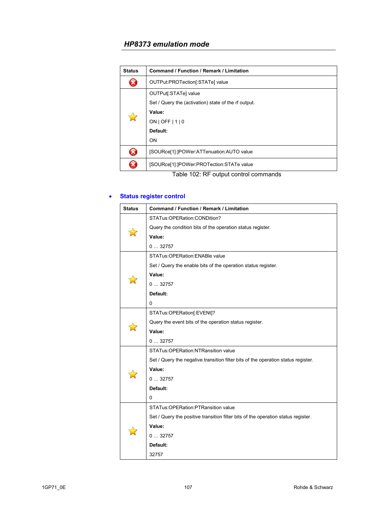| <b>Status</b>      | <b>Command / Function / Remark / Limitation</b>      |
|--------------------|------------------------------------------------------|
| X                  | OUTPut:PROTection[:STATe] value                      |
| $\mathbf{\hat{z}}$ | OUTPut[:STATe] value                                 |
|                    | Set / Query the (activation) state of the rf output. |
|                    | Value:                                               |
|                    | ON   OFF   $1$   0                                   |
|                    | Default:                                             |
|                    | <b>ON</b>                                            |
| X                  | [SOURce[1]: ]POWer: ATTenuation: AUTO value          |
| X                  | [SOURce[1]:]POWer:PROTection:STATe value             |
|                    | Table 102: RF output control commands                |

# • **Status register control**

| <b>Status</b> | <b>Command / Function / Remark / Limitation</b>                                   |
|---------------|-----------------------------------------------------------------------------------|
|               | STATus:OPERation:CONDition?                                                       |
|               | Query the condition bits of the operation status register.                        |
|               | Value:                                                                            |
|               | 032757                                                                            |
|               | STATus: OPERation: ENABle value                                                   |
|               | Set / Query the enable bits of the operation status register.                     |
|               | Value:                                                                            |
|               | 032757                                                                            |
|               | Default:                                                                          |
|               | 0                                                                                 |
|               | STATus:OPERation[:EVENt]?                                                         |
|               | Query the event bits of the operation status register.                            |
|               | Value:                                                                            |
|               | 032757                                                                            |
|               | STATus: OPERation: NTRansition value                                              |
|               | Set / Query the negative transition filter bits of the operation status register. |
|               | Value:                                                                            |
|               | 032757                                                                            |
|               | Default:                                                                          |
|               | 0                                                                                 |
|               | STATus: OPERation: PTRansition value                                              |
|               | Set / Query the positive transition filter bits of the operation status register. |
|               | Value:                                                                            |
|               | 032757                                                                            |
|               | Default:                                                                          |
|               | 32757                                                                             |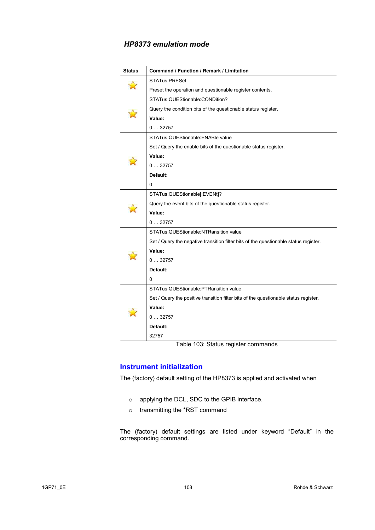| <b>Status</b> | <b>Command / Function / Remark / Limitation</b>                                      |
|---------------|--------------------------------------------------------------------------------------|
| 富             | STATus:PRESet                                                                        |
|               | Preset the operation and questionable register contents.                             |
|               | STATus: QUEStionable: CONDition?                                                     |
|               | Query the condition bits of the questionable status register.                        |
|               | Value:                                                                               |
|               | 032757                                                                               |
|               | STATus: QUEStionable: ENABle value                                                   |
|               | Set / Query the enable bits of the questionable status register.                     |
|               | Value:                                                                               |
|               | 032757                                                                               |
|               | Default:                                                                             |
|               | 0                                                                                    |
|               | STATus: QUEStionable[:EVENt]?                                                        |
|               | Query the event bits of the questionable status register.                            |
|               | Value:                                                                               |
|               | 032757                                                                               |
|               | STATus: QUEStionable: NTRansition value                                              |
|               | Set / Query the negative transition filter bits of the questionable status register. |
|               | Value:                                                                               |
|               | 032757                                                                               |
|               | Default:                                                                             |
|               | 0                                                                                    |
|               | STATus: QUEStionable: PTRansition value                                              |
|               | Set / Query the positive transition filter bits of the questionable status register. |
|               | Value:                                                                               |
|               | 032757                                                                               |
|               | Default:                                                                             |
|               | 32757                                                                                |

Table 103: Status register commands

# **Instrument initialization**

The (factory) default setting of the HP8373 is applied and activated when

- o applying the DCL, SDC to the GPIB interface.
- o transmitting the \*RST command

The (factory) default settings are listed under keyword "Default" in the corresponding command.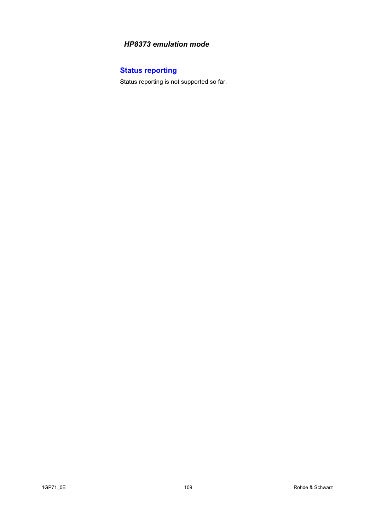# **Status reporting**

Status reporting is not supported so far.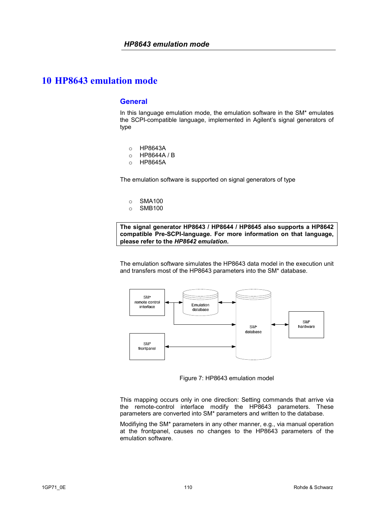#### **General**

In this language emulation mode, the emulation software in the SM\* emulates the SCPI-compatible language, implemented in Agilent's signal generators of type

- o HP8643A
- o HP8644A / B
- o HP8645A

The emulation software is supported on signal generators of type

- o SMA100
- o SMB100

**The signal generator HP8643 / HP8644 / HP8645 also supports a HP8642 compatible Pre-SCPI-language. For more information on that language, please refer to the** *HP8642 emulation***.**

The emulation software simulates the HP8643 data model in the execution unit and transfers most of the HP8643 parameters into the SM\* database.



Figure 7: HP8643 emulation model

This mapping occurs only in one direction: Setting commands that arrive via the remote-control interface modify the HP8643 parameters. These parameters are converted into SM\* parameters and written to the database.

Modifiying the SM\* parameters in any other manner, e.g., via manual operation at the frontpanel, causes no changes to the HP8643 parameters of the emulation software.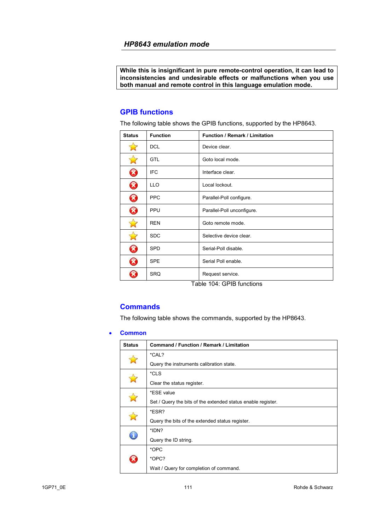**While this is insignificant in pure remote-control operation, it can lead to inconsistencies and undesirable effects or malfunctions when you use both manual and remote control in this language emulation mode.** 

### **GPIB functions**

The following table shows the GPIB functions, supported by the HP8643.

| <b>Status</b>         | <b>Function</b> | Function / Remark / Limitation |
|-----------------------|-----------------|--------------------------------|
|                       | <b>DCL</b>      | Device clear.                  |
|                       | <b>GTL</b>      | Goto local mode.               |
| Ø                     | <b>IFC</b>      | Interface clear.               |
| Ø                     | <b>LLO</b>      | Local lockout.                 |
| Ø                     | <b>PPC</b>      | Parallel-Poll configure.       |
| $\bm{\Omega}$         | PPU             | Parallel-Poll unconfigure.     |
|                       | <b>REN</b>      | Goto remote mode.              |
| $\Rightarrow$         | <b>SDC</b>      | Selective device clear.        |
| $\boldsymbol{\Omega}$ | <b>SPD</b>      | Serial-Poll disable.           |
| Ø                     | <b>SPE</b>      | Serial Poll enable.            |
|                       | <b>SRQ</b>      | Request service.               |

Table 104: GPIB functions

### **Commands**

The following table shows the commands, supported by the HP8643.

#### • **Common**

| <b>Status</b> | <b>Command / Function / Remark / Limitation</b>              |
|---------------|--------------------------------------------------------------|
|               | *CAL?                                                        |
|               | Query the instruments calibration state.                     |
|               | *CLS                                                         |
|               | Clear the status register.                                   |
|               | *ESE value                                                   |
|               | Set / Query the bits of the extended status enable register. |
|               | *ESR?                                                        |
|               | Query the bits of the extended status register.              |
| ī.            | *IDN?                                                        |
|               | Query the ID string.                                         |
|               | *OPC                                                         |
|               | *OPC?                                                        |
|               | Wait / Query for completion of command.                      |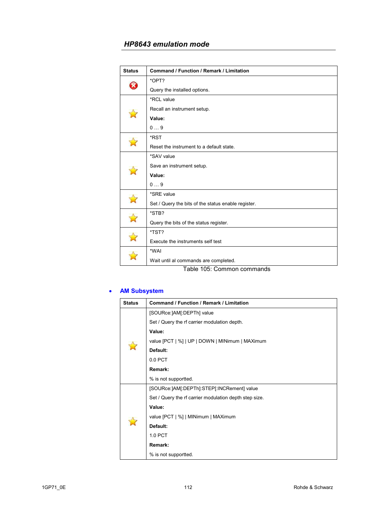| <b>Status</b> | <b>Command / Function / Remark / Limitation</b>     |
|---------------|-----------------------------------------------------|
| R             | *OPT?                                               |
|               | Query the installed options.                        |
|               | *RCL value                                          |
|               | Recall an instrument setup.                         |
|               | Value:                                              |
|               | 09                                                  |
|               | *RST                                                |
|               | Reset the instrument to a default state.            |
|               | *SAV value                                          |
|               | Save an instrument setup.                           |
|               | Value:                                              |
|               | 09                                                  |
|               | *SRE value                                          |
|               | Set / Query the bits of the status enable register. |
|               | *STB?                                               |
|               | Query the bits of the status register.              |
|               | *TST?                                               |
|               | Execute the instruments self test                   |
|               | *WAI                                                |
|               | Wait until al commands are completed.               |
|               | Table 105: Common commands                          |

### • **AM Subsystem**

| <b>Status</b> | Command / Function / Remark / Limitation               |
|---------------|--------------------------------------------------------|
|               | [SOURce:]AM[:DEPTh] value                              |
|               | Set / Query the rf carrier modulation depth.           |
|               | Value:                                                 |
|               | value [PCT   %]   UP   DOWN   MINimum   MAXimum        |
|               | Default:                                               |
|               | 0.0 PCT                                                |
|               | Remark:                                                |
|               | % is not supportted.                                   |
|               | [SOURce:]AM[:DEPTh]:STEP[:INCRement] value             |
|               | Set / Query the rf carrier modulation depth step size. |
|               | Value:                                                 |
|               | value [PCT   %]   MINimum   MAXimum                    |
|               | Default:                                               |
|               | 1.0 PCT                                                |
|               | Remark:                                                |
|               | % is not supportted.                                   |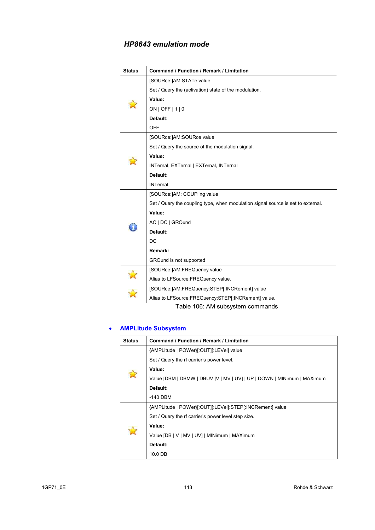| <b>Status</b> | <b>Command / Function / Remark / Limitation</b>                                                                 |
|---------------|-----------------------------------------------------------------------------------------------------------------|
|               | [SOURce:]AM:STATe value                                                                                         |
|               | Set / Query the (activation) state of the modulation.                                                           |
|               | Value:                                                                                                          |
|               | ON   OFF   $1$   0                                                                                              |
|               | Default:                                                                                                        |
|               | <b>OFF</b>                                                                                                      |
|               | [SOURce:]AM:SOURce value                                                                                        |
|               | Set / Query the source of the modulation signal.                                                                |
|               | Value:                                                                                                          |
|               | INTernal, EXTernal   EXTernal, INTernal                                                                         |
|               | Default:                                                                                                        |
|               | <b>INTernal</b>                                                                                                 |
|               | [SOURce:]AM: COUPling value                                                                                     |
|               | Set / Query the coupling type, when modulation signal source is set to external.                                |
|               | Value:                                                                                                          |
|               | AC   DC   GROund                                                                                                |
|               | Default:                                                                                                        |
|               | DC                                                                                                              |
|               | Remark:                                                                                                         |
|               | GROund is not supported                                                                                         |
|               | [SOURce:]AM:FREQuency value                                                                                     |
|               | Alias to LFSource: FREQuency value.                                                                             |
|               | [SOURce:]AM:FREQuency:STEP[:INCRement] value                                                                    |
|               | Alias to LFSource:FREQuency:STEP[:INCRement] value.<br>$L_{\text{L}}$ $\sim$ 400. AM $\sim$ the state of $\sim$ |

Table 106: AM subsystem commands

# • **AMPLitude Subsystem**

| <b>Status</b> | <b>Command / Function / Remark / Limitation</b>                         |
|---------------|-------------------------------------------------------------------------|
|               | {AMPLitude   POWer}[:OUT][:LEVel] value                                 |
|               | Set / Query the rf carrier's power level.                               |
|               | Value:                                                                  |
| $\Delta$      | Value [DBM   DBMW   DBUV   V   MV   UV]   UP   DOWN   MINimum   MAXimum |
|               | Default:                                                                |
|               | $-140$ DBM                                                              |
| Ĥ             | {AMPLitude   POWer}[:OUT][:LEVel]:STEP[:INCRement] value                |
|               | Set / Query the rf carrier's power level step size.                     |
|               | Value:                                                                  |
|               | Value [DB   V   MV   UV]   MINimum   MAXimum                            |
|               | Default:                                                                |
|               | 10.0 DB                                                                 |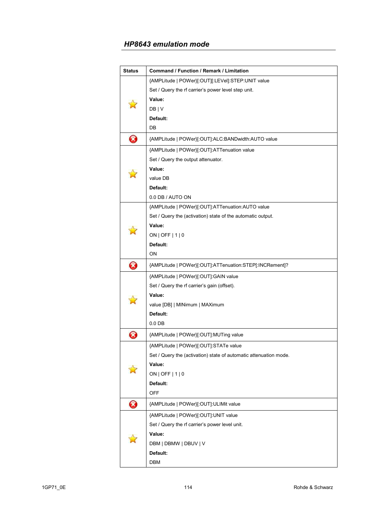| <b>Status</b>              | Command / Function / Remark / Limitation                          |
|----------------------------|-------------------------------------------------------------------|
|                            | {AMPLitude   POWer}[:OUT][:LEVel]:STEP:UNIT value                 |
|                            | Set / Query the rf carrier's power level step unit.               |
|                            | Value:                                                            |
|                            | DB   V                                                            |
|                            | Default:                                                          |
|                            | DB                                                                |
| 0                          | {AMPLitude   POWer}[:OUT]:ALC:BANDwidth:AUTO value                |
|                            | {AMPLitude   POWer}[:OUT]:ATTenuation value                       |
|                            | Set / Query the output attenuator.                                |
|                            | Value:                                                            |
|                            | value DB                                                          |
|                            | Default:                                                          |
|                            | 0.0 DB / AUTO ON                                                  |
|                            | {AMPLitude   POWer}[:OUT]:ATTenuation:AUTO value                  |
|                            | Set / Query the (activation) state of the automatic output.       |
|                            | Value:                                                            |
|                            | ON   OFF   1   0                                                  |
|                            | Default:                                                          |
|                            | ON                                                                |
| Ø                          | {AMPLitude   POWer}[:OUT]:ATTenuation:STEP[:INCRement]?           |
|                            | {AMPLitude   POWer}[:OUT]:GAIN value                              |
|                            | Set / Query the rf carrier's gain (offset).                       |
|                            | Value:                                                            |
|                            | value [DB]   MINimum   MAXimum                                    |
|                            | Default:                                                          |
|                            | $0.0$ DB                                                          |
| $\boldsymbol{\mathcal{R}}$ | {AMPLitude   POWer}[:OUT]:MUTing value                            |
|                            | {AMPLitude   POWer}[:OUT]:STATe value                             |
|                            | Set / Query the (activation) state of automatic attenuation mode. |
|                            | Value:                                                            |
|                            | $ON$   OFF $ 1 0$                                                 |
|                            | Default:                                                          |
|                            | <b>OFF</b>                                                        |
| Ø                          | {AMPLitude   POWer}[:OUT]:ULIMit value                            |
|                            | {AMPLitude   POWer}[:OUT]:UNIT value                              |
|                            | Set / Query the rf carrier's power level unit.                    |
|                            | Value:                                                            |
|                            | DBM   DBMW   DBUV   V                                             |
|                            | Default:                                                          |
|                            | DBM                                                               |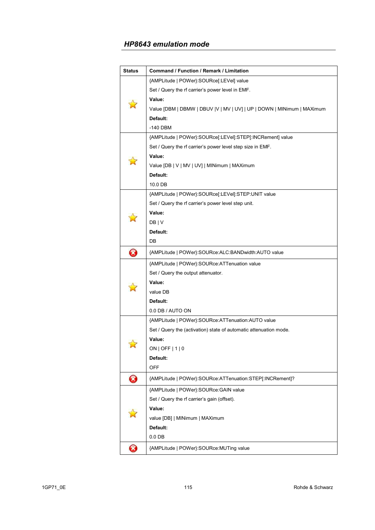| <b>Status</b>              | Command / Function / Remark / Limitation                               |
|----------------------------|------------------------------------------------------------------------|
|                            | {AMPLitude   POWer}:SOURce[:LEVel] value                               |
|                            | Set / Query the rf carrier's power level in EMF.                       |
|                            | Value:                                                                 |
|                            | Value [DBM   DBMW   DBUV  V   MV   UV]   UP   DOWN   MINimum   MAXimum |
|                            | Default:                                                               |
|                            | -140 DBM                                                               |
|                            | {AMPLitude   POWer}:SOURce[:LEVel]:STEP[:INCRement] value              |
|                            | Set / Query the rf carrier's power level step size in EMF.             |
|                            | Value:                                                                 |
|                            | Value [DB   V   MV   UV]   MINimum   MAXimum                           |
|                            | Default:                                                               |
|                            | 10.0 DB                                                                |
|                            | {AMPLitude   POWer}:SOURce[:LEVel]:STEP:UNIT value                     |
|                            | Set / Query the rf carrier's power level step unit.                    |
|                            | Value:                                                                 |
|                            | DB   V                                                                 |
|                            | Default:                                                               |
|                            | DB                                                                     |
| Ø                          | {AMPLitude   POWer}:SOURce:ALC:BANDwidth:AUTO value                    |
|                            | {AMPLitude   POWer}:SOURce:ATTenuation value                           |
|                            | Set / Query the output attenuator.                                     |
|                            | Value:                                                                 |
|                            | value DB                                                               |
|                            | Default:                                                               |
|                            | 0.0 DB / AUTO ON                                                       |
|                            | {AMPLitude   POWer}: SOURce: ATTenuation: AUTO value                   |
|                            | Set / Query the (activation) state of automatic attenuation mode.      |
|                            | Value:                                                                 |
|                            | ON   OFF   1   0                                                       |
|                            | Default:                                                               |
|                            | <b>OFF</b>                                                             |
| Ø                          | {AMPLitude   POWer}:SOURce:ATTenuation:STEP[:INCRement]?               |
|                            | {AMPLitude   POWer}:SOURce:GAIN value                                  |
|                            | Set / Query the rf carrier's gain (offset).                            |
|                            | Value:                                                                 |
|                            | value [DB]   MINimum   MAXimum                                         |
|                            | Default:                                                               |
|                            | $0.0$ DB                                                               |
| $\boldsymbol{\mathcal{R}}$ | {AMPLitude   POWer}:SOURce:MUTing value                                |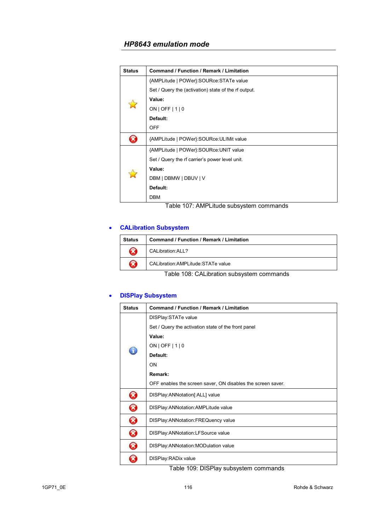| <b>Status</b> | <b>Command / Function / Remark / Limitation</b>      |
|---------------|------------------------------------------------------|
|               | {AMPLitude   POWer}: SOURce: STATe value             |
|               | Set / Query the (activation) state of the rf output. |
|               | Value:                                               |
|               | $ON$   OFF $ 1 0$                                    |
|               | Default:                                             |
|               | <b>OFF</b>                                           |
|               | {AMPLitude   POWer}: SOURce: ULIMit value            |
|               | {AMPLitude   POWer}: SOURce: UNIT value              |
|               | Set / Query the rf carrier's power level unit.       |
| $\rightarrow$ | Value:                                               |
|               | DBM   DBMW   DBUV   V                                |
|               | Default:                                             |
|               | <b>DBM</b>                                           |

Table 107: AMPLitude subsystem commands

### • **CALibration Subsystem**

| <b>Status</b> | Command / Function / Remark / Limitation |
|---------------|------------------------------------------|
| $\Omega$      | CALibration: ALL?                        |
| R             | CALibration: AMPLitude: STATe value      |

Table 108: CALibration subsystem commands

# • **DISPlay Subsystem**

| <b>Status</b>              | <b>Command / Function / Remark / Limitation</b>             |
|----------------------------|-------------------------------------------------------------|
|                            | DISPlay: STATe value                                        |
|                            | Set / Query the activation state of the front panel         |
|                            | Value:                                                      |
|                            | $ON$   OFF   1   0                                          |
|                            | Default:                                                    |
|                            | ON                                                          |
|                            | Remark:                                                     |
|                            | OFF enables the screen saver, ON disables the screen saver. |
| $\boldsymbol{\mathcal{R}}$ | DISPlay:ANNotation[:ALL] value                              |
| Ø                          | DISPlay: ANNotation: AMPLitude value                        |
| Ø                          | DISPlay: ANNotation: FREQuency value                        |
| ❸                          | DISPlay: ANNotation: LFSource value                         |
| B                          | DISPlay: ANNotation: MODulation value                       |
|                            | DISPlay: RADix value                                        |

Table 109: DISPlay subsystem commands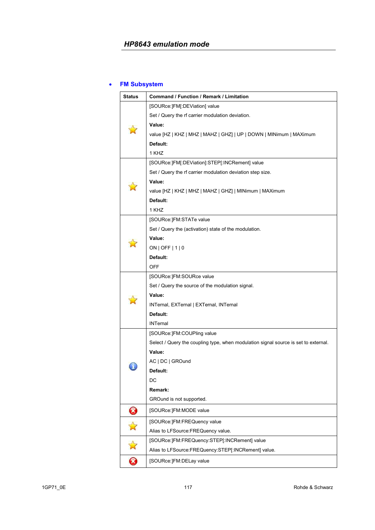### • **FM Subsystem**

| <b>Status</b>          | <b>Command / Function / Remark / Limitation</b>                                     |
|------------------------|-------------------------------------------------------------------------------------|
|                        | [SOURce:]FM[:DEViation] value                                                       |
|                        | Set / Query the rf carrier modulation deviation.                                    |
|                        | Value:                                                                              |
|                        | value [HZ   KHZ   MHZ   MAHZ   GHZ]   UP   DOWN   MINimum   MAXimum                 |
|                        | Default:                                                                            |
|                        | 1 KHZ                                                                               |
|                        | [SOURce:]FM[:DEViation]:STEP[:INCRement] value                                      |
|                        | Set / Query the rf carrier modulation deviation step size.                          |
|                        | Value:                                                                              |
|                        | value [HZ   KHZ   MHZ   MAHZ   GHZ]   MINimum   MAXimum                             |
|                        | Default:                                                                            |
|                        | 1 KHZ                                                                               |
|                        | [SOURce:]FM:STATe value                                                             |
|                        | Set / Query the (activation) state of the modulation.                               |
|                        | Value:                                                                              |
|                        | ON   OFF   1   0                                                                    |
|                        | Default:                                                                            |
|                        | OFF                                                                                 |
|                        | [SOURce:]FM:SOURce value                                                            |
|                        | Set / Query the source of the modulation signal.                                    |
|                        | Value:                                                                              |
|                        | INTernal, EXTernal   EXTernal, INTernal                                             |
|                        | Default:                                                                            |
|                        | <b>INTernal</b>                                                                     |
|                        | [SOURce:]FM:COUPling value                                                          |
|                        | Select / Query the coupling type, when modulation signal source is set to external. |
|                        | Value:                                                                              |
|                        | AC   DC   GROund                                                                    |
|                        | Default:                                                                            |
|                        | DC                                                                                  |
|                        | Remark:                                                                             |
|                        | GROund is not supported.                                                            |
| 0                      | [SOURce:]FM:MODE value                                                              |
| $\mathbf{\hat{z}}$     | [SOURce:]FM:FREQuency value                                                         |
|                        | Alias to LFSource: FREQuency value.                                                 |
|                        | [SOURce:]FM:FREQuency:STEP[:INCRement] value                                        |
| $\mathbf{r}$           | Alias to LFSource:FREQuency:STEP[:INCRement] value.                                 |
| $\bf \bm{\bm{\omega}}$ | [SOURce:]FM:DELay value                                                             |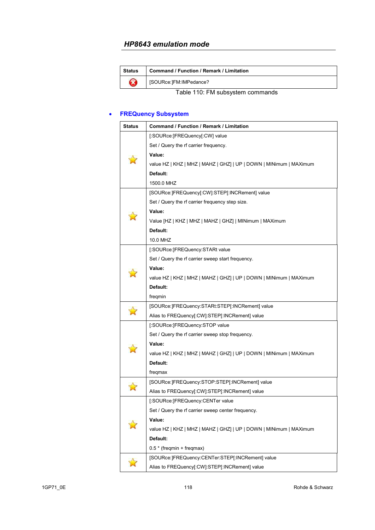| <b>Status</b>                    | <b>Command / Function / Remark / Limitation</b> |
|----------------------------------|-------------------------------------------------|
| R                                | [SOURce:]FM:IMPedance?                          |
| Table 110: FM subsystem commands |                                                 |

### • **FREQuency Subsystem**

| <b>Status</b> | Command / Function / Remark / Limitation                           |
|---------------|--------------------------------------------------------------------|
|               | [:SOURce:]FREQuency[:CW] value                                     |
|               | Set / Query the rf carrier frequency.                              |
|               | Value:                                                             |
|               | value HZ   KHZ   MHZ   MAHZ   GHZ]   UP   DOWN   MINimum   MAXimum |
|               | Default:                                                           |
|               | 1500.0 MHZ                                                         |
|               | [SOURce:]FREQuency[:CW]:STEP[:INCRement] value                     |
|               | Set / Query the rf carrier frequency step size.                    |
|               | Value:                                                             |
|               | Value [HZ   KHZ   MHZ   MAHZ   GHZ]   MINimum   MAXimum            |
|               | Default:                                                           |
|               | 10.0 MHZ                                                           |
|               | [:SOURce:]FREQuency:STARt value                                    |
|               | Set / Query the rf carrier sweep start frequency.                  |
|               | Value:                                                             |
|               | value HZ   KHZ   MHZ   MAHZ   GHZ]   UP   DOWN   MINimum   MAXimum |
|               | Default:                                                           |
|               | fregmin                                                            |
|               | [SOURce:]FREQuency:STARt:STEP[:INCRement] value                    |
|               | Alias to FREQuency[:CW]:STEP[:INCRement] value                     |
|               | [:SOURce:]FREQuency:STOP value                                     |
|               | Set / Query the rf carrier sweep stop frequency.                   |
|               | Value:                                                             |
|               | value HZ   KHZ   MHZ   MAHZ   GHZ]   UP   DOWN   MINimum   MAXimum |
|               | Default:                                                           |
|               | fregmax                                                            |
|               | [SOURce:]FREQuency:STOP:STEP[:INCRement] value                     |
|               | Alias to FREQuency[:CW]:STEP[:INCRement] value                     |
|               | [:SOURce:]FREQuency:CENTer value                                   |
|               | Set / Query the rf carrier sweep center frequency.                 |
|               | Value:                                                             |
|               | value HZ   KHZ   MHZ   MAHZ   GHZ]   UP   DOWN   MINimum   MAXimum |
|               | Default:                                                           |
|               | $0.5*$ (freqmin + freqmax)                                         |
|               | [SOURce:]FREQuency:CENTer:STEP[:INCRement] value                   |
|               | Alias to FREQuency[:CW]:STEP[:INCRement] value                     |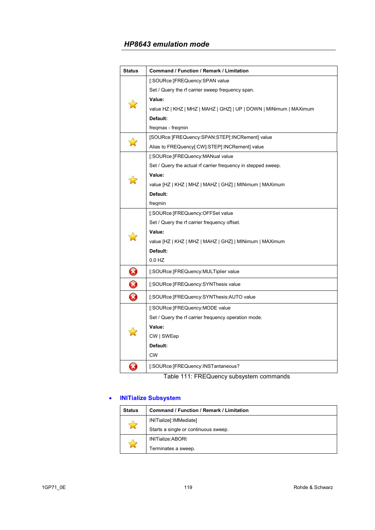| <b>Status</b>         | Command / Function / Remark / Limitation                           |
|-----------------------|--------------------------------------------------------------------|
|                       | [:SOURce:]FREQuency:SPAN value                                     |
|                       | Set / Query the rf carrier sweep frequency span.                   |
|                       | Value:                                                             |
|                       | value HZ   KHZ   MHZ   MAHZ   GHZ]   UP   DOWN   MINimum   MAXimum |
|                       | Default:                                                           |
|                       | freqmax - freqmin                                                  |
| Ŵ                     | [SOURce:]FREQuency:SPAN:STEP[:INCRement] value                     |
|                       | Alias to FREQuency[:CW]:STEP[:INCRement] value                     |
|                       | [:SOURce:]FREQuency:MANual value                                   |
|                       | Set / Query the actual rf carrier frequency in stepped sweep.      |
|                       | Value:                                                             |
|                       | value [HZ   KHZ   MHZ   MAHZ   GHZ]   MINimum   MAXimum            |
|                       | Default:                                                           |
|                       | freqmin                                                            |
|                       | [:SOURce:]FREQuency:OFFSet value                                   |
|                       | Set / Query the rf carrier frequency offset.                       |
|                       | Value:                                                             |
|                       | value [HZ   KHZ   MHZ   MAHZ   GHZ]   MINimum   MAXimum            |
|                       | Default:                                                           |
|                       | 0.0 HZ                                                             |
| 0                     | [:SOURce:]FREQuency:MULTiplier value                               |
| 0                     | [:SOURce:]FREQuency:SYNThesis value                                |
| $\boldsymbol{\Omega}$ | [:SOURce:]FREQuency:SYNThesis:AUTO value                           |
|                       | [:SOURce:]FREQuency:MODE value                                     |
|                       | Set / Query the rf carrier frequency operation mode.               |
|                       | Value:                                                             |
|                       | CW   SWEep                                                         |
|                       | Default:                                                           |
|                       | <b>CW</b>                                                          |
| B                     | [:SOURce:]FREQuency:INSTantaneous?                                 |

Table 111: FREQuency subsystem commands

# • **INITialize Subsystem**

| <b>Status</b> | <b>Command / Function / Remark / Limitation</b> |
|---------------|-------------------------------------------------|
|               | INITialize[:IMMediate]                          |
|               | Starts a single or continuous sweep.            |
|               | <b>INITialize:ABORt</b>                         |
|               | Terminates a sweep.                             |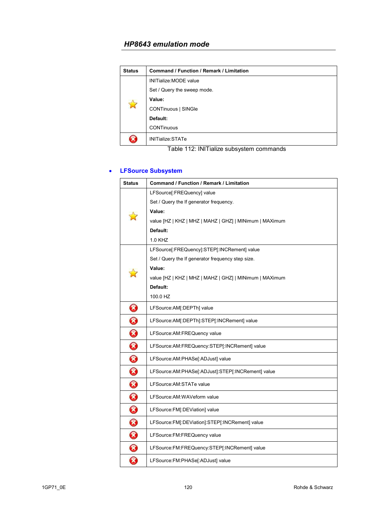| <b>Status</b> | Command / Function / Remark / Limitation |
|---------------|------------------------------------------|
| $\mathbb{R}$  | <b>INITialize: MODE value</b>            |
|               | Set / Query the sweep mode.              |
|               | Value:                                   |
|               | <b>CONTinuous   SINGle</b>               |
|               | Default:                                 |
|               | <b>CONTinuous</b>                        |
|               | INITialize:STATe                         |

Table 112: INITialize subsystem commands

# • **LFSource Subsystem**

| <b>Status</b> | Command / Function / Remark / Limitation                |
|---------------|---------------------------------------------------------|
|               | LFSource[:FREQuency] value                              |
|               | Set / Query the If generator frequency.                 |
|               | Value:                                                  |
|               | value [HZ   KHZ   MHZ   MAHZ   GHZ]   MINimum   MAXimum |
|               | Default:                                                |
|               | 1.0 KHZ                                                 |
|               | LFSource[:FREQuency]:STEP[:INCRement] value             |
|               | Set / Query the If generator frequency step size.       |
|               | Value:                                                  |
|               | value [HZ   KHZ   MHZ   MAHZ   GHZ]   MINimum   MAXimum |
|               | Default:                                                |
|               | 100.0 HZ                                                |
| $\bm{\Omega}$ | LFSource:AM[:DEPTh] value                               |
| 0             | LFSource:AM[:DEPTh]:STEP[:INCRement] value              |
| 0             | LFSource: AM: FREQuency value                           |
| 0             | LFSource:AM:FREQuency:STEP[:INCRement] value            |
| 0             | LFSource:AM:PHASe[:ADJust] value                        |
| 0             | LFSource:AM:PHASe[:ADJust]:STEP[:INCRement] value       |
| $\bm{\Omega}$ | LFSource:AM:STATe value                                 |
| 0             | LFSource: AM: WAVeform value                            |
| 0             | LFSource:FM[:DEViation] value                           |
| 0             | LFSource:FM[:DEViation]:STEP[:INCRement] value          |
| 0             | LFSource:FM:FREQuency value                             |
| 0             | LFSource:FM:FREQuency:STEP[:INCRement] value            |
| B             | LFSource:FM:PHASe[:ADJust] value                        |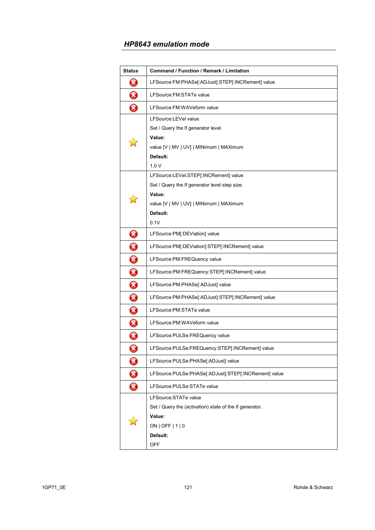| <b>Status</b> | Command / Function / Remark / Limitation                |
|---------------|---------------------------------------------------------|
| Ø             | LFSource:FM:PHASe[:ADJust]:STEP[:INCRement] value       |
| 3             | LFSource: FM: STATe value                               |
| 3             | LFSource:FM:WAVeform value                              |
|               | LFSource:LEVel value                                    |
|               | Set / Query the If generator level.                     |
|               | Value:                                                  |
|               | value [V   MV   UV]   MINimum   MAXimum                 |
|               | Default:                                                |
|               | 1.0V                                                    |
|               | LFSource:LEVel:STEP[:INCRement] value                   |
|               | Set / Query the If generator level step size.           |
|               | Value:                                                  |
|               | value [V   MV   UV]   MINimum   MAXimum                 |
|               | Default:                                                |
|               | 0.1V                                                    |
| Ø             | LFSource:PM[:DEViation] value                           |
| 0             | LFSource:PM[:DEViation]:STEP[:INCRement] value          |
| 0             | LFSource:PM:FREQuency value                             |
| 0             | LFSource:PM:FREQuency:STEP[:INCRement] value            |
| 0             | LFSource:PM:PHASe[:ADJust] value                        |
| 0             | LFSource:PM:PHASe[:ADJust]:STEP[:INCRement] value       |
| 0             | LFSource: PM: STATe value                               |
| 0             | LFSource: PM: WAVeform value                            |
| $\bm{\Omega}$ | LFSource:PULSe:FREQuency value                          |
| Ø             | LFSource:PULSe:FREQuency:STEP[:INCRement] value         |
| 0             | LFSource:PULSe:PHASe[:ADJust] value                     |
| 0             | LFSource:PULSe:PHASe[:ADJust]:STEP[:INCRement] value    |
| 0             | LFSource:PULSe:STATe value                              |
|               | LFSource: STATe value                                   |
|               | Set / Query the (activation) state of the If generator. |
|               | Value:                                                  |
|               | ON   OFF   $1$   0                                      |
|               | Default:                                                |
|               | <b>OFF</b>                                              |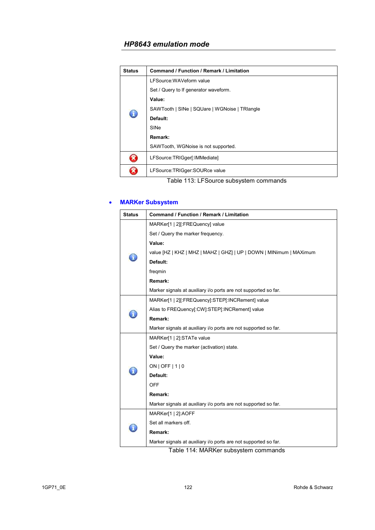| <b>Status</b> | Command / Function / Remark / Limitation      |
|---------------|-----------------------------------------------|
|               | LFSource: WAVeform value                      |
|               | Set / Query to If generator waveform.         |
|               | Value:                                        |
| $\bigcirc$    | SAWTooth   SINe   SQUare   WGNoise   TRIangle |
|               | Default:                                      |
|               | SINe                                          |
|               | Remark:                                       |
|               | SAWTooth, WGNoise is not supported.           |
| ×             | LFSource:TRIGger[:IMMediate]                  |
|               | LFSource:TRIGger:SOURce value                 |

Table 113: LFSource subsystem commands

### • **MARKer Subsystem**

| <b>Status</b> | Command / Function / Remark / Limitation                            |
|---------------|---------------------------------------------------------------------|
|               | MARKer[1   2][:FREQuency] value                                     |
|               | Set / Query the marker frequency.                                   |
|               | Value:                                                              |
|               | value [HZ   KHZ   MHZ   MAHZ   GHZ]   UP   DOWN   MINimum   MAXimum |
|               | Default:                                                            |
|               | freqmin                                                             |
|               | Remark:                                                             |
|               | Marker signals at auxiliary i/o ports are not supported so far.     |
|               | MARKer[1   2][:FREQuency]:STEP[:INCRement] value                    |
|               | Alias to FREQuency[:CW]:STEP[:INCRement] value                      |
|               | Remark:                                                             |
|               | Marker signals at auxiliary i/o ports are not supported so far.     |
|               | MARKer[1   2]:STATe value                                           |
|               | Set / Query the marker (activation) state.                          |
|               | Value:                                                              |
|               | $ON$   OFF   1   0                                                  |
|               | Default:                                                            |
|               | <b>OFF</b>                                                          |
|               | Remark:                                                             |
|               | Marker signals at auxiliary i/o ports are not supported so far.     |
|               | MARKer[1   2]:AOFF                                                  |
|               | Set all markers off.                                                |
|               | Remark:                                                             |
|               | Marker signals at auxiliary i/o ports are not supported so far.     |

Table 114: MARKer subsystem commands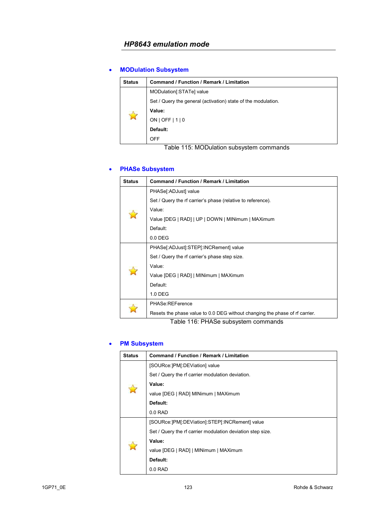# • **MODulation Subsystem**

| <b>Status</b> | Command / Function / Remark / Limitation                      |
|---------------|---------------------------------------------------------------|
| $\mathbb{N}$  | MODulation[:STATe] value                                      |
|               | Set / Query the general (activation) state of the modulation. |
|               | Value:                                                        |
|               | ON   OFF   $1$   0                                            |
|               | Default:                                                      |
|               | <b>OFF</b>                                                    |

Table 115: MODulation subsystem commands

### • **PHASe Subsystem**

| <b>Status</b> | Command / Function / Remark / Limitation                                                                 |
|---------------|----------------------------------------------------------------------------------------------------------|
|               | PHASe[:ADJust] value                                                                                     |
|               | Set / Query the rf carrier's phase (relative to reference).                                              |
|               | Value:                                                                                                   |
|               | Value [DEG   RAD]   UP   DOWN   MINimum   MAXimum                                                        |
|               | Default:                                                                                                 |
|               | $0.0$ DEG                                                                                                |
|               | PHASe[:ADJust]:STEP[:INCRement] value                                                                    |
|               | Set / Query the rf carrier's phase step size.                                                            |
|               | Value:                                                                                                   |
|               | Value [DEG   RAD]   MINimum   MAXimum                                                                    |
|               | Default:                                                                                                 |
|               | 1.0 DEG                                                                                                  |
|               | PHASe:REFerence                                                                                          |
|               | Resets the phase value to 0.0 DEG without changing the phase of rf carrier.<br>$-11$ $-120$ $-1120$ $-1$ |

Table 116: PHASe subsystem commands

### • **PM Subsystem**

| <b>Status</b> | <b>Command / Function / Remark / Limitation</b>            |
|---------------|------------------------------------------------------------|
|               | [SOURce: PM[: DEViation] value                             |
|               | Set / Query the rf carrier modulation deviation.           |
|               | Value:                                                     |
|               | value [DEG   RAD] MINimum   MAXimum                        |
|               | Default:                                                   |
|               | $0.0$ RAD                                                  |
|               | [SOURce:]PM[:DEViation]:STEP[:INCRement] value             |
|               | Set / Query the rf carrier modulation deviation step size. |
|               | Value:                                                     |
|               | value [DEG   RAD]   MINimum   MAXimum                      |
|               | Default:                                                   |
|               | $0.0$ RAD                                                  |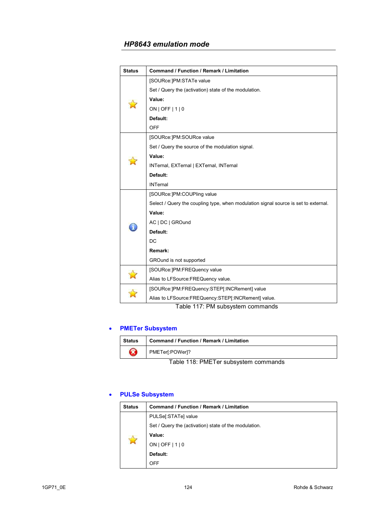| <b>Status</b> | <b>Command / Function / Remark / Limitation</b>                                                                              |
|---------------|------------------------------------------------------------------------------------------------------------------------------|
|               | [SOURce:]PM:STATe value                                                                                                      |
|               | Set / Query the (activation) state of the modulation.                                                                        |
|               | Value:                                                                                                                       |
|               | $ON$   OFF $ 1 0$                                                                                                            |
|               | Default:                                                                                                                     |
|               | <b>OFF</b>                                                                                                                   |
|               | [SOURce:]PM:SOURce value                                                                                                     |
|               | Set / Query the source of the modulation signal.                                                                             |
|               | Value:                                                                                                                       |
|               | INTernal, EXTernal   EXTernal, INTernal                                                                                      |
|               | Default:                                                                                                                     |
|               | <b>INTernal</b>                                                                                                              |
|               | [SOURce:]PM:COUPling value                                                                                                   |
|               | Select / Query the coupling type, when modulation signal source is set to external.                                          |
|               | Value:                                                                                                                       |
|               | AC   DC   GROund                                                                                                             |
|               | Default:                                                                                                                     |
|               | DC                                                                                                                           |
|               | Remark:                                                                                                                      |
|               | GROund is not supported                                                                                                      |
|               | [SOURce:]PM:FREQuency value                                                                                                  |
|               | Alias to LFSource: FREQuency value.                                                                                          |
|               | [SOURce:]PM:FREQuency:STEP[:INCRement] value                                                                                 |
|               | Alias to LFSource:FREQuency:STEP[:INCRement] value.<br>$\rightarrow$ $\rightarrow$ $\rightarrow$ $\rightarrow$ $\rightarrow$ |

Table 117: PM subsystem commands

# • **PMETer Subsystem**

| <b>Status</b> | Command / Function / Remark / Limitation |
|---------------|------------------------------------------|
|               | PMETer[:POWer]?                          |
|               | Table 118: PMFTer subsystem commands     |

Table 118: PMETer subsystem commands

### • **PULSe Subsystem**

| <b>Status</b> | Command / Function / Remark / Limitation              |
|---------------|-------------------------------------------------------|
|               | PULSe[:STATe] value                                   |
|               | Set / Query the (activation) state of the modulation. |
|               | Value:                                                |
|               | $ON$   OFF   1   0                                    |
|               | Default:                                              |
|               | OFF                                                   |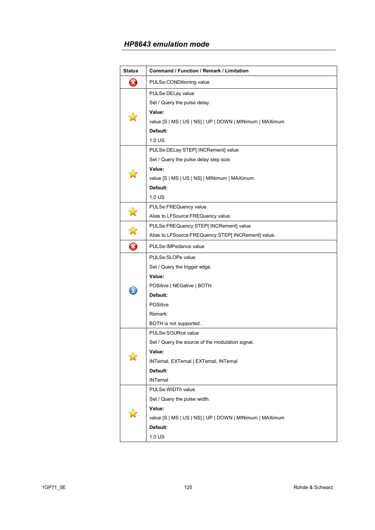| <b>Status</b>         | Command / Function / Remark / Limitation                 |
|-----------------------|----------------------------------------------------------|
| 3                     | PULSe:CONDitioning value                                 |
|                       | PULSe: DELay value                                       |
|                       | Set / Query the pulse delay.                             |
|                       | Value:                                                   |
|                       | value [S   MS   US   NS]   UP   DOWN   MINimum   MAXimum |
|                       | Default:                                                 |
|                       | $1.0$ US                                                 |
|                       | PULSe:DELay:STEP[:INCRement] value                       |
|                       | Set / Query the pulse delay step size.                   |
|                       | Value:                                                   |
|                       | value [S   MS   US   NS]   MINimum   MAXimum             |
|                       | Default:                                                 |
|                       | 1.0 US                                                   |
|                       | PULSe:FREQuency value                                    |
| $\mathbb{Z}$          | Alias to LFSource:FREQuency value.                       |
| $\Delta$              | PULSe:FREQuency:STEP[:INCRement] value                   |
|                       | Alias to LFSource:FREQuency:STEP[:INCRement] value.      |
| $\boldsymbol{\Omega}$ | PULSe: IMPedance value                                   |
|                       | PULSe:SLOPe value                                        |
|                       | Set / Query the trigger edge.                            |
|                       | Value:                                                   |
|                       | POSitive   NEGative   BOTH                               |
|                       | Default:                                                 |
|                       | <b>POSitive</b>                                          |
|                       | Remark:                                                  |
|                       | BOTH is not supported.                                   |
|                       | PULSe:SOURce value                                       |
|                       | Set / Query the source of the modulation signal.         |
|                       | Value:                                                   |
|                       | INTernal, EXTernal   EXTernal, INTernal                  |
|                       | Default:                                                 |
|                       | <b>INTernal</b>                                          |
|                       | PULSe: WIDTh value                                       |
|                       | Set / Query the pulse width.                             |
|                       | Value:                                                   |
|                       | value [S   MS   US   NS]   UP   DOWN   MINimum   MAXimum |
|                       | Default:                                                 |
|                       | 1.0 US                                                   |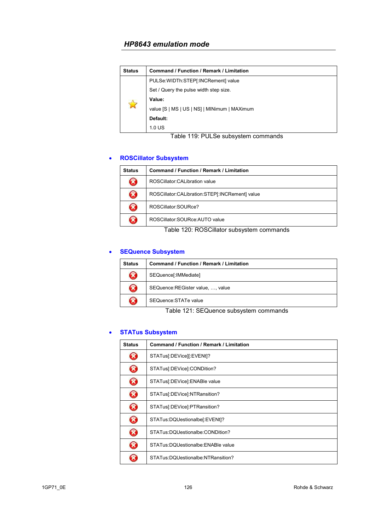| <b>Status</b>         | Command / Function / Remark / Limitation     |
|-----------------------|----------------------------------------------|
| $\tilde{\mathcal{M}}$ | PULSe: WIDTh: STEP[: INCRement] value        |
|                       | Set / Query the pulse width step size.       |
|                       | Value:                                       |
|                       | value [S   MS   US   NS]   MINimum   MAXimum |
|                       | Default:                                     |
|                       | $1.0$ US                                     |

# Table 119: PULSe subsystem commands

### • **ROSCillator Subsystem**

| <b>Status</b> | Command / Function / Remark / Limitation       |
|---------------|------------------------------------------------|
| X             | ROSCillator: CALibration value                 |
| X)            | ROSCillator:CALibration:STEP[:INCRement] value |
| X             | ROSCillator:SOURce?                            |
| ×             | ROSCillator:SOURce:AUTO value                  |

Table 120: ROSCillator subsystem commands

### • **SEQuence Subsystem**

| <b>Status</b> | <b>Command / Function / Remark / Limitation</b>                                                                                                                                                                                                                    |
|---------------|--------------------------------------------------------------------------------------------------------------------------------------------------------------------------------------------------------------------------------------------------------------------|
| X             | SEQuence[:IMMediate]                                                                                                                                                                                                                                               |
| $\mathbf{z}$  | SEQuence: REGister value, , value                                                                                                                                                                                                                                  |
|               | SEQuence: STATe value                                                                                                                                                                                                                                              |
|               | <b>TILL 101 0F0</b><br>$\blacksquare$ . The contract of the contract of the contract of the contract of the contract of the contract of the contract of the contract of the contract of the contract of the contract of the contract of the contract of the<br>. . |

Table 121: SEQuence subsystem commands

# • **STATus Subsystem**

| <b>Status</b> | Command / Function / Remark / Limitation |
|---------------|------------------------------------------|
| X             | STATus[:DEVice][:EVENt]?                 |
| B             | STATus[:DEVice]:CONDition?               |
| B             | STATus[:DEVice]:ENABle value             |
| B             | STATus[:DEVice]:NTRansition?             |
| $\Omega$      | STATus[:DEVice]:PTRansition?             |
| B             | STATus:DQUestionalbel:EVENtl?            |
| B             | STATus:DQUestionalbe:CONDition?          |
| B             | STATus:DQUestionalbe:ENABle value        |
|               | STATus:DQUestionalbe:NTRansition?        |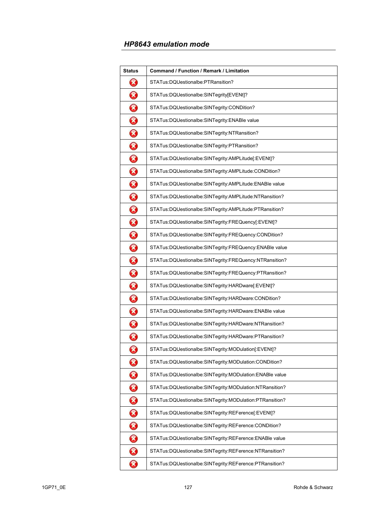| <b>Status</b>              | Command / Function / Remark / Limitation                |
|----------------------------|---------------------------------------------------------|
| B                          | STATus:DQUestionalbe:PTRansition?                       |
| 0                          | STATus:DQUestionalbe:SINTegrity[EVENt]?                 |
| ❸                          | STATus:DQUestionalbe:SINTegrity:CONDition?              |
| 0                          | STATus:DQUestionalbe:SINTegrity:ENABle value            |
| ❸                          | STATus:DQUestionalbe:SINTegrity:NTRansition?            |
| 0                          | STATus:DQUestionalbe:SINTegrity:PTRansition?            |
| 0                          | STATus:DQUestionalbe:SINTegrity:AMPLitude[:EVENt]?      |
| ❸                          | STATus:DQUestionalbe:SINTegrity:AMPLitude:CONDition?    |
| 0                          | STATus:DQUestionalbe:SINTegrity:AMPLitude:ENABle value  |
| 0                          | STATus:DQUestionalbe:SINTegrity:AMPLitude:NTRansition?  |
| 3                          | STATus:DQUestionalbe:SINTegrity:AMPLitude:PTRansition?  |
| 0                          | STATus:DQUestionalbe:SINTegrity:FREQuency[:EVENt]?      |
| $\bm{\Omega}$              | STATus:DQUestionalbe:SINTegrity:FREQuency:CONDition?    |
| 0                          | STATus:DQUestionalbe:SINTegrity:FREQuency:ENABle value  |
| 0                          | STATus:DQUestionalbe:SINTegrity:FREQuency:NTRansition?  |
| 3                          | STATus:DQUestionalbe:SINTegrity:FREQuency:PTRansition?  |
| 0                          | STATus:DQUestionalbe:SINTegrity:HARDware[:EVENt]?       |
| ❸                          | STATus:DQUestionalbe:SINTegrity:HARDware:CONDition?     |
| 0                          | STATus:DQUestionalbe:SINTegrity:HARDware:ENABle value   |
| 0                          | STATus:DQUestionalbe:SINTegrity:HARDware:NTRansition?   |
| $\boldsymbol{\mathcal{S}}$ | STATus:DQUestionalbe:SINTegrity:HARDware:PTRansition?   |
| 0                          | STATus:DQUestionalbe:SINTegrity:MODulation[:EVENt]?     |
| 0                          | STATus:DQUestionalbe:SINTegrity:MODulation:CONDition?   |
| 3                          | STATus:DQUestionalbe:SINTegrity:MODulation:ENABle value |
| 0                          | STATus:DQUestionalbe:SINTegrity:MODulation:NTRansition? |
| 0                          | STATus:DQUestionalbe:SINTegrity:MODulation:PTRansition? |
| 0                          | STATus:DQUestionalbe:SINTegrity:REFerence[:EVENt]?      |
| 0                          | STATus:DQUestionalbe:SINTegrity:REFerence:CONDition?    |
| 0                          | STATus:DQUestionalbe:SINTegrity:REFerence:ENABle value  |
| ❸                          | STATus:DQUestionalbe:SINTegrity:REFerence:NTRansition?  |
| ❸                          | STATus:DQUestionalbe:SINTegrity:REFerence:PTRansition?  |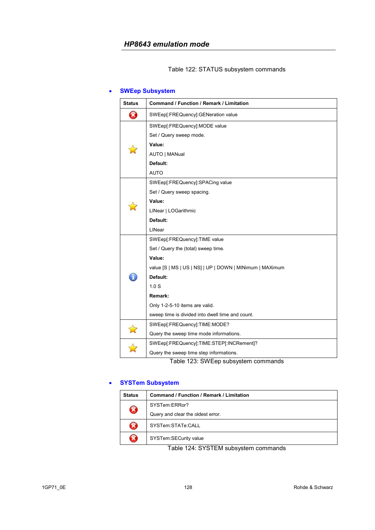#### Table 122: STATUS subsystem commands

### • **SWEep Subsystem**

| Command / Function / Remark / Limitation                 |
|----------------------------------------------------------|
| SWEep[:FREQuency]:GENeration value                       |
| SWEep[:FREQuency]:MODE value                             |
| Set / Query sweep mode.                                  |
| Value:                                                   |
| AUTO   MANual                                            |
| Default:                                                 |
| <b>AUTO</b>                                              |
| SWEep[:FREQuency]:SPACing value                          |
| Set / Query sweep spacing.                               |
| Value:                                                   |
| LINear   LOGarithmic                                     |
| Default:                                                 |
| LINear                                                   |
| SWEep[:FREQuency]:TIME value                             |
| Set / Query the (total) sweep time.                      |
| Value:                                                   |
| value [S   MS   US   NS]   UP   DOWN   MINimum   MAXimum |
| Default:                                                 |
| 1.0 <sub>S</sub>                                         |
| Remark:                                                  |
| Only 1-2-5-10 items are valid.                           |
| sweep time is divided into dwell time and count.         |
| SWEep[:FREQuency]:TIME:MODE?                             |
| Query the sweep time mode informations.                  |
| SWEep[:FREQuency]:TIME:STEP[:INCRement]?                 |
| Query the sweep time step informations.                  |
|                                                          |

Table 123: SWEep subsystem commands

# • **SYSTem Subsystem**

| <b>Status</b> | Command / Function / Remark / Limitation |
|---------------|------------------------------------------|
| 8             | SYSTem:ERRor?                            |
|               | Query and clear the oldest error.        |
| X             | SYSTem:STATe:CALL                        |
| X             | SYSTem:SECurity value                    |

Table 124: SYSTEM subsystem commands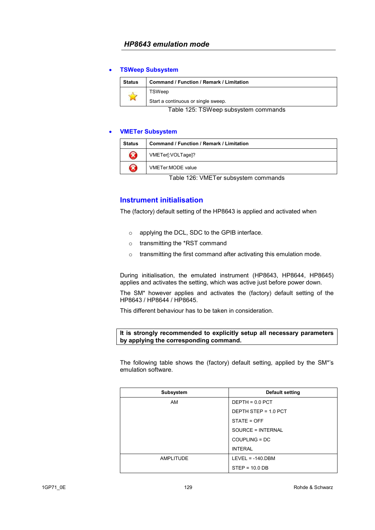#### • **TSWeep Subsystem**

| Status                                                                                                           | <b>Command / Function / Remark / Limitation</b> |
|------------------------------------------------------------------------------------------------------------------|-------------------------------------------------|
|                                                                                                                  | TSWeep                                          |
|                                                                                                                  | Start a continuous or single sweep.             |
| $\tau$ , i.e., $\tau$ and $\tau$ and $\tau$ and $\tau$ are interesting to the contract of the contract of $\tau$ |                                                 |

Table 125: TSWeep subsystem commands

#### • **VMETer Subsystem**

| <b>Status</b>      | Command / Function / Remark / Limitation |
|--------------------|------------------------------------------|
| $\mathbf{\hat{x}}$ | VMETer[:VOLTage]?                        |
| X                  | VMETer:MODE value                        |

Table 126: VMETer subsystem commands

### **Instrument initialisation**

The (factory) default setting of the HP8643 is applied and activated when

- o applying the DCL, SDC to the GPIB interface.
- o transmitting the \*RST command
- o transmitting the first command after activating this emulation mode.

During initialisation, the emulated instrument (HP8643, HP8644, HP8645) applies and activates the setting, which was active just before power down.

The SM\* however applies and activates the (factory) default setting of the HP8643 / HP8644 / HP8645.

This different behaviour has to be taken in consideration.

#### **It is strongly recommended to explicitly setup all necessary parameters by applying the corresponding command.**

The following table shows the (factory) default setting, applied by the SM\*'s emulation software.

| Subsystem | Default setting      |
|-----------|----------------------|
| <b>AM</b> | $DEFTH = 0.0$ PCT    |
|           | DEPTH STEP = 1.0 PCT |
|           | STATE = OFF          |
|           | SOURCE = INTERNAL    |
|           | $COUPLING = DC$      |
|           | <b>INTERAL</b>       |
| AMPLITUDE | $LEVEL = -140.DBM$   |
|           | $STEP = 10.0 DB$     |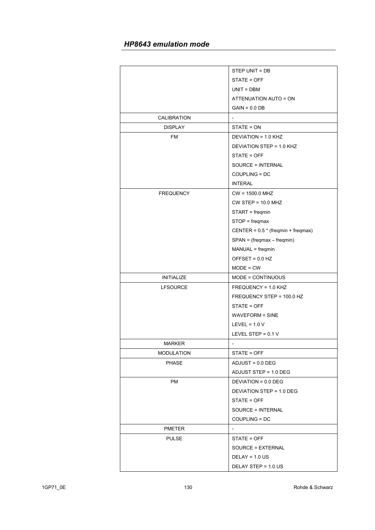|                   | STEP UNIT = DB                       |
|-------------------|--------------------------------------|
|                   | STATE = OFF                          |
|                   | $UNIT = DBM$                         |
|                   | ATTENUATION AUTO = ON                |
|                   | $GAIN = 0.0 DB$                      |
| CALIBRATION       | $\overline{\phantom{0}}$             |
| <b>DISPLAY</b>    | STATE = ON                           |
| FM                | DEVIATION = 1.0 KHZ                  |
|                   | DEVIATION STEP = 1.0 KHZ             |
|                   | STATE = OFF                          |
|                   | SOURCE = INTERNAL                    |
|                   | COUPLING = DC                        |
|                   | <b>INTERAL</b>                       |
| <b>FREQUENCY</b>  | $CW = 1500.0 \text{ MHz}$            |
|                   | $CW$ STEP = 10.0 MHZ                 |
|                   | $STAT = \nfreqmin$                   |
|                   | $STOP = frequency$                   |
|                   | CENTER = $0.5 * (freqmin + freqmax)$ |
|                   | $SPAN = (freqmax - freqmin)$         |
|                   | MANUAL = freqmin                     |
|                   | OFFSET = $0.0$ HZ                    |
|                   | $MODE = CW$                          |
| <b>INITIALIZE</b> | MODE = CONTINUOUS                    |
| <b>LFSOURCE</b>   | FREQUENCY = 1.0 KHZ                  |
|                   | FREQUENCY STEP = 100.0 HZ            |
|                   | STATE = OFF                          |
|                   | <b>WAVEFORM = SINE</b>               |
|                   | LEVEL = $1.0 V$                      |
|                   | LEVEL STEP = 0.1 V                   |
| MARKER            | ÷,                                   |
| <b>MODULATION</b> | STATE = OFF                          |
| <b>PHASE</b>      | $ADJUST = 0.0 DEG$                   |
|                   | ADJUST STEP = 1.0 DEG                |
| PM                | DEVIATION = 0.0 DEG                  |
|                   | DEVIATION STEP = 1.0 DEG             |
|                   | STATE = OFF                          |
|                   | SOURCE = INTERNAL                    |
|                   | COUPLING = DC                        |
| <b>PMETER</b>     |                                      |
| <b>PULSE</b>      | STATE = OFF                          |
|                   | SOURCE = EXTERNAL                    |
|                   | $DELAY = 1.0 US$                     |
|                   | DELAY STEP = 1.0 US                  |
|                   |                                      |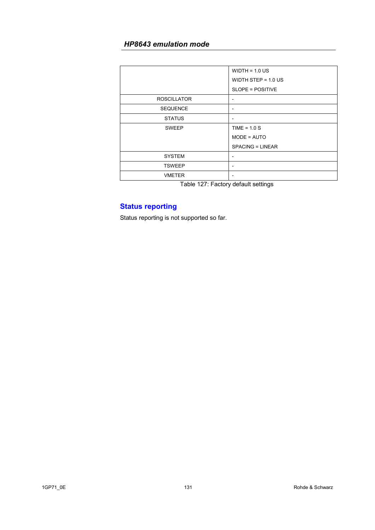|                    | $WIDTH = 1.0 US$        |
|--------------------|-------------------------|
|                    | WIDTH STEP = $1.0$ US   |
|                    | SLOPE = POSITIVE        |
| <b>ROSCILLATOR</b> |                         |
| <b>SEQUENCE</b>    |                         |
| <b>STATUS</b>      |                         |
| <b>SWEEP</b>       | TIME = $1.0 S$          |
|                    | MODE = AUTO             |
|                    | <b>SPACING = LINEAR</b> |
| <b>SYSTEM</b>      |                         |
| <b>TSWEEP</b>      | $\blacksquare$          |
| <b>VMETER</b>      |                         |

Table 127: Factory default settings

# **Status reporting**

Status reporting is not supported so far.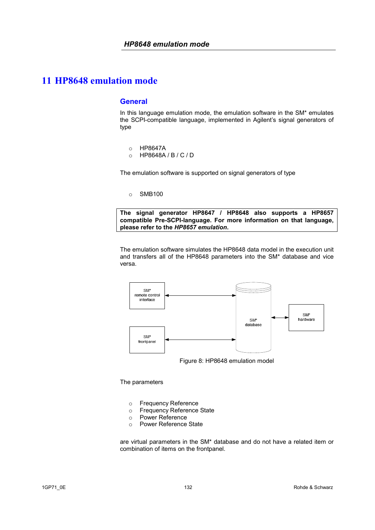#### **General**

In this language emulation mode, the emulation software in the SM\* emulates the SCPI-compatible language, implemented in Agilent's signal generators of type

- o HP8647A
- o HP8648A / B / C / D

The emulation software is supported on signal generators of type

o SMB100

**The signal generator HP8647 / HP8648 also supports a HP8657 compatible Pre-SCPI-language. For more information on that language, please refer to the** *HP8657 emulation***.**

The emulation software simulates the HP8648 data model in the execution unit and transfers all of the HP8648 parameters into the SM\* database and vice versa.



Figure 8: HP8648 emulation model

#### The parameters

- o Frequency Reference
- o Frequency Reference State
- o Power Reference
- o Power Reference State

are virtual parameters in the SM\* database and do not have a related item or combination of items on the frontpanel.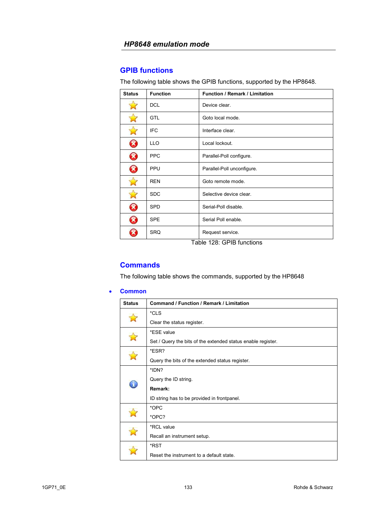### **GPIB functions**

The following table shows the GPIB functions, supported by the HP8648.

| <b>Status</b> | <b>Function</b> | Function / Remark / Limitation |
|---------------|-----------------|--------------------------------|
|               | <b>DCL</b>      | Device clear.                  |
|               | <b>GTL</b>      | Goto local mode.               |
|               | <b>IFC</b>      | Interface clear.               |
| Ø             | <b>LLO</b>      | Local lockout.                 |
| $\bm{\Omega}$ | <b>PPC</b>      | Parallel-Poll configure.       |
| B             | PPU             | Parallel-Poll unconfigure.     |
|               | <b>REN</b>      | Goto remote mode.              |
|               | <b>SDC</b>      | Selective device clear.        |
| B             | <b>SPD</b>      | Serial-Poll disable.           |
| B             | <b>SPE</b>      | Serial Poll enable.            |
|               | <b>SRQ</b>      | Request service.               |

Table 128: GPIB functions

# **Commands**

The following table shows the commands, supported by the HP8648

#### • **Common**

| <b>Status</b> | Command / Function / Remark / Limitation                     |
|---------------|--------------------------------------------------------------|
|               | *CLS                                                         |
|               | Clear the status register.                                   |
|               | *ESE value                                                   |
|               | Set / Query the bits of the extended status enable register. |
|               | *ESR?                                                        |
|               | Query the bits of the extended status register.              |
|               | *IDN?                                                        |
|               | Query the ID string.                                         |
|               | Remark:                                                      |
|               | ID string has to be provided in frontpanel.                  |
|               | *OPC                                                         |
|               | *OPC?                                                        |
|               | *RCL value                                                   |
|               | Recall an instrument setup.                                  |
|               | *RST                                                         |
|               | Reset the instrument to a default state.                     |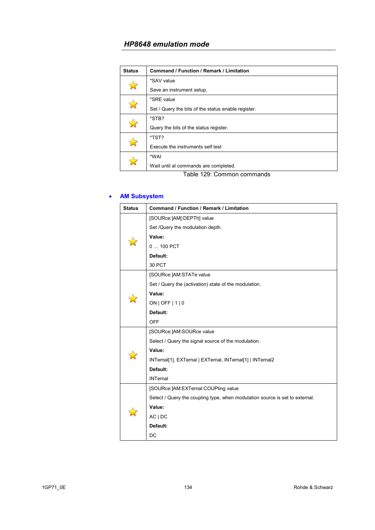| <b>Status</b> | Command / Function / Remark / Limitation            |
|---------------|-----------------------------------------------------|
|               | *SAV value                                          |
|               | Save an instrument setup.                           |
|               | *SRE value                                          |
|               | Set / Query the bits of the status enable register. |
|               | *STB?                                               |
|               | Query the bits of the status register.              |
|               | *TST?                                               |
|               | Execute the instruments self test                   |
|               | *WAI                                                |
|               | Wait until al commands are completed.               |

Table 129: Common commands

### • **AM Subsystem**

| <b>Status</b> | <b>Command / Function / Remark / Limitation</b>                              |
|---------------|------------------------------------------------------------------------------|
|               | [SOURce:]AM[:DEPTh] value                                                    |
|               | Set /Query the modulation depth.                                             |
|               | Value:                                                                       |
|               | 0  100 PCT                                                                   |
|               | Default:                                                                     |
|               | 30 PCT                                                                       |
|               | [SOURce:]AM:STATe value                                                      |
|               | Set / Query the (activation) state of the modulation.                        |
|               | Value:                                                                       |
|               | ON   OFF   1   0                                                             |
|               | Default:                                                                     |
|               | <b>OFF</b>                                                                   |
|               | [SOURce:]AM:SOURce value                                                     |
|               | Select / Query the signal source of the modulation.                          |
|               | Value:                                                                       |
|               | INTernal[1], EXTernal   EXTernal, INTernal[1]   INTernal2                    |
|               | Default:                                                                     |
|               | <b>INTernal</b>                                                              |
|               | [SOURce:]AM:EXTernal:COUPling value                                          |
|               | Select / Query the coupling type, when modulation source is set to external. |
|               | Value:                                                                       |
|               | AC   DC                                                                      |
|               | Default:                                                                     |
|               | DC                                                                           |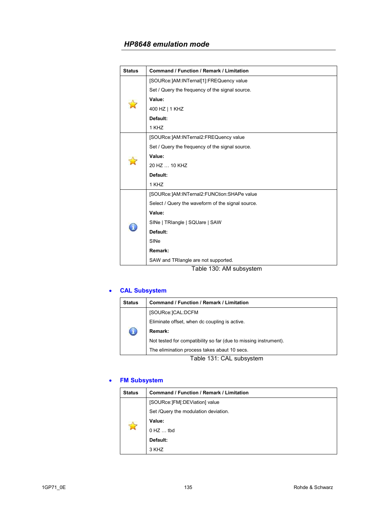| <b>Status</b> | <b>Command / Function / Remark / Limitation</b>   |
|---------------|---------------------------------------------------|
|               | [SOURce:]AM:INTernal[1]:FREQuency value           |
|               | Set / Query the frequency of the signal source.   |
|               | Value:                                            |
|               | 400 HZ   1 KHZ                                    |
|               | Default:                                          |
|               | 1 KHZ                                             |
|               | [SOURce:]AM:INTernal2:FREQuency value             |
|               | Set / Query the frequency of the signal source.   |
|               | Value:                                            |
|               | 20 HZ  10 KHZ                                     |
|               | Default:                                          |
|               | 1 KHZ                                             |
|               | [SOURce:]AM:INTernal2:FUNCtion:SHAPe value        |
|               | Select / Query the waveform of the signal source. |
|               | Value:                                            |
|               | SINe   TRIangle   SQUare   SAW                    |
|               | Default:                                          |
|               | SINe                                              |
|               | Remark:                                           |
|               | SAW and TRIangle are not supported.               |
|               | Table 130: AM subsystem                           |

# • **CAL Subsystem**

| <b>Status</b>                      | Command / Function / Remark / Limitation                         |
|------------------------------------|------------------------------------------------------------------|
|                                    | [SOURce: ]CAL: DCFM                                              |
|                                    | Eliminate offset, when dc coupling is active.                    |
| L                                  | Remark:                                                          |
|                                    | Not tested for compatibility so far (due to missing instrument). |
|                                    | The elimination process takes abaut 10 secs.                     |
| $T$ chlo 191 $\cdot$ CAL qubountam |                                                                  |

Table 131: CAL subsystem

### • **FM Subsystem**

| <b>Status</b> | Command / Function / Remark / Limitation |
|---------------|------------------------------------------|
|               | [SOURce:]FM[:DEViation] value            |
|               | Set /Query the modulation deviation.     |
|               | Value:                                   |
|               | $0$ HZ $\dots$ tbd                       |
|               | Default:                                 |
|               | 3 KHZ                                    |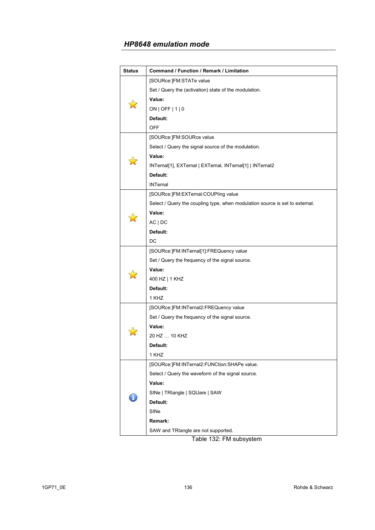| <b>Status</b> | Command / Function / Remark / Limitation                                     |
|---------------|------------------------------------------------------------------------------|
|               | [SOURce:]FM:STATe value                                                      |
|               | Set / Query the (activation) state of the modulation.                        |
|               | Value:                                                                       |
|               | ON   OFF   1   0                                                             |
|               | Default:                                                                     |
|               | <b>OFF</b>                                                                   |
|               | [SOURce:]FM:SOURce value                                                     |
|               | Select / Query the signal source of the modulation.                          |
|               | Value:                                                                       |
|               | INTernal[1], EXTernal   EXTernal, INTernal[1]   INTernal2                    |
|               | Default:                                                                     |
|               | <b>INTernal</b>                                                              |
|               | [SOURce:]FM:EXTernal:COUPling value                                          |
|               | Select / Query the coupling type, when modulation source is set to external. |
|               | Value:                                                                       |
|               | AC   DC                                                                      |
|               | Default:                                                                     |
|               | DC                                                                           |
|               | [SOURce:]FM:INTernal[1]:FREQuency value                                      |
|               | Set / Query the frequency of the signal source.                              |
|               | Value:                                                                       |
|               | 400 HZ   1 KHZ                                                               |
|               | Default:                                                                     |
|               | 1 KHZ                                                                        |
|               | [SOURce:]FM:INTernal2:FREQuency value                                        |
|               | Set / Query the frequency of the signal source.                              |
|               | Value:                                                                       |
|               | 20 HZ  10 KHZ                                                                |
|               | Default:                                                                     |
|               | 1 KHZ                                                                        |
|               | [SOURce:]FM:INTernal2:FUNCtion:SHAPe value.                                  |
|               | Select / Query the waveform of the signal source.                            |
|               | Value:                                                                       |
|               | SINe   TRIangle   SQUare   SAW                                               |
|               | Default:                                                                     |
|               | SINe                                                                         |
|               | Remark:                                                                      |
|               | SAW and TRIangle are not supported.                                          |

Table 132: FM subsystem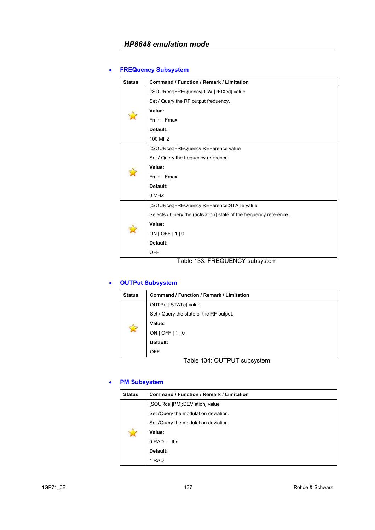# • **FREQuency Subsystem**

| <b>Status</b>                  | <b>Command / Function / Remark / Limitation</b>                    |  |  |
|--------------------------------|--------------------------------------------------------------------|--|--|
|                                | [:SOURce:]FREQuency[:CW   :FIXed] value                            |  |  |
|                                | Set / Query the RF output frequency.                               |  |  |
|                                | Value:                                                             |  |  |
|                                | Fmin - Fmax                                                        |  |  |
|                                | Default:                                                           |  |  |
|                                | <b>100 MHZ</b>                                                     |  |  |
|                                | [:SOURce:]FREQuency:REFerence value                                |  |  |
|                                | Set / Query the frequency reference.                               |  |  |
|                                | Value:                                                             |  |  |
|                                | Fmin - Fmax                                                        |  |  |
|                                | Default:                                                           |  |  |
|                                | 0 MHZ                                                              |  |  |
|                                | [:SOURce:]FREQuency:REFerence:STATe value                          |  |  |
|                                | Selects / Query the (activation) state of the frequency reference. |  |  |
|                                | Value:                                                             |  |  |
|                                | ON   OFF   $1$   0                                                 |  |  |
|                                | Default:                                                           |  |  |
|                                | <b>OFF</b>                                                         |  |  |
| Table 133: FREQUENCY subsystem |                                                                    |  |  |

# • **OUTPut Subsystem**

| <b>Status</b> | Command / Function / Remark / Limitation |  |
|---------------|------------------------------------------|--|
| $\mathbb{N}$  | OUTPut[:STATe] value                     |  |
|               | Set / Query the state of the RF output.  |  |
|               | Value:                                   |  |
|               | ON   OFF   $1$   0                       |  |
|               | Default:                                 |  |
|               | <b>OFF</b>                               |  |

Table 134: OUTPUT subsystem

### • **PM Subsystem**

| <b>Status</b> | <b>Command / Function / Remark / Limitation</b> |  |
|---------------|-------------------------------------------------|--|
|               | [SOURce:]PM[:DEViation] value                   |  |
|               | Set /Query the modulation deviation.            |  |
|               | Set /Query the modulation deviation.            |  |
|               | Value:                                          |  |
|               | $0$ RAD $\dots$ tbd                             |  |
|               | Default:                                        |  |
|               | 1 RAD                                           |  |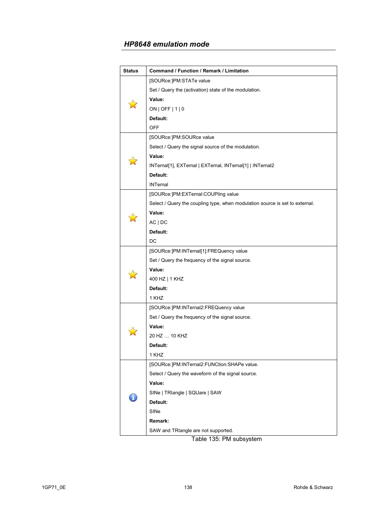| <b>Status</b> | Command / Function / Remark / Limitation                                     |  |  |
|---------------|------------------------------------------------------------------------------|--|--|
|               | [SOURce:]PM:STATe value                                                      |  |  |
|               | Set / Query the (activation) state of the modulation.                        |  |  |
|               | Value:                                                                       |  |  |
|               | ON   OFF   1   0                                                             |  |  |
|               | Default:                                                                     |  |  |
|               | <b>OFF</b>                                                                   |  |  |
|               | [SOURce:]PM:SOURce value                                                     |  |  |
|               | Select / Query the signal source of the modulation.                          |  |  |
|               | Value:                                                                       |  |  |
|               | INTernal[1], EXTernal   EXTernal, INTernal[1]   INTernal2                    |  |  |
|               | Default:                                                                     |  |  |
|               | <b>INTernal</b>                                                              |  |  |
|               | [SOURce:]PM:EXTernal:COUPling value                                          |  |  |
|               | Select / Query the coupling type, when modulation source is set to external. |  |  |
|               | Value:                                                                       |  |  |
|               | AC   DC                                                                      |  |  |
|               | Default:                                                                     |  |  |
|               | DC                                                                           |  |  |
|               | [SOURce:]PM:INTernal[1]:FREQuency value                                      |  |  |
|               | Set / Query the frequency of the signal source.                              |  |  |
|               | Value:                                                                       |  |  |
|               | 400 HZ   1 KHZ                                                               |  |  |
|               | Default:                                                                     |  |  |
|               | 1 KHZ                                                                        |  |  |
|               | [SOURce:]PM:INTernal2:FREQuency value                                        |  |  |
|               | Set / Query the frequency of the signal source.                              |  |  |
|               | Value:                                                                       |  |  |
|               | 20 HZ  10 KHZ                                                                |  |  |
|               | Default:                                                                     |  |  |
|               | 1 KHZ                                                                        |  |  |
|               | [SOURce:]PM:INTernal2:FUNCtion:SHAPe value.                                  |  |  |
|               | Select / Query the waveform of the signal source.                            |  |  |
|               | Value:                                                                       |  |  |
|               | SINe   TRIangle   SQUare   SAW                                               |  |  |
|               | Default:                                                                     |  |  |
|               | SINe                                                                         |  |  |
|               | Remark:                                                                      |  |  |
|               | SAW and TRIangle are not supported.                                          |  |  |

Table 135: PM subsystem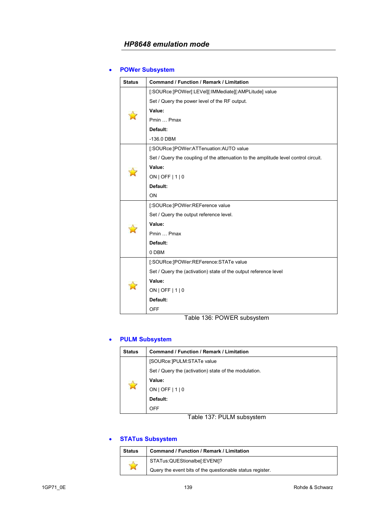# • **POWer Subsystem**

| <b>Status</b> | <b>Command / Function / Remark / Limitation</b>                                     |  |  |
|---------------|-------------------------------------------------------------------------------------|--|--|
|               | [:SOURce:]POWer[:LEVel][:IMMediate][:AMPLitude] value                               |  |  |
|               | Set / Query the power level of the RF output.                                       |  |  |
|               | Value:                                                                              |  |  |
|               | Pmin  Pmax                                                                          |  |  |
|               | Default:                                                                            |  |  |
|               | $-136.0$ DBM                                                                        |  |  |
|               | [:SOURce:]POWer:ATTenuation:AUTO value                                              |  |  |
|               | Set / Query the coupling of the attenuation to the amplitude level control circuit. |  |  |
|               | Value:                                                                              |  |  |
|               | ON   OFF   $1$   0                                                                  |  |  |
|               | Default:                                                                            |  |  |
|               | ON                                                                                  |  |  |
|               | [:SOURce:]POWer:REFerence value                                                     |  |  |
|               | Set / Query the output reference level.                                             |  |  |
|               | Value:                                                                              |  |  |
|               | Pmin  Pmax                                                                          |  |  |
|               | Default:                                                                            |  |  |
|               | 0 DBM                                                                               |  |  |
|               | [:SOURce:]POWer:REFerence:STATe value                                               |  |  |
|               | Set / Query the (activation) state of the output reference level                    |  |  |
|               | Value:                                                                              |  |  |
|               | ON   OFF   $1$   0                                                                  |  |  |
|               | Default:                                                                            |  |  |
|               | <b>OFF</b>                                                                          |  |  |

Table 136: POWER subsystem

# • **PULM Subsystem**

| <b>Status</b> | <b>Command / Function / Remark / Limitation</b>       |  |
|---------------|-------------------------------------------------------|--|
|               | [SOURce:]PULM:STATe value                             |  |
|               | Set / Query the (activation) state of the modulation. |  |
|               | Value:                                                |  |
|               | $ON$   OFF $ 1 0$                                     |  |
|               | Default:                                              |  |
|               | OFF                                                   |  |

Table 137: PULM subsystem

### • **STATus Subsystem**

| <b>Status</b> | Command / Function / Remark / Limitation                  |  |
|---------------|-----------------------------------------------------------|--|
|               | STATus:QUEStionalbe[:EVENt]?                              |  |
|               | Query the event bits of the questionable status register. |  |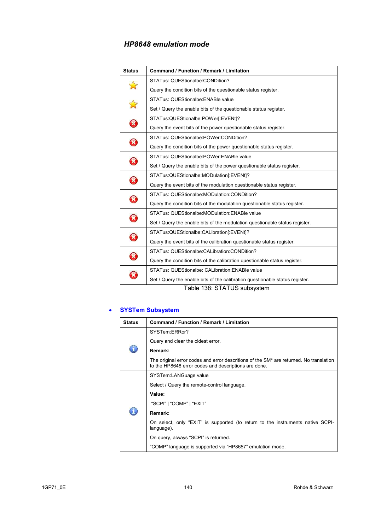| <b>Status</b>              | <b>Command / Function / Remark / Limitation</b>                              |  |
|----------------------------|------------------------------------------------------------------------------|--|
| $\mathbf{z}$               | STATus: QUEStionalbe: CONDition?                                             |  |
|                            | Query the condition bits of the questionable status register.                |  |
|                            | STATus: QUEStionalbe: ENABle value                                           |  |
| $\mathbf{z}$               | Set / Query the enable bits of the questionable status register.             |  |
| 0                          | STATus:QUEStionalbe:POWer[:EVENt]?                                           |  |
|                            | Query the event bits of the power questionable status register.              |  |
| 0                          | STATus: QUEStionalbe:POWer:CONDition?                                        |  |
|                            | Query the condition bits of the power questionable status register.          |  |
| 0                          | STATus: QUEStionalbe:POWer:ENABle value                                      |  |
|                            | Set / Query the enable bits of the power questionable status register.       |  |
| 0                          | STATus:QUEStionalbe:MODulation[:EVENt]?                                      |  |
|                            | Query the event bits of the modulation questionable status register.         |  |
| $\bm{\Omega}$              | STATus: QUEStionalbe: MODulation: CONDition?                                 |  |
|                            | Query the condition bits of the modulation questionable status register.     |  |
| $\boldsymbol{\mathcal{S}}$ | STATus: QUEStionalbe: MODulation: ENABle value                               |  |
|                            | Set / Query the enable bits of the modulation questionable status register.  |  |
| 0                          | STATus:QUEStionalbe:CALibration[:EVENt]?                                     |  |
|                            | Query the event bits of the calibration questionable status register.        |  |
| 8                          | STATus: QUEStionalbe: CALibration: CONDition?                                |  |
|                            | Query the condition bits of the calibration questionable status register.    |  |
| X                          | STATus: QUEStionalbe: CALibration: ENABle value                              |  |
|                            | Set / Query the enable bits of the calibration questionable status register. |  |
|                            | Table 138: STATUS subsystem                                                  |  |

# • **SYSTem Subsystem**

| <b>Status</b> | Command / Function / Remark / Limitation                                                                                                       |  |
|---------------|------------------------------------------------------------------------------------------------------------------------------------------------|--|
|               | SYSTem:ERRor?                                                                                                                                  |  |
|               | Query and clear the oldest error.                                                                                                              |  |
|               | Remark:                                                                                                                                        |  |
|               | The original error codes and error descritions of the SM* are returned. No translation<br>to the HP8648 error codes and descriptions are done. |  |
| T             | SYSTem:LANGuage value                                                                                                                          |  |
|               | Select / Query the remote-control language.                                                                                                    |  |
|               | Value:                                                                                                                                         |  |
|               | "SCPI"   "COMP"   "EXIT"                                                                                                                       |  |
|               | Remark:                                                                                                                                        |  |
|               | On select, only "EXIT" is supported (to return to the instruments native SCPI-<br>language).                                                   |  |
|               | On query, always "SCPI" is returned.                                                                                                           |  |
|               | "COMP" language is supported via "HP8657" emulation mode.                                                                                      |  |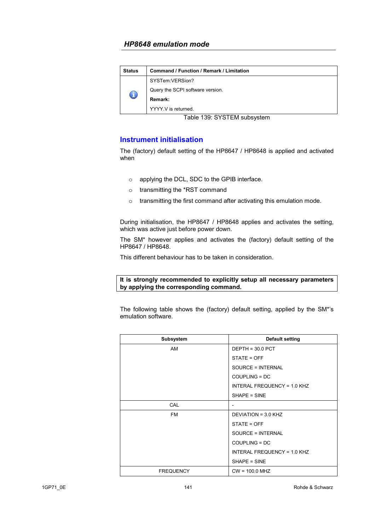| <b>Status</b> | <b>Command / Function / Remark / Limitation</b> |  |
|---------------|-------------------------------------------------|--|
| $\mathbb G$   | SYSTem:VERSion?                                 |  |
|               | Query the SCPI software version.                |  |
|               | Remark:                                         |  |
|               | YYYY V is returned.                             |  |

Table 139: SYSTEM subsystem

### **Instrument initialisation**

The (factory) default setting of the HP8647 / HP8648 is applied and activated when

- o applying the DCL, SDC to the GPIB interface.
- o transmitting the \*RST command
- o transmitting the first command after activating this emulation mode.

During initialisation, the HP8647 / HP8648 applies and activates the setting, which was active just before power down.

The SM\* however applies and activates the (factory) default setting of the HP8647 / HP8648.

This different behaviour has to be taken in consideration.

#### **It is strongly recommended to explicitly setup all necessary parameters by applying the corresponding command.**

The following table shows the (factory) default setting, applied by the SM\*'s emulation software.

| Subsystem        | <b>Default setting</b>      |
|------------------|-----------------------------|
| AM               | $DEFH = 30.0$ PCT           |
|                  | STATE = OFF                 |
|                  | SOURCE = INTERNAL           |
|                  | COUPLING = DC               |
|                  | INTERAL FREQUENCY = 1.0 KHZ |
|                  | SHAPE = SINE                |
| <b>CAL</b>       | ٠                           |
| FM               | DEVIATION = $3.0$ KHZ       |
|                  | STATE = OFF                 |
|                  | SOURCE = INTERNAL           |
|                  | COUPLING = DC               |
|                  | INTERAL FREQUENCY = 1.0 KHZ |
|                  | SHAPE = SINE                |
| <b>FREQUENCY</b> | $CW = 100.0 MHz$            |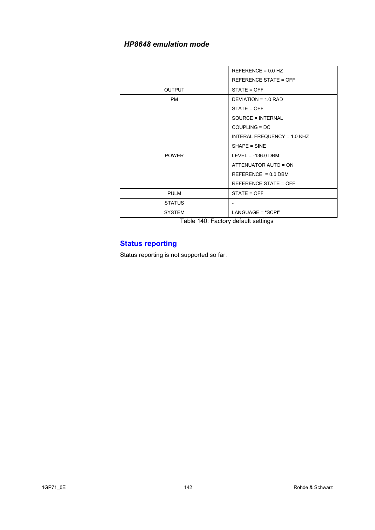|               | $REFERENCE = 0.0 HZ$                                                                                                                                                                                                              |
|---------------|-----------------------------------------------------------------------------------------------------------------------------------------------------------------------------------------------------------------------------------|
|               | <b>REFERENCE STATE = OFF</b>                                                                                                                                                                                                      |
| <b>OUTPUT</b> | STATE = OFF                                                                                                                                                                                                                       |
| <b>PM</b>     | DEVIATION = 1.0 RAD                                                                                                                                                                                                               |
|               | STATE = OFF                                                                                                                                                                                                                       |
|               | SOURCE = INTERNAL                                                                                                                                                                                                                 |
|               | COUPLING = DC                                                                                                                                                                                                                     |
|               | INTERAL FREQUENCY = 1.0 KHZ                                                                                                                                                                                                       |
|               | SHAPE = SINE                                                                                                                                                                                                                      |
| <b>POWER</b>  | $LEVEL = -136.0$ DBM                                                                                                                                                                                                              |
|               | ATTENUATOR AUTO = ON                                                                                                                                                                                                              |
|               | $REFERENCE = 0.0 DBM$                                                                                                                                                                                                             |
|               | <b>REFERENCE STATE = OFF</b>                                                                                                                                                                                                      |
| <b>PULM</b>   | STATE = OFF                                                                                                                                                                                                                       |
| <b>STATUS</b> |                                                                                                                                                                                                                                   |
| <b>SYSTEM</b> | LANGUAGE = "SCPI"                                                                                                                                                                                                                 |
| - - -         | $\mathbf{r}$ . The state of the state of the state of the state of the state of the state of the state of the state of the state of the state of the state of the state of the state of the state of the state of the state of th |

Table 140: Factory default settings

# **Status reporting**

Status reporting is not supported so far.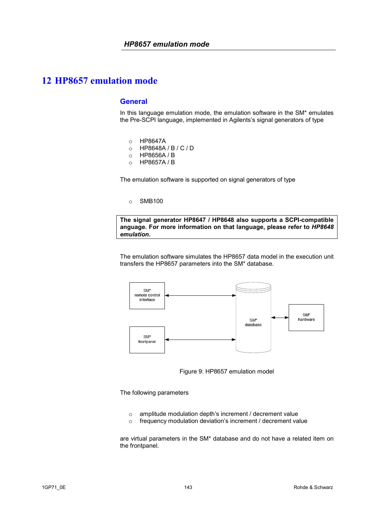### **General**

In this language emulation mode, the emulation software in the SM\* emulates the Pre-SCPI language, implemented in Agilents's signal generators of type

- o HP8647A
- o HP8648A / B / C / D
- o HP8656A / B
- o HP8657A / B

The emulation software is supported on signal generators of type

o SMB100

**The signal generator HP8647 / HP8648 also supports a SCPI-compatible anguage. For more information on that language, please refer to** *HP8648 emulation***.**

The emulation software simulates the HP8657 data model in the execution unit transfers the HP8657 parameters into the SM\* database.



Figure 9: HP8657 emulation model

The following parameters

- o amplitude modulation depth's increment / decrement value
- o frequency modulation deviation's increment / decrement value

are virtual parameters in the SM\* database and do not have a related item on the frontpanel.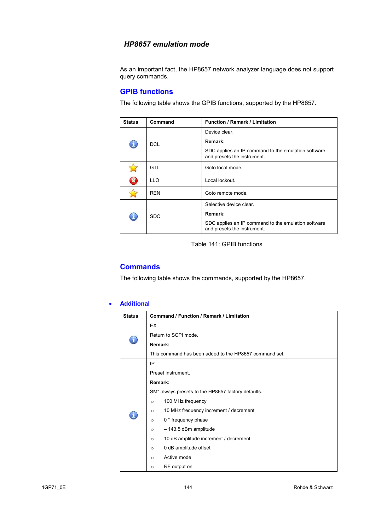As an important fact, the HP8657 network analyzer language does not support query commands.

### **GPIB functions**

The following table shows the GPIB functions, supported by the HP8657.

| <b>Status</b>           | Command    | <b>Function / Remark / Limitation</b>                                              |
|-------------------------|------------|------------------------------------------------------------------------------------|
| $\mathbf{d}_\mathbf{v}$ | DCL        | Device clear.                                                                      |
|                         |            | Remark:                                                                            |
|                         |            | SDC applies an IP command to the emulation software<br>and presets the instrument. |
|                         | GTL        | Goto local mode.                                                                   |
|                         | <b>LLO</b> | Local lockout.                                                                     |
|                         | REN        | Goto remote mode.                                                                  |
|                         | <b>SDC</b> | Selective device clear.                                                            |
|                         |            | Remark:                                                                            |
|                         |            | SDC applies an IP command to the emulation software<br>and presets the instrument. |

Table 141: GPIB functions

### **Commands**

The following table shows the commands, supported by the HP8657.

#### • **Additional**

| <b>Status</b> | <b>Command / Function / Remark / Limitation</b>        |  |
|---------------|--------------------------------------------------------|--|
| ï             | EX                                                     |  |
|               | Return to SCPI mode.                                   |  |
|               | Remark:                                                |  |
|               | This command has been added to the HP8657 command set. |  |
|               | IP                                                     |  |
|               | Preset instrument.                                     |  |
|               | Remark:                                                |  |
|               | SM* always presets to the HP8657 factory defaults.     |  |
|               | 100 MHz frequency<br>$\circ$                           |  |
|               | 10 MHz frequency increment / decrement<br>$\circ$      |  |
|               | 0 ° frequency phase<br>$\circ$                         |  |
|               | - 143.5 dBm amplitude<br>$\circ$                       |  |
|               | 10 dB amplitude increment / decrement<br>$\circ$       |  |
|               | 0 dB amplitude offset<br>$\circ$                       |  |
|               | Active mode<br>$\circ$                                 |  |
|               | RF output on<br>$\circ$                                |  |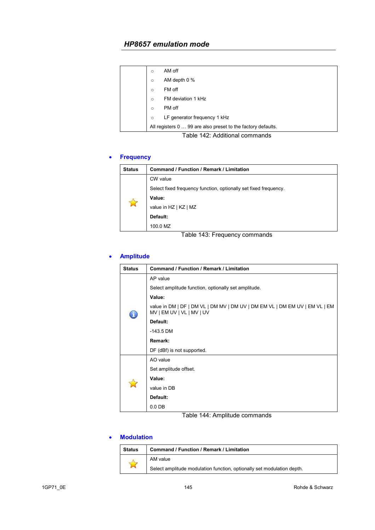| $\circ$  | AM off                                                                                                                                                                                                                                        |
|----------|-----------------------------------------------------------------------------------------------------------------------------------------------------------------------------------------------------------------------------------------------|
| $\circ$  | AM depth 0 %                                                                                                                                                                                                                                  |
| $\Omega$ | FM off                                                                                                                                                                                                                                        |
| $\Omega$ | FM deviation 1 kHz                                                                                                                                                                                                                            |
| $\Omega$ | PM off                                                                                                                                                                                                                                        |
| $\circ$  | LF generator frequency 1 kHz                                                                                                                                                                                                                  |
|          | All registers 0  99 are also preset to the factory defaults.                                                                                                                                                                                  |
|          | $T$ . If $I = 1.10$ and $I = 1.10$ and $I = 1.10$ and $I = 1.10$ and $I = 1.10$ and $I = 1.10$ and $I = 1.10$ and $I = 1.10$ and $I = 1.10$ and $I = 1.10$ and $I = 1.10$ and $I = 1.10$ and $I = 1.10$ and $I = 1.10$ and $I = 1.10$ and $I$ |

### Table 142: Additional commands

# • **Frequency**

| <b>Status</b> | Command / Function / Remark / Limitation                         |
|---------------|------------------------------------------------------------------|
|               | CW value                                                         |
|               | Select fixed frequency function, optionally set fixed frequency. |
|               | Value:                                                           |
|               | value in HZ   KZ   MZ                                            |
|               | Default:                                                         |
|               | 100.0 MZ                                                         |

Table 143: Frequency commands

# • **Amplitude**

| Status | Command / Function / Remark / Limitation                                                                 |  |  |
|--------|----------------------------------------------------------------------------------------------------------|--|--|
|        | AP value                                                                                                 |  |  |
|        | Select amplitude function, optionally set amplitude.                                                     |  |  |
|        | Value:                                                                                                   |  |  |
|        | value in DM   DF   DM VL   DM MV   DM UV   DM EM VL   DM EM UV   EM VL   EM<br>MV   EM UV   VL   MV   UV |  |  |
|        | Default:                                                                                                 |  |  |
|        | $-143.5$ DM                                                                                              |  |  |
|        | Remark:                                                                                                  |  |  |
|        | DF (dBf) is not supported.                                                                               |  |  |
|        | AO value                                                                                                 |  |  |
|        | Set amplitude offset.                                                                                    |  |  |
|        | Value:                                                                                                   |  |  |
|        | value in DB                                                                                              |  |  |
|        | Default:                                                                                                 |  |  |
|        | $0.0$ DB                                                                                                 |  |  |

Table 144: Amplitude commands

### • **Modulation**

| <b>Status</b> | <b>Command / Function / Remark / Limitation</b>                        |  |
|---------------|------------------------------------------------------------------------|--|
| $\mathbb{N}$  | AM value                                                               |  |
|               | Select amplitude modulation function, optionally set modulation depth. |  |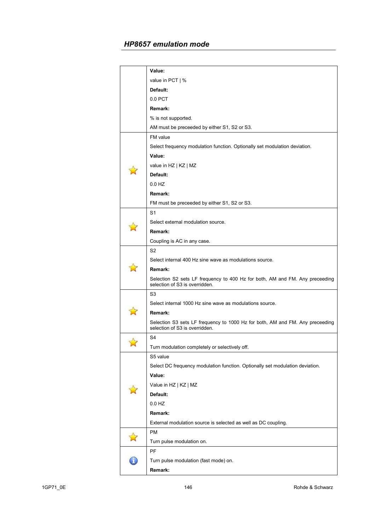| Value:<br>value in PCT   %<br>Default:<br>0.0 PCT<br>Remark:<br>% is not supported.<br>AM must be preceeded by either S1, S2 or S3.<br>FM value<br>Select frequency modulation function. Optionally set modulation deviation.<br>Value:<br>value in HZ   KZ   MZ<br>Default:<br>0.0 HZ<br>Remark:<br>FM must be preceeded by either S1, S2 or S3.<br>S1<br>Select external modulation source.<br>Remark:<br>Coupling is AC in any case.<br>S2<br>Select internal 400 Hz sine wave as modulations source.<br>Remark:<br>Selection S2 sets LF frequency to 400 Hz for both, AM and FM. Any preceeding<br>selection of S3 is overridden.<br>S3<br>Select internal 1000 Hz sine wave as modulations source.<br>Remark:<br>Selection S3 sets LF frequency to 1000 Hz for both, AM and FM. Any preceeding<br>selection of S3 is overridden.<br>S4<br>Turn modulation completely or selectively off.<br>S5 value<br>Select DC frequency modulation function. Optionally set modulation deviation.<br>Value:<br>Value in HZ   KZ   MZ<br>Default:<br>0.0 HZ<br>Remark:<br>External modulation source is selected as well as DC coupling.<br>PM<br>Turn pulse modulation on.<br>PF<br>Turn pulse modulation (fast mode) on.<br>Remark: |  |  |  |  |  |  |
|-------------------------------------------------------------------------------------------------------------------------------------------------------------------------------------------------------------------------------------------------------------------------------------------------------------------------------------------------------------------------------------------------------------------------------------------------------------------------------------------------------------------------------------------------------------------------------------------------------------------------------------------------------------------------------------------------------------------------------------------------------------------------------------------------------------------------------------------------------------------------------------------------------------------------------------------------------------------------------------------------------------------------------------------------------------------------------------------------------------------------------------------------------------------------------------------------------------------------------|--|--|--|--|--|--|
|                                                                                                                                                                                                                                                                                                                                                                                                                                                                                                                                                                                                                                                                                                                                                                                                                                                                                                                                                                                                                                                                                                                                                                                                                               |  |  |  |  |  |  |
|                                                                                                                                                                                                                                                                                                                                                                                                                                                                                                                                                                                                                                                                                                                                                                                                                                                                                                                                                                                                                                                                                                                                                                                                                               |  |  |  |  |  |  |
|                                                                                                                                                                                                                                                                                                                                                                                                                                                                                                                                                                                                                                                                                                                                                                                                                                                                                                                                                                                                                                                                                                                                                                                                                               |  |  |  |  |  |  |
|                                                                                                                                                                                                                                                                                                                                                                                                                                                                                                                                                                                                                                                                                                                                                                                                                                                                                                                                                                                                                                                                                                                                                                                                                               |  |  |  |  |  |  |
|                                                                                                                                                                                                                                                                                                                                                                                                                                                                                                                                                                                                                                                                                                                                                                                                                                                                                                                                                                                                                                                                                                                                                                                                                               |  |  |  |  |  |  |
|                                                                                                                                                                                                                                                                                                                                                                                                                                                                                                                                                                                                                                                                                                                                                                                                                                                                                                                                                                                                                                                                                                                                                                                                                               |  |  |  |  |  |  |
|                                                                                                                                                                                                                                                                                                                                                                                                                                                                                                                                                                                                                                                                                                                                                                                                                                                                                                                                                                                                                                                                                                                                                                                                                               |  |  |  |  |  |  |
|                                                                                                                                                                                                                                                                                                                                                                                                                                                                                                                                                                                                                                                                                                                                                                                                                                                                                                                                                                                                                                                                                                                                                                                                                               |  |  |  |  |  |  |
|                                                                                                                                                                                                                                                                                                                                                                                                                                                                                                                                                                                                                                                                                                                                                                                                                                                                                                                                                                                                                                                                                                                                                                                                                               |  |  |  |  |  |  |
|                                                                                                                                                                                                                                                                                                                                                                                                                                                                                                                                                                                                                                                                                                                                                                                                                                                                                                                                                                                                                                                                                                                                                                                                                               |  |  |  |  |  |  |
|                                                                                                                                                                                                                                                                                                                                                                                                                                                                                                                                                                                                                                                                                                                                                                                                                                                                                                                                                                                                                                                                                                                                                                                                                               |  |  |  |  |  |  |
|                                                                                                                                                                                                                                                                                                                                                                                                                                                                                                                                                                                                                                                                                                                                                                                                                                                                                                                                                                                                                                                                                                                                                                                                                               |  |  |  |  |  |  |
|                                                                                                                                                                                                                                                                                                                                                                                                                                                                                                                                                                                                                                                                                                                                                                                                                                                                                                                                                                                                                                                                                                                                                                                                                               |  |  |  |  |  |  |
|                                                                                                                                                                                                                                                                                                                                                                                                                                                                                                                                                                                                                                                                                                                                                                                                                                                                                                                                                                                                                                                                                                                                                                                                                               |  |  |  |  |  |  |
|                                                                                                                                                                                                                                                                                                                                                                                                                                                                                                                                                                                                                                                                                                                                                                                                                                                                                                                                                                                                                                                                                                                                                                                                                               |  |  |  |  |  |  |
|                                                                                                                                                                                                                                                                                                                                                                                                                                                                                                                                                                                                                                                                                                                                                                                                                                                                                                                                                                                                                                                                                                                                                                                                                               |  |  |  |  |  |  |
|                                                                                                                                                                                                                                                                                                                                                                                                                                                                                                                                                                                                                                                                                                                                                                                                                                                                                                                                                                                                                                                                                                                                                                                                                               |  |  |  |  |  |  |
|                                                                                                                                                                                                                                                                                                                                                                                                                                                                                                                                                                                                                                                                                                                                                                                                                                                                                                                                                                                                                                                                                                                                                                                                                               |  |  |  |  |  |  |
|                                                                                                                                                                                                                                                                                                                                                                                                                                                                                                                                                                                                                                                                                                                                                                                                                                                                                                                                                                                                                                                                                                                                                                                                                               |  |  |  |  |  |  |
|                                                                                                                                                                                                                                                                                                                                                                                                                                                                                                                                                                                                                                                                                                                                                                                                                                                                                                                                                                                                                                                                                                                                                                                                                               |  |  |  |  |  |  |
|                                                                                                                                                                                                                                                                                                                                                                                                                                                                                                                                                                                                                                                                                                                                                                                                                                                                                                                                                                                                                                                                                                                                                                                                                               |  |  |  |  |  |  |
|                                                                                                                                                                                                                                                                                                                                                                                                                                                                                                                                                                                                                                                                                                                                                                                                                                                                                                                                                                                                                                                                                                                                                                                                                               |  |  |  |  |  |  |
|                                                                                                                                                                                                                                                                                                                                                                                                                                                                                                                                                                                                                                                                                                                                                                                                                                                                                                                                                                                                                                                                                                                                                                                                                               |  |  |  |  |  |  |
|                                                                                                                                                                                                                                                                                                                                                                                                                                                                                                                                                                                                                                                                                                                                                                                                                                                                                                                                                                                                                                                                                                                                                                                                                               |  |  |  |  |  |  |
|                                                                                                                                                                                                                                                                                                                                                                                                                                                                                                                                                                                                                                                                                                                                                                                                                                                                                                                                                                                                                                                                                                                                                                                                                               |  |  |  |  |  |  |
|                                                                                                                                                                                                                                                                                                                                                                                                                                                                                                                                                                                                                                                                                                                                                                                                                                                                                                                                                                                                                                                                                                                                                                                                                               |  |  |  |  |  |  |
|                                                                                                                                                                                                                                                                                                                                                                                                                                                                                                                                                                                                                                                                                                                                                                                                                                                                                                                                                                                                                                                                                                                                                                                                                               |  |  |  |  |  |  |
|                                                                                                                                                                                                                                                                                                                                                                                                                                                                                                                                                                                                                                                                                                                                                                                                                                                                                                                                                                                                                                                                                                                                                                                                                               |  |  |  |  |  |  |
|                                                                                                                                                                                                                                                                                                                                                                                                                                                                                                                                                                                                                                                                                                                                                                                                                                                                                                                                                                                                                                                                                                                                                                                                                               |  |  |  |  |  |  |
|                                                                                                                                                                                                                                                                                                                                                                                                                                                                                                                                                                                                                                                                                                                                                                                                                                                                                                                                                                                                                                                                                                                                                                                                                               |  |  |  |  |  |  |
|                                                                                                                                                                                                                                                                                                                                                                                                                                                                                                                                                                                                                                                                                                                                                                                                                                                                                                                                                                                                                                                                                                                                                                                                                               |  |  |  |  |  |  |
|                                                                                                                                                                                                                                                                                                                                                                                                                                                                                                                                                                                                                                                                                                                                                                                                                                                                                                                                                                                                                                                                                                                                                                                                                               |  |  |  |  |  |  |
|                                                                                                                                                                                                                                                                                                                                                                                                                                                                                                                                                                                                                                                                                                                                                                                                                                                                                                                                                                                                                                                                                                                                                                                                                               |  |  |  |  |  |  |
|                                                                                                                                                                                                                                                                                                                                                                                                                                                                                                                                                                                                                                                                                                                                                                                                                                                                                                                                                                                                                                                                                                                                                                                                                               |  |  |  |  |  |  |
|                                                                                                                                                                                                                                                                                                                                                                                                                                                                                                                                                                                                                                                                                                                                                                                                                                                                                                                                                                                                                                                                                                                                                                                                                               |  |  |  |  |  |  |
|                                                                                                                                                                                                                                                                                                                                                                                                                                                                                                                                                                                                                                                                                                                                                                                                                                                                                                                                                                                                                                                                                                                                                                                                                               |  |  |  |  |  |  |
|                                                                                                                                                                                                                                                                                                                                                                                                                                                                                                                                                                                                                                                                                                                                                                                                                                                                                                                                                                                                                                                                                                                                                                                                                               |  |  |  |  |  |  |
|                                                                                                                                                                                                                                                                                                                                                                                                                                                                                                                                                                                                                                                                                                                                                                                                                                                                                                                                                                                                                                                                                                                                                                                                                               |  |  |  |  |  |  |
|                                                                                                                                                                                                                                                                                                                                                                                                                                                                                                                                                                                                                                                                                                                                                                                                                                                                                                                                                                                                                                                                                                                                                                                                                               |  |  |  |  |  |  |
|                                                                                                                                                                                                                                                                                                                                                                                                                                                                                                                                                                                                                                                                                                                                                                                                                                                                                                                                                                                                                                                                                                                                                                                                                               |  |  |  |  |  |  |
|                                                                                                                                                                                                                                                                                                                                                                                                                                                                                                                                                                                                                                                                                                                                                                                                                                                                                                                                                                                                                                                                                                                                                                                                                               |  |  |  |  |  |  |
|                                                                                                                                                                                                                                                                                                                                                                                                                                                                                                                                                                                                                                                                                                                                                                                                                                                                                                                                                                                                                                                                                                                                                                                                                               |  |  |  |  |  |  |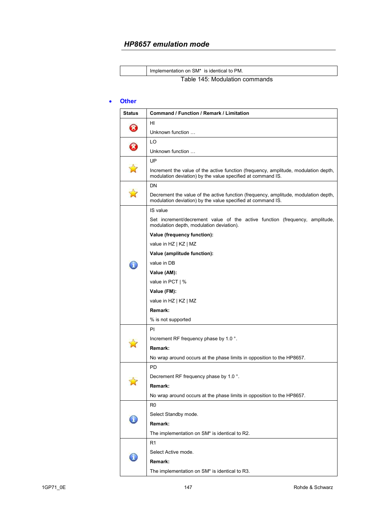| Implementation on SM* is identical to PM. |
|-------------------------------------------|
| Table 145: Modulation commands            |

#### • **Other**

| <b>Status</b> | Command / Function / Remark / Limitation                                                                                                           |
|---------------|----------------------------------------------------------------------------------------------------------------------------------------------------|
|               | HI                                                                                                                                                 |
| B             | Unknown function                                                                                                                                   |
|               | LO                                                                                                                                                 |
|               | Unknown function                                                                                                                                   |
|               | UP                                                                                                                                                 |
|               | Increment the value of the active function (frequency, amplitude, modulation depth,<br>modulation deviation) by the value specified at command IS. |
|               | DN                                                                                                                                                 |
|               | Decrement the value of the active function (frequency, amplitude, modulation depth,<br>modulation deviation) by the value specified at command IS. |
|               | IS value                                                                                                                                           |
|               | Set increment/decrement value of the active function (frequency, amplitude,<br>modulation depth, modulation deviation).                            |
|               | Value (frequency function):                                                                                                                        |
|               | value in HZ   KZ   MZ                                                                                                                              |
|               | Value (amplitude function):                                                                                                                        |
|               | value in DB                                                                                                                                        |
|               | Value (AM):                                                                                                                                        |
|               | value in PCT   %                                                                                                                                   |
|               | Value (FM):                                                                                                                                        |
|               | value in HZ   KZ   MZ                                                                                                                              |
|               | Remark:                                                                                                                                            |
|               | % is not supported                                                                                                                                 |
|               | PI                                                                                                                                                 |
|               | Increment RF frequency phase by 1.0 °.                                                                                                             |
|               | Remark:                                                                                                                                            |
|               | No wrap around occurs at the phase limits in opposition to the HP8657.                                                                             |
|               | <b>PD</b>                                                                                                                                          |
|               | Decrement RF frequency phase by 1.0 °.                                                                                                             |
|               | Remark:                                                                                                                                            |
|               | No wrap around occurs at the phase limits in opposition to the HP8657.                                                                             |
|               | R <sub>0</sub>                                                                                                                                     |
|               | Select Standby mode.                                                                                                                               |
|               | Remark:                                                                                                                                            |
|               | The implementation on SM* is identical to R2.                                                                                                      |
|               | R1                                                                                                                                                 |
|               | Select Active mode.                                                                                                                                |
|               | Remark:                                                                                                                                            |
|               | The implementation on SM* is identical to R3.                                                                                                      |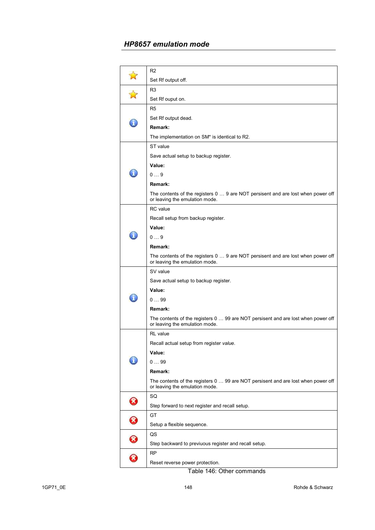|             | R <sub>2</sub>                                                                                                      |
|-------------|---------------------------------------------------------------------------------------------------------------------|
|             | Set Rf output off.                                                                                                  |
|             | R <sub>3</sub>                                                                                                      |
|             | Set Rf ouput on.                                                                                                    |
|             | R <sub>5</sub>                                                                                                      |
|             | Set Rf output dead.                                                                                                 |
|             | Remark:                                                                                                             |
|             | The implementation on SM* is identical to R2.                                                                       |
|             | ST value                                                                                                            |
|             | Save actual setup to backup register.                                                                               |
|             | Value:                                                                                                              |
|             | 09                                                                                                                  |
|             | Remark:                                                                                                             |
|             | The contents of the registers 0  9 are NOT persisent and are lost when power off<br>or leaving the emulation mode.  |
|             | <b>RC</b> value                                                                                                     |
|             | Recall setup from backup register.                                                                                  |
|             | Value:                                                                                                              |
| ĭ           | 09                                                                                                                  |
|             | Remark:                                                                                                             |
|             | The contents of the registers 0  9 are NOT persisent and are lost when power off<br>or leaving the emulation mode.  |
|             | SV value                                                                                                            |
|             | Save actual setup to backup register.                                                                               |
|             | Value:                                                                                                              |
|             | 099                                                                                                                 |
|             | Remark:                                                                                                             |
|             | The contents of the registers 0  99 are NOT persisent and are lost when power off<br>or leaving the emulation mode. |
|             | <b>RL</b> value                                                                                                     |
|             | Recall actual setup from register value.                                                                            |
|             | Value:                                                                                                              |
|             | 099                                                                                                                 |
|             | Remark:                                                                                                             |
|             | The contents of the registers 0  99 are NOT persisent and are lost when power off<br>or leaving the emulation mode. |
| $\mathbf x$ | SQ                                                                                                                  |
|             | Step forward to next register and recall setup.                                                                     |
| 0           | GT                                                                                                                  |
|             | Setup a flexible sequence.                                                                                          |
|             | QS                                                                                                                  |
|             | Step backward to previuous register and recall setup.                                                               |
|             | RP                                                                                                                  |
|             | Reset reverse power protection.                                                                                     |

Table 146: Other commands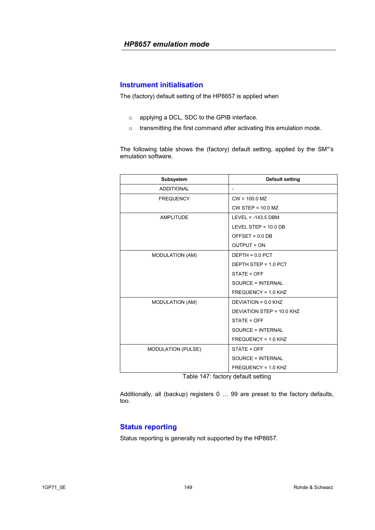### **Instrument initialisation**

The (factory) default setting of the HP8657 is applied when

- o applying a DCL, SDC to the GPIB interface.
- o transmitting the first command after activating this emulation mode.

The following table shows the (factory) default setting, applied by the SM\*'s emulation software.

| Subsystem                 | <b>Default setting</b>    |
|---------------------------|---------------------------|
| <b>ADDITIONAL</b>         |                           |
| <b>FREQUENCY</b>          | $CW = 100.0 MZ$           |
|                           | $CW$ STEP = 10.0 MZ       |
| <b>AMPLITUDE</b>          | LEVEL = $-143.5$ DBM      |
|                           | LEVEL STEP = $10.0$ DB    |
|                           | OFFSET = $0.0$ DB         |
|                           | <b>OUTPUT = ON</b>        |
| <b>MODULATION (AM)</b>    | $DEFH = 0.0$ PCT          |
|                           | DEPTH STEP = 1.0 PCT      |
|                           | STATE = OFF               |
|                           | SOURCE = INTERNAL         |
|                           | FREQUENCY = 1.0 KHZ       |
| <b>MODULATION (AM)</b>    | $DEVIATION = 0.0 KHZ$     |
|                           | DEVIATION STEP = 10.0 KHZ |
|                           | STATE = OFF               |
|                           | SOURCE = INTERNAL         |
|                           | FREQUENCY = 1.0 KHZ       |
| <b>MODULATION (PULSE)</b> | STATE = OFF               |
|                           | SOURCE = INTERNAL         |
|                           | FREQUENCY = 1.0 KHZ       |

Table 147: factory default setting

Additionally, all (backup) registers 0 … 99 are preset to the factory defaults, too.

# **Status reporting**

Status reporting is generally not supported by the HP8657.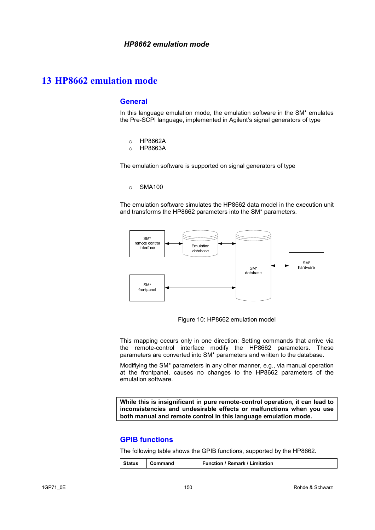### **General**

In this language emulation mode, the emulation software in the SM\* emulates the Pre-SCPI language, implemented in Agilent's signal generators of type

- o HP8662A
- o HP8663A

The emulation software is supported on signal generators of type

#### o SMA100

The emulation software simulates the HP8662 data model in the execution unit and transforms the HP8662 parameters into the SM\* parameters.



Figure 10: HP8662 emulation model

This mapping occurs only in one direction: Setting commands that arrive via the remote-control interface modify the HP8662 parameters. These parameters are converted into SM\* parameters and written to the database.

Modifiying the SM\* parameters in any other manner, e.g., via manual operation at the frontpanel, causes no changes to the HP8662 parameters of the emulation software.

**While this is insignificant in pure remote-control operation, it can lead to inconsistencies and undesirable effects or malfunctions when you use both manual and remote control in this language emulation mode.** 

### **GPIB functions**

The following table shows the GPIB functions, supported by the HP8662.

|  | Status | Command | Function / Remark / Limitation |
|--|--------|---------|--------------------------------|
|--|--------|---------|--------------------------------|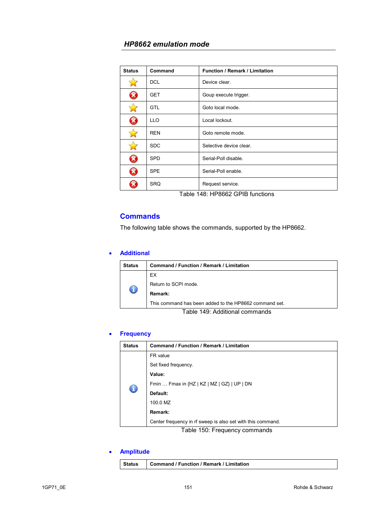| <b>Status</b>              | Command          | <b>Function / Remark / Limitation</b> |
|----------------------------|------------------|---------------------------------------|
|                            | <b>DCL</b>       | Device clear.                         |
| B                          | <b>GET</b>       | Goup execute trigger.                 |
|                            | <b>GTL</b>       | Goto local mode.                      |
| B                          | LLO <sub>.</sub> | Local lockout.                        |
| 27                         | <b>REN</b>       | Goto remote mode.                     |
|                            | <b>SDC</b>       | Selective device clear.               |
| $\boldsymbol{\mathcal{R}}$ | <b>SPD</b>       | Serial-Poll disable.                  |
| B                          | <b>SPE</b>       | Serial-Poll enable.                   |
|                            | <b>SRQ</b>       | Request service.                      |

Table 148: HP8662 GPIB functions

### **Commands**

The following table shows the commands, supported by the HP8662.

### • **Additional**

| <b>Status</b> | Command / Function / Remark / Limitation               |  |  |
|---------------|--------------------------------------------------------|--|--|
| O             | EX                                                     |  |  |
|               | Return to SCPI mode.                                   |  |  |
|               | Remark:                                                |  |  |
|               | This command has been added to the HP8662 command set. |  |  |
|               |                                                        |  |  |

Table 149: Additional commands

### • **Frequency**

| <b>Status</b> | <b>Command / Function / Remark / Limitation</b>             |
|---------------|-------------------------------------------------------------|
|               | FR value                                                    |
|               | Set fixed frequency.                                        |
|               | Value:                                                      |
|               | Fmin  Fmax in {HZ   KZ   MZ   GZ}   UP   DN                 |
|               | Default:                                                    |
|               | 100.0 MZ                                                    |
|               | Remark:                                                     |
|               | Center frequency in rf sweep is also set with this command. |

Table 150: Frequency commands

### • **Amplitude**

| Status | Command / Function / Remark / Limitation |
|--------|------------------------------------------|
|--------|------------------------------------------|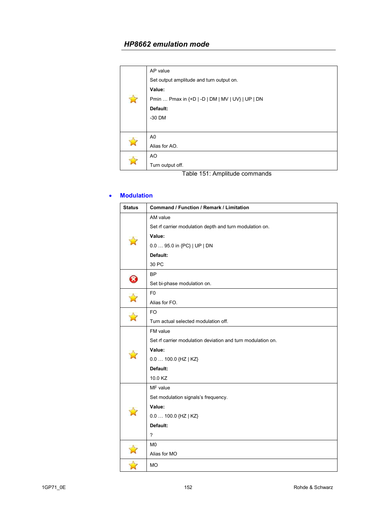|  | AP value                                         |
|--|--------------------------------------------------|
|  | Set output amplitude and turn output on.         |
|  | Value:                                           |
|  | Pmin  Pmax in {+D   -D   DM   MV   UV}   UP   DN |
|  | Default:                                         |
|  | $-30$ DM                                         |
|  |                                                  |
|  | A <sub>0</sub>                                   |
|  | Alias for AO.                                    |
|  | A <sub>O</sub>                                   |
|  | Turn output off.                                 |

Table 151: Amplitude commands

### • **Modulation**

| <b>Status</b> | Command / Function / Remark / Limitation                    |
|---------------|-------------------------------------------------------------|
|               | AM value                                                    |
|               | Set rf carrier modulation depth and turn modulation on.     |
|               | Value:                                                      |
|               | 0.0  95.0 in {PC}   UP   DN                                 |
|               | Default:                                                    |
|               | 30 PC                                                       |
|               | BP                                                          |
| 0             | Set bi-phase modulation on.                                 |
|               | F <sub>0</sub>                                              |
|               | Alias for FO.                                               |
|               | <b>FO</b>                                                   |
|               | Turn actual selected modulation off.                        |
|               | FM value                                                    |
|               | Set rf carrier modulation deviation and turn modulation on. |
|               | Value:                                                      |
|               | $0.0100.0$ {HZ   KZ}                                        |
|               | Default:                                                    |
|               | 10.0 KZ                                                     |
|               | MF value                                                    |
|               | Set modulation signals's frequency.                         |
|               | Value:                                                      |
|               | $0.0100.0$ {HZ   KZ}                                        |
|               | Default:                                                    |
|               | $\overline{\phantom{a}}$                                    |
|               | M <sub>0</sub>                                              |
|               | Alias for MO                                                |
|               | <b>MO</b>                                                   |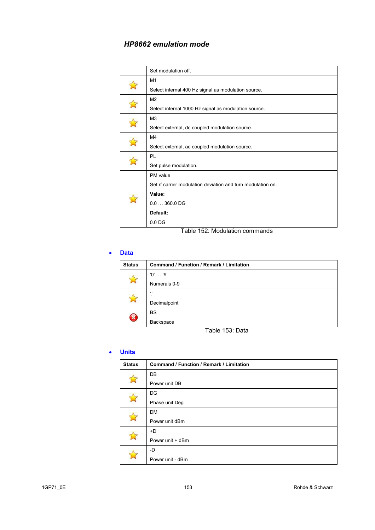|  | Set modulation off.                                         |
|--|-------------------------------------------------------------|
|  | M1                                                          |
|  | Select internal 400 Hz signal as modulation source.         |
|  | M <sub>2</sub>                                              |
|  | Select internal 1000 Hz signal as modulation source.        |
|  | M <sub>3</sub>                                              |
|  | Select external, dc coupled modulation source.              |
|  | M4                                                          |
|  | Select external, ac coupled modulation source.              |
|  | PL                                                          |
|  | Set pulse modulation.                                       |
|  | PM value                                                    |
|  | Set rf carrier modulation deviation and turn modulation on. |
|  | Value:                                                      |
|  | $0.0360.0$ DG                                               |
|  | Default:                                                    |
|  | 0.0 <sub>DG</sub>                                           |

#### Table 152: Modulation commands

#### • **Data**

| <b>Status</b> | <b>Command / Function / Remark / Limitation</b> |
|---------------|-------------------------------------------------|
|               | $'0'$ '9'                                       |
|               | Numerals 0-9                                    |
|               | $\epsilon$                                      |
|               | Decimalpoint                                    |
| Ø             | <b>BS</b>                                       |
|               | Backspace                                       |

Table 153: Data

### • **Units**

| <b>Status</b> | <b>Command / Function / Remark / Limitation</b> |
|---------------|-------------------------------------------------|
|               | DB                                              |
|               | Power unit DB                                   |
|               | DG                                              |
|               | Phase unit Deg                                  |
|               | <b>DM</b>                                       |
|               | Power unit dBm                                  |
|               | +D                                              |
|               | Power unit + dBm                                |
|               | -D                                              |
|               | Power unit - dBm                                |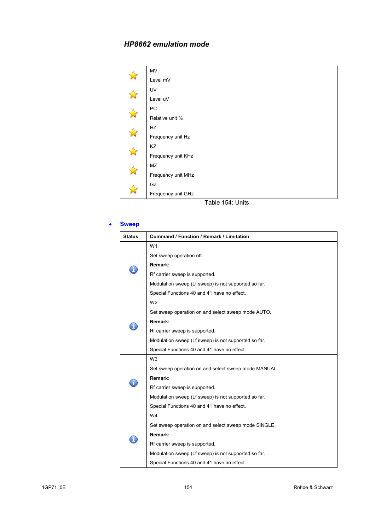|              | <b>MV</b>          |
|--------------|--------------------|
|              | Level mV           |
|              | UV                 |
|              | Level uV           |
|              | PC                 |
| $\mathbb{R}$ | Relative unit %    |
|              | HZ                 |
|              | Frequency unit Hz  |
|              | KZ                 |
|              | Frequency unit KHz |
|              | <b>MZ</b>          |
|              | Frequency unit MHz |
|              | GZ                 |
|              | Frequency unit GHz |
|              |                    |

Table 154: Units

#### • **Sweep**

| <b>Status</b> | <b>Command / Function / Remark / Limitation</b>      |
|---------------|------------------------------------------------------|
|               | W <sub>1</sub>                                       |
|               | Set sweep operation off.                             |
|               | Remark:                                              |
|               | Rf carrier sweep is supported.                       |
|               | Modulation sweep (Lf sweep) is not supported so far. |
|               | Special Functions 40 and 41 have no effect.          |
|               | W <sub>2</sub>                                       |
|               | Set sweep operation on and select sweep mode AUTO.   |
|               | Remark:                                              |
|               | Rf carrier sweep is supported.                       |
|               | Modulation sweep (Lf sweep) is not supported so far. |
|               | Special Functions 40 and 41 have no effect.          |
|               | W <sub>3</sub>                                       |
|               | Set sweep operation on and select sweep mode MANUAL. |
|               | Remark:                                              |
|               | Rf carrier sweep is supported.                       |
|               | Modulation sweep (Lf sweep) is not supported so far. |
|               | Special Functions 40 and 41 have no effect.          |
|               | W4                                                   |
|               | Set sweep operation on and select sweep mode SINGLE. |
|               | Remark:                                              |
|               | Rf carrier sweep is supported.                       |
|               | Modulation sweep (Lf sweep) is not supported so far. |
|               | Special Functions 40 and 41 have no effect.          |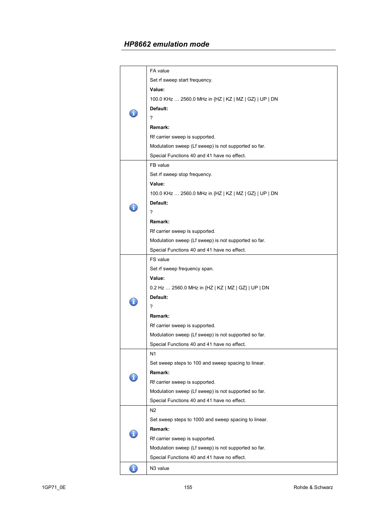|   | FA value                                               |
|---|--------------------------------------------------------|
|   | Set rf sweep start frequency.                          |
|   | Value:                                                 |
|   | 100.0 KHz  2560.0 MHz in {HZ   KZ   MZ   GZ}   UP   DN |
|   | Default:                                               |
|   | ?                                                      |
|   | Remark:                                                |
|   | Rf carrier sweep is supported.                         |
|   | Modulation sweep (Lf sweep) is not supported so far.   |
|   | Special Functions 40 and 41 have no effect.            |
|   | FB value                                               |
|   | Set rf sweep stop frequency.                           |
|   | Value:                                                 |
|   | 100.0 KHz  2560.0 MHz in {HZ   KZ   MZ   GZ}   UP   DN |
|   | Default:                                               |
|   | ?                                                      |
|   | Remark:                                                |
|   | Rf carrier sweep is supported.                         |
|   | Modulation sweep (Lf sweep) is not supported so far.   |
|   | Special Functions 40 and 41 have no effect.            |
|   | FS value                                               |
|   | Set rf sweep frequency span.                           |
|   | Value:                                                 |
|   | 0.2 Hz  2560.0 MHz in {HZ   KZ   MZ   GZ}   UP   DN    |
|   | Default:                                               |
|   | ?                                                      |
|   | Remark:                                                |
|   | Rf carrier sweep is supported.                         |
|   | Modulation sweep (Lf sweep) is not supported so far.   |
|   | Special Functions 40 and 41 have no effect.            |
|   | N1                                                     |
|   | Set sweep steps to 100 and sweep spacing to linear.    |
|   | Remark:                                                |
|   | Rf carrier sweep is supported.                         |
|   | Modulation sweep (Lf sweep) is not supported so far.   |
|   | Special Functions 40 and 41 have no effect.            |
|   | N <sub>2</sub>                                         |
|   | Set sweep steps to 1000 and sweep spacing to linear.   |
|   | Remark:                                                |
|   | Rf carrier sweep is supported.                         |
|   | Modulation sweep (Lf sweep) is not supported so far.   |
|   | Special Functions 40 and 41 have no effect.            |
| T | N <sub>3</sub> value                                   |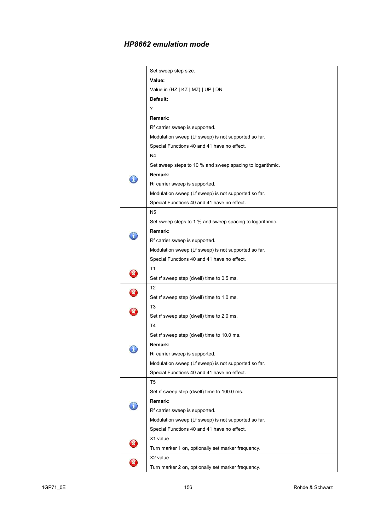| Set sweep step size.<br>Value:<br>Value in {HZ   KZ   MZ}   UP   DN<br>Default:<br>?<br>Remark:<br>Rf carrier sweep is supported.<br>Modulation sweep (Lf sweep) is not supported so far.<br>Special Functions 40 and 41 have no effect.<br>N <sub>4</sub><br>Set sweep steps to 10 % and sweep spacing to logarithmic.<br>Remark:<br>Rf carrier sweep is supported.<br>Modulation sweep (Lf sweep) is not supported so far.<br>Special Functions 40 and 41 have no effect.<br>N5<br>Set sweep steps to 1 % and sweep spacing to logarithmic.<br>Remark:<br>Rf carrier sweep is supported.<br>Modulation sweep (Lf sweep) is not supported so far.<br>Special Functions 40 and 41 have no effect.<br>T <sub>1</sub><br>$\boldsymbol{\mathcal{S}}$<br>Set rf sweep step (dwell) time to 0.5 ms.<br>T <sub>2</sub><br>B<br>Set rf sweep step (dwell) time to 1.0 ms.<br>T3<br>$\widehat{\mathbf{x}}$<br>Set rf sweep step (dwell) time to 2.0 ms.<br>T4<br>Set rf sweep step (dwell) time to 10.0 ms.<br><b>Remark:</b><br>Rf carrier sweep is supported.<br>Modulation sweep (Lf sweep) is not supported so far.<br>Special Functions 40 and 41 have no effect.<br>T5<br>Set rf sweep step (dwell) time to 100.0 ms.<br>Remark:<br>Rf carrier sweep is supported.<br>Modulation sweep (Lf sweep) is not supported so far.<br>Special Functions 40 and 41 have no effect.<br>X1 value |  |
|-------------------------------------------------------------------------------------------------------------------------------------------------------------------------------------------------------------------------------------------------------------------------------------------------------------------------------------------------------------------------------------------------------------------------------------------------------------------------------------------------------------------------------------------------------------------------------------------------------------------------------------------------------------------------------------------------------------------------------------------------------------------------------------------------------------------------------------------------------------------------------------------------------------------------------------------------------------------------------------------------------------------------------------------------------------------------------------------------------------------------------------------------------------------------------------------------------------------------------------------------------------------------------------------------------------------------------------------------------------------------------------|--|
|                                                                                                                                                                                                                                                                                                                                                                                                                                                                                                                                                                                                                                                                                                                                                                                                                                                                                                                                                                                                                                                                                                                                                                                                                                                                                                                                                                                     |  |
|                                                                                                                                                                                                                                                                                                                                                                                                                                                                                                                                                                                                                                                                                                                                                                                                                                                                                                                                                                                                                                                                                                                                                                                                                                                                                                                                                                                     |  |
|                                                                                                                                                                                                                                                                                                                                                                                                                                                                                                                                                                                                                                                                                                                                                                                                                                                                                                                                                                                                                                                                                                                                                                                                                                                                                                                                                                                     |  |
|                                                                                                                                                                                                                                                                                                                                                                                                                                                                                                                                                                                                                                                                                                                                                                                                                                                                                                                                                                                                                                                                                                                                                                                                                                                                                                                                                                                     |  |
|                                                                                                                                                                                                                                                                                                                                                                                                                                                                                                                                                                                                                                                                                                                                                                                                                                                                                                                                                                                                                                                                                                                                                                                                                                                                                                                                                                                     |  |
|                                                                                                                                                                                                                                                                                                                                                                                                                                                                                                                                                                                                                                                                                                                                                                                                                                                                                                                                                                                                                                                                                                                                                                                                                                                                                                                                                                                     |  |
|                                                                                                                                                                                                                                                                                                                                                                                                                                                                                                                                                                                                                                                                                                                                                                                                                                                                                                                                                                                                                                                                                                                                                                                                                                                                                                                                                                                     |  |
|                                                                                                                                                                                                                                                                                                                                                                                                                                                                                                                                                                                                                                                                                                                                                                                                                                                                                                                                                                                                                                                                                                                                                                                                                                                                                                                                                                                     |  |
|                                                                                                                                                                                                                                                                                                                                                                                                                                                                                                                                                                                                                                                                                                                                                                                                                                                                                                                                                                                                                                                                                                                                                                                                                                                                                                                                                                                     |  |
|                                                                                                                                                                                                                                                                                                                                                                                                                                                                                                                                                                                                                                                                                                                                                                                                                                                                                                                                                                                                                                                                                                                                                                                                                                                                                                                                                                                     |  |
|                                                                                                                                                                                                                                                                                                                                                                                                                                                                                                                                                                                                                                                                                                                                                                                                                                                                                                                                                                                                                                                                                                                                                                                                                                                                                                                                                                                     |  |
|                                                                                                                                                                                                                                                                                                                                                                                                                                                                                                                                                                                                                                                                                                                                                                                                                                                                                                                                                                                                                                                                                                                                                                                                                                                                                                                                                                                     |  |
|                                                                                                                                                                                                                                                                                                                                                                                                                                                                                                                                                                                                                                                                                                                                                                                                                                                                                                                                                                                                                                                                                                                                                                                                                                                                                                                                                                                     |  |
|                                                                                                                                                                                                                                                                                                                                                                                                                                                                                                                                                                                                                                                                                                                                                                                                                                                                                                                                                                                                                                                                                                                                                                                                                                                                                                                                                                                     |  |
|                                                                                                                                                                                                                                                                                                                                                                                                                                                                                                                                                                                                                                                                                                                                                                                                                                                                                                                                                                                                                                                                                                                                                                                                                                                                                                                                                                                     |  |
|                                                                                                                                                                                                                                                                                                                                                                                                                                                                                                                                                                                                                                                                                                                                                                                                                                                                                                                                                                                                                                                                                                                                                                                                                                                                                                                                                                                     |  |
|                                                                                                                                                                                                                                                                                                                                                                                                                                                                                                                                                                                                                                                                                                                                                                                                                                                                                                                                                                                                                                                                                                                                                                                                                                                                                                                                                                                     |  |
|                                                                                                                                                                                                                                                                                                                                                                                                                                                                                                                                                                                                                                                                                                                                                                                                                                                                                                                                                                                                                                                                                                                                                                                                                                                                                                                                                                                     |  |
|                                                                                                                                                                                                                                                                                                                                                                                                                                                                                                                                                                                                                                                                                                                                                                                                                                                                                                                                                                                                                                                                                                                                                                                                                                                                                                                                                                                     |  |
|                                                                                                                                                                                                                                                                                                                                                                                                                                                                                                                                                                                                                                                                                                                                                                                                                                                                                                                                                                                                                                                                                                                                                                                                                                                                                                                                                                                     |  |
|                                                                                                                                                                                                                                                                                                                                                                                                                                                                                                                                                                                                                                                                                                                                                                                                                                                                                                                                                                                                                                                                                                                                                                                                                                                                                                                                                                                     |  |
|                                                                                                                                                                                                                                                                                                                                                                                                                                                                                                                                                                                                                                                                                                                                                                                                                                                                                                                                                                                                                                                                                                                                                                                                                                                                                                                                                                                     |  |
|                                                                                                                                                                                                                                                                                                                                                                                                                                                                                                                                                                                                                                                                                                                                                                                                                                                                                                                                                                                                                                                                                                                                                                                                                                                                                                                                                                                     |  |
|                                                                                                                                                                                                                                                                                                                                                                                                                                                                                                                                                                                                                                                                                                                                                                                                                                                                                                                                                                                                                                                                                                                                                                                                                                                                                                                                                                                     |  |
|                                                                                                                                                                                                                                                                                                                                                                                                                                                                                                                                                                                                                                                                                                                                                                                                                                                                                                                                                                                                                                                                                                                                                                                                                                                                                                                                                                                     |  |
|                                                                                                                                                                                                                                                                                                                                                                                                                                                                                                                                                                                                                                                                                                                                                                                                                                                                                                                                                                                                                                                                                                                                                                                                                                                                                                                                                                                     |  |
|                                                                                                                                                                                                                                                                                                                                                                                                                                                                                                                                                                                                                                                                                                                                                                                                                                                                                                                                                                                                                                                                                                                                                                                                                                                                                                                                                                                     |  |
|                                                                                                                                                                                                                                                                                                                                                                                                                                                                                                                                                                                                                                                                                                                                                                                                                                                                                                                                                                                                                                                                                                                                                                                                                                                                                                                                                                                     |  |
|                                                                                                                                                                                                                                                                                                                                                                                                                                                                                                                                                                                                                                                                                                                                                                                                                                                                                                                                                                                                                                                                                                                                                                                                                                                                                                                                                                                     |  |
|                                                                                                                                                                                                                                                                                                                                                                                                                                                                                                                                                                                                                                                                                                                                                                                                                                                                                                                                                                                                                                                                                                                                                                                                                                                                                                                                                                                     |  |
|                                                                                                                                                                                                                                                                                                                                                                                                                                                                                                                                                                                                                                                                                                                                                                                                                                                                                                                                                                                                                                                                                                                                                                                                                                                                                                                                                                                     |  |
|                                                                                                                                                                                                                                                                                                                                                                                                                                                                                                                                                                                                                                                                                                                                                                                                                                                                                                                                                                                                                                                                                                                                                                                                                                                                                                                                                                                     |  |
|                                                                                                                                                                                                                                                                                                                                                                                                                                                                                                                                                                                                                                                                                                                                                                                                                                                                                                                                                                                                                                                                                                                                                                                                                                                                                                                                                                                     |  |
|                                                                                                                                                                                                                                                                                                                                                                                                                                                                                                                                                                                                                                                                                                                                                                                                                                                                                                                                                                                                                                                                                                                                                                                                                                                                                                                                                                                     |  |
|                                                                                                                                                                                                                                                                                                                                                                                                                                                                                                                                                                                                                                                                                                                                                                                                                                                                                                                                                                                                                                                                                                                                                                                                                                                                                                                                                                                     |  |
|                                                                                                                                                                                                                                                                                                                                                                                                                                                                                                                                                                                                                                                                                                                                                                                                                                                                                                                                                                                                                                                                                                                                                                                                                                                                                                                                                                                     |  |
|                                                                                                                                                                                                                                                                                                                                                                                                                                                                                                                                                                                                                                                                                                                                                                                                                                                                                                                                                                                                                                                                                                                                                                                                                                                                                                                                                                                     |  |
|                                                                                                                                                                                                                                                                                                                                                                                                                                                                                                                                                                                                                                                                                                                                                                                                                                                                                                                                                                                                                                                                                                                                                                                                                                                                                                                                                                                     |  |
|                                                                                                                                                                                                                                                                                                                                                                                                                                                                                                                                                                                                                                                                                                                                                                                                                                                                                                                                                                                                                                                                                                                                                                                                                                                                                                                                                                                     |  |
|                                                                                                                                                                                                                                                                                                                                                                                                                                                                                                                                                                                                                                                                                                                                                                                                                                                                                                                                                                                                                                                                                                                                                                                                                                                                                                                                                                                     |  |
| Turn marker 1 on, optionally set marker frequency.                                                                                                                                                                                                                                                                                                                                                                                                                                                                                                                                                                                                                                                                                                                                                                                                                                                                                                                                                                                                                                                                                                                                                                                                                                                                                                                                  |  |
| X2 value                                                                                                                                                                                                                                                                                                                                                                                                                                                                                                                                                                                                                                                                                                                                                                                                                                                                                                                                                                                                                                                                                                                                                                                                                                                                                                                                                                            |  |
| Turn marker 2 on, optionally set marker frequency.                                                                                                                                                                                                                                                                                                                                                                                                                                                                                                                                                                                                                                                                                                                                                                                                                                                                                                                                                                                                                                                                                                                                                                                                                                                                                                                                  |  |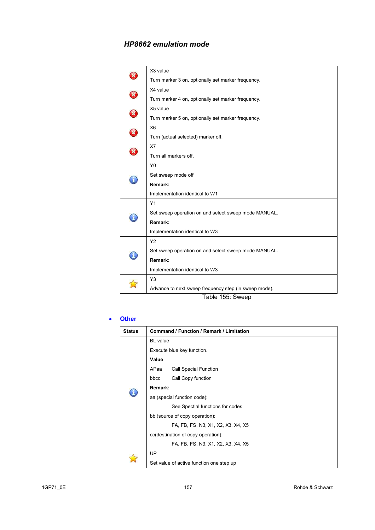|                       | X3 value                                              |
|-----------------------|-------------------------------------------------------|
|                       | Turn marker 3 on, optionally set marker frequency.    |
| $\boldsymbol{\Omega}$ | X4 value                                              |
|                       | Turn marker 4 on, optionally set marker frequency.    |
|                       | X5 value                                              |
| $\Omega$              | Turn marker 5 on, optionally set marker frequency.    |
| $\Omega$              | X <sub>6</sub>                                        |
|                       | Turn (actual selected) marker off.                    |
|                       | X7                                                    |
|                       | Turn all markers off.                                 |
|                       | Y <sub>0</sub>                                        |
|                       | Set sweep mode off                                    |
| n                     | Remark:                                               |
|                       | Implementation identical to W1                        |
|                       | Y1                                                    |
|                       | Set sweep operation on and select sweep mode MANUAL.  |
|                       | Remark:                                               |
|                       | Implementation identical to W3                        |
|                       | Y2                                                    |
|                       | Set sweep operation on and select sweep mode MANUAL.  |
|                       | Remark:                                               |
|                       | Implementation identical to W3                        |
|                       | Y <sub>3</sub>                                        |
|                       | Advance to next sweep frequency step (in sweep mode). |
|                       |                                                       |

Table 155: Sweep

### • **Other**

| <b>Status</b> | Command / Function / Remark / Limitation |                                          |
|---------------|------------------------------------------|------------------------------------------|
|               | <b>BL</b> value                          |                                          |
|               |                                          | Execute blue key function.               |
|               | Value                                    |                                          |
|               | APaa                                     | <b>Call Special Function</b>             |
|               | bbcc                                     | Call Copy function                       |
|               | Remark:                                  |                                          |
|               | aa (special function code):              |                                          |
|               |                                          | See Spectial functions for codes         |
|               | bb (source of copy operation):           |                                          |
|               |                                          | FA, FB, FS, N3, X1, X2, X3, X4, X5       |
|               | cc(destination of copy operation):       |                                          |
|               |                                          | FA, FB, FS, N3, X1, X2, X3, X4, X5       |
|               | UP                                       |                                          |
|               |                                          | Set value of active function one step up |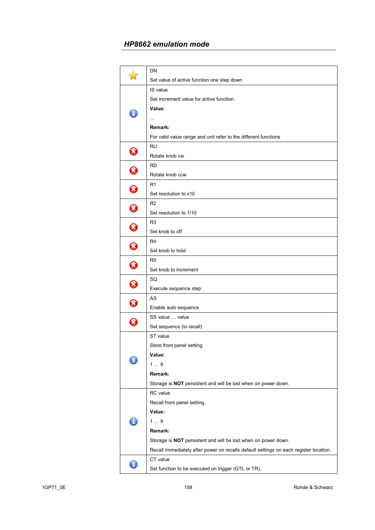|                            | DN                                                                                    |
|----------------------------|---------------------------------------------------------------------------------------|
|                            | Set value of active function one step down                                            |
|                            | IS value                                                                              |
|                            | Set increment value for active function.                                              |
| л                          | Value:                                                                                |
|                            |                                                                                       |
|                            | Remark:                                                                               |
|                            | For valid value range and unit refer to the different functions                       |
| 8                          | RU                                                                                    |
|                            | Rotate knob cw                                                                        |
| $\widehat{\mathbf{x}}$     | <b>RD</b>                                                                             |
|                            | Rotate knob ccw                                                                       |
| 8                          | R1                                                                                    |
|                            | Set resolution to x10                                                                 |
| $\boldsymbol{\mathcal{S}}$ | R <sub>2</sub>                                                                        |
|                            | Set resolution to 1/10                                                                |
| $\boldsymbol{\mathcal{S}}$ | R3                                                                                    |
|                            | Set knob to off                                                                       |
| $\boldsymbol{\mathcal{B}}$ | R4                                                                                    |
|                            | Set knob to hold                                                                      |
| $\boldsymbol{\mathcal{S}}$ | R <sub>5</sub>                                                                        |
|                            | Set knob to increment                                                                 |
| $\boldsymbol{\mathcal{B}}$ | SQ                                                                                    |
|                            | Execute sequence step                                                                 |
| $\bm{\Omega}$              | AS                                                                                    |
|                            | Enable auto sequence                                                                  |
| $\boldsymbol{\mathcal{B}}$ | SS value  value                                                                       |
|                            | Set sequence (to recall)                                                              |
|                            | ST value                                                                              |
|                            | Store front panel setting.                                                            |
|                            | Value:                                                                                |
|                            | 19                                                                                    |
|                            | Remark:                                                                               |
|                            | Storage is NOT persistent and will be lost when on power down.                        |
|                            | RC value                                                                              |
|                            | Recall front panel setting.                                                           |
|                            | Value:                                                                                |
|                            | 19                                                                                    |
|                            | Remark:                                                                               |
|                            | Storage is NOT persistent and will be lost when on power down.                        |
|                            | Recall immediately after power on recalls default settings on each register location. |
|                            | CT value                                                                              |
|                            | Set function to be executed on trigger (GTL or TR).                                   |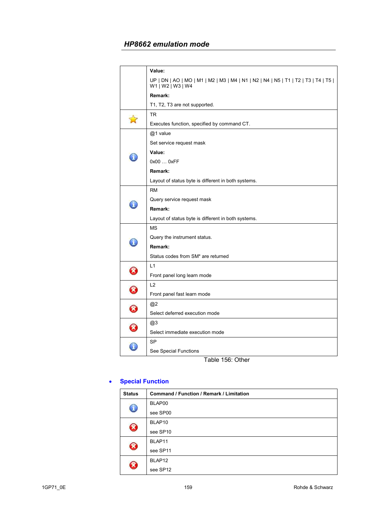| UP   DN   AO   MO   M1   M2   M3   M4   N1   N2   N4   N5   T1   T2   T3   T4   T5  <br>W1   W2   W3   W4<br>Remark:<br>T1, T2, T3 are not supported. |
|-------------------------------------------------------------------------------------------------------------------------------------------------------|
|                                                                                                                                                       |
|                                                                                                                                                       |
|                                                                                                                                                       |
| TR.                                                                                                                                                   |
| Executes function, specified by command CT.                                                                                                           |
| @1 value                                                                                                                                              |
| Set service request mask                                                                                                                              |
| Value:                                                                                                                                                |
| H<br>0x00  0xFF                                                                                                                                       |
| Remark:                                                                                                                                               |
| Layout of status byte is different in both systems.                                                                                                   |
| <b>RM</b>                                                                                                                                             |
| Query service request mask                                                                                                                            |
| Remark:                                                                                                                                               |
| Layout of status byte is different in both systems.                                                                                                   |
| <b>MS</b>                                                                                                                                             |
| Query the instrument status.                                                                                                                          |
| I<br>Remark:                                                                                                                                          |
| Status codes from SM* are returned                                                                                                                    |
| L1                                                                                                                                                    |
| B<br>Front panel long learn mode                                                                                                                      |
| L2                                                                                                                                                    |
| 0<br>Front panel fast learn mode                                                                                                                      |
| @2                                                                                                                                                    |
| $\boldsymbol{\mathcal{R}}$<br>Select deferred execution mode                                                                                          |
| @3                                                                                                                                                    |
| Ø<br>Select immediate execution mode                                                                                                                  |
| <b>SP</b>                                                                                                                                             |
| See Special Functions                                                                                                                                 |

Table 156: Other

### • **Special Function**

| <b>Status</b>              | <b>Command / Function / Remark / Limitation</b> |
|----------------------------|-------------------------------------------------|
| $\mathbf T$                | BLAP00                                          |
|                            | see SP00                                        |
| X                          | BLAP10                                          |
|                            | see SP10                                        |
| $\boldsymbol{\mathcal{R}}$ | BLAP11                                          |
|                            | see SP11                                        |
| X                          | BLAP12                                          |
|                            | see SP12                                        |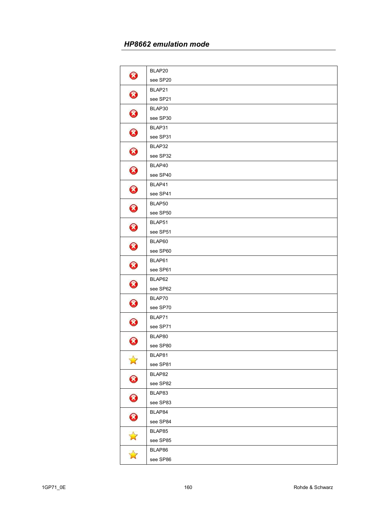| 0                      | BLAP20   |
|------------------------|----------|
|                        | see SP20 |
| $\bm{\Omega}$<br>€     | BLAP21   |
|                        | see SP21 |
|                        | BLAP30   |
|                        | see SP30 |
| $\bf \bm{\bm{\omega}}$ | BLAP31   |
|                        | see SP31 |
| $\bm{\Omega}$          | BLAP32   |
|                        | see SP32 |
| $\bf \bm{\bm{\omega}}$ | BLAP40   |
|                        | see SP40 |
| 3                      | BLAP41   |
|                        | see SP41 |
| $\bf \bm{\bm{\omega}}$ | BLAP50   |
|                        | see SP50 |
| $\bm{\Omega}$          | BLAP51   |
|                        | see SP51 |
| $\bf \bm{\bm{\omega}}$ | BLAP60   |
|                        | see SP60 |
| $\bm{\Omega}$          | BLAP61   |
|                        | see SP61 |
| 0                      | BLAP62   |
|                        | see SP62 |
| 0                      | BLAP70   |
|                        | see SP70 |
| 0                      | BLAP71   |
|                        | see SP71 |
| 0                      | BLAP80   |
|                        | see SP80 |
| $\mathbf{r}$           | BLAP81   |
|                        | see SP81 |
| $\bm{\bm{\omega}}$     | BLAP82   |
|                        | see SP82 |
| 0                      | BLAP83   |
|                        | see SP83 |
| $\bf \bm{\bm{\omega}}$ | BLAP84   |
|                        | see SP84 |
| $\Delta$               | BLAP85   |
|                        | see SP85 |
| $\Delta$               | BLAP86   |
|                        | see SP86 |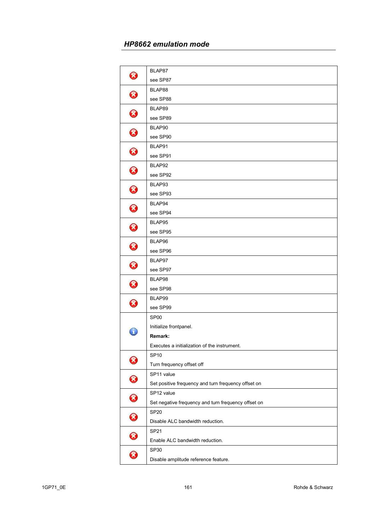| 0                          | BLAP87                                              |
|----------------------------|-----------------------------------------------------|
|                            | see SP87                                            |
| $\bf \bm{\bm{\omega}}$     | BLAP88                                              |
|                            | see SP88                                            |
| €                          | BLAP89                                              |
|                            | see SP89                                            |
| $\bf \bm{\bm{\omega}}$     | BLAP90                                              |
|                            | see SP90                                            |
| 3                          | BLAP91                                              |
|                            | see SP91                                            |
| 0                          | BLAP92                                              |
|                            | see SP92                                            |
| B                          | BLAP93                                              |
|                            | see SP93                                            |
| 0                          | BLAP94                                              |
|                            | see SP94                                            |
| 0                          | BLAP95                                              |
|                            | see SP95                                            |
| 0                          | BLAP96                                              |
|                            | see SP96                                            |
| 3                          | BLAP97                                              |
|                            | see SP97                                            |
| $\bm{\Omega}$              | BLAP98                                              |
|                            | see SP98                                            |
| 0                          | BLAP99                                              |
|                            | see SP99                                            |
|                            | SP <sub>00</sub>                                    |
| T                          | Initialize frontpanel.                              |
|                            | Remark:                                             |
|                            | Executes a initialization of the instrument.        |
| Ø                          | <b>SP10</b>                                         |
|                            | Turn frequency offset off                           |
| 0                          | SP11 value                                          |
|                            | Set positive frequency and turn frequency offset on |
| $\boldsymbol{\Omega}$      | SP12 value                                          |
|                            | Set negative frequency and turn frequency offset on |
| 0                          | <b>SP20</b>                                         |
|                            | Disable ALC bandwidth reduction.                    |
| $\bm{\Omega}$              | <b>SP21</b>                                         |
|                            | Enable ALC bandwidth reduction.                     |
| $\boldsymbol{\mathcal{R}}$ | SP30                                                |
|                            | Disable amplitude reference feature.                |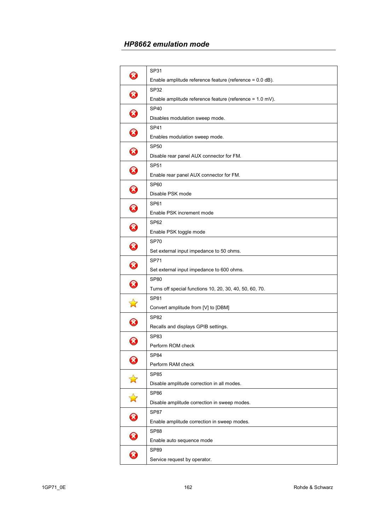| ×                          | SP31                                                     |
|----------------------------|----------------------------------------------------------|
|                            | Enable amplitude reference feature (reference = 0.0 dB). |
| X,                         | SP32                                                     |
|                            | Enable amplitude reference feature (reference = 1.0 mV). |
| Ø                          | SP <sub>40</sub>                                         |
|                            | Disables modulation sweep mode.                          |
| X,                         | <b>SP41</b>                                              |
|                            | Enables modulation sweep mode.                           |
| Ø                          | <b>SP50</b>                                              |
|                            | Disable rear panel AUX connector for FM.                 |
| $\boldsymbol{\mathcal{B}}$ | <b>SP51</b>                                              |
|                            | Enable rear panel AUX connector for FM.                  |
| Ø                          | SP60                                                     |
|                            | Disable PSK mode                                         |
| $\boldsymbol{\mathcal{R}}$ | <b>SP61</b>                                              |
|                            | Enable PSK increment mode                                |
|                            | SP62                                                     |
| $\bm{\Omega}$              | Enable PSK toggle mode                                   |
|                            | <b>SP70</b>                                              |
| $\boldsymbol{\mathcal{B}}$ | Set external input impedance to 50 ohms.                 |
|                            | <b>SP71</b>                                              |
| 3                          | Set external input impedance to 600 ohms.                |
|                            | <b>SP80</b>                                              |
| $\boldsymbol{\mathcal{R}}$ | Turns off special functions 10, 20, 30, 40, 50, 60, 70.  |
|                            | <b>SP81</b>                                              |
|                            | Convert amplitude from [V] to [DBM]                      |
| ×                          | <b>SP82</b>                                              |
|                            | Recalls and displays GPIB settings.                      |
| X                          | SP83                                                     |
|                            | Perform ROM check                                        |
|                            | SP84                                                     |
|                            | Perform RAM check                                        |
|                            | <b>SP85</b>                                              |
|                            | Disable amplitude correction in all modes.               |
|                            | SP86                                                     |
| $\mathbf{\hat{N}}$         | Disable amplitude correction in sweep modes.             |
|                            | <b>SP87</b>                                              |
|                            | Enable amplitude correction in sweep modes.              |
|                            | <b>SP88</b>                                              |
| 0                          | Enable auto sequence mode                                |
| $\boldsymbol{\mathcal{S}}$ | <b>SP89</b>                                              |
|                            | Service request by operator.                             |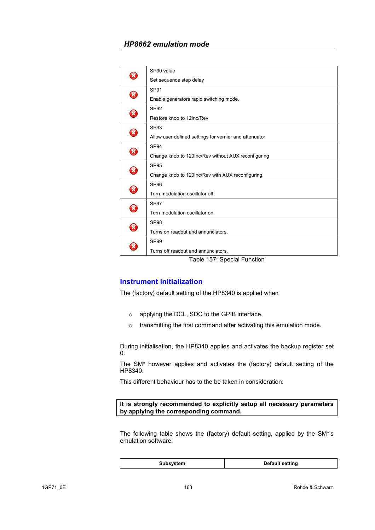|   | SP90 value                                             |
|---|--------------------------------------------------------|
|   | Set sequence step delay                                |
| X | SP <sub>91</sub>                                       |
|   | Enable generators rapid switching mode.                |
| X | SP <sub>92</sub>                                       |
|   | Restore knob to 12Inc/Rev                              |
| X | SP <sub>93</sub>                                       |
|   | Allow user defined settings for vernier and attenuator |
|   | SP <sub>94</sub>                                       |
| X | Change knob to 120Inc/Rev without AUX reconfiguring    |
|   | SP <sub>95</sub>                                       |
| X | Change knob to 120Inc/Rev with AUX reconfiguring       |
|   | SP <sub>96</sub>                                       |
| X | Turn modulation oscillator off.                        |
|   | SP <sub>97</sub>                                       |
| X | Turn modulation oscillator on.                         |
|   | SP <sub>98</sub>                                       |
| X | Turns on readout and annunciators.                     |
|   | SP <sub>99</sub>                                       |
|   | Turns off readout and annunciators.                    |
|   | $\cdots$<br>$\cdot$ .                                  |

Table 157: Special Function

# **Instrument initialization**

The (factory) default setting of the HP8340 is applied when

- o applying the DCL, SDC to the GPIB interface.
- o transmitting the first command after activating this emulation mode.

During initialisation, the HP8340 applies and activates the backup register set 0.

The SM\* however applies and activates the (factory) default setting of the HP8340.

This different behaviour has to the be taken in consideration:

**It is strongly recommended to explicitly setup all necessary parameters by applying the corresponding command.** 

The following table shows the (factory) default setting, applied by the SM\*'s emulation software.

| Subsystem | Default setting |
|-----------|-----------------|
|-----------|-----------------|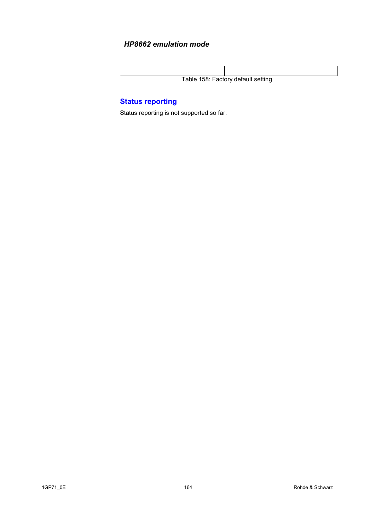Table 158: Factory default setting

# **Status reporting**

Status reporting is not supported so far.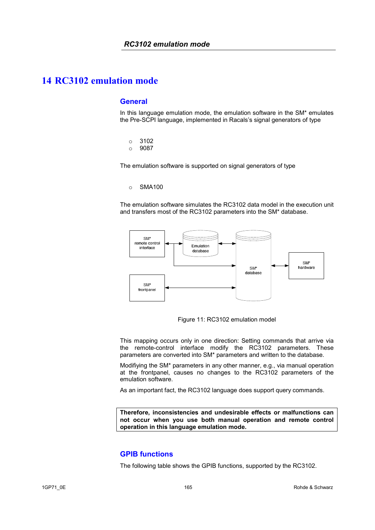### **General**

In this language emulation mode, the emulation software in the SM\* emulates the Pre-SCPI language, implemented in Racals's signal generators of type

- o 3102
- o 9087

The emulation software is supported on signal generators of type

#### o SMA100

The emulation software simulates the RC3102 data model in the execution unit and transfers most of the RC3102 parameters into the SM\* database.



Figure 11: RC3102 emulation model

This mapping occurs only in one direction: Setting commands that arrive via the remote-control interface modify the RC3102 parameters. These parameters are converted into SM\* parameters and written to the database.

Modifiying the SM\* parameters in any other manner, e.g., via manual operation at the frontpanel, causes no changes to the RC3102 parameters of the emulation software.

As an important fact, the RC3102 language does support query commands.

**Therefore, inconsistencies and undesirable effects or malfunctions can not occur when you use both manual operation and remote control operation in this language emulation mode.** 

### **GPIB functions**

The following table shows the GPIB functions, supported by the RC3102.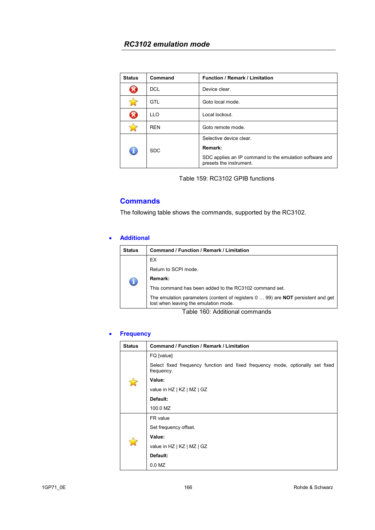| <b>Status</b> | Command    | <b>Function / Remark / Limitation</b>                                              |
|---------------|------------|------------------------------------------------------------------------------------|
|               | <b>DCL</b> | Device clear.                                                                      |
|               | GTL        | Goto local mode.                                                                   |
| X             | <b>LLO</b> | Local lockout.                                                                     |
|               | <b>REN</b> | Goto remote mode.                                                                  |
|               | <b>SDC</b> | Selective device clear.                                                            |
|               |            | Remark:                                                                            |
|               |            | SDC applies an IP command to the emulation software and<br>presets the instrument. |

Table 159: RC3102 GPIB functions

# **Commands**

The following table shows the commands, supported by the RC3102.

### • **Additional**

| Status | Command / Function / Remark / Limitation                                                                                         |  |
|--------|----------------------------------------------------------------------------------------------------------------------------------|--|
|        | EX.                                                                                                                              |  |
|        | Return to SCPI mode.                                                                                                             |  |
|        | Remark:                                                                                                                          |  |
|        | This command has been added to the RC3102 command set.                                                                           |  |
|        | The emulation parameters (content of registers 0  99) are <b>NOT</b> persistent and get<br>lost when leaving the emulation mode. |  |
|        |                                                                                                                                  |  |

Table 160: Additional commands

#### • **Frequency**

| <b>Status</b> | Command / Function / Remark / Limitation                                                     |  |  |
|---------------|----------------------------------------------------------------------------------------------|--|--|
|               | FQ [value]                                                                                   |  |  |
|               | Select fixed frequency function and fixed frequency mode, optionally set fixed<br>frequency. |  |  |
|               | Value:                                                                                       |  |  |
|               | value in HZ   KZ   MZ   GZ                                                                   |  |  |
|               | Default:                                                                                     |  |  |
|               | 100.0 MZ                                                                                     |  |  |
|               | FR value                                                                                     |  |  |
|               | Set frequency offset.                                                                        |  |  |
|               | Value:                                                                                       |  |  |
|               | value in HZ   KZ   MZ   GZ                                                                   |  |  |
|               | Default:                                                                                     |  |  |
|               | $0.0$ MZ                                                                                     |  |  |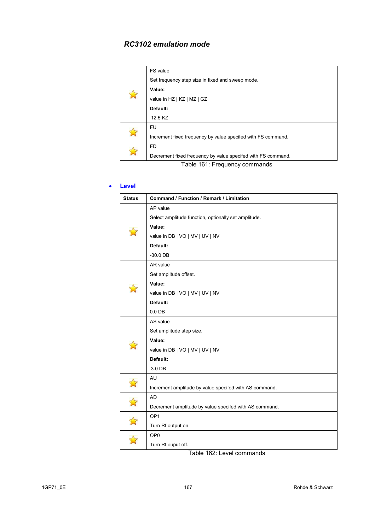|  | FS value                                                     |
|--|--------------------------------------------------------------|
|  | Set frequency step size in fixed and sweep mode.             |
|  | Value:                                                       |
|  | value in HZ   KZ   MZ   GZ                                   |
|  | Default:                                                     |
|  | 12.5 KZ                                                      |
|  | FU                                                           |
|  | Increment fixed frequency by value specifed with FS command. |
|  | FD                                                           |
|  | Decrement fixed frequency by value specifed with FS command. |
|  |                                                              |

Table 161: Frequency commands

### • **Level**

| <b>Status</b> | Command / Function / Remark / Limitation               |  |
|---------------|--------------------------------------------------------|--|
|               | AP value                                               |  |
|               | Select amplitude function, optionally set amplitude.   |  |
|               | Value:                                                 |  |
|               | value in DB   VO   MV   UV   NV                        |  |
|               | Default:                                               |  |
|               | $-30.0$ DB                                             |  |
|               | AR value                                               |  |
|               | Set amplitude offset.                                  |  |
|               | Value:                                                 |  |
|               | value in DB   VO   MV   UV   NV                        |  |
|               | Default:                                               |  |
|               | $0.0$ DB                                               |  |
|               | AS value                                               |  |
|               | Set amplitude step size.                               |  |
|               | Value:                                                 |  |
|               | value in DB   VO   MV   UV   NV                        |  |
|               | Default:                                               |  |
|               | 3.0 DB                                                 |  |
|               | AU                                                     |  |
|               | Increment amplitude by value specifed with AS command. |  |
| $\mathbb{Z}$  | <b>AD</b>                                              |  |
|               | Decrement amplitude by value specifed with AS command. |  |
|               | OP <sub>1</sub>                                        |  |
|               | Turn Rf output on.                                     |  |
|               | OP <sub>0</sub>                                        |  |
|               | Turn Rf ouput off.                                     |  |

Table 162: Level commands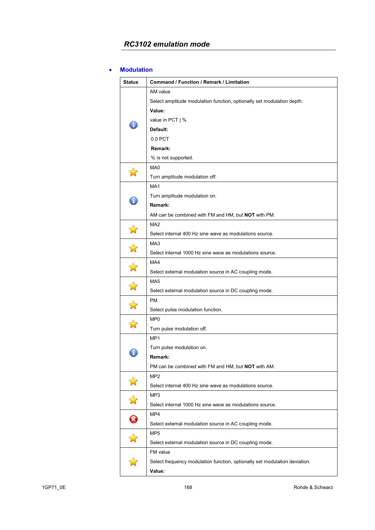#### • **Modulation**

| <b>Status</b>      | Command / Function / Remark / Limitation                                   |
|--------------------|----------------------------------------------------------------------------|
|                    | AM value                                                                   |
|                    | Select amplitude modulation function, optionally set modulation depth.     |
|                    | Value:                                                                     |
| Ã.                 | value in PCT   %                                                           |
|                    | Default:                                                                   |
|                    | $0.0$ PCT                                                                  |
|                    | Remark:                                                                    |
|                    | % is not supported.                                                        |
|                    | MA <sub>0</sub>                                                            |
|                    | Turn amplitude modulation off.                                             |
|                    | MA <sub>1</sub>                                                            |
|                    | Turn amplitude modulation on.                                              |
| I                  | Remark:                                                                    |
|                    | AM can be combined with FM and HM, but <b>NOT</b> with PM.                 |
|                    | MA <sub>2</sub>                                                            |
| 钌                  | Select internal 400 Hz sine wave as modulations source.                    |
|                    | MA <sub>3</sub>                                                            |
|                    | Select internal 1000 Hz sine wave as modulations source.                   |
|                    | MA4                                                                        |
| $\mathbb{Z}$       | Select external modulation source in AC coupling mode.                     |
|                    | MA <sub>5</sub>                                                            |
|                    | Select external modulation source in DC coupling mode.                     |
|                    | РM                                                                         |
| $\mathbb{Z}$       | Select pulse modulation function.                                          |
|                    | MP <sub>0</sub>                                                            |
|                    | Turn pulse modulation off.                                                 |
|                    | MP <sub>1</sub>                                                            |
| ï                  | Turn pulse modulation on.                                                  |
|                    | Remark:                                                                    |
|                    | PM can be combined with FM and HM, but NOT with AM.                        |
|                    | MP <sub>2</sub>                                                            |
| $\mathbf{N}$       | Select internal 400 Hz sine wave as modulations source.                    |
|                    | MP3                                                                        |
| $\mathbf{\hat{z}}$ | Select internal 1000 Hz sine wave as modulations source.                   |
| 0                  | MP4                                                                        |
|                    | Select external modulation source in AC coupling mode.                     |
|                    | MP <sub>5</sub>                                                            |
| $\mathbf{z}$       | Select external modulation source in DC coupling mode.                     |
|                    | FM value                                                                   |
|                    | Select frequency modulation function, optionally set modulation deviation. |
|                    | Value:                                                                     |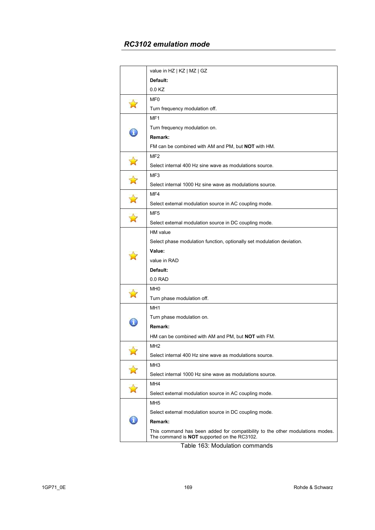|    | value in HZ   KZ   MZ   GZ                                                                                                          |
|----|-------------------------------------------------------------------------------------------------------------------------------------|
|    | Default:                                                                                                                            |
|    | 0.0 KZ                                                                                                                              |
|    | MF <sub>0</sub>                                                                                                                     |
|    | Turn frequency modulation off.                                                                                                      |
|    | MF1                                                                                                                                 |
|    | Turn frequency modulation on.                                                                                                       |
|    | Remark:                                                                                                                             |
|    | FM can be combined with AM and PM, but <b>NOT</b> with HM.                                                                          |
|    | MF2                                                                                                                                 |
|    | Select internal 400 Hz sine wave as modulations source.                                                                             |
|    | MF3                                                                                                                                 |
|    | Select internal 1000 Hz sine wave as modulations source.                                                                            |
|    | MF4                                                                                                                                 |
|    | Select external modulation source in AC coupling mode.                                                                              |
|    | MF <sub>5</sub>                                                                                                                     |
|    | Select external modulation source in DC coupling mode.                                                                              |
|    | HM value                                                                                                                            |
|    | Select phase modulation function, optionally set modulation deviation.                                                              |
|    | Value:                                                                                                                              |
|    | value in RAD                                                                                                                        |
|    | Default:                                                                                                                            |
|    | $0.0$ RAD                                                                                                                           |
|    | MH <sub>0</sub>                                                                                                                     |
|    | Turn phase modulation off.                                                                                                          |
|    | MH <sub>1</sub>                                                                                                                     |
|    | Turn phase modulation on.                                                                                                           |
|    | Remark:                                                                                                                             |
|    | HM can be combined with AM and PM, but NOT with FM.                                                                                 |
|    | MH <sub>2</sub>                                                                                                                     |
|    | Select internal 400 Hz sine wave as modulations source.                                                                             |
|    | MH <sub>3</sub>                                                                                                                     |
|    | Select internal 1000 Hz sine wave as modulations source.                                                                            |
|    | MH4                                                                                                                                 |
|    | Select external modulation source in AC coupling mode.                                                                              |
|    | MH <sub>5</sub>                                                                                                                     |
|    | Select external modulation source in DC coupling mode.                                                                              |
| ď. | Remark:                                                                                                                             |
|    | This command has been added for compatibility to the other modulations modes.<br>The command is <b>NOT</b> supported on the RC3102. |
|    | $T = 11 - 400 - 14 = 11 + 11$                                                                                                       |

Table 163: Modulation commands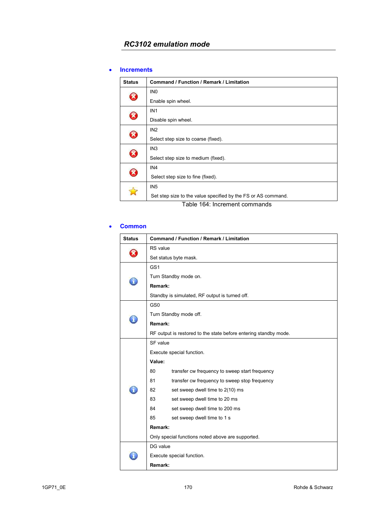#### • **Increments**

| <b>Status</b>                 | <b>Command / Function / Remark / Limitation</b>               |
|-------------------------------|---------------------------------------------------------------|
| $\mathbf x$                   | IN <sub>0</sub>                                               |
|                               | Enable spin wheel.                                            |
| B                             | IN <sub>1</sub>                                               |
|                               | Disable spin wheel.                                           |
| $\mathbf{z}$                  | IN2                                                           |
|                               | Select step size to coarse (fixed).                           |
| $\boldsymbol{\mathcal{R}}$    | IN <sub>3</sub>                                               |
|                               | Select step size to medium (fixed).                           |
| $\mathbf x$                   | IN <sub>4</sub>                                               |
|                               | Select step size to fine (fixed).                             |
|                               | IN <sub>5</sub>                                               |
|                               | Set step size to the value specified by the FS or AS command. |
| Table 164: Increment commands |                                                               |

#### • **Common**

| <b>Status</b> | <b>Command / Function / Remark / Limitation</b>   |                                                                  |  |
|---------------|---------------------------------------------------|------------------------------------------------------------------|--|
|               | RS value                                          |                                                                  |  |
| ጆ             |                                                   | Set status byte mask.                                            |  |
|               | GS <sub>1</sub>                                   |                                                                  |  |
|               | Turn Standby mode on.                             |                                                                  |  |
|               | Remark:                                           |                                                                  |  |
|               |                                                   | Standby is simulated, RF output is turned off.                   |  |
|               | GS <sub>0</sub>                                   |                                                                  |  |
|               |                                                   | Turn Standby mode off.                                           |  |
|               | Remark:                                           |                                                                  |  |
|               |                                                   | RF output is restored to the state before entering standby mode. |  |
|               | SF value                                          |                                                                  |  |
|               | Execute special function.                         |                                                                  |  |
|               | Value:                                            |                                                                  |  |
|               | 80                                                | transfer cw frequency to sweep start frequency                   |  |
|               | 81                                                | transfer cw frequency to sweep stop frequency                    |  |
|               | 82                                                | set sweep dwell time to 2(10) ms                                 |  |
|               | 83                                                | set sweep dwell time to 20 ms                                    |  |
|               | 84                                                | set sweep dwell time to 200 ms                                   |  |
|               | 85                                                | set sweep dwell time to 1 s                                      |  |
|               | Remark:                                           |                                                                  |  |
|               | Only special functions noted above are supported. |                                                                  |  |
|               | DG value                                          |                                                                  |  |
|               | Execute special function.                         |                                                                  |  |
|               | Remark:                                           |                                                                  |  |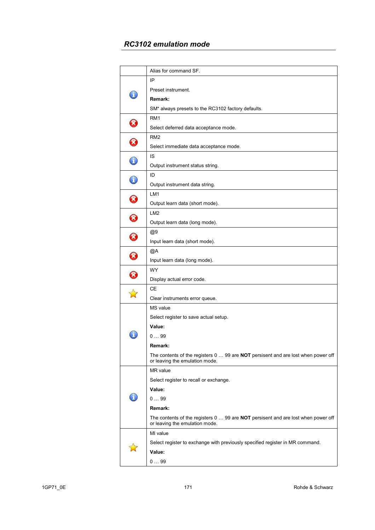|                            | Alias for command SF.                                                                                                      |
|----------------------------|----------------------------------------------------------------------------------------------------------------------------|
|                            | IP                                                                                                                         |
|                            |                                                                                                                            |
|                            | Preset instrument.                                                                                                         |
|                            | Remark:                                                                                                                    |
|                            | SM* always presets to the RC3102 factory defaults.                                                                         |
| B                          | RM <sub>1</sub>                                                                                                            |
|                            | Select deferred data acceptance mode.                                                                                      |
|                            | RM <sub>2</sub>                                                                                                            |
|                            | Select immediate data acceptance mode.                                                                                     |
| T                          | IS                                                                                                                         |
|                            | Output instrument status string.                                                                                           |
|                            | ID                                                                                                                         |
|                            | Output instrument data string.                                                                                             |
| $\boldsymbol{\mathcal{R}}$ | LM <sub>1</sub>                                                                                                            |
|                            | Output learn data (short mode).                                                                                            |
| B                          | LM <sub>2</sub>                                                                                                            |
|                            | Output learn data (long mode).                                                                                             |
| $\boldsymbol{\mathcal{R}}$ | @9                                                                                                                         |
|                            | Input learn data (short mode).                                                                                             |
| X)                         | @Α                                                                                                                         |
|                            | Input learn data (long mode).                                                                                              |
| $\widehat{\mathbf{x}}$     | <b>WY</b>                                                                                                                  |
|                            | Display actual error code.                                                                                                 |
|                            | CЕ                                                                                                                         |
|                            | Clear instruments error queue.                                                                                             |
|                            | MS value                                                                                                                   |
|                            | Select register to save actual setup.                                                                                      |
|                            | Value:                                                                                                                     |
|                            | 099                                                                                                                        |
|                            | Remark:                                                                                                                    |
|                            | The contents of the registers 0  99 are NOT persisent and are lost when power off                                          |
|                            | or leaving the emulation mode.<br>MR value                                                                                 |
|                            | Select register to recall or exchange.                                                                                     |
|                            | Value:                                                                                                                     |
|                            | 099                                                                                                                        |
|                            | Remark:                                                                                                                    |
|                            |                                                                                                                            |
|                            | The contents of the registers 0  99 are <b>NOT</b> persisent and are lost when power off<br>or leaving the emulation mode. |
|                            | MI value                                                                                                                   |
|                            | Select register to exchange with previously specified register in MR command.                                              |
|                            | Value:                                                                                                                     |
|                            | 099                                                                                                                        |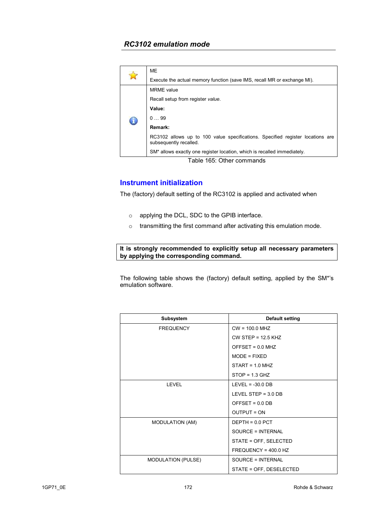| <b>ME</b>  |                                                                                                          |  |  |  |
|------------|----------------------------------------------------------------------------------------------------------|--|--|--|
|            | Execute the actual memory function (save IMS, recall MR or exchange MI).                                 |  |  |  |
|            | <b>MRME</b> value                                                                                        |  |  |  |
| $\bigcirc$ | Recall setup from register value.                                                                        |  |  |  |
|            | Value:                                                                                                   |  |  |  |
|            | 099                                                                                                      |  |  |  |
|            | Remark:                                                                                                  |  |  |  |
|            | RC3102 allows up to 100 value specifications. Specified register locations are<br>subsequently recalled. |  |  |  |
|            | SM <sup>*</sup> allows exactly one register location, which is recalled immediately.                     |  |  |  |

Table 165: Other commands

### **Instrument initialization**

The (factory) default setting of the RC3102 is applied and activated when

- o applying the DCL, SDC to the GPIB interface.
- o transmitting the first command after activating this emulation mode.

**It is strongly recommended to explicitly setup all necessary parameters by applying the corresponding command.** 

The following table shows the (factory) default setting, applied by the SM\*'s emulation software.

| <b>Subsystem</b>          | Default setting         |  |
|---------------------------|-------------------------|--|
| <b>FREQUENCY</b>          | $CW = 100.0$ MHZ        |  |
|                           | $CW$ STEP = 12.5 KHZ    |  |
|                           | $OFFSET = 0.0 MHz$      |  |
|                           | $MODE = FIXED$          |  |
|                           | $STATE = 1.0 MHz$       |  |
|                           | $STOP = 1.3$ GHZ        |  |
| LEVEL                     | LEVEL = $-30.0$ DB      |  |
|                           | LEVEL STEP = $3.0$ DB   |  |
|                           | $OFFSET = 0.0 DB$       |  |
|                           | <b>OUTPUT = ON</b>      |  |
| <b>MODULATION (AM)</b>    | $DEFH = 0.0$ PCT        |  |
|                           | SOURCE = INTERNAL       |  |
|                           | STATE = OFF, SELECTED   |  |
|                           | $FREGUENCY = 400.0 HZ$  |  |
| <b>MODULATION (PULSE)</b> | SOURCE = INTERNAL       |  |
|                           | STATE = OFF, DESELECTED |  |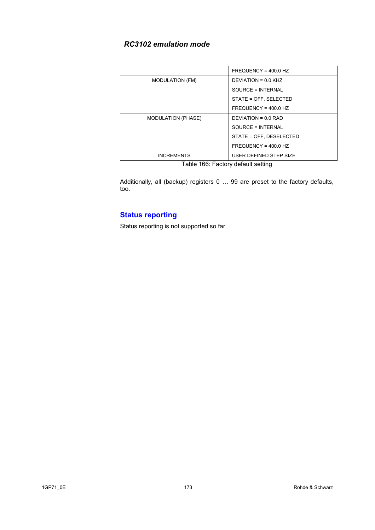| <b>MODULATION (FM)</b>    | DEVIATION = 0.0 KHZ     |  |
|---------------------------|-------------------------|--|
|                           | SOURCE = INTERNAL       |  |
|                           | STATE = OFF, SELECTED   |  |
|                           | $FREQUENCY = 400.0 HZ$  |  |
| <b>MODULATION (PHASE)</b> | DEVIATION = $0.0$ RAD   |  |
|                           | SOURCE = INTERNAL       |  |
|                           | STATE = OFF. DESELECTED |  |
|                           | $FREQUENCY = 400.0 HZ$  |  |
| <b>INCREMENTS</b>         | USER DEFINED STEP SIZE  |  |

Table 166: Factory default setting

Additionally, all (backup) registers 0 … 99 are preset to the factory defaults, too.

# **Status reporting**

Status reporting is not supported so far.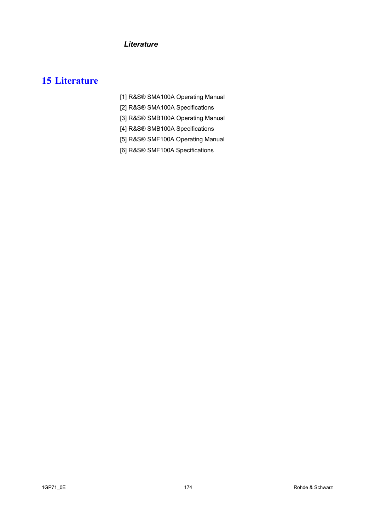# **15 Literature**

- [1] R&S® SMA100A Operating Manual
- [2] R&S® SMA100A Specifications
- [3] R&S® SMB100A Operating Manual
- [4] R&S® SMB100A Specifications
- [5] R&S® SMF100A Operating Manual
- [6] R&S® SMF100A Specifications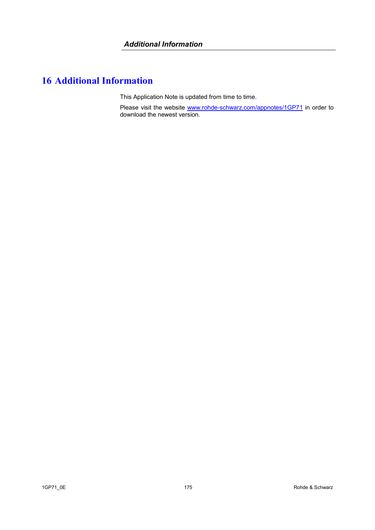# **16 Additional Information**

This Application Note is updated from time to time.

Please visit the website www.rohde-schwarz.com/appnotes/1GP71 in order to download the newest version.